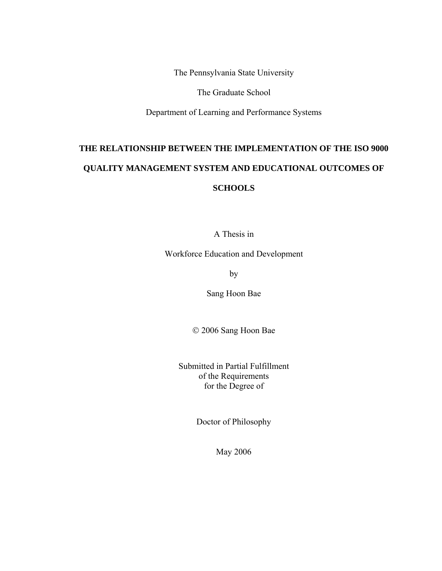The Pennsylvania State University

The Graduate School

Department of Learning and Performance Systems

# **THE RELATIONSHIP BETWEEN THE IMPLEMENTATION OF THE ISO 9000 QUALITY MANAGEMENT SYSTEM AND EDUCATIONAL OUTCOMES OF SCHOOLS**

A Thesis in

Workforce Education and Development

by

Sang Hoon Bae

2006 Sang Hoon Bae

Submitted in Partial Fulfillment of the Requirements for the Degree of

Doctor of Philosophy

May 2006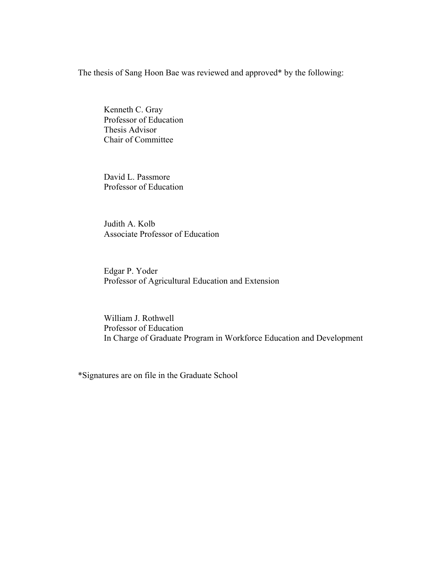The thesis of Sang Hoon Bae was reviewed and approved\* by the following:

Kenneth C. Gray Professor of Education Thesis Advisor Chair of Committee

David L. Passmore Professor of Education

Judith A. Kolb Associate Professor of Education

Edgar P. Yoder Professor of Agricultural Education and Extension

William J. Rothwell Professor of Education In Charge of Graduate Program in Workforce Education and Development

\*Signatures are on file in the Graduate School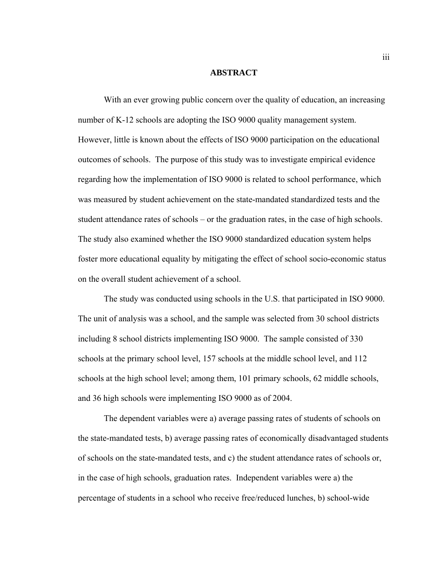#### **ABSTRACT**

With an ever growing public concern over the quality of education, an increasing number of K-12 schools are adopting the ISO 9000 quality management system. However, little is known about the effects of ISO 9000 participation on the educational outcomes of schools. The purpose of this study was to investigate empirical evidence regarding how the implementation of ISO 9000 is related to school performance, which was measured by student achievement on the state-mandated standardized tests and the student attendance rates of schools – or the graduation rates, in the case of high schools. The study also examined whether the ISO 9000 standardized education system helps foster more educational equality by mitigating the effect of school socio-economic status on the overall student achievement of a school.

The study was conducted using schools in the U.S. that participated in ISO 9000. The unit of analysis was a school, and the sample was selected from 30 school districts including 8 school districts implementing ISO 9000. The sample consisted of 330 schools at the primary school level, 157 schools at the middle school level, and 112 schools at the high school level; among them, 101 primary schools, 62 middle schools, and 36 high schools were implementing ISO 9000 as of 2004.

The dependent variables were a) average passing rates of students of schools on the state-mandated tests, b) average passing rates of economically disadvantaged students of schools on the state-mandated tests, and c) the student attendance rates of schools or, in the case of high schools, graduation rates. Independent variables were a) the percentage of students in a school who receive free/reduced lunches, b) school-wide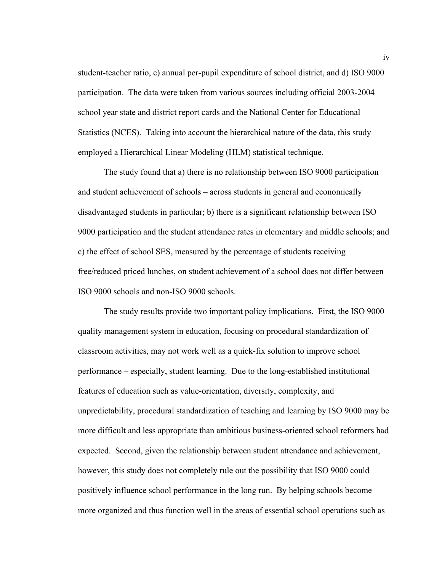student-teacher ratio, c) annual per-pupil expenditure of school district, and d) ISO 9000 participation. The data were taken from various sources including official 2003-2004 school year state and district report cards and the National Center for Educational Statistics (NCES). Taking into account the hierarchical nature of the data, this study employed a Hierarchical Linear Modeling (HLM) statistical technique.

The study found that a) there is no relationship between ISO 9000 participation and student achievement of schools – across students in general and economically disadvantaged students in particular; b) there is a significant relationship between ISO 9000 participation and the student attendance rates in elementary and middle schools; and c) the effect of school SES, measured by the percentage of students receiving free/reduced priced lunches, on student achievement of a school does not differ between ISO 9000 schools and non-ISO 9000 schools.

The study results provide two important policy implications. First, the ISO 9000 quality management system in education, focusing on procedural standardization of classroom activities, may not work well as a quick-fix solution to improve school performance – especially, student learning. Due to the long-established institutional features of education such as value-orientation, diversity, complexity, and unpredictability, procedural standardization of teaching and learning by ISO 9000 may be more difficult and less appropriate than ambitious business-oriented school reformers had expected. Second, given the relationship between student attendance and achievement, however, this study does not completely rule out the possibility that ISO 9000 could positively influence school performance in the long run. By helping schools become more organized and thus function well in the areas of essential school operations such as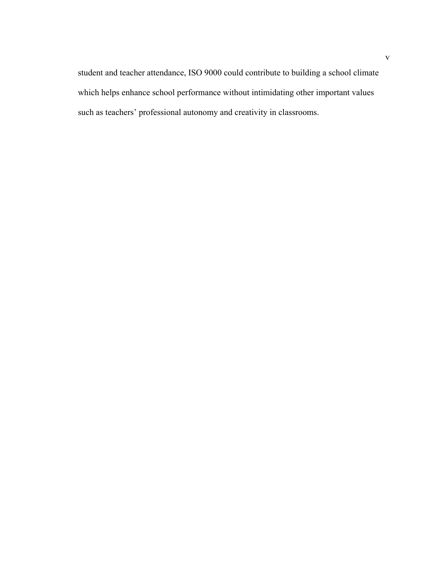student and teacher attendance, ISO 9000 could contribute to building a school climate which helps enhance school performance without intimidating other important values such as teachers' professional autonomy and creativity in classrooms.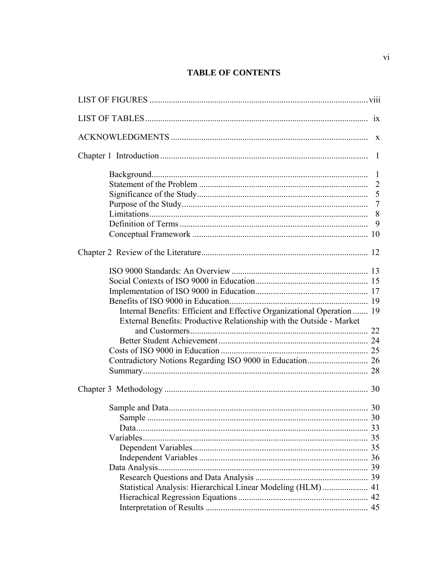# **TABLE OF CONTENTS**

|                                                                         | $\overline{7}$ |
|-------------------------------------------------------------------------|----------------|
|                                                                         |                |
|                                                                         | 9              |
|                                                                         |                |
|                                                                         |                |
|                                                                         |                |
|                                                                         |                |
|                                                                         |                |
|                                                                         |                |
|                                                                         |                |
| Internal Benefits: Efficient and Effective Organizational Operation  19 |                |
| External Benefits: Productive Relationship with the Outside - Market    |                |
|                                                                         |                |
|                                                                         |                |
|                                                                         |                |
|                                                                         |                |
|                                                                         |                |
|                                                                         |                |
|                                                                         |                |
|                                                                         |                |
|                                                                         |                |
|                                                                         |                |
|                                                                         |                |
|                                                                         |                |
|                                                                         |                |
|                                                                         |                |
|                                                                         |                |
| Statistical Analysis: Hierarchical Linear Modeling (HLM)  41            |                |
|                                                                         |                |
|                                                                         |                |
|                                                                         |                |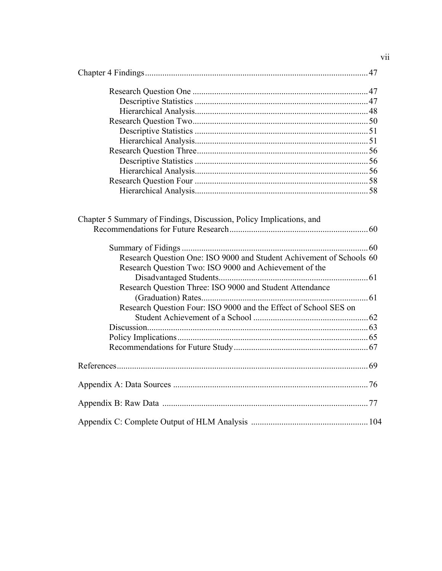| Chapter 5 Summary of Findings, Discussion, Policy Implications, and  |
|----------------------------------------------------------------------|
| Research Question One: ISO 9000 and Student Achivement of Schools 60 |
|                                                                      |
| Research Question Two: ISO 9000 and Achievement of the               |
| Research Question Three: ISO 9000 and Student Attendance             |
|                                                                      |
| Research Question Four: ISO 9000 and the Effect of School SES on     |
|                                                                      |
|                                                                      |
|                                                                      |
|                                                                      |
|                                                                      |
|                                                                      |
|                                                                      |
|                                                                      |
|                                                                      |

vii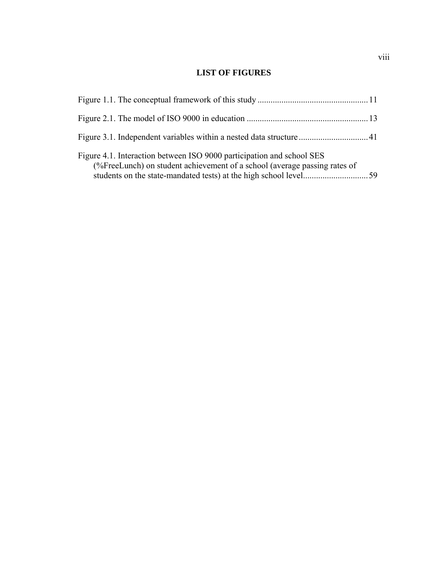# **LIST OF FIGURES**

| Figure 4.1. Interaction between ISO 9000 participation and school SES<br>(%FreeLunch) on student achievement of a school (average passing rates of |  |
|----------------------------------------------------------------------------------------------------------------------------------------------------|--|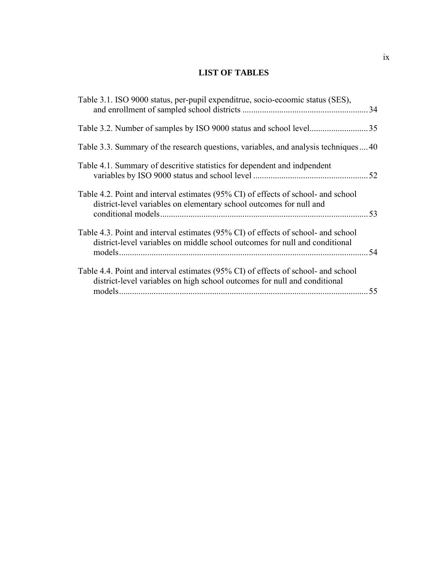# **LIST OF TABLES**

| Table 3.1. ISO 9000 status, per-pupil expenditrue, socio-ecoomic status (SES),                                                                                   | 34   |
|------------------------------------------------------------------------------------------------------------------------------------------------------------------|------|
|                                                                                                                                                                  |      |
| Table 3.3. Summary of the research questions, variables, and analysis techniques40                                                                               |      |
| Table 4.1. Summary of descritive statistics for dependent and indpendent                                                                                         |      |
| Table 4.2. Point and interval estimates (95% CI) of effects of school- and school<br>district-level variables on elementary school outcomes for null and         |      |
| Table 4.3. Point and interval estimates (95% CI) of effects of school- and school<br>district-level variables on middle school outcomes for null and conditional | . 54 |
| Table 4.4. Point and interval estimates (95% CI) of effects of school- and school<br>district-level variables on high school outcomes for null and conditional   | 55   |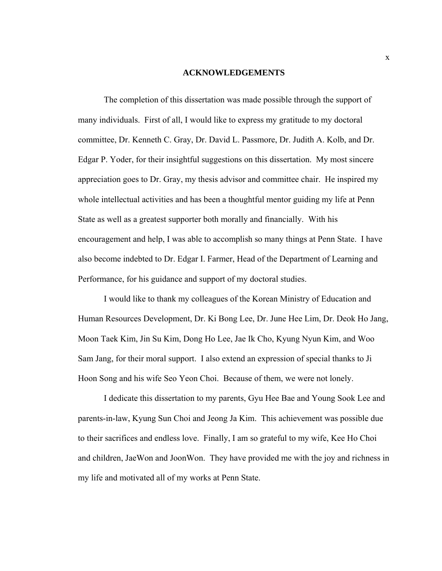#### **ACKNOWLEDGEMENTS**

The completion of this dissertation was made possible through the support of many individuals. First of all, I would like to express my gratitude to my doctoral committee, Dr. Kenneth C. Gray, Dr. David L. Passmore, Dr. Judith A. Kolb, and Dr. Edgar P. Yoder, for their insightful suggestions on this dissertation. My most sincere appreciation goes to Dr. Gray, my thesis advisor and committee chair. He inspired my whole intellectual activities and has been a thoughtful mentor guiding my life at Penn State as well as a greatest supporter both morally and financially. With his encouragement and help, I was able to accomplish so many things at Penn State. I have also become indebted to Dr. Edgar I. Farmer, Head of the Department of Learning and Performance, for his guidance and support of my doctoral studies.

I would like to thank my colleagues of the Korean Ministry of Education and Human Resources Development, Dr. Ki Bong Lee, Dr. June Hee Lim, Dr. Deok Ho Jang, Moon Taek Kim, Jin Su Kim, Dong Ho Lee, Jae Ik Cho, Kyung Nyun Kim, and Woo Sam Jang, for their moral support. I also extend an expression of special thanks to Ji Hoon Song and his wife Seo Yeon Choi. Because of them, we were not lonely.

I dedicate this dissertation to my parents, Gyu Hee Bae and Young Sook Lee and parents-in-law, Kyung Sun Choi and Jeong Ja Kim. This achievement was possible due to their sacrifices and endless love. Finally, I am so grateful to my wife, Kee Ho Choi and children, JaeWon and JoonWon. They have provided me with the joy and richness in my life and motivated all of my works at Penn State.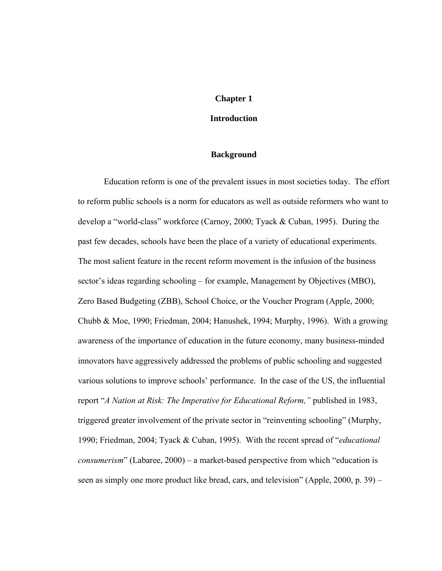#### **Chapter 1**

#### **Introduction**

#### **Background**

Education reform is one of the prevalent issues in most societies today. The effort to reform public schools is a norm for educators as well as outside reformers who want to develop a "world-class" workforce (Carnoy, 2000; Tyack & Cuban, 1995). During the past few decades, schools have been the place of a variety of educational experiments. The most salient feature in the recent reform movement is the infusion of the business sector's ideas regarding schooling – for example, Management by Objectives (MBO), Zero Based Budgeting (ZBB), School Choice, or the Voucher Program (Apple, 2000; Chubb & Moe, 1990; Friedman, 2004; Hanushek, 1994; Murphy, 1996). With a growing awareness of the importance of education in the future economy, many business-minded innovators have aggressively addressed the problems of public schooling and suggested various solutions to improve schools' performance. In the case of the US, the influential report "*A Nation at Risk: The Imperative for Educational Reform,"* published in 1983, triggered greater involvement of the private sector in "reinventing schooling" (Murphy, 1990; Friedman, 2004; Tyack & Cuban, 1995). With the recent spread of "*educational consumerism*" (Labaree, 2000) – a market-based perspective from which "education is seen as simply one more product like bread, cars, and television" (Apple, 2000, p. 39) –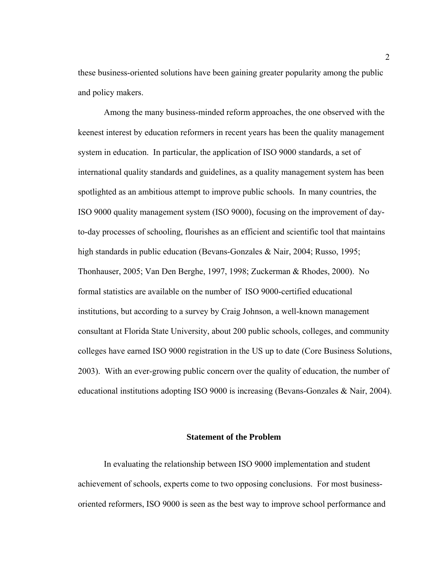these business-oriented solutions have been gaining greater popularity among the public and policy makers.

Among the many business-minded reform approaches, the one observed with the keenest interest by education reformers in recent years has been the quality management system in education. In particular, the application of ISO 9000 standards, a set of international quality standards and guidelines, as a quality management system has been spotlighted as an ambitious attempt to improve public schools. In many countries, the ISO 9000 quality management system (ISO 9000), focusing on the improvement of dayto-day processes of schooling, flourishes as an efficient and scientific tool that maintains high standards in public education (Bevans-Gonzales & Nair, 2004; Russo, 1995; Thonhauser, 2005; Van Den Berghe, 1997, 1998; Zuckerman & Rhodes, 2000). No formal statistics are available on the number of ISO 9000-certified educational institutions, but according to a survey by Craig Johnson, a well-known management consultant at Florida State University, about 200 public schools, colleges, and community colleges have earned ISO 9000 registration in the US up to date (Core Business Solutions, 2003). With an ever-growing public concern over the quality of education, the number of educational institutions adopting ISO 9000 is increasing (Bevans-Gonzales & Nair, 2004).

#### **Statement of the Problem**

In evaluating the relationship between ISO 9000 implementation and student achievement of schools, experts come to two opposing conclusions. For most businessoriented reformers, ISO 9000 is seen as the best way to improve school performance and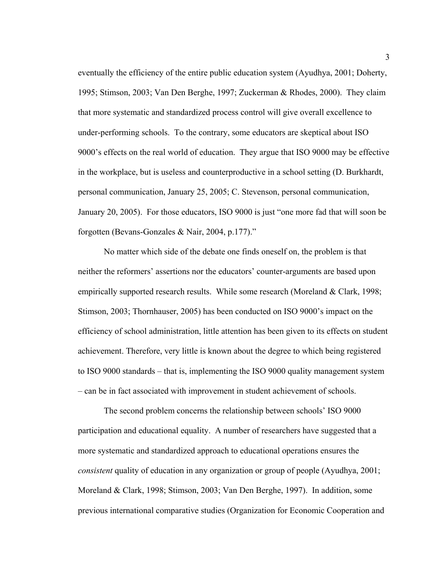eventually the efficiency of the entire public education system (Ayudhya, 2001; Doherty, 1995; Stimson, 2003; Van Den Berghe, 1997; Zuckerman & Rhodes, 2000). They claim that more systematic and standardized process control will give overall excellence to under-performing schools. To the contrary, some educators are skeptical about ISO 9000's effects on the real world of education. They argue that ISO 9000 may be effective in the workplace, but is useless and counterproductive in a school setting (D. Burkhardt, personal communication, January 25, 2005; C. Stevenson, personal communication, January 20, 2005). For those educators, ISO 9000 is just "one more fad that will soon be forgotten (Bevans-Gonzales & Nair, 2004, p.177)."

No matter which side of the debate one finds oneself on, the problem is that neither the reformers' assertions nor the educators' counter-arguments are based upon empirically supported research results. While some research (Moreland & Clark, 1998; Stimson, 2003; Thornhauser, 2005) has been conducted on ISO 9000's impact on the efficiency of school administration, little attention has been given to its effects on student achievement. Therefore, very little is known about the degree to which being registered to ISO 9000 standards – that is, implementing the ISO 9000 quality management system – can be in fact associated with improvement in student achievement of schools.

The second problem concerns the relationship between schools' ISO 9000 participation and educational equality. A number of researchers have suggested that a more systematic and standardized approach to educational operations ensures the *consistent* quality of education in any organization or group of people (Ayudhya, 2001; Moreland & Clark, 1998; Stimson, 2003; Van Den Berghe, 1997). In addition, some previous international comparative studies (Organization for Economic Cooperation and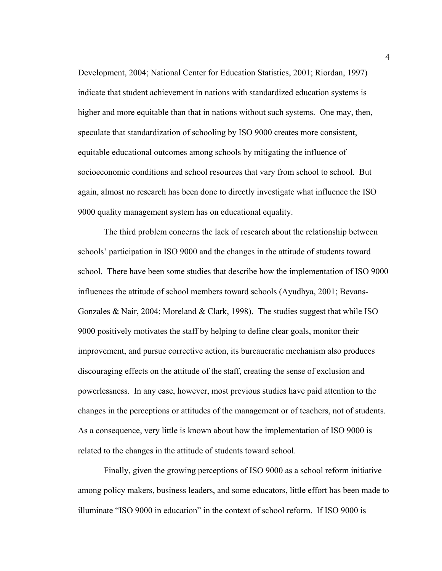Development, 2004; National Center for Education Statistics, 2001; Riordan, 1997) indicate that student achievement in nations with standardized education systems is higher and more equitable than that in nations without such systems. One may, then, speculate that standardization of schooling by ISO 9000 creates more consistent, equitable educational outcomes among schools by mitigating the influence of socioeconomic conditions and school resources that vary from school to school. But again, almost no research has been done to directly investigate what influence the ISO 9000 quality management system has on educational equality.

The third problem concerns the lack of research about the relationship between schools' participation in ISO 9000 and the changes in the attitude of students toward school. There have been some studies that describe how the implementation of ISO 9000 influences the attitude of school members toward schools (Ayudhya, 2001; Bevans-Gonzales & Nair, 2004; Moreland & Clark, 1998). The studies suggest that while ISO 9000 positively motivates the staff by helping to define clear goals, monitor their improvement, and pursue corrective action, its bureaucratic mechanism also produces discouraging effects on the attitude of the staff, creating the sense of exclusion and powerlessness. In any case, however, most previous studies have paid attention to the changes in the perceptions or attitudes of the management or of teachers, not of students. As a consequence, very little is known about how the implementation of ISO 9000 is related to the changes in the attitude of students toward school.

Finally, given the growing perceptions of ISO 9000 as a school reform initiative among policy makers, business leaders, and some educators, little effort has been made to illuminate "ISO 9000 in education" in the context of school reform. If ISO 9000 is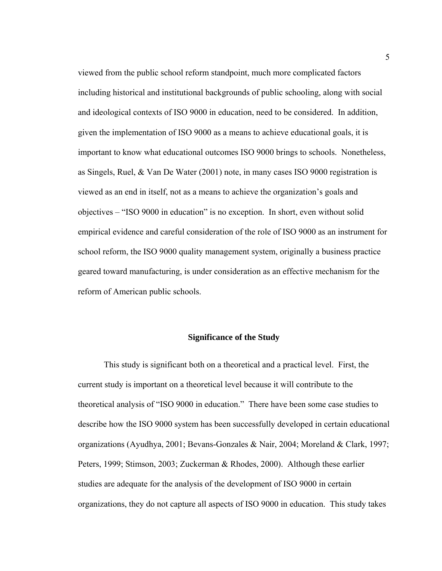viewed from the public school reform standpoint, much more complicated factors including historical and institutional backgrounds of public schooling, along with social and ideological contexts of ISO 9000 in education, need to be considered. In addition, given the implementation of ISO 9000 as a means to achieve educational goals, it is important to know what educational outcomes ISO 9000 brings to schools. Nonetheless, as Singels, Ruel, & Van De Water (2001) note, in many cases ISO 9000 registration is viewed as an end in itself, not as a means to achieve the organization's goals and objectives – "ISO 9000 in education" is no exception. In short, even without solid empirical evidence and careful consideration of the role of ISO 9000 as an instrument for school reform, the ISO 9000 quality management system, originally a business practice geared toward manufacturing, is under consideration as an effective mechanism for the reform of American public schools.

#### **Significance of the Study**

This study is significant both on a theoretical and a practical level. First, the current study is important on a theoretical level because it will contribute to the theoretical analysis of "ISO 9000 in education." There have been some case studies to describe how the ISO 9000 system has been successfully developed in certain educational organizations (Ayudhya, 2001; Bevans-Gonzales & Nair, 2004; Moreland & Clark, 1997; Peters, 1999; Stimson, 2003; Zuckerman & Rhodes, 2000). Although these earlier studies are adequate for the analysis of the development of ISO 9000 in certain organizations, they do not capture all aspects of ISO 9000 in education. This study takes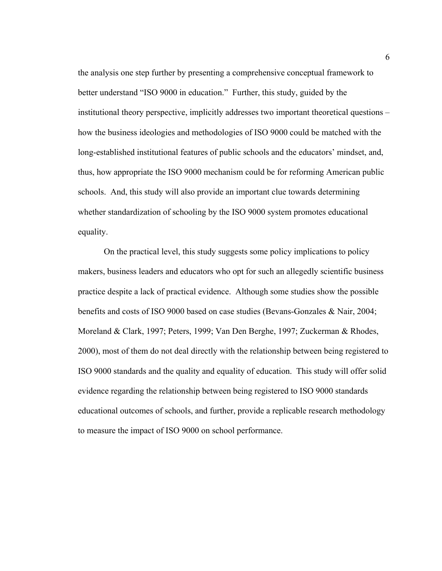the analysis one step further by presenting a comprehensive conceptual framework to better understand "ISO 9000 in education." Further, this study, guided by the institutional theory perspective, implicitly addresses two important theoretical questions – how the business ideologies and methodologies of ISO 9000 could be matched with the long-established institutional features of public schools and the educators' mindset, and, thus, how appropriate the ISO 9000 mechanism could be for reforming American public schools. And, this study will also provide an important clue towards determining whether standardization of schooling by the ISO 9000 system promotes educational equality.

On the practical level, this study suggests some policy implications to policy makers, business leaders and educators who opt for such an allegedly scientific business practice despite a lack of practical evidence. Although some studies show the possible benefits and costs of ISO 9000 based on case studies (Bevans-Gonzales & Nair, 2004; Moreland & Clark, 1997; Peters, 1999; Van Den Berghe, 1997; Zuckerman & Rhodes, 2000), most of them do not deal directly with the relationship between being registered to ISO 9000 standards and the quality and equality of education. This study will offer solid evidence regarding the relationship between being registered to ISO 9000 standards educational outcomes of schools, and further, provide a replicable research methodology to measure the impact of ISO 9000 on school performance.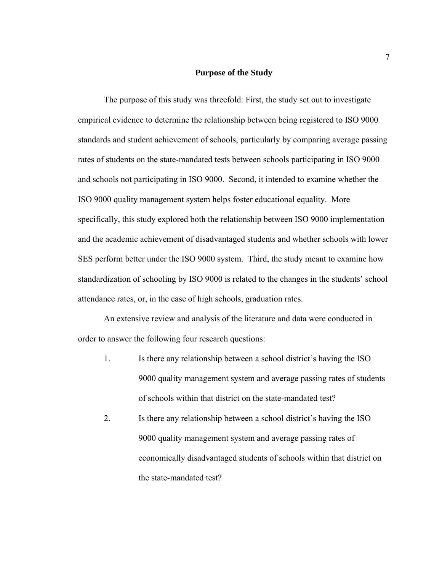#### **Purpose of the Study**

The purpose of this study was threefold: First, the study set out to investigate empirical evidence to determine the relationship between being registered to ISO 9000 standards and student achievement of schools, particularly by comparing average passing rates of students on the state-mandated tests between schools participating in ISO 9000 and schools not participating in ISO 9000. Second, it intended to examine whether the ISO 9000 quality management system helps foster educational equality. More specifically, this study explored both the relationship between ISO 9000 implementation and the academic achievement of disadvantaged students and whether schools with lower SES perform better under the ISO 9000 system. Third, the study meant to examine how standardization of schooling by ISO 9000 is related to the changes in the students' school attendance rates, or, in the case of high schools, graduation rates.

An extensive review and analysis of the literature and data were conducted in order to answer the following four research questions:

- 1. Is there any relationship between a school district's having the ISO 9000 quality management system and average passing rates of students of schools within that district on the state-mandated test?
- 2. Is there any relationship between a school district's having the ISO 9000 quality management system and average passing rates of economically disadvantaged students of schools within that district on the state-mandated test?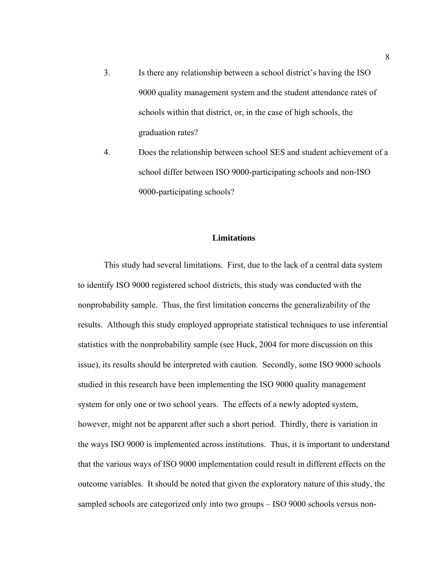- 3. Is there any relationship between a school district's having the ISO 9000 quality management system and the student attendance rates of schools within that district, or, in the case of high schools, the graduation rates?
- 4. Does the relationship between school SES and student achievement of a school differ between ISO 9000-participating schools and non-ISO 9000-participating schools?

## **Limitations**

This study had several limitations. First, due to the lack of a central data system to identify ISO 9000 registered school districts, this study was conducted with the nonprobability sample. Thus, the first limitation concerns the generalizability of the results. Although this study employed appropriate statistical techniques to use inferential statistics with the nonprobability sample (see Huck, 2004 for more discussion on this issue), its results should be interpreted with caution. Secondly, some ISO 9000 schools studied in this research have been implementing the ISO 9000 quality management system for only one or two school years. The effects of a newly adopted system, however, might not be apparent after such a short period. Thirdly, there is variation in the ways ISO 9000 is implemented across institutions. Thus, it is important to understand that the various ways of ISO 9000 implementation could result in different effects on the outcome variables. It should be noted that given the exploratory nature of this study, the sampled schools are categorized only into two groups – ISO 9000 schools versus non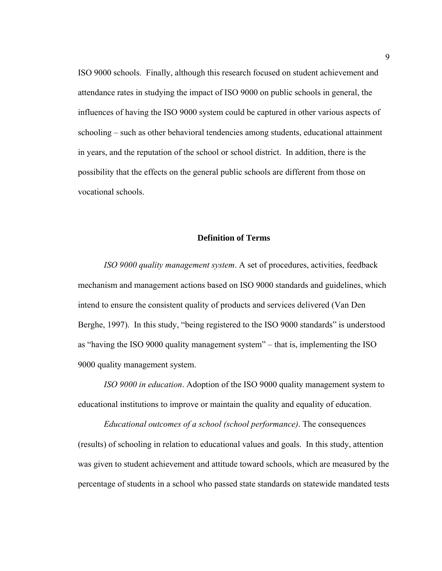ISO 9000 schools. Finally, although this research focused on student achievement and attendance rates in studying the impact of ISO 9000 on public schools in general, the influences of having the ISO 9000 system could be captured in other various aspects of schooling – such as other behavioral tendencies among students, educational attainment in years, and the reputation of the school or school district. In addition, there is the possibility that the effects on the general public schools are different from those on vocational schools.

## **Definition of Terms**

*ISO 9000 quality management system*. A set of procedures, activities, feedback mechanism and management actions based on ISO 9000 standards and guidelines, which intend to ensure the consistent quality of products and services delivered (Van Den Berghe, 1997). In this study, "being registered to the ISO 9000 standards" is understood as "having the ISO 9000 quality management system" – that is, implementing the ISO 9000 quality management system.

*ISO 9000 in education*. Adoption of the ISO 9000 quality management system to educational institutions to improve or maintain the quality and equality of education.

*Educational outcomes of a school (school performance)*. The consequences (results) of schooling in relation to educational values and goals. In this study, attention was given to student achievement and attitude toward schools, which are measured by the percentage of students in a school who passed state standards on statewide mandated tests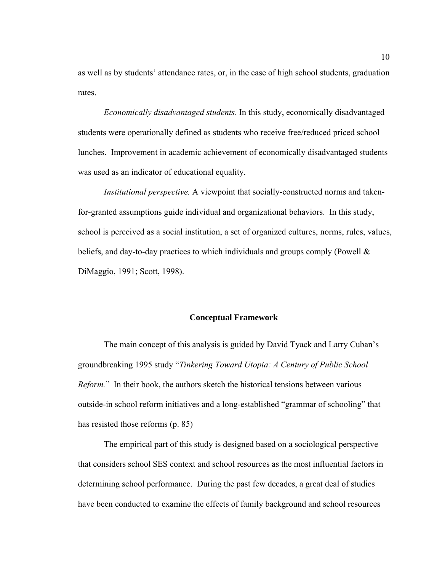as well as by students' attendance rates, or, in the case of high school students, graduation rates.

*Economically disadvantaged students*. In this study, economically disadvantaged students were operationally defined as students who receive free/reduced priced school lunches. Improvement in academic achievement of economically disadvantaged students was used as an indicator of educational equality.

*Institutional perspective.* A viewpoint that socially-constructed norms and takenfor-granted assumptions guide individual and organizational behaviors. In this study, school is perceived as a social institution, a set of organized cultures, norms, rules, values, beliefs, and day-to-day practices to which individuals and groups comply (Powell  $\&$ DiMaggio, 1991; Scott, 1998).

#### **Conceptual Framework**

The main concept of this analysis is guided by David Tyack and Larry Cuban's groundbreaking 1995 study "*Tinkering Toward Utopia: A Century of Public School Reform.*" In their book, the authors sketch the historical tensions between various outside-in school reform initiatives and a long-established "grammar of schooling" that has resisted those reforms (p. 85)

The empirical part of this study is designed based on a sociological perspective that considers school SES context and school resources as the most influential factors in determining school performance. During the past few decades, a great deal of studies have been conducted to examine the effects of family background and school resources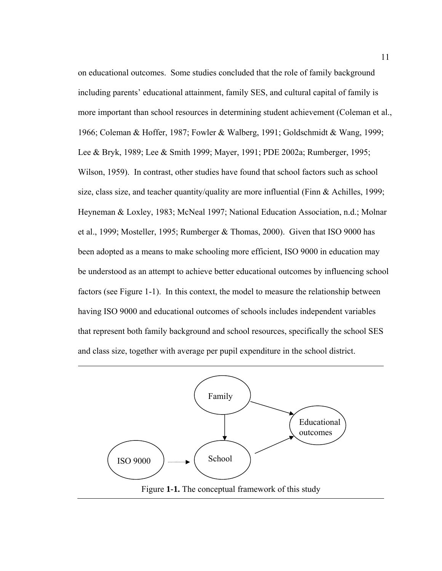on educational outcomes. Some studies concluded that the role of family background including parents' educational attainment, family SES, and cultural capital of family is more important than school resources in determining student achievement (Coleman et al., 1966; Coleman & Hoffer, 1987; Fowler & Walberg, 1991; Goldschmidt & Wang, 1999; Lee & Bryk, 1989; Lee & Smith 1999; Mayer, 1991; PDE 2002a; Rumberger, 1995; Wilson, 1959). In contrast, other studies have found that school factors such as school size, class size, and teacher quantity/quality are more influential (Finn & Achilles, 1999; Heyneman & Loxley, 1983; McNeal 1997; National Education Association, n.d.; Molnar et al., 1999; Mosteller, 1995; Rumberger & Thomas, 2000). Given that ISO 9000 has been adopted as a means to make schooling more efficient, ISO 9000 in education may be understood as an attempt to achieve better educational outcomes by influencing school factors (see Figure 1-1). In this context, the model to measure the relationship between having ISO 9000 and educational outcomes of schools includes independent variables that represent both family background and school resources, specifically the school SES and class size, together with average per pupil expenditure in the school district.

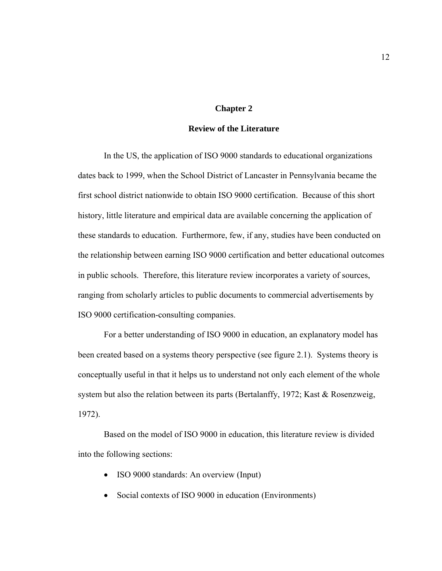## **Chapter 2**

## **Review of the Literature**

In the US, the application of ISO 9000 standards to educational organizations dates back to 1999, when the School District of Lancaster in Pennsylvania became the first school district nationwide to obtain ISO 9000 certification. Because of this short history, little literature and empirical data are available concerning the application of these standards to education. Furthermore, few, if any, studies have been conducted on the relationship between earning ISO 9000 certification and better educational outcomes in public schools. Therefore, this literature review incorporates a variety of sources, ranging from scholarly articles to public documents to commercial advertisements by ISO 9000 certification-consulting companies.

For a better understanding of ISO 9000 in education, an explanatory model has been created based on a systems theory perspective (see figure 2.1). Systems theory is conceptually useful in that it helps us to understand not only each element of the whole system but also the relation between its parts (Bertalanffy, 1972; Kast & Rosenzweig, 1972).

Based on the model of ISO 9000 in education, this literature review is divided into the following sections:

- ISO 9000 standards: An overview (Input)
- Social contexts of ISO 9000 in education (Environments)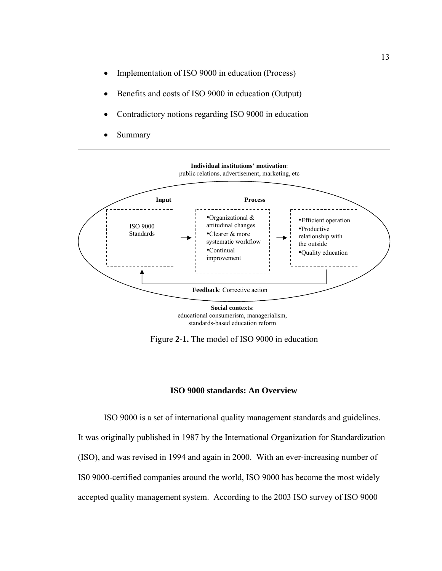- Implementation of ISO 9000 in education (Process)
- Benefits and costs of ISO 9000 in education (Output)
- Contradictory notions regarding ISO 9000 in education
- **Summary**



# **ISO 9000 standards: An Overview**

ISO 9000 is a set of international quality management standards and guidelines. It was originally published in 1987 by the International Organization for Standardization (ISO), and was revised in 1994 and again in 2000. With an ever-increasing number of IS0 9000-certified companies around the world, ISO 9000 has become the most widely accepted quality management system. According to the 2003 ISO survey of ISO 9000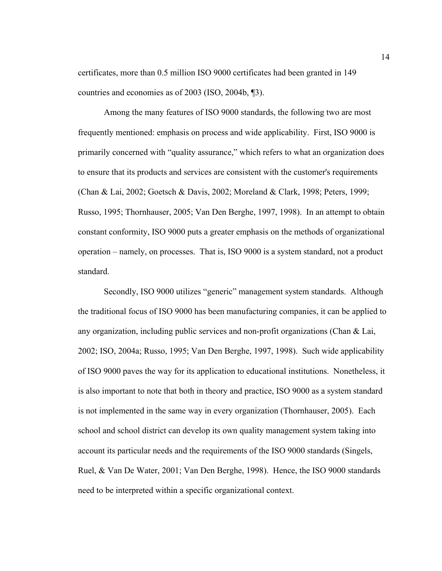certificates, more than 0.5 million ISO 9000 certificates had been granted in 149 countries and economies as of 2003 (ISO, 2004b, ¶3).

Among the many features of ISO 9000 standards, the following two are most frequently mentioned: emphasis on process and wide applicability. First, ISO 9000 is primarily concerned with "quality assurance," which refers to what an organization does to ensure that its products and services are consistent with the customer's requirements (Chan & Lai, 2002; Goetsch & Davis, 2002; Moreland & Clark, 1998; Peters, 1999; Russo, 1995; Thornhauser, 2005; Van Den Berghe, 1997, 1998). In an attempt to obtain constant conformity, ISO 9000 puts a greater emphasis on the methods of organizational operation – namely, on processes. That is, ISO 9000 is a system standard, not a product standard.

Secondly, ISO 9000 utilizes "generic" management system standards. Although the traditional focus of ISO 9000 has been manufacturing companies, it can be applied to any organization, including public services and non-profit organizations (Chan & Lai, 2002; ISO, 2004a; Russo, 1995; Van Den Berghe, 1997, 1998). Such wide applicability of ISO 9000 paves the way for its application to educational institutions. Nonetheless, it is also important to note that both in theory and practice, ISO 9000 as a system standard is not implemented in the same way in every organization (Thornhauser, 2005). Each school and school district can develop its own quality management system taking into account its particular needs and the requirements of the ISO 9000 standards (Singels, Ruel, & Van De Water, 2001; Van Den Berghe, 1998). Hence, the ISO 9000 standards need to be interpreted within a specific organizational context.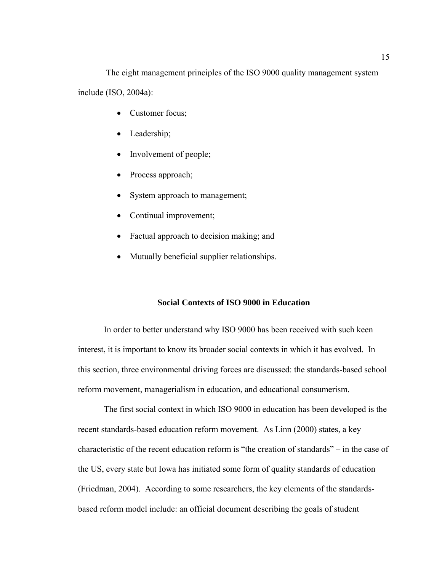The eight management principles of the ISO 9000 quality management system include (ISO, 2004a):

- Customer focus;
- Leadership;
- Involvement of people;
- Process approach;
- System approach to management;
- Continual improvement;
- Factual approach to decision making; and
- Mutually beneficial supplier relationships.

#### **Social Contexts of ISO 9000 in Education**

In order to better understand why ISO 9000 has been received with such keen interest, it is important to know its broader social contexts in which it has evolved. In this section, three environmental driving forces are discussed: the standards-based school reform movement, managerialism in education, and educational consumerism.

The first social context in which ISO 9000 in education has been developed is the recent standards-based education reform movement. As Linn (2000) states, a key characteristic of the recent education reform is "the creation of standards" – in the case of the US, every state but Iowa has initiated some form of quality standards of education (Friedman, 2004). According to some researchers, the key elements of the standardsbased reform model include: an official document describing the goals of student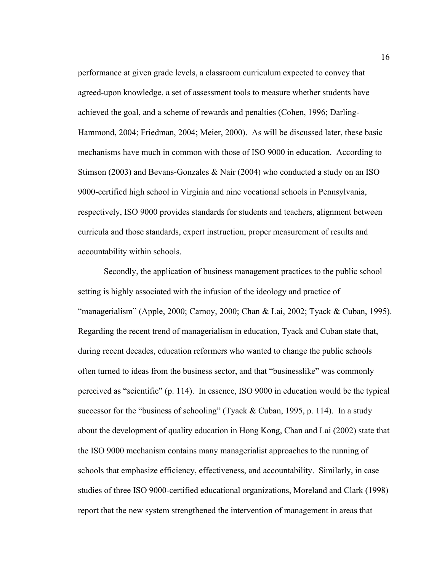performance at given grade levels, a classroom curriculum expected to convey that agreed-upon knowledge, a set of assessment tools to measure whether students have achieved the goal, and a scheme of rewards and penalties (Cohen, 1996; Darling-Hammond, 2004; Friedman, 2004; Meier, 2000). As will be discussed later, these basic mechanisms have much in common with those of ISO 9000 in education. According to Stimson (2003) and Bevans-Gonzales & Nair (2004) who conducted a study on an ISO 9000-certified high school in Virginia and nine vocational schools in Pennsylvania, respectively, ISO 9000 provides standards for students and teachers, alignment between curricula and those standards, expert instruction, proper measurement of results and accountability within schools.

Secondly, the application of business management practices to the public school setting is highly associated with the infusion of the ideology and practice of "managerialism" (Apple, 2000; Carnoy, 2000; Chan & Lai, 2002; Tyack & Cuban, 1995). Regarding the recent trend of managerialism in education, Tyack and Cuban state that, during recent decades, education reformers who wanted to change the public schools often turned to ideas from the business sector, and that "businesslike" was commonly perceived as "scientific" (p. 114). In essence, ISO 9000 in education would be the typical successor for the "business of schooling" (Tyack & Cuban, 1995, p. 114). In a study about the development of quality education in Hong Kong, Chan and Lai (2002) state that the ISO 9000 mechanism contains many managerialist approaches to the running of schools that emphasize efficiency, effectiveness, and accountability. Similarly, in case studies of three ISO 9000-certified educational organizations, Moreland and Clark (1998) report that the new system strengthened the intervention of management in areas that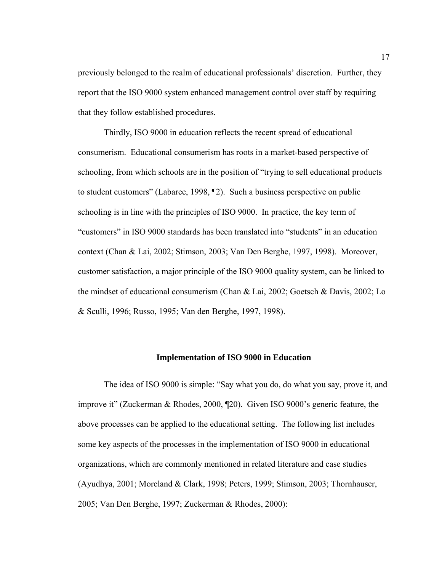previously belonged to the realm of educational professionals' discretion. Further, they report that the ISO 9000 system enhanced management control over staff by requiring that they follow established procedures.

Thirdly, ISO 9000 in education reflects the recent spread of educational consumerism. Educational consumerism has roots in a market-based perspective of schooling, from which schools are in the position of "trying to sell educational products to student customers" (Labaree, 1998, ¶2). Such a business perspective on public schooling is in line with the principles of ISO 9000. In practice, the key term of "customers" in ISO 9000 standards has been translated into "students" in an education context (Chan & Lai, 2002; Stimson, 2003; Van Den Berghe, 1997, 1998). Moreover, customer satisfaction, a major principle of the ISO 9000 quality system, can be linked to the mindset of educational consumerism (Chan & Lai, 2002; Goetsch & Davis, 2002; Lo & Sculli, 1996; Russo, 1995; Van den Berghe, 1997, 1998).

#### **Implementation of ISO 9000 in Education**

The idea of ISO 9000 is simple: "Say what you do, do what you say, prove it, and improve it" (Zuckerman & Rhodes, 2000, ¶20). Given ISO 9000's generic feature, the above processes can be applied to the educational setting. The following list includes some key aspects of the processes in the implementation of ISO 9000 in educational organizations, which are commonly mentioned in related literature and case studies (Ayudhya, 2001; Moreland & Clark, 1998; Peters, 1999; Stimson, 2003; Thornhauser, 2005; Van Den Berghe, 1997; Zuckerman & Rhodes, 2000):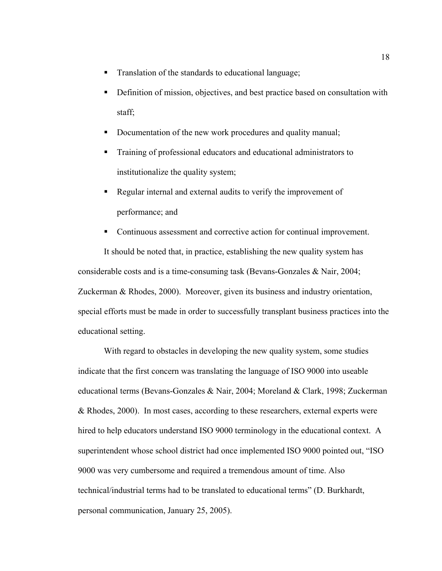- Translation of the standards to educational language;
- Definition of mission, objectives, and best practice based on consultation with staff;
- Documentation of the new work procedures and quality manual;
- Training of professional educators and educational administrators to institutionalize the quality system;
- Regular internal and external audits to verify the improvement of performance; and
- Continuous assessment and corrective action for continual improvement.

It should be noted that, in practice, establishing the new quality system has considerable costs and is a time-consuming task (Bevans-Gonzales & Nair, 2004; Zuckerman & Rhodes, 2000). Moreover, given its business and industry orientation, special efforts must be made in order to successfully transplant business practices into the educational setting.

With regard to obstacles in developing the new quality system, some studies indicate that the first concern was translating the language of ISO 9000 into useable educational terms (Bevans-Gonzales & Nair, 2004; Moreland & Clark, 1998; Zuckerman & Rhodes, 2000). In most cases, according to these researchers, external experts were hired to help educators understand ISO 9000 terminology in the educational context. A superintendent whose school district had once implemented ISO 9000 pointed out, "ISO 9000 was very cumbersome and required a tremendous amount of time. Also technical/industrial terms had to be translated to educational terms" (D. Burkhardt, personal communication, January 25, 2005).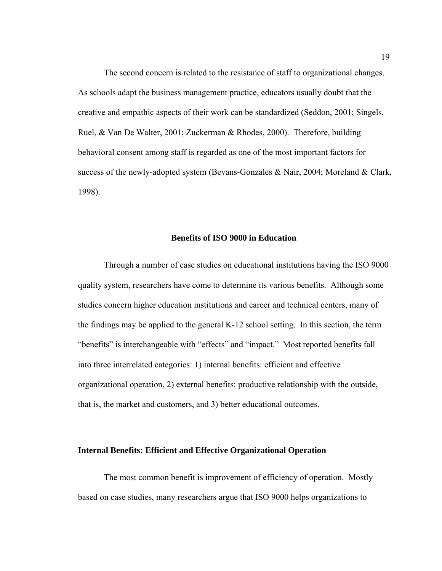The second concern is related to the resistance of staff to organizational changes. As schools adapt the business management practice, educators usually doubt that the creative and empathic aspects of their work can be standardized (Seddon, 2001; Singels, Ruel, & Van De Walter, 2001; Zuckerman & Rhodes, 2000). Therefore, building behavioral consent among staff is regarded as one of the most important factors for success of the newly-adopted system (Bevans-Gonzales & Nair, 2004; Moreland & Clark, 1998).

#### **Benefits of ISO 9000 in Education**

Through a number of case studies on educational institutions having the ISO 9000 quality system, researchers have come to determine its various benefits. Although some studies concern higher education institutions and career and technical centers, many of the findings may be applied to the general K-12 school setting. In this section, the term "benefits" is interchangeable with "effects" and "impact." Most reported benefits fall into three interrelated categories: 1) internal benefits: efficient and effective organizational operation, 2) external benefits: productive relationship with the outside, that is, the market and customers, and 3) better educational outcomes.

#### **Internal Benefits: Efficient and Effective Organizational Operation**

The most common benefit is improvement of efficiency of operation. Mostly based on case studies, many researchers argue that ISO 9000 helps organizations to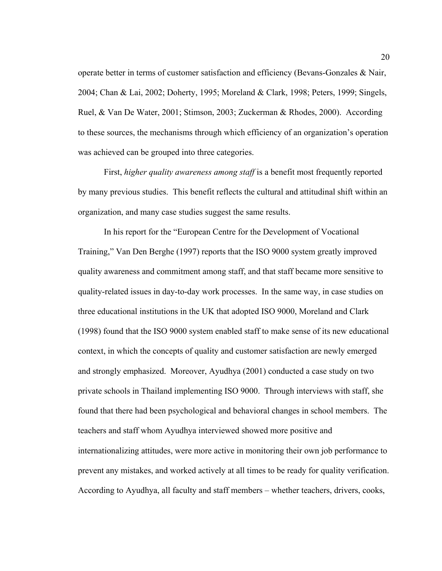operate better in terms of customer satisfaction and efficiency (Bevans-Gonzales  $\&$  Nair, 2004; Chan & Lai, 2002; Doherty, 1995; Moreland & Clark, 1998; Peters, 1999; Singels, Ruel, & Van De Water, 2001; Stimson, 2003; Zuckerman & Rhodes, 2000). According to these sources, the mechanisms through which efficiency of an organization's operation was achieved can be grouped into three categories.

First, *higher quality awareness among staff* is a benefit most frequently reported by many previous studies. This benefit reflects the cultural and attitudinal shift within an organization, and many case studies suggest the same results.

In his report for the "European Centre for the Development of Vocational Training," Van Den Berghe (1997) reports that the ISO 9000 system greatly improved quality awareness and commitment among staff, and that staff became more sensitive to quality-related issues in day-to-day work processes. In the same way, in case studies on three educational institutions in the UK that adopted ISO 9000, Moreland and Clark (1998) found that the ISO 9000 system enabled staff to make sense of its new educational context, in which the concepts of quality and customer satisfaction are newly emerged and strongly emphasized. Moreover, Ayudhya (2001) conducted a case study on two private schools in Thailand implementing ISO 9000. Through interviews with staff, she found that there had been psychological and behavioral changes in school members. The teachers and staff whom Ayudhya interviewed showed more positive and internationalizing attitudes, were more active in monitoring their own job performance to prevent any mistakes, and worked actively at all times to be ready for quality verification. According to Ayudhya, all faculty and staff members – whether teachers, drivers, cooks,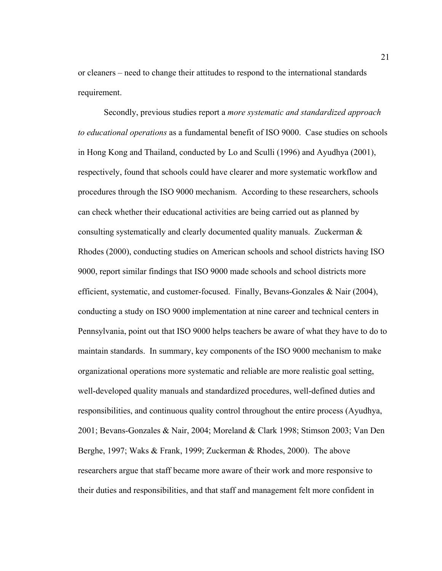or cleaners – need to change their attitudes to respond to the international standards requirement.

Secondly, previous studies report a *more systematic and standardized approach to educational operations* as a fundamental benefit of ISO 9000. Case studies on schools in Hong Kong and Thailand, conducted by Lo and Sculli (1996) and Ayudhya (2001), respectively, found that schools could have clearer and more systematic workflow and procedures through the ISO 9000 mechanism. According to these researchers, schools can check whether their educational activities are being carried out as planned by consulting systematically and clearly documented quality manuals. Zuckerman & Rhodes (2000), conducting studies on American schools and school districts having ISO 9000, report similar findings that ISO 9000 made schools and school districts more efficient, systematic, and customer-focused. Finally, Bevans-Gonzales & Nair (2004), conducting a study on ISO 9000 implementation at nine career and technical centers in Pennsylvania, point out that ISO 9000 helps teachers be aware of what they have to do to maintain standards. In summary, key components of the ISO 9000 mechanism to make organizational operations more systematic and reliable are more realistic goal setting, well-developed quality manuals and standardized procedures, well-defined duties and responsibilities, and continuous quality control throughout the entire process (Ayudhya, 2001; Bevans-Gonzales & Nair, 2004; Moreland & Clark 1998; Stimson 2003; Van Den Berghe, 1997; Waks & Frank, 1999; Zuckerman & Rhodes, 2000). The above researchers argue that staff became more aware of their work and more responsive to their duties and responsibilities, and that staff and management felt more confident in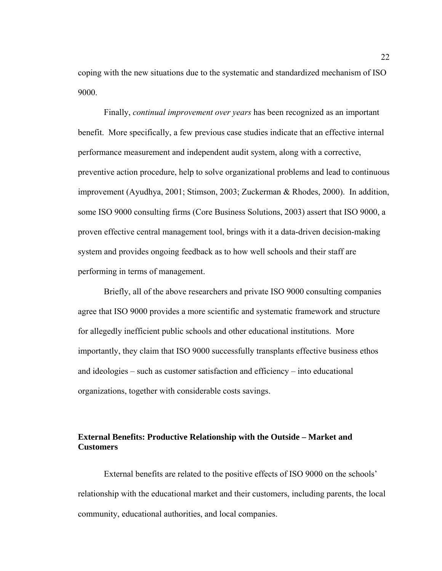coping with the new situations due to the systematic and standardized mechanism of ISO 9000.

Finally, *continual improvement over years* has been recognized as an important benefit. More specifically, a few previous case studies indicate that an effective internal performance measurement and independent audit system, along with a corrective, preventive action procedure, help to solve organizational problems and lead to continuous improvement (Ayudhya, 2001; Stimson, 2003; Zuckerman & Rhodes, 2000). In addition, some ISO 9000 consulting firms (Core Business Solutions, 2003) assert that ISO 9000, a proven effective central management tool, brings with it a data-driven decision-making system and provides ongoing feedback as to how well schools and their staff are performing in terms of management.

Briefly, all of the above researchers and private ISO 9000 consulting companies agree that ISO 9000 provides a more scientific and systematic framework and structure for allegedly inefficient public schools and other educational institutions. More importantly, they claim that ISO 9000 successfully transplants effective business ethos and ideologies – such as customer satisfaction and efficiency – into educational organizations, together with considerable costs savings.

# **External Benefits: Productive Relationship with the Outside – Market and Customers**

External benefits are related to the positive effects of ISO 9000 on the schools' relationship with the educational market and their customers, including parents, the local community, educational authorities, and local companies.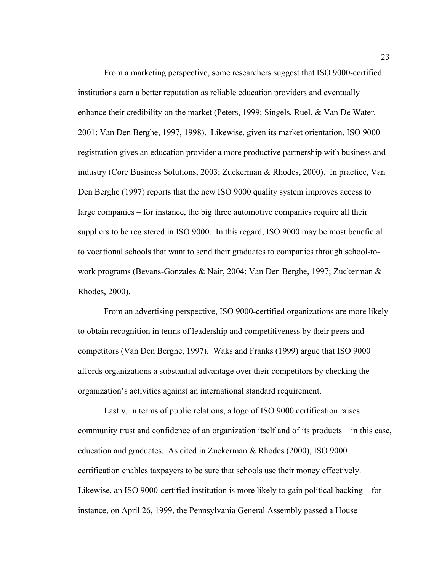From a marketing perspective, some researchers suggest that ISO 9000-certified institutions earn a better reputation as reliable education providers and eventually enhance their credibility on the market (Peters, 1999; Singels, Ruel, & Van De Water, 2001; Van Den Berghe, 1997, 1998). Likewise, given its market orientation, ISO 9000 registration gives an education provider a more productive partnership with business and industry (Core Business Solutions, 2003; Zuckerman & Rhodes, 2000). In practice, Van Den Berghe (1997) reports that the new ISO 9000 quality system improves access to large companies – for instance, the big three automotive companies require all their suppliers to be registered in ISO 9000. In this regard, ISO 9000 may be most beneficial to vocational schools that want to send their graduates to companies through school-towork programs (Bevans-Gonzales & Nair, 2004; Van Den Berghe, 1997; Zuckerman & Rhodes, 2000).

From an advertising perspective, ISO 9000-certified organizations are more likely to obtain recognition in terms of leadership and competitiveness by their peers and competitors (Van Den Berghe, 1997). Waks and Franks (1999) argue that ISO 9000 affords organizations a substantial advantage over their competitors by checking the organization's activities against an international standard requirement.

Lastly, in terms of public relations, a logo of ISO 9000 certification raises community trust and confidence of an organization itself and of its products – in this case, education and graduates. As cited in Zuckerman & Rhodes (2000), ISO 9000 certification enables taxpayers to be sure that schools use their money effectively. Likewise, an ISO 9000-certified institution is more likely to gain political backing – for instance, on April 26, 1999, the Pennsylvania General Assembly passed a House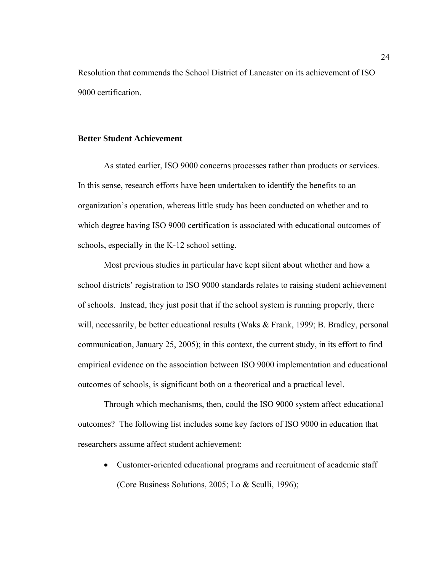Resolution that commends the School District of Lancaster on its achievement of ISO 9000 certification.

#### **Better Student Achievement**

As stated earlier, ISO 9000 concerns processes rather than products or services. In this sense, research efforts have been undertaken to identify the benefits to an organization's operation, whereas little study has been conducted on whether and to which degree having ISO 9000 certification is associated with educational outcomes of schools, especially in the K-12 school setting.

Most previous studies in particular have kept silent about whether and how a school districts' registration to ISO 9000 standards relates to raising student achievement of schools. Instead, they just posit that if the school system is running properly, there will, necessarily, be better educational results (Waks & Frank, 1999; B. Bradley, personal communication, January 25, 2005); in this context, the current study, in its effort to find empirical evidence on the association between ISO 9000 implementation and educational outcomes of schools, is significant both on a theoretical and a practical level.

Through which mechanisms, then, could the ISO 9000 system affect educational outcomes? The following list includes some key factors of ISO 9000 in education that researchers assume affect student achievement:

• Customer-oriented educational programs and recruitment of academic staff (Core Business Solutions, 2005; Lo & Sculli, 1996);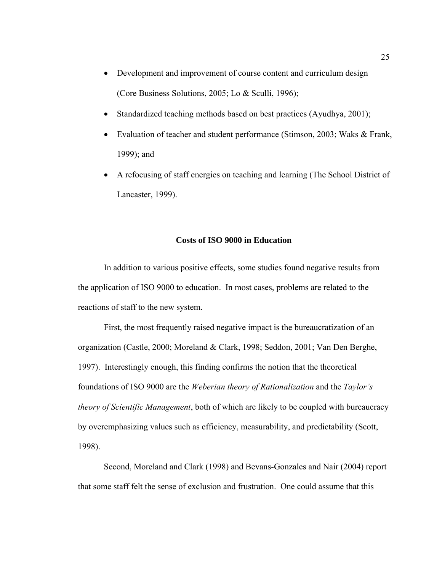- Development and improvement of course content and curriculum design (Core Business Solutions, 2005; Lo & Sculli, 1996);
- Standardized teaching methods based on best practices (Ayudhya, 2001);
- Evaluation of teacher and student performance (Stimson, 2003; Waks & Frank, 1999); and
- A refocusing of staff energies on teaching and learning (The School District of Lancaster, 1999).

#### **Costs of ISO 9000 in Education**

In addition to various positive effects, some studies found negative results from the application of ISO 9000 to education. In most cases, problems are related to the reactions of staff to the new system.

First, the most frequently raised negative impact is the bureaucratization of an organization (Castle, 2000; Moreland & Clark, 1998; Seddon, 2001; Van Den Berghe, 1997). Interestingly enough, this finding confirms the notion that the theoretical foundations of ISO 9000 are the *Weberian theory of Rationalization* and the *Taylor's theory of Scientific Management*, both of which are likely to be coupled with bureaucracy by overemphasizing values such as efficiency, measurability, and predictability (Scott, 1998).

Second, Moreland and Clark (1998) and Bevans-Gonzales and Nair (2004) report that some staff felt the sense of exclusion and frustration. One could assume that this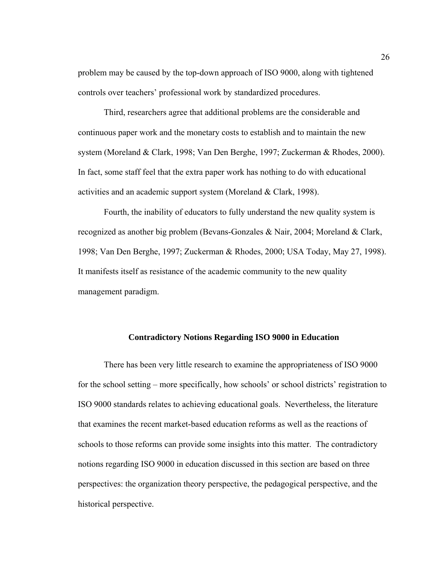problem may be caused by the top-down approach of ISO 9000, along with tightened controls over teachers' professional work by standardized procedures.

Third, researchers agree that additional problems are the considerable and continuous paper work and the monetary costs to establish and to maintain the new system (Moreland & Clark, 1998; Van Den Berghe, 1997; Zuckerman & Rhodes, 2000). In fact, some staff feel that the extra paper work has nothing to do with educational activities and an academic support system (Moreland & Clark, 1998).

Fourth, the inability of educators to fully understand the new quality system is recognized as another big problem (Bevans-Gonzales & Nair, 2004; Moreland & Clark, 1998; Van Den Berghe, 1997; Zuckerman & Rhodes, 2000; USA Today, May 27, 1998). It manifests itself as resistance of the academic community to the new quality management paradigm.

#### **Contradictory Notions Regarding ISO 9000 in Education**

There has been very little research to examine the appropriateness of ISO 9000 for the school setting – more specifically, how schools' or school districts' registration to ISO 9000 standards relates to achieving educational goals. Nevertheless, the literature that examines the recent market-based education reforms as well as the reactions of schools to those reforms can provide some insights into this matter. The contradictory notions regarding ISO 9000 in education discussed in this section are based on three perspectives: the organization theory perspective, the pedagogical perspective, and the historical perspective.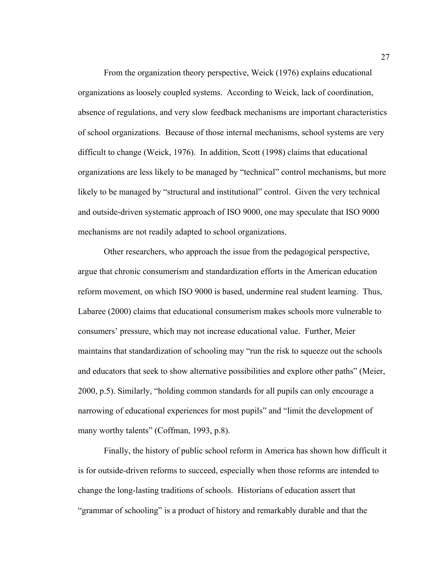From the organization theory perspective, Weick (1976) explains educational organizations as loosely coupled systems. According to Weick, lack of coordination, absence of regulations, and very slow feedback mechanisms are important characteristics of school organizations. Because of those internal mechanisms, school systems are very difficult to change (Weick, 1976). In addition, Scott (1998) claims that educational organizations are less likely to be managed by "technical" control mechanisms, but more likely to be managed by "structural and institutional" control. Given the very technical and outside-driven systematic approach of ISO 9000, one may speculate that ISO 9000 mechanisms are not readily adapted to school organizations.

Other researchers, who approach the issue from the pedagogical perspective, argue that chronic consumerism and standardization efforts in the American education reform movement, on which ISO 9000 is based, undermine real student learning. Thus, Labaree (2000) claims that educational consumerism makes schools more vulnerable to consumers' pressure, which may not increase educational value. Further, Meier maintains that standardization of schooling may "run the risk to squeeze out the schools and educators that seek to show alternative possibilities and explore other paths" (Meier, 2000, p.5). Similarly, "holding common standards for all pupils can only encourage a narrowing of educational experiences for most pupils" and "limit the development of many worthy talents" (Coffman, 1993, p.8).

Finally, the history of public school reform in America has shown how difficult it is for outside-driven reforms to succeed, especially when those reforms are intended to change the long-lasting traditions of schools. Historians of education assert that "grammar of schooling" is a product of history and remarkably durable and that the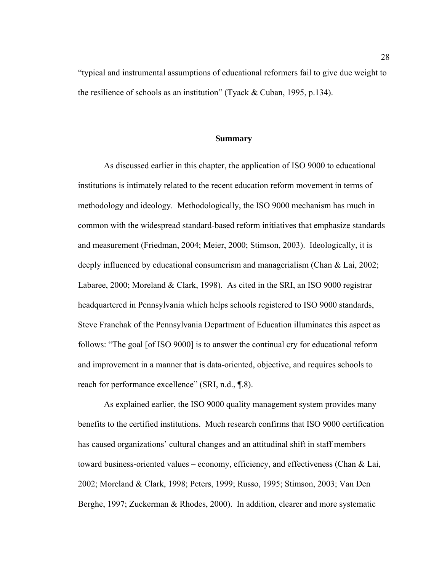"typical and instrumental assumptions of educational reformers fail to give due weight to the resilience of schools as an institution" (Tyack & Cuban, 1995, p.134).

#### **Summary**

As discussed earlier in this chapter, the application of ISO 9000 to educational institutions is intimately related to the recent education reform movement in terms of methodology and ideology. Methodologically, the ISO 9000 mechanism has much in common with the widespread standard-based reform initiatives that emphasize standards and measurement (Friedman, 2004; Meier, 2000; Stimson, 2003). Ideologically, it is deeply influenced by educational consumerism and managerialism (Chan & Lai, 2002; Labaree, 2000; Moreland & Clark, 1998). As cited in the SRI, an ISO 9000 registrar headquartered in Pennsylvania which helps schools registered to ISO 9000 standards, Steve Franchak of the Pennsylvania Department of Education illuminates this aspect as follows: "The goal [of ISO 9000] is to answer the continual cry for educational reform and improvement in a manner that is data-oriented, objective, and requires schools to reach for performance excellence" (SRI, n.d., ¶.8).

As explained earlier, the ISO 9000 quality management system provides many benefits to the certified institutions. Much research confirms that ISO 9000 certification has caused organizations' cultural changes and an attitudinal shift in staff members toward business-oriented values – economy, efficiency, and effectiveness (Chan & Lai, 2002; Moreland & Clark, 1998; Peters, 1999; Russo, 1995; Stimson, 2003; Van Den Berghe, 1997; Zuckerman & Rhodes, 2000). In addition, clearer and more systematic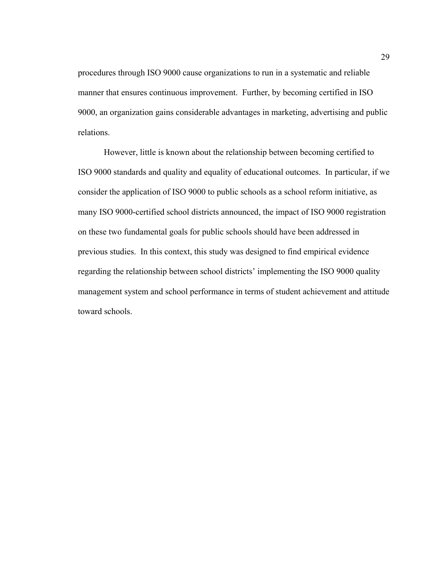procedures through ISO 9000 cause organizations to run in a systematic and reliable manner that ensures continuous improvement. Further, by becoming certified in ISO 9000, an organization gains considerable advantages in marketing, advertising and public relations.

However, little is known about the relationship between becoming certified to ISO 9000 standards and quality and equality of educational outcomes. In particular, if we consider the application of ISO 9000 to public schools as a school reform initiative, as many ISO 9000-certified school districts announced, the impact of ISO 9000 registration on these two fundamental goals for public schools should have been addressed in previous studies. In this context, this study was designed to find empirical evidence regarding the relationship between school districts' implementing the ISO 9000 quality management system and school performance in terms of student achievement and attitude toward schools.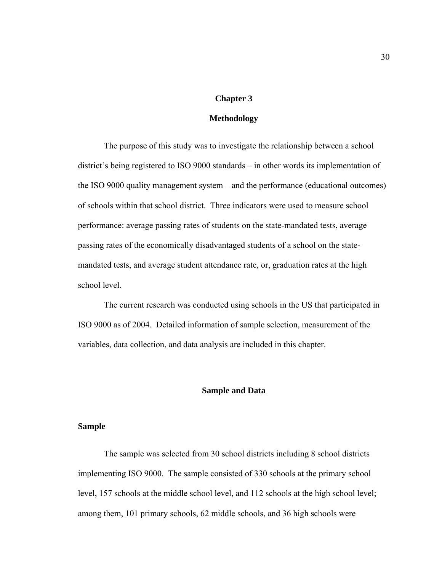#### **Chapter 3**

## **Methodology**

The purpose of this study was to investigate the relationship between a school district's being registered to ISO 9000 standards – in other words its implementation of the ISO 9000 quality management system – and the performance (educational outcomes) of schools within that school district. Three indicators were used to measure school performance: average passing rates of students on the state-mandated tests, average passing rates of the economically disadvantaged students of a school on the statemandated tests, and average student attendance rate, or, graduation rates at the high school level.

The current research was conducted using schools in the US that participated in ISO 9000 as of 2004. Detailed information of sample selection, measurement of the variables, data collection, and data analysis are included in this chapter.

### **Sample and Data**

#### **Sample**

The sample was selected from 30 school districts including 8 school districts implementing ISO 9000. The sample consisted of 330 schools at the primary school level, 157 schools at the middle school level, and 112 schools at the high school level; among them, 101 primary schools, 62 middle schools, and 36 high schools were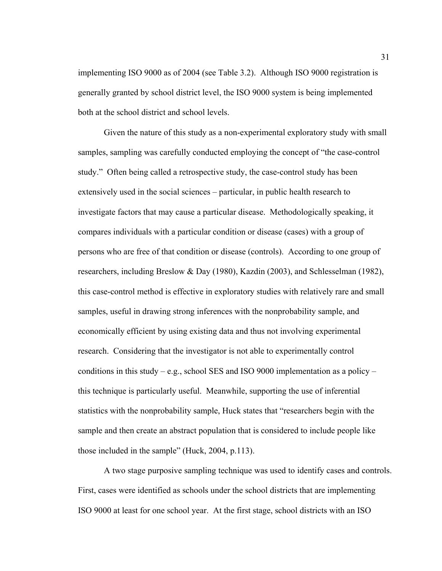implementing ISO 9000 as of 2004 (see Table 3.2). Although ISO 9000 registration is generally granted by school district level, the ISO 9000 system is being implemented both at the school district and school levels.

Given the nature of this study as a non-experimental exploratory study with small samples, sampling was carefully conducted employing the concept of "the case-control study." Often being called a retrospective study, the case-control study has been extensively used in the social sciences – particular, in public health research to investigate factors that may cause a particular disease. Methodologically speaking, it compares individuals with a particular condition or disease (cases) with a group of persons who are free of that condition or disease (controls). According to one group of researchers, including Breslow & Day (1980), Kazdin (2003), and Schlesselman (1982), this case-control method is effective in exploratory studies with relatively rare and small samples, useful in drawing strong inferences with the nonprobability sample, and economically efficient by using existing data and thus not involving experimental research. Considering that the investigator is not able to experimentally control conditions in this study – e.g., school SES and ISO 9000 implementation as a policy – this technique is particularly useful. Meanwhile, supporting the use of inferential statistics with the nonprobability sample, Huck states that "researchers begin with the sample and then create an abstract population that is considered to include people like those included in the sample" (Huck, 2004, p.113).

A two stage purposive sampling technique was used to identify cases and controls. First, cases were identified as schools under the school districts that are implementing ISO 9000 at least for one school year. At the first stage, school districts with an ISO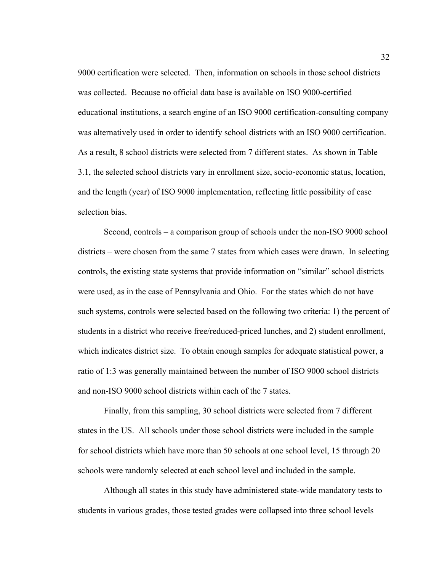9000 certification were selected. Then, information on schools in those school districts was collected. Because no official data base is available on ISO 9000-certified educational institutions, a search engine of an ISO 9000 certification-consulting company was alternatively used in order to identify school districts with an ISO 9000 certification. As a result, 8 school districts were selected from 7 different states. As shown in Table 3.1, the selected school districts vary in enrollment size, socio-economic status, location, and the length (year) of ISO 9000 implementation, reflecting little possibility of case selection bias.

Second, controls – a comparison group of schools under the non-ISO 9000 school districts – were chosen from the same 7 states from which cases were drawn. In selecting controls, the existing state systems that provide information on "similar" school districts were used, as in the case of Pennsylvania and Ohio. For the states which do not have such systems, controls were selected based on the following two criteria: 1) the percent of students in a district who receive free/reduced-priced lunches, and 2) student enrollment, which indicates district size. To obtain enough samples for adequate statistical power, a ratio of 1:3 was generally maintained between the number of ISO 9000 school districts and non-ISO 9000 school districts within each of the 7 states.

Finally, from this sampling, 30 school districts were selected from 7 different states in the US. All schools under those school districts were included in the sample – for school districts which have more than 50 schools at one school level, 15 through 20 schools were randomly selected at each school level and included in the sample.

Although all states in this study have administered state-wide mandatory tests to students in various grades, those tested grades were collapsed into three school levels –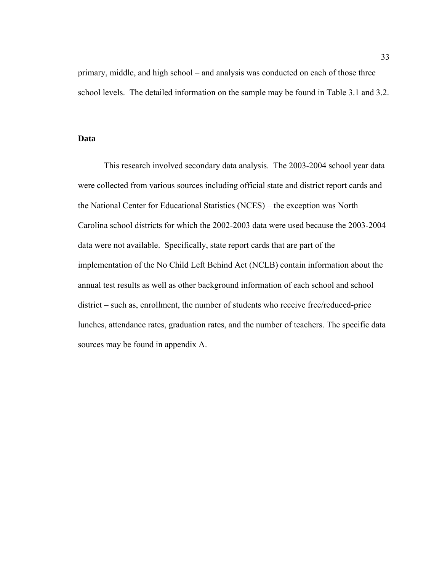primary, middle, and high school – and analysis was conducted on each of those three school levels. The detailed information on the sample may be found in Table 3.1 and 3.2.

#### **Data**

This research involved secondary data analysis. The 2003-2004 school year data were collected from various sources including official state and district report cards and the National Center for Educational Statistics (NCES) – the exception was North Carolina school districts for which the 2002-2003 data were used because the 2003-2004 data were not available. Specifically, state report cards that are part of the implementation of the No Child Left Behind Act (NCLB) contain information about the annual test results as well as other background information of each school and school district – such as, enrollment, the number of students who receive free/reduced-price lunches, attendance rates, graduation rates, and the number of teachers. The specific data sources may be found in appendix A.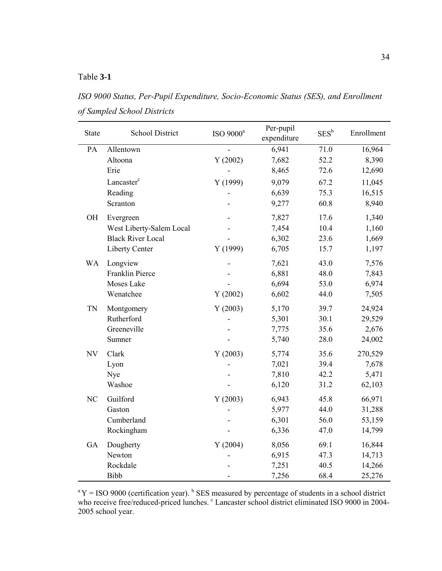## Table **3-1**

*ISO 9000 Status, Per-Pupil Expenditure, Socio-Economic Status (SES), and Enrollment of Sampled School Districts*

| <b>State</b> | <b>School District</b>   | ISO 9000 <sup>a</sup> | Per-pupil<br>expenditure | $SES^b$ | Enrollment |
|--------------|--------------------------|-----------------------|--------------------------|---------|------------|
| PA           | Allentown                |                       | 6,941                    | 71.0    | 16,964     |
|              | Altoona                  | Y(2002)               | 7,682                    | 52.2    | 8,390      |
|              | Erie                     |                       | 8,465                    | 72.6    | 12,690     |
|              | Lancaster <sup>c</sup>   | Y(1999)               | 9,079                    | 67.2    | 11,045     |
|              | Reading                  |                       | 6,639                    | 75.3    | 16,515     |
|              | Scranton                 |                       | 9,277                    | 60.8    | 8,940      |
| OH           | Evergreen                |                       | 7,827                    | 17.6    | 1,340      |
|              | West Liberty-Salem Local |                       | 7,454                    | 10.4    | 1,160      |
|              | <b>Black River Local</b> |                       | 6,302                    | 23.6    | 1,669      |
|              | Liberty Center           | Y(1999)               | 6,705                    | 15.7    | 1,197      |
| <b>WA</b>    | Longview                 |                       | 7,621                    | 43.0    | 7,576      |
|              | Franklin Pierce          |                       | 6,881                    | 48.0    | 7,843      |
|              | Moses Lake               |                       | 6,694                    | 53.0    | 6,974      |
|              | Wenatchee                | Y(2002)               | 6,602                    | 44.0    | 7,505      |
| <b>TN</b>    | Montgomery               | Y(2003)               | 5,170                    | 39.7    | 24,924     |
|              | Rutherford               |                       | 5,301                    | 30.1    | 29,529     |
|              | Greeneville              |                       | 7,775                    | 35.6    | 2,676      |
|              | Sumner                   |                       | 5,740                    | 28.0    | 24,002     |
| <b>NV</b>    | Clark                    | Y(2003)               | 5,774                    | 35.6    | 270,529    |
|              | Lyon                     |                       | 7,021                    | 39.4    | 7,678      |
|              | Nye                      |                       | 7,810                    | 42.2    | 5,471      |
|              | Washoe                   |                       | 6,120                    | 31.2    | 62,103     |
| NC           | Guilford                 | Y(2003)               | 6,943                    | 45.8    | 66,971     |
|              | Gaston                   |                       | 5,977                    | 44.0    | 31,288     |
|              | Cumberland               |                       | 6,301                    | 56.0    | 53,159     |
|              | Rockingham               |                       | 6,336                    | 47.0    | 14,799     |
| GA           | Dougherty                | Y(2004)               | 8,056                    | 69.1    | 16,844     |
|              | Newton                   |                       | 6,915                    | 47.3    | 14,713     |
|              | Rockdale                 |                       | 7,251                    | 40.5    | 14,266     |
|              | Bibb                     |                       | 7,256                    | 68.4    | 25,276     |

 $A^a Y = ISO 9000$  (certification year). <sup>b</sup> SES measured by percentage of students in a school district who receive free/reduced-priced lunches. <sup>c</sup> Lancaster school district eliminated ISO 9000 in 2004-2005 school year.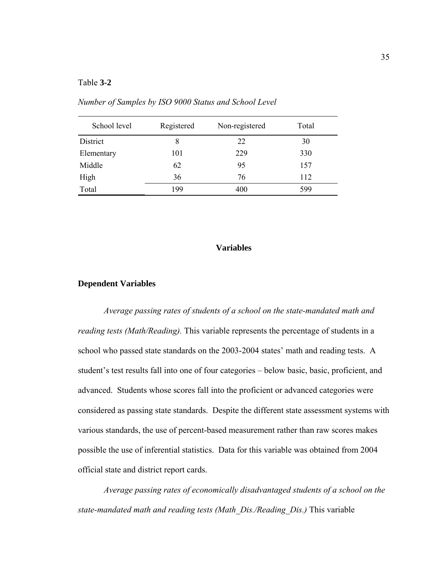#### Table **3-2**

| School level | Registered | Non-registered | Total |
|--------------|------------|----------------|-------|
| District     | 8          | 22             | 30    |
| Elementary   | 101        | 229            | 330   |
| Middle       | 62         | 95             | 157   |
| High         | 36         | 76             | 112   |
| Total        | 199        | 400            | 599   |

*Number of Samples by ISO 9000 Status and School Level*

## **Variables**

#### **Dependent Variables**

*Average passing rates of students of a school on the state-mandated math and reading tests (Math/Reading).* This variable represents the percentage of students in a school who passed state standards on the 2003-2004 states' math and reading tests. A student's test results fall into one of four categories – below basic, basic, proficient, and advanced. Students whose scores fall into the proficient or advanced categories were considered as passing state standards. Despite the different state assessment systems with various standards, the use of percent-based measurement rather than raw scores makes possible the use of inferential statistics. Data for this variable was obtained from 2004 official state and district report cards.

*Average passing rates of economically disadvantaged students of a school on the state-mandated math and reading tests (Math\_Dis./Reading\_Dis.)* This variable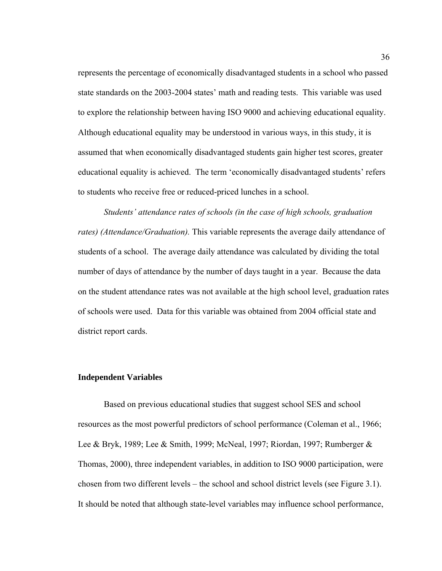represents the percentage of economically disadvantaged students in a school who passed state standards on the 2003-2004 states' math and reading tests. This variable was used to explore the relationship between having ISO 9000 and achieving educational equality. Although educational equality may be understood in various ways, in this study, it is assumed that when economically disadvantaged students gain higher test scores, greater educational equality is achieved. The term 'economically disadvantaged students' refers to students who receive free or reduced-priced lunches in a school.

*Students' attendance rates of schools (in the case of high schools, graduation rates) (Attendance/Graduation).* This variable represents the average daily attendance of students of a school. The average daily attendance was calculated by dividing the total number of days of attendance by the number of days taught in a year. Because the data on the student attendance rates was not available at the high school level, graduation rates of schools were used. Data for this variable was obtained from 2004 official state and district report cards.

#### **Independent Variables**

Based on previous educational studies that suggest school SES and school resources as the most powerful predictors of school performance (Coleman et al., 1966; Lee & Bryk, 1989; Lee & Smith, 1999; McNeal, 1997; Riordan, 1997; Rumberger & Thomas, 2000), three independent variables, in addition to ISO 9000 participation, were chosen from two different levels – the school and school district levels (see Figure 3.1). It should be noted that although state-level variables may influence school performance,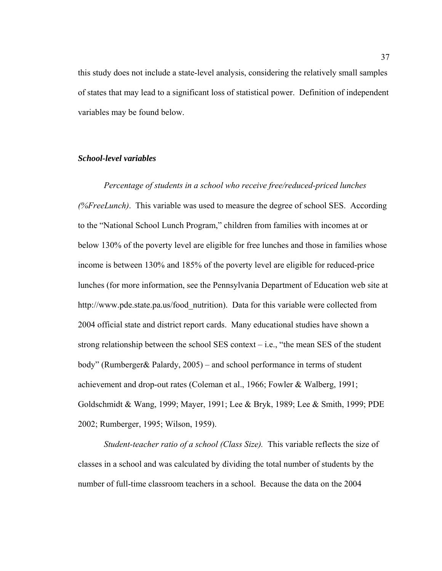this study does not include a state-level analysis, considering the relatively small samples of states that may lead to a significant loss of statistical power. Definition of independent variables may be found below.

## *School-level variables*

*Percentage of students in a school who receive free/reduced-priced lunches (%FreeLunch)*. This variable was used to measure the degree of school SES. According to the "National School Lunch Program," children from families with incomes at or below 130% of the poverty level are eligible for free lunches and those in families whose income is between 130% and 185% of the poverty level are eligible for reduced-price lunches (for more information, see the Pennsylvania Department of Education web site at http://www.pde.state.pa.us/food\_nutrition). Data for this variable were collected from 2004 official state and district report cards. Many educational studies have shown a strong relationship between the school SES context  $-$  i.e., "the mean SES of the student body" (Rumberger& Palardy, 2005) – and school performance in terms of student achievement and drop-out rates (Coleman et al., 1966; Fowler & Walberg, 1991; Goldschmidt & Wang, 1999; Mayer, 1991; Lee & Bryk, 1989; Lee & Smith, 1999; PDE 2002; Rumberger, 1995; Wilson, 1959).

*Student-teacher ratio of a school (Class Size).* This variable reflects the size of classes in a school and was calculated by dividing the total number of students by the number of full-time classroom teachers in a school. Because the data on the 2004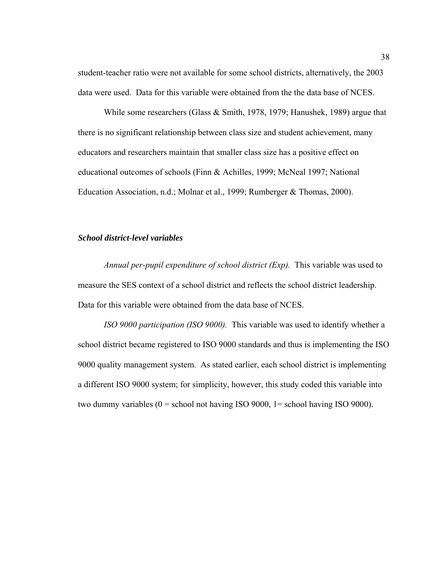student-teacher ratio were not available for some school districts, alternatively, the 2003 data were used. Data for this variable were obtained from the the data base of NCES.

While some researchers (Glass & Smith, 1978, 1979; Hanushek, 1989) argue that there is no significant relationship between class size and student achievement, many educators and researchers maintain that smaller class size has a positive effect on educational outcomes of schools (Finn & Achilles, 1999; McNeal 1997; National Education Association, n.d.; Molnar et al., 1999; Rumberger & Thomas, 2000).

## *School district-level variables*

*Annual per-pupil expenditure of school district (Exp).* This variable was used to measure the SES context of a school district and reflects the school district leadership. Data for this variable were obtained from the data base of NCES.

*ISO 9000 participation (ISO 9000).* This variable was used to identify whether a school district became registered to ISO 9000 standards and thus is implementing the ISO 9000 quality management system. As stated earlier, each school district is implementing a different ISO 9000 system; for simplicity, however, this study coded this variable into two dummy variables  $(0 =$  school not having ISO 9000, 1 = school having ISO 9000).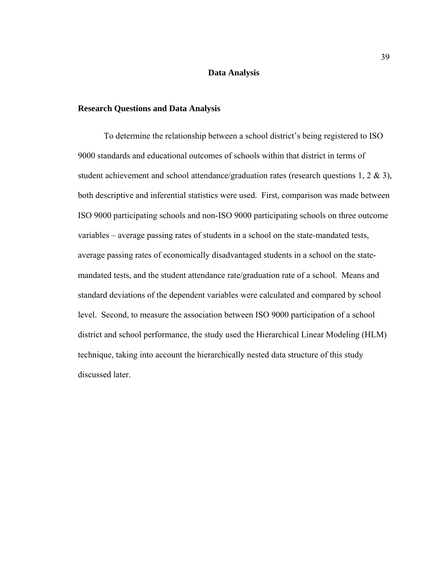### **Data Analysis**

## **Research Questions and Data Analysis**

To determine the relationship between a school district's being registered to ISO 9000 standards and educational outcomes of schools within that district in terms of student achievement and school attendance/graduation rates (research questions 1, 2  $\&$  3), both descriptive and inferential statistics were used. First, comparison was made between ISO 9000 participating schools and non-ISO 9000 participating schools on three outcome variables – average passing rates of students in a school on the state-mandated tests, average passing rates of economically disadvantaged students in a school on the statemandated tests, and the student attendance rate/graduation rate of a school. Means and standard deviations of the dependent variables were calculated and compared by school level. Second, to measure the association between ISO 9000 participation of a school district and school performance, the study used the Hierarchical Linear Modeling (HLM) technique, taking into account the hierarchically nested data structure of this study discussed later.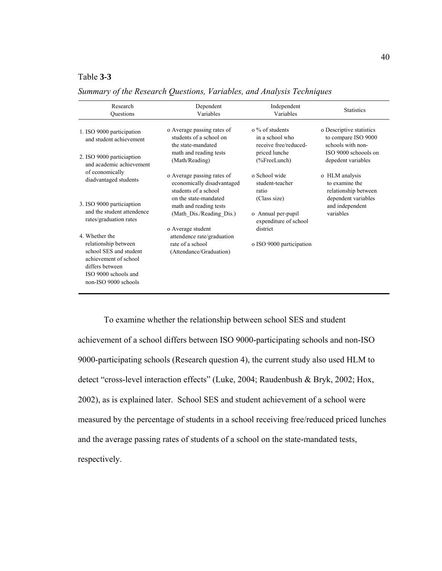## Table **3-3**

| Research<br>Questions                                                                                              | Dependent<br>Variables                                                           | Independent<br>Variables                                           | <b>Statistics</b>                                                    |
|--------------------------------------------------------------------------------------------------------------------|----------------------------------------------------------------------------------|--------------------------------------------------------------------|----------------------------------------------------------------------|
| 1. ISO 9000 participation<br>and student achievement                                                               | o Average passing rates of<br>students of a school on<br>the state-mandated      | $\alpha$ % of students<br>in a school who<br>receive free/reduced- | o Descriptive statistics<br>to compare ISO 9000<br>schools with non- |
| 2. ISO 9000 particiaption<br>and academic achievement                                                              | math and reading tests<br>(Math/Reading)                                         | priced lunche<br>$(\%$ FreeLunch)                                  | ISO 9000 schoools on<br>depedent variables                           |
| of economically<br>diadvantaged students                                                                           | o Average passing rates of<br>economically disadvantaged<br>students of a school | o School wide<br>student-teacher<br>ratio                          | o HLM analysis<br>to examine the<br>relationship between             |
| 3. ISO 9000 particiaption<br>and the student attendence                                                            | on the state-mandated<br>math and reading tests                                  | (Class size)                                                       | dependent variables<br>and independent<br>variables                  |
| rates/graduation rates                                                                                             | (Math Dis./Reading Dis.)<br>o Average student                                    | o Annual per-pupil<br>expenditure of school<br>district            |                                                                      |
| 4 Whether the<br>relationship between                                                                              | attendence rate/graduation<br>rate of a school                                   | o ISO 9000 participation                                           |                                                                      |
| school SES and student<br>achievement of school<br>differs between<br>ISO 9000 schools and<br>non-ISO 9000 schools | (Attendance/Graduation)                                                          |                                                                    |                                                                      |

*Summary of the Research Questions, Variables, and Analysis Techniques*

To examine whether the relationship between school SES and student achievement of a school differs between ISO 9000-participating schools and non-ISO 9000-participating schools (Research question 4), the current study also used HLM to detect "cross-level interaction effects" (Luke, 2004; Raudenbush & Bryk, 2002; Hox, 2002), as is explained later. School SES and student achievement of a school were measured by the percentage of students in a school receiving free/reduced priced lunches and the average passing rates of students of a school on the state-mandated tests, respectively.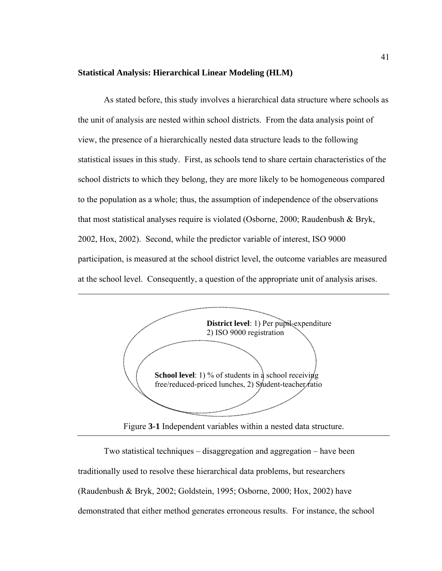#### **Statistical Analysis: Hierarchical Linear Modeling (HLM)**

As stated before, this study involves a hierarchical data structure where schools as the unit of analysis are nested within school districts. From the data analysis point of view, the presence of a hierarchically nested data structure leads to the following statistical issues in this study. First, as schools tend to share certain characteristics of the school districts to which they belong, they are more likely to be homogeneous compared to the population as a whole; thus, the assumption of independence of the observations that most statistical analyses require is violated (Osborne, 2000; Raudenbush & Bryk, 2002, Hox, 2002). Second, while the predictor variable of interest, ISO 9000 participation, is measured at the school district level, the outcome variables are measured at the school level. Consequently, a question of the appropriate unit of analysis arises.



Figure **3-1** Independent variables within a nested data structure.

Two statistical techniques – disaggregation and aggregation – have been traditionally used to resolve these hierarchical data problems, but researchers (Raudenbush & Bryk, 2002; Goldstein, 1995; Osborne, 2000; Hox, 2002) have demonstrated that either method generates erroneous results. For instance, the school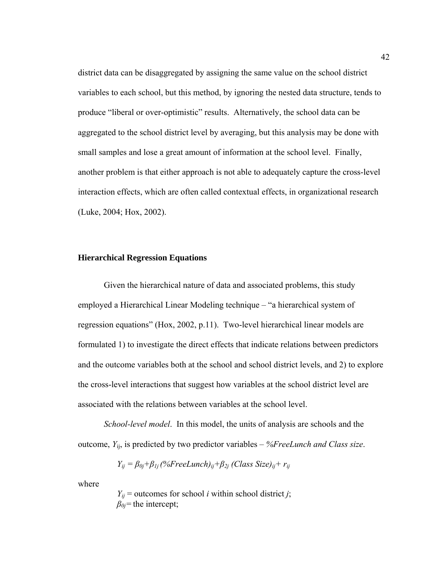district data can be disaggregated by assigning the same value on the school district variables to each school, but this method, by ignoring the nested data structure, tends to produce "liberal or over-optimistic" results. Alternatively, the school data can be aggregated to the school district level by averaging, but this analysis may be done with small samples and lose a great amount of information at the school level. Finally, another problem is that either approach is not able to adequately capture the cross-level interaction effects, which are often called contextual effects, in organizational research (Luke, 2004; Hox, 2002).

## **Hierarchical Regression Equations**

Given the hierarchical nature of data and associated problems, this study employed a Hierarchical Linear Modeling technique – "a hierarchical system of regression equations" (Hox, 2002, p.11). Two-level hierarchical linear models are formulated 1) to investigate the direct effects that indicate relations between predictors and the outcome variables both at the school and school district levels, and 2) to explore the cross-level interactions that suggest how variables at the school district level are associated with the relations between variables at the school level.

*School-level model*. In this model, the units of analysis are schools and the outcome, *Y*ij, is predicted by two predictor variables – *%FreeLunch and Class size*.

$$
Y_{ij} = \beta_{0j} + \beta_{1j} \left( \%FreeLunch \right)_{ij} + \beta_{2j} \left( Class \text{ Size} \right)_{ij} + r_{ij}
$$

where

 $Y_{ij}$  = outcomes for school *i* within school district *j*; *β0j=*the intercept;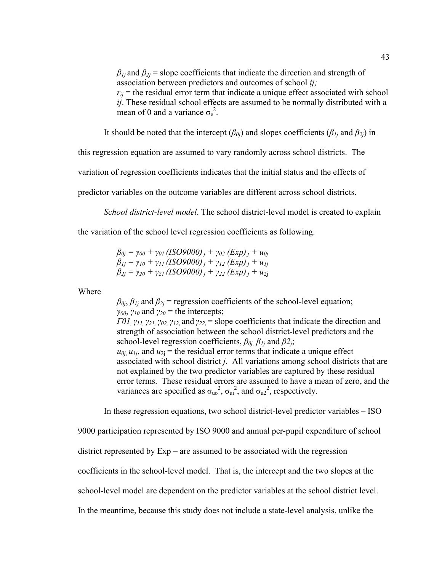$\beta_{1i}$  and  $\beta_{2i}$  = slope coefficients that indicate the direction and strength of association between predictors and outcomes of school *ij;*   $r_{ii}$  = the residual error term that indicate a unique effect associated with school *ij*. These residual school effects are assumed to be normally distributed with a mean of 0 and a variance  $\sigma_e^2$ .

It should be noted that the intercept  $(\beta_{0i})$  and slopes coefficients  $(\beta_{1i}$  and  $\beta_{2i})$  in

this regression equation are assumed to vary randomly across school districts. The

variation of regression coefficients indicates that the initial status and the effects of

predictor variables on the outcome variables are different across school districts.

*School district-level model*. The school district-level model is created to explain

the variation of the school level regression coefficients as following.

 $\beta_{0j} = \gamma_{00} + \gamma_{01}$  (*ISO9000)*  $_i + \gamma_{02}$  (*Exp*)  $_i + u_{0j}$ *β*<sub>*Ij*</sub> =  $\gamma_{10} + \gamma_{11}$  (*ISO9000) j* +  $\gamma_{12}$  (Exp) *j* +  $u_{1j}$  $\beta_{2j} = \gamma_{20} + \gamma_{21} (ISO9000)_{j} + \gamma_{22} (Exp)_{i} + u_{2j}$ 

Where

 $\beta_{0j}$ ,  $\beta_{1j}$  and  $\beta_{2j}$  = regression coefficients of the school-level equation; *γ00*, *γ10* and *γ20* = the intercepts;

*Γ01,*  $γ$ *<sub>11</sub>,*  $γ$ *<sub>21</sub>,*  $γ$ *<sub>02</sub>,*  $γ$ *<sub>12</sub>, and*  $γ$ *<sub>22</sub> = slope coefficients that indicate the direction and* strength of association between the school district-level predictors and the school-level regression coefficients, *β0j, β1j* and *β2j*;  $u_{0j}$ ,  $u_{1j}$ , and  $u_{2j}$  = the residual error terms that indicate a unique effect

associated with school district *j*. All variations among school districts that are not explained by the two predictor variables are captured by these residual error terms. These residual errors are assumed to have a mean of zero, and the variances are specified as  $\sigma_{\rm u0}^2$ ,  $\sigma_{\rm u1}^2$ , and  $\sigma_{\rm u2}^2$ , respectively.

In these regression equations, two school district-level predictor variables – ISO

9000 participation represented by ISO 9000 and annual per-pupil expenditure of school

district represented by Exp – are assumed to be associated with the regression

coefficients in the school-level model. That is, the intercept and the two slopes at the

school-level model are dependent on the predictor variables at the school district level.

In the meantime, because this study does not include a state-level analysis, unlike the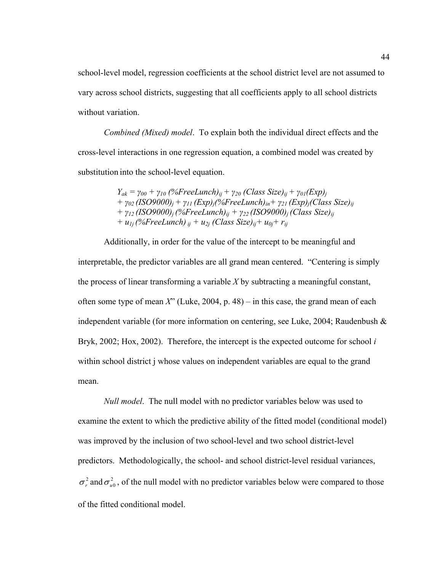school-level model, regression coefficients at the school district level are not assumed to vary across school districts, suggesting that all coefficients apply to all school districts without variation.

*Combined (Mixed) model*. To explain both the individual direct effects and the cross-level interactions in one regression equation, a combined model was created by substitution into the school-level equation.

> $Y_{ak} = \gamma_{00} + \gamma_{10}$  (%FreeLunch)<sub>ij</sub> +  $\gamma_{20}$  (Class Size)<sub>ij</sub> +  $\gamma_{01}$ (Exp)<sub>i</sub> *+ γ02 (ISO9000)j + γ11 (Exp)j(%FreeLunch)in+ γ21 (Exp)j(Class Size)ij + γ12 (ISO9000)j (%FreeLunch)ij + γ22 (ISO9000)j (Class Size)ij + u<sub>1j</sub>* (%*FreeLunch*)  $_{ij}$  +  $u_{2j}$  (Class Size)<sub>ij</sub> +  $u_{0j}$  +  $r_{ij}$

Additionally, in order for the value of the intercept to be meaningful and interpretable, the predictor variables are all grand mean centered. "Centering is simply the process of linear transforming a variable *X* by subtracting a meaningful constant, often some type of mean *X*" (Luke, 2004, p. 48) – in this case, the grand mean of each independent variable (for more information on centering, see Luke, 2004; Raudenbush & Bryk, 2002; Hox, 2002). Therefore, the intercept is the expected outcome for school *i* within school district j whose values on independent variables are equal to the grand mean.

*Null model*. The null model with no predictor variables below was used to examine the extent to which the predictive ability of the fitted model (conditional model) was improved by the inclusion of two school-level and two school district-level predictors. Methodologically, the school- and school district-level residual variances,  $\sigma_r^2$  and  $\sigma_{u0}^2$ , of the null model with no predictor variables below were compared to those of the fitted conditional model.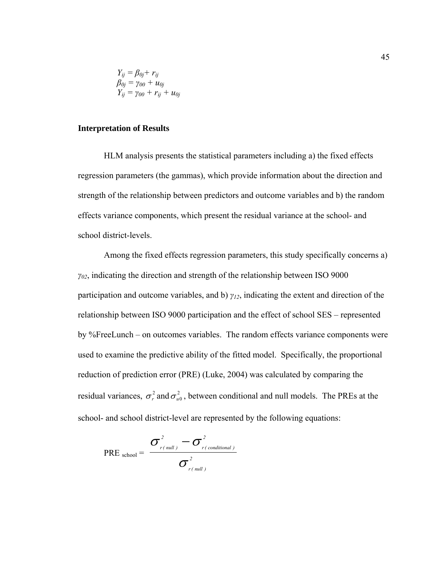$$
\begin{array}{l} Y_{ij}=\beta_{0j}+r_{ij}\\ \beta_{0j}=\gamma_{00}+u_{0j}\\ Y_{ij}=\gamma_{00}+r_{ij}+u_{0j} \end{array}
$$

## **Interpretation of Results**

HLM analysis presents the statistical parameters including a) the fixed effects regression parameters (the gammas), which provide information about the direction and strength of the relationship between predictors and outcome variables and b) the random effects variance components, which present the residual variance at the school- and school district-levels.

Among the fixed effects regression parameters, this study specifically concerns a) *γ02*, indicating the direction and strength of the relationship between ISO 9000 participation and outcome variables, and b) *γ12*, indicating the extent and direction of the relationship between ISO 9000 participation and the effect of school SES – represented by %FreeLunch – on outcomes variables. The random effects variance components were used to examine the predictive ability of the fitted model. Specifically, the proportional reduction of prediction error (PRE) (Luke, 2004) was calculated by comparing the residual variances,  $\sigma_r^2$  and  $\sigma_{u0}^2$ , between conditional and null models. The PREs at the school- and school district-level are represented by the following equations:

$$
\text{PRE}_{\text{school}} = \frac{\sigma_{r(\text{null})}^2 - \sigma_{r(\text{conditional})}^2}{\sigma_{r(\text{null})}^2}
$$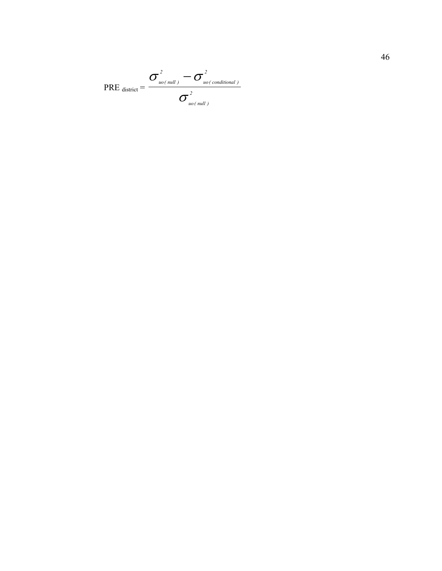$$
\text{PRE}_{\text{ district}} = \frac{\sigma_{\text{uo}\text{-null}}^2 - \sigma_{\text{uo}\text{-conditional}}^2}{\sigma_{\text{uo}\text{-null}}^2}
$$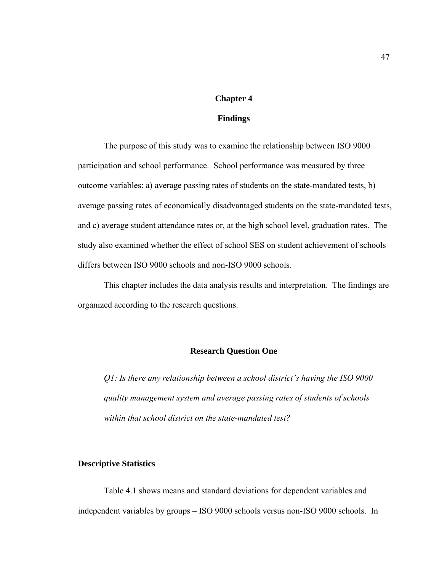# **Chapter 4**

## **Findings**

The purpose of this study was to examine the relationship between ISO 9000 participation and school performance. School performance was measured by three outcome variables: a) average passing rates of students on the state-mandated tests, b) average passing rates of economically disadvantaged students on the state-mandated tests, and c) average student attendance rates or, at the high school level, graduation rates. The study also examined whether the effect of school SES on student achievement of schools differs between ISO 9000 schools and non-ISO 9000 schools.

This chapter includes the data analysis results and interpretation. The findings are organized according to the research questions.

## **Research Question One**

*Q1: Is there any relationship between a school district's having the ISO 9000 quality management system and average passing rates of students of schools within that school district on the state-mandated test?* 

## **Descriptive Statistics**

Table 4.1 shows means and standard deviations for dependent variables and independent variables by groups – ISO 9000 schools versus non-ISO 9000 schools. In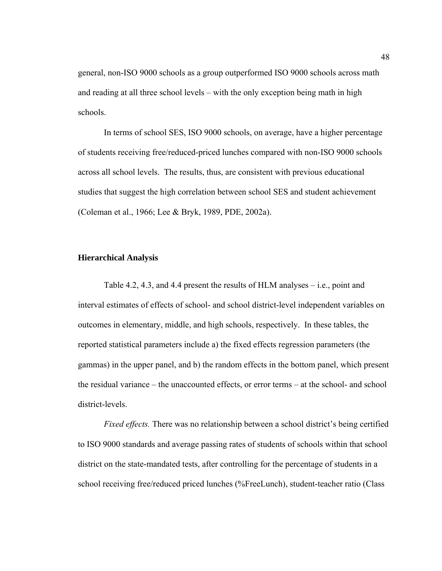general, non-ISO 9000 schools as a group outperformed ISO 9000 schools across math and reading at all three school levels – with the only exception being math in high schools.

In terms of school SES, ISO 9000 schools, on average, have a higher percentage of students receiving free/reduced-priced lunches compared with non-ISO 9000 schools across all school levels. The results, thus, are consistent with previous educational studies that suggest the high correlation between school SES and student achievement (Coleman et al., 1966; Lee & Bryk, 1989, PDE, 2002a).

## **Hierarchical Analysis**

Table 4.2, 4.3, and 4.4 present the results of HLM analyses – i.e., point and interval estimates of effects of school- and school district-level independent variables on outcomes in elementary, middle, and high schools, respectively. In these tables, the reported statistical parameters include a) the fixed effects regression parameters (the gammas) in the upper panel, and b) the random effects in the bottom panel, which present the residual variance – the unaccounted effects, or error terms – at the school- and school district-levels.

*Fixed effects*. There was no relationship between a school district's being certified to ISO 9000 standards and average passing rates of students of schools within that school district on the state-mandated tests, after controlling for the percentage of students in a school receiving free/reduced priced lunches (%FreeLunch), student-teacher ratio (Class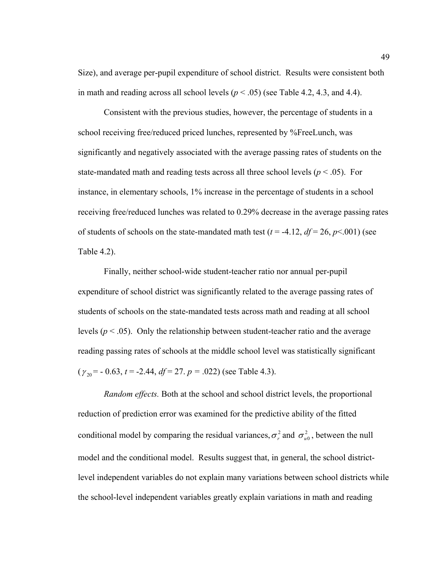Size), and average per-pupil expenditure of school district. Results were consistent both in math and reading across all school levels  $(p < .05)$  (see Table 4.2, 4.3, and 4.4).

Consistent with the previous studies, however, the percentage of students in a school receiving free/reduced priced lunches, represented by %FreeLunch, was significantly and negatively associated with the average passing rates of students on the state-mandated math and reading tests across all three school levels ( $p < .05$ ). For instance, in elementary schools, 1% increase in the percentage of students in a school receiving free/reduced lunches was related to 0.29% decrease in the average passing rates of students of schools on the state-mandated math test ( $t = -4.12$ ,  $df = 26$ ,  $p \le 0.001$ ) (see Table 4.2).

Finally, neither school-wide student-teacher ratio nor annual per-pupil expenditure of school district was significantly related to the average passing rates of students of schools on the state-mandated tests across math and reading at all school levels  $(p < .05)$ . Only the relationship between student-teacher ratio and the average reading passing rates of schools at the middle school level was statistically significant ( $\gamma_{20}$  = - 0.63, *t* = -2.44, *df* = 27. *p* = .022) (see Table 4.3).

*Random effects.* Both at the school and school district levels, the proportional reduction of prediction error was examined for the predictive ability of the fitted conditional model by comparing the residual variances,  $\sigma_r^2$  and  $\sigma_{u0}^2$ , between the null model and the conditional model. Results suggest that, in general, the school districtlevel independent variables do not explain many variations between school districts while the school-level independent variables greatly explain variations in math and reading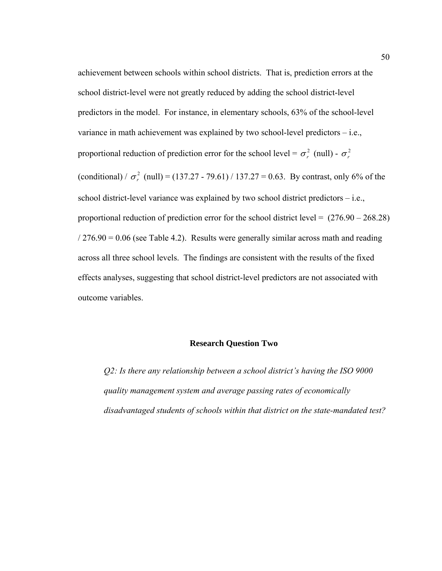achievement between schools within school districts. That is, prediction errors at the school district-level were not greatly reduced by adding the school district-level predictors in the model. For instance, in elementary schools, 63% of the school-level variance in math achievement was explained by two school-level predictors – i.e., proportional reduction of prediction error for the school level =  $\sigma_r^2$  (null) -  $\sigma_r^2$ (conditional) /  $\sigma_r^2$  (null) = (137.27 - 79.61) / 137.27 = 0.63. By contrast, only 6% of the school district-level variance was explained by two school district predictors – i.e., proportional reduction of prediction error for the school district level =  $(276.90 - 268.28)$  $/276.90 = 0.06$  (see Table 4.2). Results were generally similar across math and reading across all three school levels. The findings are consistent with the results of the fixed effects analyses, suggesting that school district-level predictors are not associated with outcome variables.

#### **Research Question Two**

*Q2: Is there any relationship between a school district's having the ISO 9000 quality management system and average passing rates of economically disadvantaged students of schools within that district on the state-mandated test?*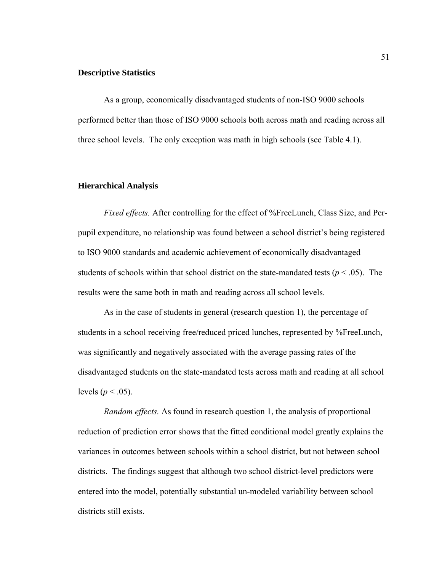#### **Descriptive Statistics**

As a group, economically disadvantaged students of non-ISO 9000 schools performed better than those of ISO 9000 schools both across math and reading across all three school levels. The only exception was math in high schools (see Table 4.1).

### **Hierarchical Analysis**

*Fixed effects.* After controlling for the effect of %FreeLunch, Class Size, and Perpupil expenditure, no relationship was found between a school district's being registered to ISO 9000 standards and academic achievement of economically disadvantaged students of schools within that school district on the state-mandated tests ( $p < .05$ ). The results were the same both in math and reading across all school levels.

As in the case of students in general (research question 1), the percentage of students in a school receiving free/reduced priced lunches, represented by %FreeLunch, was significantly and negatively associated with the average passing rates of the disadvantaged students on the state-mandated tests across math and reading at all school levels ( $p < .05$ ).

*Random effects.* As found in research question 1, the analysis of proportional reduction of prediction error shows that the fitted conditional model greatly explains the variances in outcomes between schools within a school district, but not between school districts. The findings suggest that although two school district-level predictors were entered into the model, potentially substantial un-modeled variability between school districts still exists.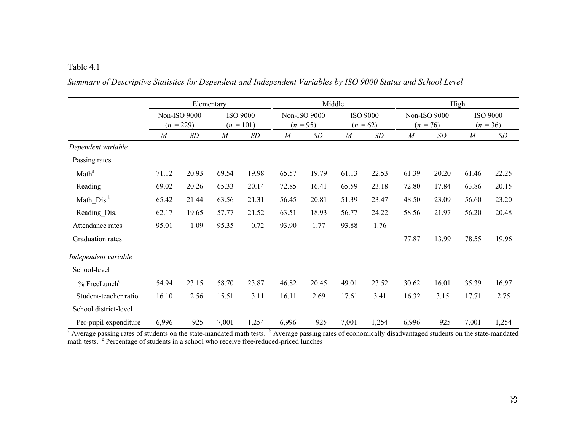|                        | Elementary                  |           |                                |       | Middle                     |       |                               |       | High                       |       |                               |       |
|------------------------|-----------------------------|-----------|--------------------------------|-------|----------------------------|-------|-------------------------------|-------|----------------------------|-------|-------------------------------|-------|
|                        | Non-ISO 9000<br>$(n = 229)$ |           | <b>ISO 9000</b><br>$(n = 101)$ |       | Non-ISO 9000<br>$(n = 95)$ |       | <b>ISO 9000</b><br>$(n = 62)$ |       | Non-ISO 9000<br>$(n = 76)$ |       | <b>ISO 9000</b><br>$(n = 36)$ |       |
|                        | $\boldsymbol{M}$            | <b>SD</b> | $\boldsymbol{M}$               | SD    | $\boldsymbol{M}$           | SD    | $\boldsymbol{M}$              | SD    | $\boldsymbol{M}$           | SD    | $\boldsymbol{M}$              | SD    |
| Dependent variable     |                             |           |                                |       |                            |       |                               |       |                            |       |                               |       |
| Passing rates          |                             |           |                                |       |                            |       |                               |       |                            |       |                               |       |
| Math <sup>a</sup>      | 71.12                       | 20.93     | 69.54                          | 19.98 | 65.57                      | 19.79 | 61.13                         | 22.53 | 61.39                      | 20.20 | 61.46                         | 22.25 |
| Reading                | 69.02                       | 20.26     | 65.33                          | 20.14 | 72.85                      | 16.41 | 65.59                         | 23.18 | 72.80                      | 17.84 | 63.86                         | 20.15 |
| Math_Dis. <sup>b</sup> | 65.42                       | 21.44     | 63.56                          | 21.31 | 56.45                      | 20.81 | 51.39                         | 23.47 | 48.50                      | 23.09 | 56.60                         | 23.20 |
| Reading Dis.           | 62.17                       | 19.65     | 57.77                          | 21.52 | 63.51                      | 18.93 | 56.77                         | 24.22 | 58.56                      | 21.97 | 56.20                         | 20.48 |
| Attendance rates       | 95.01                       | 1.09      | 95.35                          | 0.72  | 93.90                      | 1.77  | 93.88                         | 1.76  |                            |       |                               |       |
| Graduation rates       |                             |           |                                |       |                            |       |                               |       | 77.87                      | 13.99 | 78.55                         | 19.96 |
| Independent variable   |                             |           |                                |       |                            |       |                               |       |                            |       |                               |       |
| School-level           |                             |           |                                |       |                            |       |                               |       |                            |       |                               |       |
| $%$ FreeLunch $c$      | 54.94                       | 23.15     | 58.70                          | 23.87 | 46.82                      | 20.45 | 49.01                         | 23.52 | 30.62                      | 16.01 | 35.39                         | 16.97 |
| Student-teacher ratio  | 16.10                       | 2.56      | 15.51                          | 3.11  | 16.11                      | 2.69  | 17.61                         | 3.41  | 16.32                      | 3.15  | 17.71                         | 2.75  |
| School district-level  |                             |           |                                |       |                            |       |                               |       |                            |       |                               |       |
| Per-pupil expenditure  | 6,996                       | 925       | 7,001                          | 1,254 | 6,996                      | 925   | 7,001                         | 1,254 | 6,996                      | 925   | 7,001                         | 1,254 |

*Summary of Descriptive Statistics for Dependent and Independent Variables by ISO 9000 Status and School Level* 

<sup>a</sup> Average passing rates of students on the state-mandated math tests. <sup>b</sup> Average passing rates of economically disadvantaged students on the state-mandated math tests. <sup>c</sup> Percentage of students in a school who receive free/reduced-priced lunches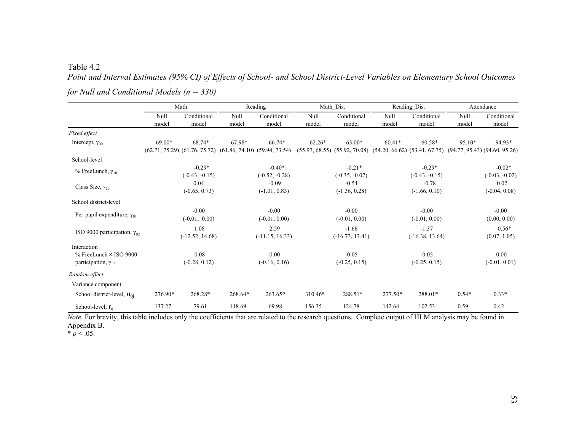*Point and Interval Estimates (95% CI) of Effects of School- and School District-Level Variables on Elementary School Outcomes for Null and Conditional Models (n = 330)* 

|                                                                                | Math          |                              |               | Reading                                                                       |               | Math Dis.                                     |               | Reading Dis.                                                                    |               | Attendance                   |  |
|--------------------------------------------------------------------------------|---------------|------------------------------|---------------|-------------------------------------------------------------------------------|---------------|-----------------------------------------------|---------------|---------------------------------------------------------------------------------|---------------|------------------------------|--|
|                                                                                | Null<br>model | Conditional<br>model         | Null<br>model | Conditional<br>model                                                          | Null<br>model | Conditional<br>model                          | Null<br>model | Conditional<br>model                                                            | Null<br>model | Conditional<br>model         |  |
| Fixed effect                                                                   |               |                              |               |                                                                               |               |                                               |               |                                                                                 |               |                              |  |
| Intercept, $\gamma_{00}$                                                       | 69.00*        | 68.74*                       | 67.98*        | 66.74*<br>$(62.71, 75.29)$ $(61.76, 75.72)$ $(61.86, 74.10)$ $(59.94, 73.54)$ | $62.26*$      | $63.00*$<br>$(55.97, 68.55)$ $(55.92, 70.08)$ | $60.41*$      | $60.58*$<br>$(54.20, 66.62)$ $(53.41, 67.75)$ $(94.77, 95.43)$ $(94.60, 95.26)$ | 95.10*        | 94.93*                       |  |
| School-level                                                                   |               |                              |               |                                                                               |               |                                               |               |                                                                                 |               |                              |  |
| $%$ FreeLunch, $\gamma_{10}$                                                   |               | $-0.29*$<br>$(-0.43, -0.15)$ |               | $-0.40*$<br>$(-0.52, -0.28)$                                                  |               | $-0.21*$<br>$(-0.35, -0.07)$                  |               | $-0.29*$<br>$(-0.43, -0.15)$                                                    |               | $-0.02*$<br>$(-0.03, -0.02)$ |  |
| Class Size, $\gamma_{20}$                                                      |               | 0.04<br>$(-0.65, 0.73)$      |               | $-0.09$<br>$(-1.01, 0.83)$                                                    |               | $-0.54$<br>$(-1.36, 0.28)$                    |               | $-0.78$<br>$(-1.66, 0.10)$                                                      |               | 0.02<br>$(-0.04, 0.08)$      |  |
| School district-level                                                          |               |                              |               |                                                                               |               |                                               |               |                                                                                 |               |                              |  |
| Per-pupil expenditure, $\gamma_{01}$                                           |               | $-0.00$<br>$(-0.01, 0.00)$   |               | $-0.00$<br>$(-0.01, 0.00)$                                                    |               | $-0.00$<br>$(-0.01, 0.00)$                    |               | $-0.00$<br>$(-0.01, 0.00)$                                                      |               | $-0.00$<br>(0.00, 0.00)      |  |
| ISO 9000 participation, $\gamma_{02}$                                          |               | 1.08<br>$(-12.52, 14.68)$    |               | 2.59<br>$(-11.15, 16.33)$                                                     |               | $-1.66$<br>$(-16.73, 13.41)$                  |               | $-1.37$<br>$(-16.38, 13.64)$                                                    |               | $0.56*$<br>(0.07, 1.05)      |  |
| Interaction<br>$%$ FreeLunch $\times$ ISO 9000<br>participation, $\gamma_{12}$ |               | $-0.08$<br>$(-0.28, 0.12)$   |               | 0.00<br>$(-0.16, 0.16)$                                                       |               | $-0.05$<br>$(-0.25, 0.15)$                    |               | $-0.05$<br>$(-0.25, 0.15)$                                                      |               | 0.00<br>$(-0.01, 0.01)$      |  |
| Random effect                                                                  |               |                              |               |                                                                               |               |                                               |               |                                                                                 |               |                              |  |
| Variance component                                                             |               |                              |               |                                                                               |               |                                               |               |                                                                                 |               |                              |  |
| School district-level, $u_{0i}$                                                | 276.90*       | 268.28*                      | 268.64*       | 263.65*                                                                       | 310.46*       | 288.51*                                       | 277.50*       | 288.01*                                                                         | $0.54*$       | $0.33*$                      |  |
| School-level, $r_{ii}$                                                         | 137.27        | 79.61                        | 148.69        | 69.98                                                                         | 156.35        | 124.78                                        | 142.64        | 102.53                                                                          | 0.59          | 0.42                         |  |

*Note*. For brevity, this table includes only the coefficients that are related to the research questions. Complete output of HLM analysis may be found in Appendix B.

\*  $p < .05$ .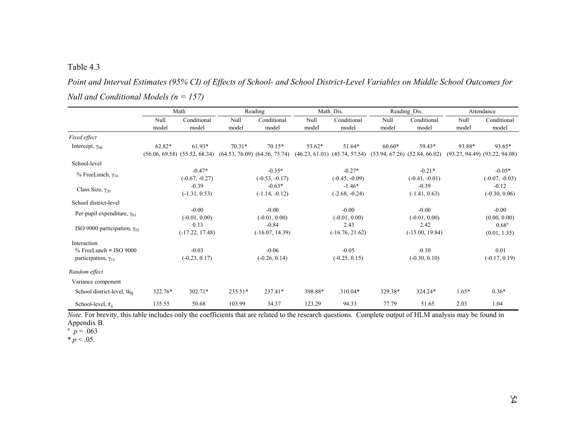*Point and Interval Estimates (95% CI) of Effects of School- and School District-Level Variables on Middle School Outcomes for Null and Conditional Models (n = 157)* 

|                                       |          | Math              |          | Reading                                                                                                                 |         | Math Dis.         |          | Reading_Dis.      |         | Attendance                        |  |
|---------------------------------------|----------|-------------------|----------|-------------------------------------------------------------------------------------------------------------------------|---------|-------------------|----------|-------------------|---------|-----------------------------------|--|
|                                       | Null     | Conditional       | Null     | Conditional                                                                                                             | Null    | Conditional       | Null     | Conditional       | Null    | Conditional                       |  |
|                                       | model    | model             | model    | model                                                                                                                   | model   | model             | model    | model             | model   | model                             |  |
| Fixed effect                          |          |                   |          |                                                                                                                         |         |                   |          |                   |         |                                   |  |
| Intercept, $\gamma_{00}$              | $62.82*$ | $61.93*$          | $70.31*$ | $70.15*$                                                                                                                | 53.62*  | 51.64*            | $60.60*$ | 59.43*            | 93.88*  | 93.65*                            |  |
|                                       |          |                   |          | (56.06, 69.58) (55.52, 68.34) (64.53, 76.09) (64.56, 75.74) (46.23, 61.01) (45.74, 57.54) (53.94, 67.26) (52.84, 66.02) |         |                   |          |                   |         | $(93.27, 94.49)$ $(93.22, 94.08)$ |  |
| School-level                          |          |                   |          |                                                                                                                         |         |                   |          |                   |         |                                   |  |
| % FreeLunch, $γ_{10}$                 |          | $-0.47*$          |          | $-0.35*$                                                                                                                |         | $-0.27*$          |          | $-0.21*$          |         | $-0.05*$                          |  |
|                                       |          | $(-0.67, -0.27)$  |          | $(-0.53, -0.17)$                                                                                                        |         | $(-0.45, -0.09)$  |          | $(-0.41, -0.01)$  |         | $(-0.07, -0.03)$                  |  |
| Class Size, $\gamma_{20}$             |          | $-0.39$           |          | $-0.63*$                                                                                                                |         | $-1.46*$          |          | $-0.39$           |         | $-0.12$                           |  |
|                                       |          | $(-1.31, 0.53)$   |          | $(-1.14, -0.12)$                                                                                                        |         | $(-2.68, -0.24)$  |          | $(-1.41, 0.63)$   |         | $(-0.30, 0.06)$                   |  |
| School district-level                 |          |                   |          |                                                                                                                         |         |                   |          |                   |         |                                   |  |
|                                       |          | $-0.00$           |          | $-0.00$                                                                                                                 |         | $-0.00$           |          | $-0.00$           |         | $-0.00$                           |  |
| Per-pupil expenditure, $\gamma_{01}$  |          | $(-0.01, 0.00)$   |          | $(-0.01, 0.00)$                                                                                                         |         | $(-0.01, 0.00)$   |          | $(-0.01, 0.00)$   |         | (0.00, 0.00)                      |  |
|                                       |          | 0.13              |          | $-0.84$                                                                                                                 |         | 2.43              |          | 2.42              |         | $0.68^{\rm a}$                    |  |
| ISO 9000 participation, $\gamma_{02}$ |          | $(-17.22, 17.48)$ |          | $(-16.07, 14.39)$                                                                                                       |         | $(-16.76, 21.62)$ |          | $(-15.00, 19.84)$ |         | (0.01, 1.35)                      |  |
| Interaction                           |          |                   |          |                                                                                                                         |         |                   |          |                   |         |                                   |  |
| $%$ FreeLunch $\times$ ISO 9000       |          | $-0.03$           |          | $-0.06$                                                                                                                 |         | $-0.05$           |          | $-0.10$           |         | 0.01                              |  |
| participation, $\gamma_{12}$          |          | $(-0.23, 0.17)$   |          | $(-0.26, 0.14)$                                                                                                         |         | $(-0.25, 0.15)$   |          | $(-0.30, 0.10)$   |         | $(-0.17, 0.19)$                   |  |
| Random effect                         |          |                   |          |                                                                                                                         |         |                   |          |                   |         |                                   |  |
| Variance component                    |          |                   |          |                                                                                                                         |         |                   |          |                   |         |                                   |  |
|                                       | 322.76*  | $302.71*$         | 235.51*  | 237.41*                                                                                                                 | 398.88* | 310.04*           | 329.38*  | 324.24*           | $1.65*$ | $0.36*$                           |  |
| School district-level, $u_{0i}$       |          |                   |          |                                                                                                                         |         |                   |          |                   |         |                                   |  |
| School-level, $r_{ii}$                | 135.55   | 50.68             | 103.99   | 34.37                                                                                                                   | 123.29  | 94.33             | 77.79    | 51.65             | 2.03    | 1.04                              |  |

*Note*. For brevity, this table includes only the coefficients that are related to the research questions. Complete output of HLM analysis may be found in

Appendix B.<br> $p = .063$ 

 $* p < .05.$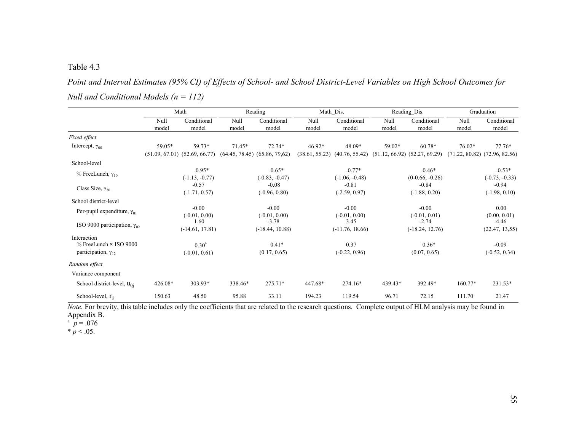*Point and Interval Estimates (95% CI) of Effects of School- and School District-Level Variables on High School Outcomes for Null and Conditional Models (n = 112)* 

|                                                                                |               | Math                                        |               | Reading                                     |                            | Math Dis.                    |               | Reading Dis.                                  |               | Graduation                                    |  |
|--------------------------------------------------------------------------------|---------------|---------------------------------------------|---------------|---------------------------------------------|----------------------------|------------------------------|---------------|-----------------------------------------------|---------------|-----------------------------------------------|--|
|                                                                                | Null<br>model | Conditional<br>model                        | Null<br>model | Conditional<br>model                        | Null<br>model              | Conditional<br>model         | Null<br>model | Conditional<br>model                          | Null<br>model | Conditional<br>model                          |  |
| Fixed effect                                                                   |               |                                             |               |                                             |                            |                              |               |                                               |               |                                               |  |
| Intercept, $\gamma_{00}$                                                       | 59.05*        | 59.73*<br>$(51.09, 67.01)$ $(52.69, 66.77)$ | $71.45*$      | 72.74*<br>$(64.45, 78.45)$ $(65.86, 79.62)$ | $46.92*$<br>(38.61, 55.23) | 48.09*<br>(40.76, 55.42)     | 59.02*        | $60.78*$<br>$(51.12, 66.92)$ $(52.27, 69.29)$ | $76.02*$      | $77.76*$<br>$(71.22, 80.82)$ $(72.96, 82.56)$ |  |
| School-level                                                                   |               |                                             |               |                                             |                            |                              |               |                                               |               |                                               |  |
| $%$ FreeLunch, $\gamma_{10}$                                                   |               | $-0.95*$<br>$(-1.13, -0.77)$                |               | $-0.65*$<br>$(-0.83, -0.47)$                |                            | $-0.77*$<br>$(-1.06, -0.48)$ |               | $-0.46*$<br>$(0-0.66, -0.26)$                 |               | $-0.53*$<br>$(-0.73, -0.33)$                  |  |
| Class Size, $\gamma_{20}$                                                      |               | $-0.57$<br>$(-1.71, 0.57)$                  |               | $-0.08$<br>$(-0.96, 0.80)$                  |                            | $-0.81$<br>$(-2.59, 0.97)$   |               | $-0.84$<br>$(-1.88, 0.20)$                    |               | $-0.94$<br>$(-1.98, 0.10)$                    |  |
| School district-level                                                          |               |                                             |               |                                             |                            |                              |               |                                               |               |                                               |  |
| Per-pupil expenditure, $\gamma_{01}$                                           |               | $-0.00$<br>$(-0.01, 0.00)$                  |               | $-0.00$<br>$(-0.01, 0.00)$                  |                            | $-0.00$<br>$(-0.01, 0.00)$   |               | $-0.00$<br>$(-0.01, 0.01)$                    |               | 0.00<br>(0.00, 0.01)                          |  |
| ISO 9000 participation, $\gamma_{02}$                                          |               | 1.60<br>$(-14.61, 17.81)$                   |               | $-3.78$<br>$(-18.44, 10.88)$                |                            | 3.45<br>$(-11.76, 18.66)$    |               | $-2.74$<br>$(-18.24, 12.76)$                  |               | $-4.46$<br>(22.47, 13.55)                     |  |
| Interaction<br>$%$ FreeLunch $\times$ ISO 9000<br>participation, $\gamma_{12}$ |               | 0.30 <sup>a</sup><br>$(-0.01, 0.61)$        |               | $0.41*$<br>(0.17, 0.65)                     |                            | 0.37<br>$(-0.22, 0.96)$      |               | $0.36*$<br>(0.07, 0.65)                       |               | $-0.09$<br>$(-0.52, 0.34)$                    |  |
| Random effect                                                                  |               |                                             |               |                                             |                            |                              |               |                                               |               |                                               |  |
| Variance component                                                             |               |                                             |               |                                             |                            |                              |               |                                               |               |                                               |  |
| School district-level, $u_{0i}$                                                | 426.08*       | $303.93*$                                   | 338.46*       | 275.71*                                     | 447.68*                    | 274.16*                      | 439.43*       | 392.49*                                       | 160.77*       | 231.53*                                       |  |
| School-level, $r_{ii}$                                                         | 150.63        | 48.50                                       | 95.88         | 33.11                                       | 194.23                     | 119.54                       | 96.71         | 72.15                                         | 111.70        | 21.47                                         |  |

*Note*. For brevity, this table includes only the coefficients that are related to the research questions. Complete output of HLM analysis may be found in Appendix B.

 $p = 0.076$ 

 $*$  *p* < .05.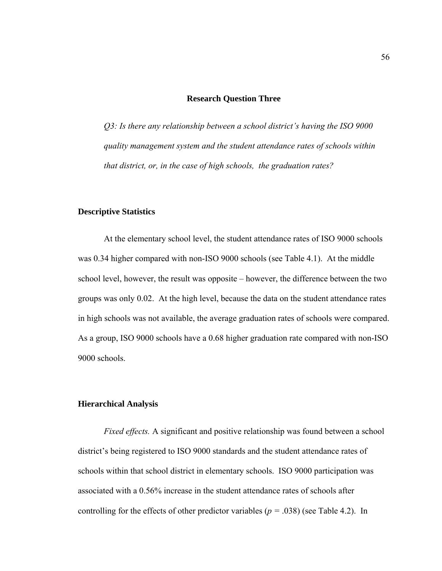## **Research Question Three**

*Q3: Is there any relationship between a school district's having the ISO 9000 quality management system and the student attendance rates of schools within that district, or, in the case of high schools, the graduation rates?* 

## **Descriptive Statistics**

At the elementary school level, the student attendance rates of ISO 9000 schools was 0.34 higher compared with non-ISO 9000 schools (see Table 4.1). At the middle school level, however, the result was opposite – however, the difference between the two groups was only 0.02. At the high level, because the data on the student attendance rates in high schools was not available, the average graduation rates of schools were compared. As a group, ISO 9000 schools have a 0.68 higher graduation rate compared with non-ISO 9000 schools.

## **Hierarchical Analysis**

*Fixed effects.* A significant and positive relationship was found between a school district's being registered to ISO 9000 standards and the student attendance rates of schools within that school district in elementary schools. ISO 9000 participation was associated with a 0.56% increase in the student attendance rates of schools after controlling for the effects of other predictor variables ( $p = .038$ ) (see Table 4.2). In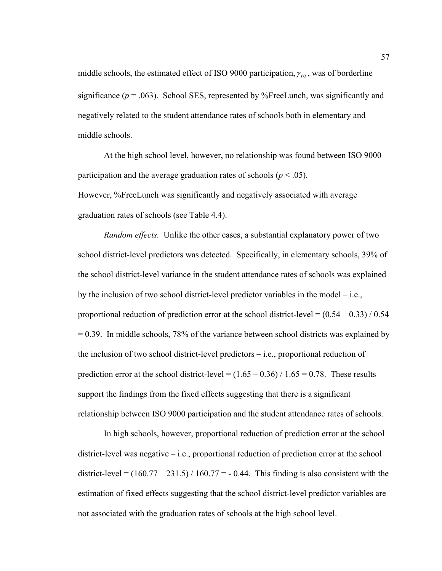middle schools, the estimated effect of ISO 9000 participation,  $\gamma_{02}$ , was of borderline significance  $(p = .063)$ . School SES, represented by %FreeLunch, was significantly and negatively related to the student attendance rates of schools both in elementary and middle schools.

At the high school level, however, no relationship was found between ISO 9000 participation and the average graduation rates of schools ( $p < .05$ ). However, %FreeLunch was significantly and negatively associated with average graduation rates of schools (see Table 4.4).

*Random effects.* Unlike the other cases, a substantial explanatory power of two school district-level predictors was detected. Specifically, in elementary schools, 39% of the school district-level variance in the student attendance rates of schools was explained by the inclusion of two school district-level predictor variables in the model – i.e., proportional reduction of prediction error at the school district-level  $= (0.54 - 0.33) / 0.54$  $= 0.39$ . In middle schools, 78% of the variance between school districts was explained by the inclusion of two school district-level predictors – i.e., proportional reduction of prediction error at the school district-level =  $(1.65 - 0.36) / 1.65 = 0.78$ . These results support the findings from the fixed effects suggesting that there is a significant relationship between ISO 9000 participation and the student attendance rates of schools.

In high schools, however, proportional reduction of prediction error at the school district-level was negative – i.e., proportional reduction of prediction error at the school district-level =  $(160.77 - 231.5) / 160.77 = -0.44$ . This finding is also consistent with the estimation of fixed effects suggesting that the school district-level predictor variables are not associated with the graduation rates of schools at the high school level.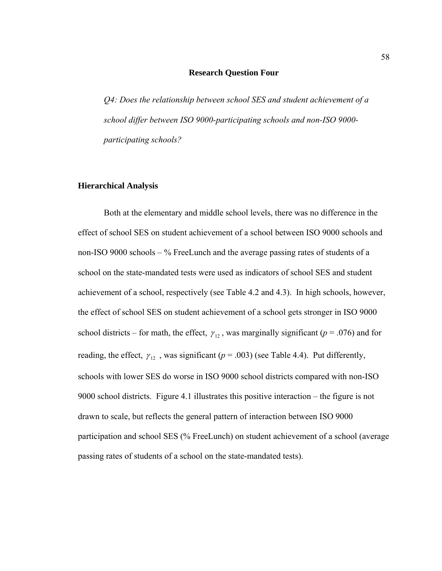#### **Research Question Four**

*Q4: Does the relationship between school SES and student achievement of a school differ between ISO 9000-participating schools and non-ISO 9000 participating schools?* 

## **Hierarchical Analysis**

Both at the elementary and middle school levels, there was no difference in the effect of school SES on student achievement of a school between ISO 9000 schools and non-ISO 9000 schools – % FreeLunch and the average passing rates of students of a school on the state-mandated tests were used as indicators of school SES and student achievement of a school, respectively (see Table 4.2 and 4.3). In high schools, however, the effect of school SES on student achievement of a school gets stronger in ISO 9000 school districts – for math, the effect,  $\gamma_{12}$ , was marginally significant ( $p = .076$ ) and for reading, the effect,  $\gamma_{12}$ , was significant ( $p = .003$ ) (see Table 4.4). Put differently, schools with lower SES do worse in ISO 9000 school districts compared with non-ISO 9000 school districts. Figure 4.1 illustrates this positive interaction – the figure is not drawn to scale, but reflects the general pattern of interaction between ISO 9000 participation and school SES (% FreeLunch) on student achievement of a school (average passing rates of students of a school on the state-mandated tests).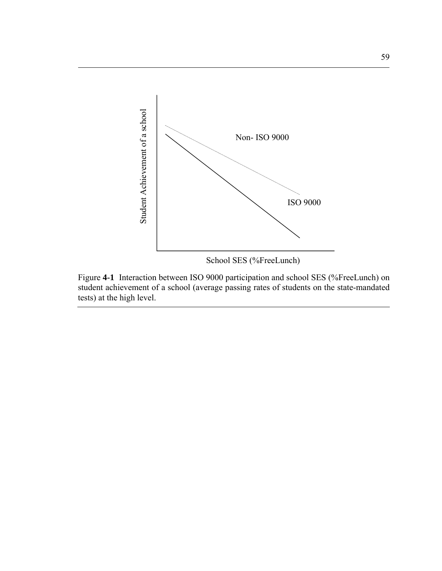

Figure **4-1** Interaction between ISO 9000 participation and school SES (%FreeLunch) on student achievement of a school (average passing rates of students on the state-mandated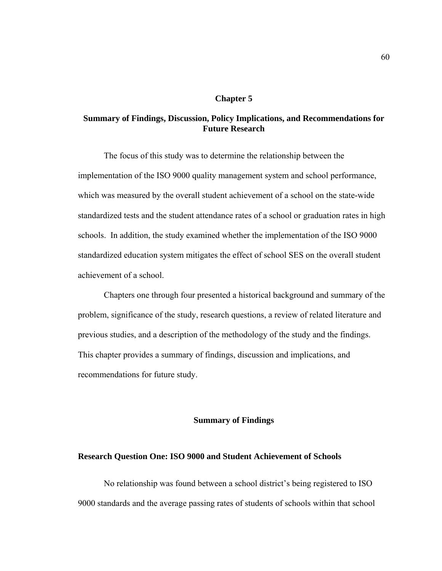#### **Chapter 5**

# **Summary of Findings, Discussion, Policy Implications, and Recommendations for Future Research**

The focus of this study was to determine the relationship between the implementation of the ISO 9000 quality management system and school performance, which was measured by the overall student achievement of a school on the state-wide standardized tests and the student attendance rates of a school or graduation rates in high schools. In addition, the study examined whether the implementation of the ISO 9000 standardized education system mitigates the effect of school SES on the overall student achievement of a school.

Chapters one through four presented a historical background and summary of the problem, significance of the study, research questions, a review of related literature and previous studies, and a description of the methodology of the study and the findings. This chapter provides a summary of findings, discussion and implications, and recommendations for future study.

## **Summary of Findings**

## **Research Question One: ISO 9000 and Student Achievement of Schools**

No relationship was found between a school district's being registered to ISO 9000 standards and the average passing rates of students of schools within that school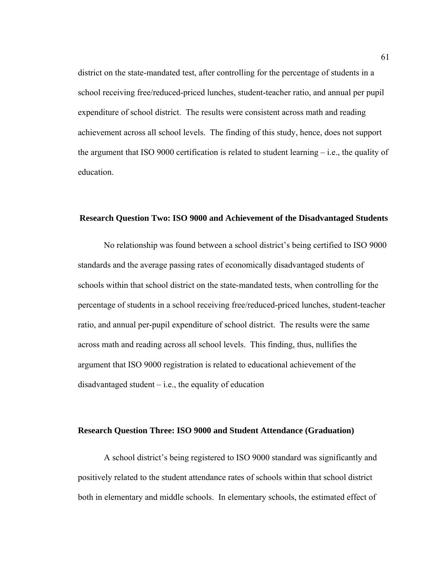district on the state-mandated test, after controlling for the percentage of students in a school receiving free/reduced-priced lunches, student-teacher ratio, and annual per pupil expenditure of school district. The results were consistent across math and reading achievement across all school levels. The finding of this study, hence, does not support the argument that ISO 9000 certification is related to student learning  $-$  i.e., the quality of education.

## **Research Question Two: ISO 9000 and Achievement of the Disadvantaged Students**

No relationship was found between a school district's being certified to ISO 9000 standards and the average passing rates of economically disadvantaged students of schools within that school district on the state-mandated tests, when controlling for the percentage of students in a school receiving free/reduced-priced lunches, student-teacher ratio, and annual per-pupil expenditure of school district. The results were the same across math and reading across all school levels. This finding, thus, nullifies the argument that ISO 9000 registration is related to educational achievement of the disadvantaged student  $-$  i.e., the equality of education

## **Research Question Three: ISO 9000 and Student Attendance (Graduation)**

A school district's being registered to ISO 9000 standard was significantly and positively related to the student attendance rates of schools within that school district both in elementary and middle schools. In elementary schools, the estimated effect of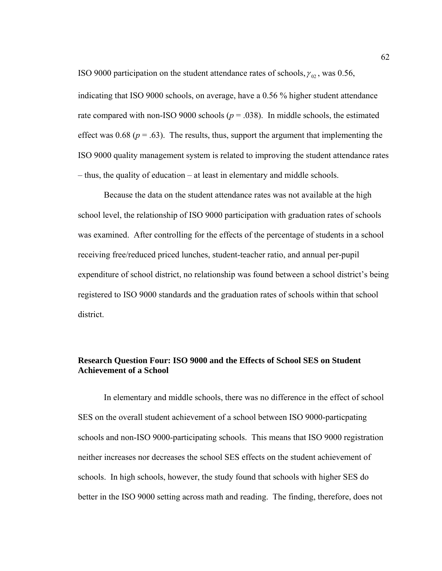ISO 9000 participation on the student attendance rates of schools,  $\gamma_{02}$ , was 0.56, indicating that ISO 9000 schools, on average, have a 0.56 % higher student attendance rate compared with non-ISO 9000 schools ( $p = .038$ ). In middle schools, the estimated effect was  $0.68$  ( $p = .63$ ). The results, thus, support the argument that implementing the ISO 9000 quality management system is related to improving the student attendance rates – thus, the quality of education – at least in elementary and middle schools.

Because the data on the student attendance rates was not available at the high school level, the relationship of ISO 9000 participation with graduation rates of schools was examined. After controlling for the effects of the percentage of students in a school receiving free/reduced priced lunches, student-teacher ratio, and annual per-pupil expenditure of school district, no relationship was found between a school district's being registered to ISO 9000 standards and the graduation rates of schools within that school district.

# **Research Question Four: ISO 9000 and the Effects of School SES on Student Achievement of a School**

In elementary and middle schools, there was no difference in the effect of school SES on the overall student achievement of a school between ISO 9000-particpating schools and non-ISO 9000-participating schools. This means that ISO 9000 registration neither increases nor decreases the school SES effects on the student achievement of schools. In high schools, however, the study found that schools with higher SES do better in the ISO 9000 setting across math and reading. The finding, therefore, does not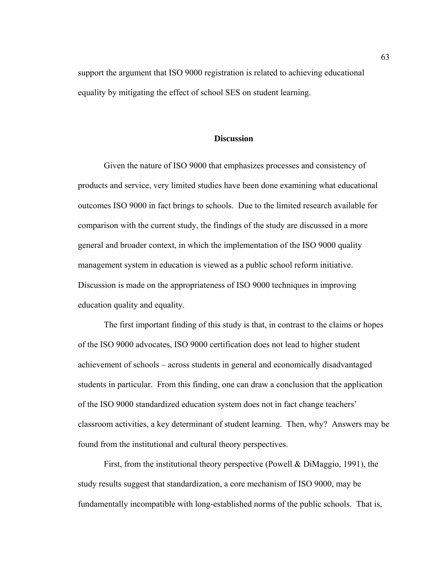support the argument that ISO 9000 registration is related to achieving educational equality by mitigating the effect of school SES on student learning.

# **Discussion**

Given the nature of ISO 9000 that emphasizes processes and consistency of products and service, very limited studies have been done examining what educational outcomes ISO 9000 in fact brings to schools. Due to the limited research available for comparison with the current study, the findings of the study are discussed in a more general and broader context, in which the implementation of the ISO 9000 quality management system in education is viewed as a public school reform initiative. Discussion is made on the appropriateness of ISO 9000 techniques in improving education quality and equality.

The first important finding of this study is that, in contrast to the claims or hopes of the ISO 9000 advocates, ISO 9000 certification does not lead to higher student achievement of schools – across students in general and economically disadvantaged students in particular. From this finding, one can draw a conclusion that the application of the ISO 9000 standardized education system does not in fact change teachers' classroom activities, a key determinant of student learning. Then, why? Answers may be found from the institutional and cultural theory perspectives.

First, from the institutional theory perspective (Powell & DiMaggio, 1991), the study results suggest that standardization, a core mechanism of ISO 9000, may be fundamentally incompatible with long-established norms of the public schools. That is,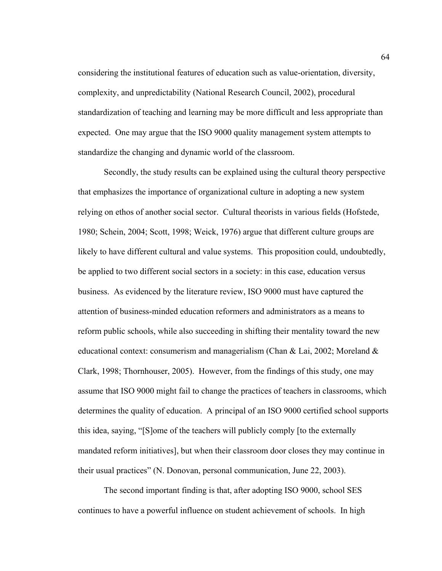considering the institutional features of education such as value-orientation, diversity, complexity, and unpredictability (National Research Council, 2002), procedural standardization of teaching and learning may be more difficult and less appropriate than expected. One may argue that the ISO 9000 quality management system attempts to standardize the changing and dynamic world of the classroom.

Secondly, the study results can be explained using the cultural theory perspective that emphasizes the importance of organizational culture in adopting a new system relying on ethos of another social sector. Cultural theorists in various fields (Hofstede, 1980; Schein, 2004; Scott, 1998; Weick, 1976) argue that different culture groups are likely to have different cultural and value systems. This proposition could, undoubtedly, be applied to two different social sectors in a society: in this case, education versus business. As evidenced by the literature review, ISO 9000 must have captured the attention of business-minded education reformers and administrators as a means to reform public schools, while also succeeding in shifting their mentality toward the new educational context: consumerism and managerialism (Chan & Lai, 2002; Moreland  $\&$ Clark, 1998; Thornhouser, 2005). However, from the findings of this study, one may assume that ISO 9000 might fail to change the practices of teachers in classrooms, which determines the quality of education. A principal of an ISO 9000 certified school supports this idea, saying, "[S]ome of the teachers will publicly comply [to the externally mandated reform initiatives], but when their classroom door closes they may continue in their usual practices" (N. Donovan, personal communication, June 22, 2003).

The second important finding is that, after adopting ISO 9000, school SES continues to have a powerful influence on student achievement of schools. In high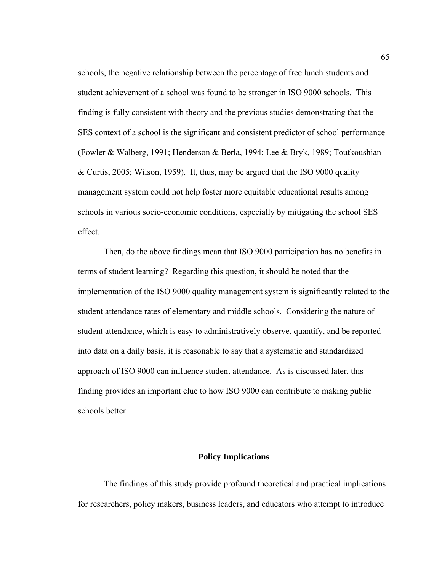schools, the negative relationship between the percentage of free lunch students and student achievement of a school was found to be stronger in ISO 9000 schools. This finding is fully consistent with theory and the previous studies demonstrating that the SES context of a school is the significant and consistent predictor of school performance (Fowler & Walberg, 1991; Henderson & Berla, 1994; Lee & Bryk, 1989; Toutkoushian & Curtis, 2005; Wilson, 1959). It, thus, may be argued that the ISO 9000 quality management system could not help foster more equitable educational results among schools in various socio-economic conditions, especially by mitigating the school SES effect.

Then, do the above findings mean that ISO 9000 participation has no benefits in terms of student learning? Regarding this question, it should be noted that the implementation of the ISO 9000 quality management system is significantly related to the student attendance rates of elementary and middle schools. Considering the nature of student attendance, which is easy to administratively observe, quantify, and be reported into data on a daily basis, it is reasonable to say that a systematic and standardized approach of ISO 9000 can influence student attendance. As is discussed later, this finding provides an important clue to how ISO 9000 can contribute to making public schools better.

# **Policy Implications**

The findings of this study provide profound theoretical and practical implications for researchers, policy makers, business leaders, and educators who attempt to introduce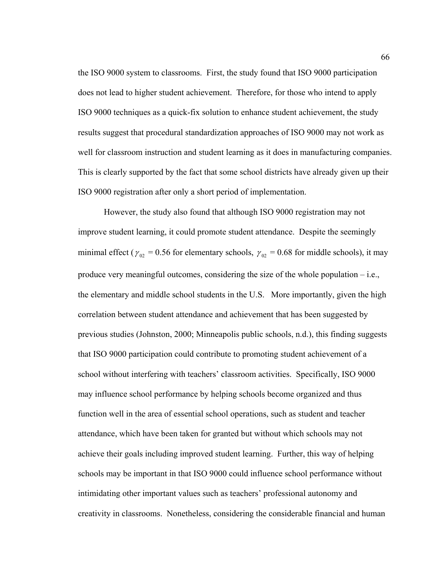the ISO 9000 system to classrooms. First, the study found that ISO 9000 participation does not lead to higher student achievement. Therefore, for those who intend to apply ISO 9000 techniques as a quick-fix solution to enhance student achievement, the study results suggest that procedural standardization approaches of ISO 9000 may not work as well for classroom instruction and student learning as it does in manufacturing companies. This is clearly supported by the fact that some school districts have already given up their ISO 9000 registration after only a short period of implementation.

However, the study also found that although ISO 9000 registration may not improve student learning, it could promote student attendance. Despite the seemingly minimal effect ( $\gamma_{02} = 0.56$  for elementary schools,  $\gamma_{02} = 0.68$  for middle schools), it may produce very meaningful outcomes, considering the size of the whole population – i.e., the elementary and middle school students in the U.S. More importantly, given the high correlation between student attendance and achievement that has been suggested by previous studies (Johnston, 2000; Minneapolis public schools, n.d.), this finding suggests that ISO 9000 participation could contribute to promoting student achievement of a school without interfering with teachers' classroom activities. Specifically, ISO 9000 may influence school performance by helping schools become organized and thus function well in the area of essential school operations, such as student and teacher attendance, which have been taken for granted but without which schools may not achieve their goals including improved student learning. Further, this way of helping schools may be important in that ISO 9000 could influence school performance without intimidating other important values such as teachers' professional autonomy and creativity in classrooms. Nonetheless, considering the considerable financial and human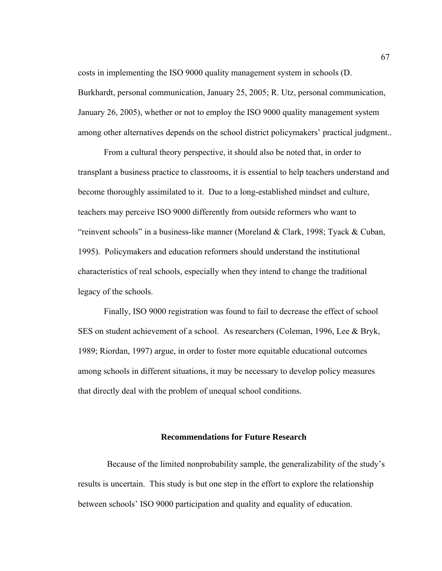costs in implementing the ISO 9000 quality management system in schools (D. Burkhardt, personal communication, January 25, 2005; R. Utz, personal communication, January 26, 2005), whether or not to employ the ISO 9000 quality management system among other alternatives depends on the school district policymakers' practical judgment..

From a cultural theory perspective, it should also be noted that, in order to transplant a business practice to classrooms, it is essential to help teachers understand and become thoroughly assimilated to it. Due to a long-established mindset and culture, teachers may perceive ISO 9000 differently from outside reformers who want to "reinvent schools" in a business-like manner (Moreland & Clark, 1998; Tyack & Cuban, 1995). Policymakers and education reformers should understand the institutional characteristics of real schools, especially when they intend to change the traditional legacy of the schools.

Finally, ISO 9000 registration was found to fail to decrease the effect of school SES on student achievement of a school. As researchers (Coleman, 1996, Lee & Bryk, 1989; Riordan, 1997) argue, in order to foster more equitable educational outcomes among schools in different situations, it may be necessary to develop policy measures that directly deal with the problem of unequal school conditions.

# **Recommendations for Future Research**

Because of the limited nonprobability sample, the generalizability of the study's results is uncertain. This study is but one step in the effort to explore the relationship between schools' ISO 9000 participation and quality and equality of education.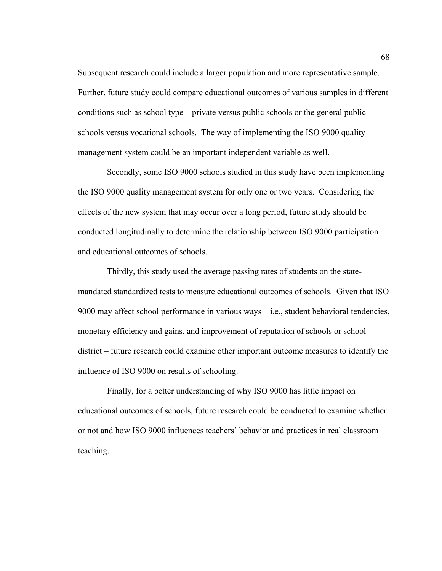Subsequent research could include a larger population and more representative sample. Further, future study could compare educational outcomes of various samples in different conditions such as school type – private versus public schools or the general public schools versus vocational schools. The way of implementing the ISO 9000 quality management system could be an important independent variable as well.

Secondly, some ISO 9000 schools studied in this study have been implementing the ISO 9000 quality management system for only one or two years. Considering the effects of the new system that may occur over a long period, future study should be conducted longitudinally to determine the relationship between ISO 9000 participation and educational outcomes of schools.

Thirdly, this study used the average passing rates of students on the statemandated standardized tests to measure educational outcomes of schools. Given that ISO 9000 may affect school performance in various ways – i.e., student behavioral tendencies, monetary efficiency and gains, and improvement of reputation of schools or school district – future research could examine other important outcome measures to identify the influence of ISO 9000 on results of schooling.

Finally, for a better understanding of why ISO 9000 has little impact on educational outcomes of schools, future research could be conducted to examine whether or not and how ISO 9000 influences teachers' behavior and practices in real classroom teaching.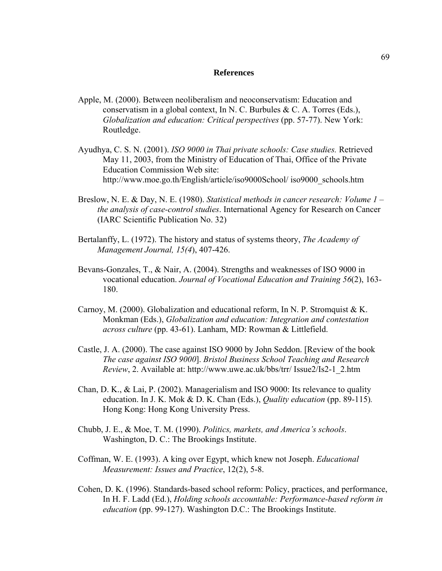#### **References**

- Apple, M. (2000). Between neoliberalism and neoconservatism: Education and conservatism in a global context, In N. C. Burbules & C. A. Torres (Eds.), *Globalization and education: Critical perspectives* (pp. 57-77). New York: Routledge.
- Ayudhya, C. S. N. (2001). *ISO 9000 in Thai private schools: Case studies.* Retrieved May 11, 2003, from the Ministry of Education of Thai, Office of the Private Education Commission Web site: http://www.moe.go.th/English/article/iso9000School/ iso9000\_schools.htm
- Breslow, N. E. & Day, N. E. (1980). *Statistical methods in cancer research: Volume 1 the analysis of case-control studies*. International Agency for Research on Cancer (IARC Scientific Publication No. 32)
- Bertalanffy, L. (1972). The history and status of systems theory, *The Academy of Management Journal, 15(4*), 407-426.
- Bevans-Gonzales, T., & Nair, A. (2004). Strengths and weaknesses of ISO 9000 in vocational education. *Journal of Vocational Education and Training 56*(2), 163- 180.
- Carnoy, M. (2000). Globalization and educational reform, In N. P. Stromquist  $& K$ . Monkman (Eds.), *Globalization and education: Integration and contestation across culture* (pp. 43-61). Lanham, MD: Rowman & Littlefield.
- Castle, J. A. (2000). The case against ISO 9000 by John Seddon. [Review of the book *The case against ISO 9000*]. *Bristol Business School Teaching and Research Review*, 2. Available at: http://www.uwe.ac.uk/bbs/trr/ Issue2/Is2-1\_2.htm
- Chan, D. K., & Lai, P. (2002). Managerialism and ISO 9000: Its relevance to quality education. In J. K. Mok & D. K. Chan (Eds.), *Quality education* (pp. 89-115)*.*  Hong Kong: Hong Kong University Press.
- Chubb, J. E., & Moe, T. M. (1990). *Politics, markets, and America's schools*. Washington, D. C.: The Brookings Institute.
- Coffman, W. E. (1993). A king over Egypt, which knew not Joseph. *Educational Measurement: Issues and Practice*, 12(2), 5-8.
- Cohen, D. K. (1996). Standards-based school reform: Policy, practices, and performance, In H. F. Ladd (Ed.), *Holding schools accountable: Performance-based reform in education* (pp. 99-127). Washington D.C.: The Brookings Institute.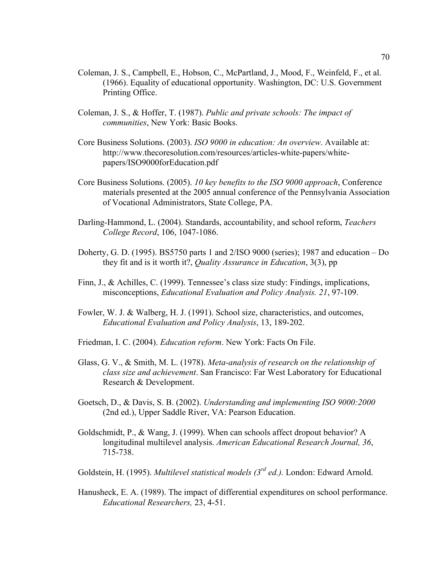- Coleman, J. S., Campbell, E., Hobson, C., McPartland, J., Mood, F., Weinfeld, F., et al. (1966). Equality of educational opportunity. Washington, DC: U.S. Government Printing Office.
- Coleman, J. S., & Hoffer, T. (1987). *Public and private schools: The impact of communities*, New York: Basic Books.
- Core Business Solutions. (2003). *ISO 9000 in education: An overview*. Available at: http://www.thecoresolution.com/resources/articles-white-papers/whitepapers/ISO9000forEducation.pdf
- Core Business Solutions. (2005). *10 key benefits to the ISO 9000 approach*, Conference materials presented at the 2005 annual conference of the Pennsylvania Association of Vocational Administrators, State College, PA.
- Darling-Hammond, L. (2004). Standards, accountability, and school reform, *Teachers College Record*, 106, 1047-1086.
- Doherty, G. D. (1995). BS5750 parts 1 and 2/ISO 9000 (series); 1987 and education Do they fit and is it worth it?, *Quality Assurance in Education*, 3(3), pp
- Finn, J., & Achilles, C. (1999). Tennessee's class size study: Findings, implications, misconceptions, *Educational Evaluation and Policy Analysis. 21*, 97-109.
- Fowler, W. J. & Walberg, H. J. (1991). School size, characteristics, and outcomes, *Educational Evaluation and Policy Analysis*, 13, 189-202.
- Friedman, I. C. (2004). *Education reform*. New York: Facts On File.
- Glass, G. V., & Smith, M. L. (1978). *Meta-analysis of research on the relationship of class size and achievement*. San Francisco: Far West Laboratory for Educational Research & Development.
- Goetsch, D., & Davis, S. B. (2002). *Understanding and implementing ISO 9000:2000* (2nd ed.), Upper Saddle River, VA: Pearson Education.
- Goldschmidt, P., & Wang, J. (1999). When can schools affect dropout behavior? A longitudinal multilevel analysis. *American Educational Research Journal, 36*, 715-738.
- Goldstein, H. (1995). *Multilevel statistical models (3rd ed.).* London: Edward Arnold.
- Hanusheck, E. A. (1989). The impact of differential expenditures on school performance. *Educational Researchers,* 23, 4-51.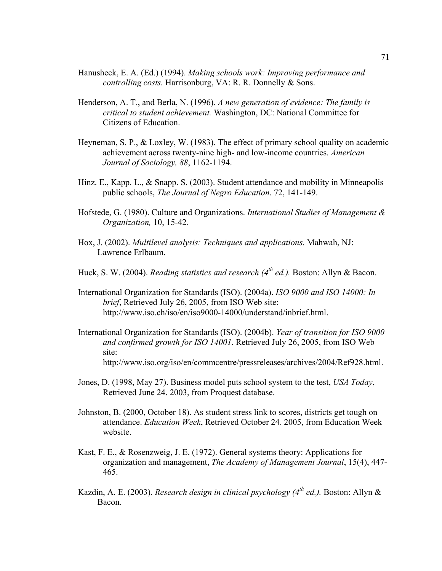- Hanusheck, E. A. (Ed.) (1994). *Making schools work: Improving performance and controlling costs.* Harrisonburg, VA: R. R. Donnelly & Sons.
- Henderson, A. T., and Berla, N. (1996). *A new generation of evidence: The family is critical to student achievement.* Washington, DC: National Committee for Citizens of Education.
- Heyneman, S. P., & Loxley, W. (1983). The effect of primary school quality on academic achievement across twenty-nine high- and low-income countries. *American Journal of Sociology, 88*, 1162-1194.
- Hinz. E., Kapp. L., & Snapp. S. (2003). Student attendance and mobility in Minneapolis public schools, *The Journal of Negro Education*. 72, 141-149.
- Hofstede, G. (1980). Culture and Organizations. *International Studies of Management & Organization,* 10, 15-42.
- Hox, J. (2002). *Multilevel analysis: Techniques and applications*. Mahwah, NJ: Lawrence Erlbaum.
- Huck, S. W. (2004). *Reading statistics and research (4th ed.).* Boston: Allyn & Bacon.
- International Organization for Standards (ISO). (2004a). *ISO 9000 and ISO 14000: In brief*, Retrieved July 26, 2005, from ISO Web site: http://www.iso.ch/iso/en/iso9000-14000/understand/inbrief.html.
- International Organization for Standards (ISO). (2004b). *Year of transition for ISO 9000 and confirmed growth for ISO 14001*. Retrieved July 26, 2005, from ISO Web site: http://www.iso.org/iso/en/commcentre/pressreleases/archives/2004/Ref928.html.
- Jones, D. (1998, May 27). Business model puts school system to the test, *USA Today*, Retrieved June 24. 2003, from Proquest database.
- Johnston, B. (2000, October 18). As student stress link to scores, districts get tough on attendance. *Education Week*, Retrieved October 24. 2005, from Education Week website.
- Kast, F. E., & Rosenzweig, J. E. (1972). General systems theory: Applications for organization and management, *The Academy of Management Journal*, 15(4), 447- 465.
- Kazdin, A. E. (2003). *Research design in clinical psychology (4<sup>th</sup> ed.)*. Boston: Allyn & Bacon.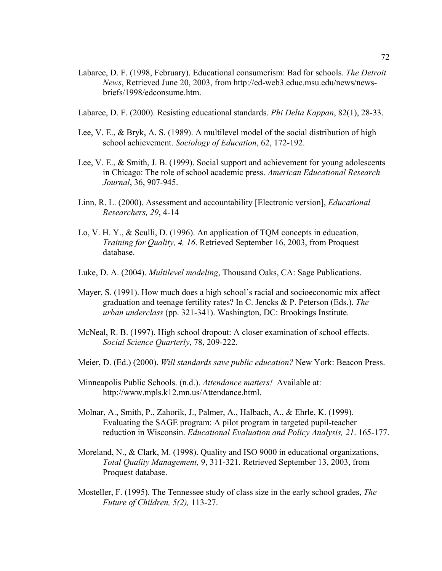- Labaree, D. F. (1998, February). Educational consumerism: Bad for schools. *The Detroit News*, Retrieved June 20, 2003, from http://ed-web3.educ.msu.edu/news/newsbriefs/1998/edconsume.htm.
- Labaree, D. F. (2000). Resisting educational standards. *Phi Delta Kappan*, 82(1), 28-33.
- Lee, V. E., & Bryk, A. S. (1989). A multilevel model of the social distribution of high school achievement. *Sociology of Education*, 62, 172-192.
- Lee, V. E., & Smith, J. B. (1999). Social support and achievement for young adolescents in Chicago: The role of school academic press. *American Educational Research Journal*, 36, 907-945.
- Linn, R. L. (2000). Assessment and accountability [Electronic version], *Educational Researchers, 29*, 4-14
- Lo, V. H. Y., & Sculli, D. (1996). An application of TQM concepts in education, *Training for Quality, 4, 16*. Retrieved September 16, 2003, from Proquest database.
- Luke, D. A. (2004). *Multilevel modeling*, Thousand Oaks, CA: Sage Publications.
- Mayer, S. (1991). How much does a high school's racial and socioeconomic mix affect graduation and teenage fertility rates? In C. Jencks & P. Peterson (Eds.). *The urban underclass* (pp. 321-341). Washington, DC: Brookings Institute.
- McNeal, R. B. (1997). High school dropout: A closer examination of school effects. *Social Science Quarterly*, 78, 209-222.
- Meier, D. (Ed.) (2000). *Will standards save public education?* New York: Beacon Press.
- Minneapolis Public Schools. (n.d.). *Attendance matters!* Available at: http://www.mpls.k12.mn.us/Attendance.html.
- Molnar, A., Smith, P., Zahorik, J., Palmer, A., Halbach, A., & Ehrle, K. (1999). Evaluating the SAGE program: A pilot program in targeted pupil-teacher reduction in Wisconsin. *Educational Evaluation and Policy Analysis, 21*. 165-177.
- Moreland, N., & Clark, M. (1998). Quality and ISO 9000 in educational organizations, *Total Quality Management,* 9, 311-321. Retrieved September 13, 2003, from Proquest database.
- Mosteller, F. (1995). The Tennessee study of class size in the early school grades, *The Future of Children, 5(2),* 113-27.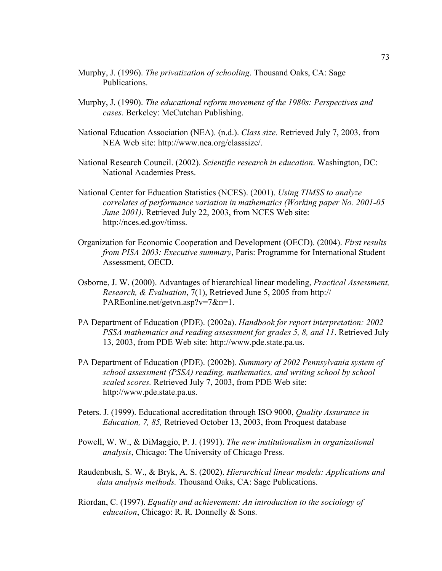- Murphy, J. (1996). *The privatization of schooling*. Thousand Oaks, CA: Sage Publications.
- Murphy, J. (1990). *The educational reform movement of the 1980s: Perspectives and cases*. Berkeley: McCutchan Publishing.
- National Education Association (NEA). (n.d.). *Class size.* Retrieved July 7, 2003, from NEA Web site: http://www.nea.org/classsize/.
- National Research Council. (2002). *Scientific research in education*. Washington, DC: National Academies Press.
- National Center for Education Statistics (NCES). (2001). *Using TIMSS to analyze correlates of performance variation in mathematics (Working paper No. 2001-05 June 2001)*. Retrieved July 22, 2003, from NCES Web site: http://nces.ed.gov/timss.
- Organization for Economic Cooperation and Development (OECD). (2004). *First results from PISA 2003: Executive summary*, Paris: Programme for International Student Assessment, OECD.
- Osborne, J. W. (2000). Advantages of hierarchical linear modeling, *Practical Assessment, Research, & Evaluation*, 7(1), Retrieved June 5, 2005 from http:// PAREonline.net/getvn.asp?v=7&n=1.
- PA Department of Education (PDE). (2002a). *Handbook for report interpretation: 2002 PSSA mathematics and reading assessment for grades 5, 8, and 11*. Retrieved July 13, 2003, from PDE Web site: http://www.pde.state.pa.us.
- PA Department of Education (PDE). (2002b). *Summary of 2002 Pennsylvania system of school assessment (PSSA) reading, mathematics, and writing school by school scaled scores.* Retrieved July 7, 2003, from PDE Web site: http://www.pde.state.pa.us.
- Peters. J. (1999). Educational accreditation through ISO 9000, *Quality Assurance in Education, 7, 85,* Retrieved October 13, 2003, from Proquest database
- Powell, W. W., & DiMaggio, P. J. (1991). *The new institutionalism in organizational analysis*, Chicago: The University of Chicago Press.
- Raudenbush, S. W., & Bryk, A. S. (2002). *Hierarchical linear models: Applications and data analysis methods.* Thousand Oaks, CA: Sage Publications.
- Riordan, C. (1997). *Equality and achievement: An introduction to the sociology of education*, Chicago: R. R. Donnelly & Sons.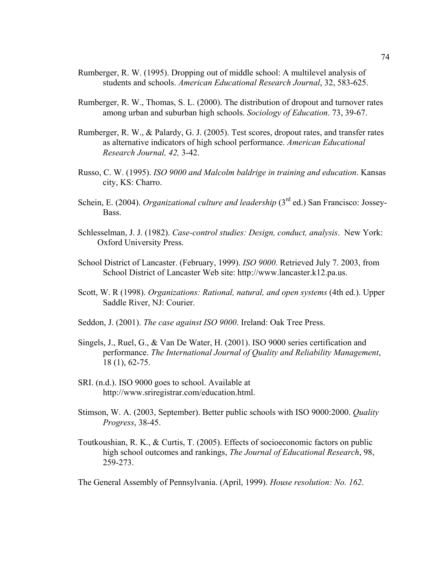- Rumberger, R. W. (1995). Dropping out of middle school: A multilevel analysis of students and schools. *American Educational Research Journal*, 32, 583-625.
- Rumberger, R. W., Thomas, S. L. (2000). The distribution of dropout and turnover rates among urban and suburban high schools. *Sociology of Education*. 73, 39-67.
- Rumberger, R. W., & Palardy, G. J. (2005). Test scores, dropout rates, and transfer rates as alternative indicators of high school performance. *American Educational Research Journal, 42,* 3-42.
- Russo, C. W. (1995). *ISO 9000 and Malcolm baldrige in training and education*. Kansas city, KS: Charro.
- Schein, E. (2004). *Organizational culture and leadership* (3<sup>rd</sup> ed.) San Francisco: Jossey-Bass.
- Schlesselman, J. J. (1982). *Case-control studies: Design, conduct, analysis*. New York: Oxford University Press.
- School District of Lancaster. (February, 1999). *ISO 9000*. Retrieved July 7. 2003, from School District of Lancaster Web site: http://www.lancaster.k12.pa.us.
- Scott, W. R (1998). *Organizations: Rational, natural, and open systems* (4th ed.). Upper Saddle River, NJ: Courier.
- Seddon, J. (2001). *The case against ISO 9000*. Ireland: Oak Tree Press.
- Singels, J., Ruel, G., & Van De Water, H. (2001). ISO 9000 series certification and performance. *The International Journal of Quality and Reliability Management*, 18 (1), 62-75.
- SRI. (n.d.). ISO 9000 goes to school. Available at http://www.sriregistrar.com/education.html.
- Stimson, W. A. (2003, September). Better public schools with ISO 9000:2000. *Quality Progress*, 38-45.
- Toutkoushian, R. K., & Curtis, T. (2005). Effects of socioeconomic factors on public high school outcomes and rankings, *The Journal of Educational Research*, 98, 259-273.

The General Assembly of Pennsylvania. (April, 1999). *House resolution: No. 162*.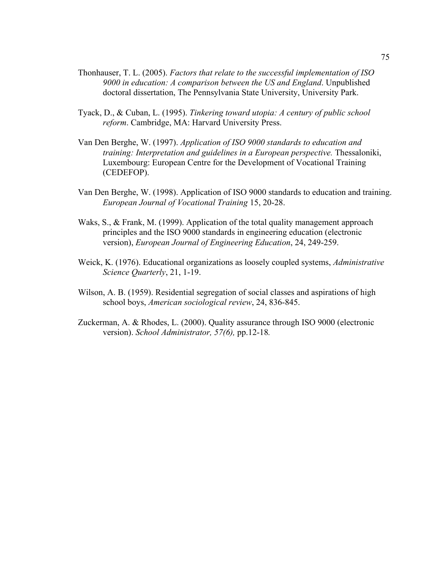- Thonhauser, T. L. (2005). *Factors that relate to the successful implementation of ISO 9000 in education: A comparison between the US and England*. Unpublished doctoral dissertation, The Pennsylvania State University, University Park.
- Tyack, D., & Cuban, L. (1995). *Tinkering toward utopia: A century of public school reform*. Cambridge, MA: Harvard University Press.
- Van Den Berghe, W. (1997). *Application of ISO 9000 standards to education and training: Interpretation and guidelines in a European perspective.* Thessaloniki, Luxembourg: European Centre for the Development of Vocational Training (CEDEFOP).
- Van Den Berghe, W. (1998). Application of ISO 9000 standards to education and training. *European Journal of Vocational Training* 15, 20-28.
- Waks, S., & Frank, M. (1999). Application of the total quality management approach principles and the ISO 9000 standards in engineering education (electronic version), *European Journal of Engineering Education*, 24, 249-259.
- Weick, K. (1976). Educational organizations as loosely coupled systems, *Administrative Science Quarterly*, 21, 1-19.
- Wilson, A. B. (1959). Residential segregation of social classes and aspirations of high school boys, *American sociological review*, 24, 836-845.
- Zuckerman, A. & Rhodes, L. (2000). Quality assurance through ISO 9000 (electronic version). *School Administrator, 57(6),* pp.12-18*.*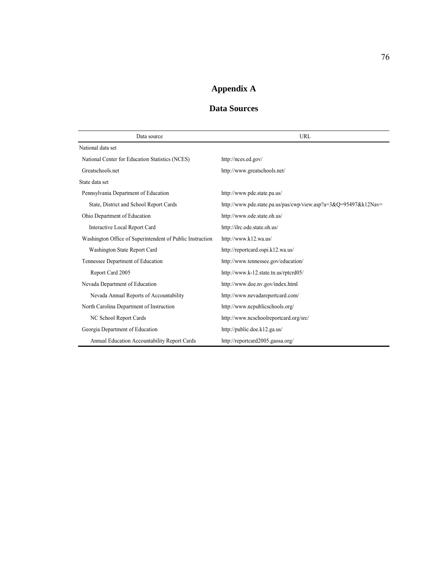# **Appendix A**

# **Data Sources**

| Data source                                               | URL                                                                          |
|-----------------------------------------------------------|------------------------------------------------------------------------------|
| National data set                                         |                                                                              |
| National Center for Education Statistics (NCES)           | http://nces.ed.gov/                                                          |
| Greatschools.net                                          | http://www.greatschools.net/                                                 |
| State data set                                            |                                                                              |
| Pennsylvania Department of Education                      | http://www.pde.state.pa.us/                                                  |
| State, District and School Report Cards                   | http://www.pde.state.pa.us/pas/cwp/view.asp?a= $3\&Q=95497\&k12\text{Nav}$ = |
| Ohio Department of Education                              | http://www.ode.state.oh.us/                                                  |
| Interactive Local Report Card                             | http://ilrc.ode.state.oh.us/                                                 |
| Washington Office of Superintendent of Public Instruction | http://www.k12.wa.us/                                                        |
| Washington State Report Card                              | http://reportcard.ospi.k12.wa.us/                                            |
| Tennessee Department of Education                         | http://www.tennessee.gov/education/                                          |
| Report Card 2005                                          | http://www.k-12.state.tn.us/rptcrd05/                                        |
| Nevada Department of Education                            | http://www.doe.nv.gov/index.html                                             |
| Nevada Annual Reports of Accountability                   | http://www.nevadareportcard.com/                                             |
| North Carolina Department of Instruction                  | http://www.ncpublicschools.org/                                              |
| NC School Report Cards                                    | http://www.ncschoolreportcard.org/src/                                       |
| Georgia Department of Education                           | http://public.doe.k12.ga.us/                                                 |
| Annual Education Accountability Report Cards              | http://reportcard2005.gaosa.org/                                             |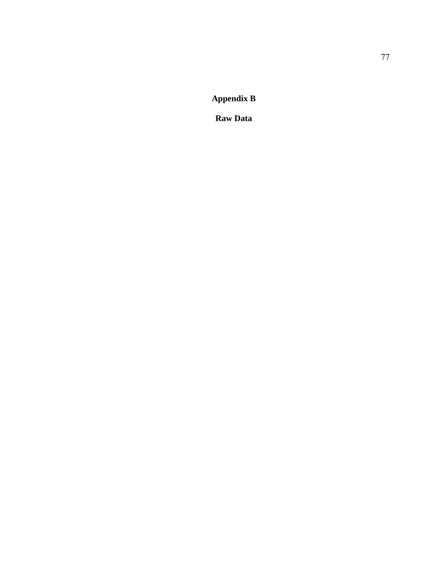**Appendix B** 

**Raw Data**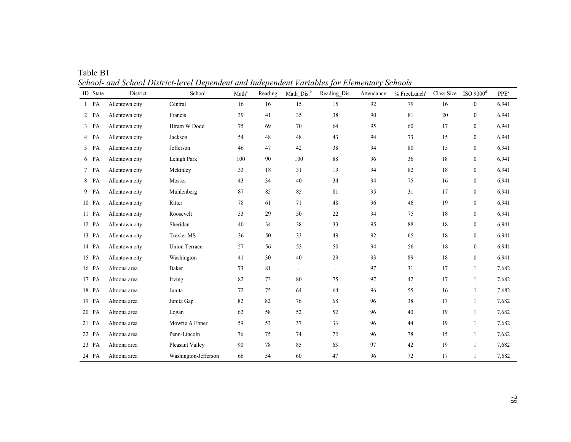| ID State | District       | School               | Math <sup>a</sup> | Reading | Math Dis. <sup>b</sup> | Reading Dis.         | Attendance | % FreeLunch <sup>c</sup> | Class Size | ISO $9000d$      | PPE <sup>e</sup> |
|----------|----------------|----------------------|-------------------|---------|------------------------|----------------------|------------|--------------------------|------------|------------------|------------------|
| $1$ PA   | Allentown city | Central              | 16                | 16      | 15                     | 15                   | 92         | 79                       | 16         | $\mathbf{0}$     | 6,941            |
| $2$ PA   | Allentown city | Francis              | 39                | 41      | 35                     | 38                   | 90         | 81                       | 20         | $\boldsymbol{0}$ | 6,941            |
| $3$ PA   | Allentown city | Hiram W Dodd         | 75                | 69      | 70                     | 64                   | 95         | 60                       | 17         | $\mathbf{0}$     | 6,941            |
| 4 PA     | Allentown city | Jackson              | 54                | 48      | 48                     | 43                   | 94         | 73                       | 15         | $\mathbf{0}$     | 6,941            |
| 5 PA     | Allentown city | Jefferson            | 46                | 47      | 42                     | 38                   | 94         | 80                       | 15         | $\boldsymbol{0}$ | 6,941            |
| 6 PA     | Allentown city | Lehigh Park          | 100               | 90      | 100                    | 88                   | 96         | 36                       | 18         | $\mathbf{0}$     | 6,941            |
| 7 PA     | Allentown city | Mckinley             | 33                | 18      | 31                     | 19                   | 94         | 82                       | 18         | $\boldsymbol{0}$ | 6,941            |
| 8 PA     | Allentown city | Mosser               | 43                | 34      | 40                     | 34                   | 94         | 75                       | 16         | $\mathbf{0}$     | 6,941            |
| 9 PA     | Allentown city | Muhlenberg           | 87                | 85      | 85                     | 81                   | 95         | 31                       | 17         | $\mathbf{0}$     | 6,941            |
| 10 PA    | Allentown city | Ritter               | 78                | 61      | 71                     | 48                   | 96         | 46                       | 19         | $\boldsymbol{0}$ | 6,941            |
| 11 PA    | Allentown city | Roosevelt            | 53                | 29      | 50                     | 22                   | 94         | 75                       | 18         | $\mathbf{0}$     | 6,941            |
| 12 PA    | Allentown city | Sheridan             | 40                | 34      | 38                     | 33                   | 95         | 88                       | 18         | $\boldsymbol{0}$ | 6,941            |
| 13 PA    | Allentown city | <b>Trexler MS</b>    | 36                | 50      | 33                     | 49                   | 92         | 65                       | 18         | $\mathbf{0}$     | 6,941            |
| 14 PA    | Allentown city | <b>Union Terrace</b> | 57                | 56      | 53                     | 50                   | 94         | 56                       | 18         | $\mathbf{0}$     | 6,941            |
| 15 PA    | Allentown city | Washington           | 41                | 30      | 40                     | 29                   | 93         | 89                       | 18         | $\boldsymbol{0}$ | 6,941            |
| 16 PA    | Altoona area   | Baker                | 73                | 81      | $\ddot{\phantom{a}}$   | $\ddot{\phantom{0}}$ | 97         | 31                       | 17         | $\mathbf{1}$     | 7,682            |
| 17 PA    | Altoona area   | Irving               | 82                | 73      | 80                     | 75                   | 97         | 42                       | 17         | $\mathbf{1}$     | 7,682            |
| 18 PA    | Altoona area   | Junita               | 72                | 75      | 64                     | 64                   | 96         | 55                       | 16         | 1                | 7,682            |
| 19 PA    | Altoona area   | Junita Gap           | 82                | 82      | 76                     | 68                   | 96         | 38                       | 17         | $\mathbf{1}$     | 7,682            |
| 20 PA    | Altoona area   | Logan                | 62                | 58      | 52                     | 52                   | 96         | 40                       | 19         | $\mathbf{1}$     | 7,682            |
| 21 PA    | Altoona area   | Mowrie A Ebner       | 59                | 53      | 37                     | 33                   | 96         | 44                       | 19         | $\mathbf{1}$     | 7,682            |
| 22 PA    | Altoona area   | Penn-Lincoln         | 76                | 75      | 74                     | 72                   | 96         | 78                       | 15         | 1                | 7,682            |
| 23 PA    | Altoona area   | Pleasant Valley      | 90                | 78      | 85                     | 63                   | 97         | 42                       | 19         | 1                | 7,682            |
| 24 PA    | Altoona area   | Washington-Jefferson | 66                | 54      | 60                     | 47                   | 96         | 72                       | 17         |                  | 7,682            |

Table B1 *School- and School District-level Dependent and Independent Variables for Elementary Schools*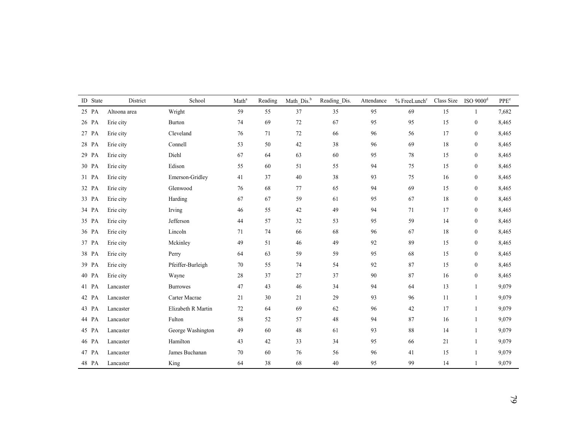|       | ID State | District     | School             | Math <sup>a</sup> | Reading | Math Dis. <sup>b</sup> | Reading_Dis. | Attendance | % FreeLunch <sup>c</sup> | Class Size | $ISO$ 9000 $d$   | $\ensuremath{\mathsf{PPE}}\xspace^\text{e}$ |
|-------|----------|--------------|--------------------|-------------------|---------|------------------------|--------------|------------|--------------------------|------------|------------------|---------------------------------------------|
| 25 PA |          | Altoona area | Wright             | 59                | 55      | 37                     | 35           | 95         | 69                       | 15         | $\mathbf{1}$     | 7,682                                       |
|       | 26 PA    | Erie city    | <b>Burton</b>      | 74                | 69      | 72                     | 67           | 95         | 95                       | 15         | $\boldsymbol{0}$ | 8,465                                       |
|       | 27 PA    | Erie city    | Cleveland          | 76                | 71      | 72                     | 66           | 96         | 56                       | 17         | $\mathbf{0}$     | 8,465                                       |
|       | 28 PA    | Erie city    | Connell            | 53                | 50      | 42                     | 38           | 96         | 69                       | 18         | $\mathbf{0}$     | 8,465                                       |
| 29 PA |          | Erie city    | Diehl              | 67                | 64      | 63                     | 60           | 95         | 78                       | 15         | $\mathbf{0}$     | 8,465                                       |
|       | 30 PA    | Erie city    | Edison             | 55                | 60      | 51                     | 55           | 94         | 75                       | 15         | $\mathbf{0}$     | 8,465                                       |
| 31 PA |          | Erie city    | Emerson-Gridley    | 41                | 37      | 40                     | 38           | 93         | 75                       | 16         | $\mathbf{0}$     | 8,465                                       |
|       | 32 PA    | Erie city    | Glenwood           | 76                | 68      | 77                     | 65           | 94         | 69                       | 15         | $\mathbf{0}$     | 8,465                                       |
|       | 33 PA    | Erie city    | Harding            | 67                | 67      | 59                     | 61           | 95         | 67                       | 18         | $\mathbf{0}$     | 8,465                                       |
|       | 34 PA    | Erie city    | Irving             | 46                | 55      | 42                     | 49           | 94         | 71                       | 17         | $\mathbf{0}$     | 8,465                                       |
|       | 35 PA    | Erie city    | Jefferson          | 44                | 57      | 32                     | 53           | 95         | 59                       | 14         | $\mathbf{0}$     | 8,465                                       |
|       | 36 PA    | Erie city    | Lincoln            | 71                | 74      | 66                     | 68           | 96         | 67                       | 18         | $\mathbf{0}$     | 8,465                                       |
|       | 37 PA    | Erie city    | Mckinley           | 49                | 51      | 46                     | 49           | 92         | 89                       | 15         | $\mathbf{0}$     | 8,465                                       |
|       | 38 PA    | Erie city    | Perry              | 64                | 63      | 59                     | 59           | 95         | 68                       | 15         | $\boldsymbol{0}$ | 8,465                                       |
|       | 39 PA    | Erie city    | Pfeiffer-Burleigh  | 70                | 55      | 74                     | 54           | $92\,$     | 87                       | 15         | $\boldsymbol{0}$ | 8,465                                       |
|       | 40 PA    | Erie city    | Wayne              | 28                | 37      | 27                     | 37           | 90         | 87                       | 16         | $\boldsymbol{0}$ | 8,465                                       |
|       | 41 PA    | Lancaster    | <b>Burrowes</b>    | 47                | 43      | 46                     | 34           | 94         | 64                       | 13         | $\mathbf{1}$     | 9,079                                       |
|       | 42 PA    | Lancaster    | Carter Macrae      | 21                | 30      | 21                     | 29           | 93         | 96                       | 11         | 1                | 9,079                                       |
|       | 43 PA    | Lancaster    | Elizabeth R Martin | 72                | 64      | 69                     | 62           | 96         | 42                       | 17         | $\mathbf{1}$     | 9,079                                       |
|       | 44 PA    | Lancaster    | Fulton             | 58                | 52      | 57                     | 48           | 94         | 87                       | 16         | 1                | 9,079                                       |
|       | 45 PA    | Lancaster    | George Washington  | 49                | 60      | 48                     | 61           | 93         | $88\,$                   | 14         | $\mathbf{1}$     | 9,079                                       |
|       | 46 PA    | Lancaster    | Hamilton           | 43                | $42\,$  | 33                     | 34           | 95         | 66                       | 21         | $\mathbf{1}$     | 9,079                                       |
|       | 47 PA    | Lancaster    | James Buchanan     | 70                | 60      | 76                     | 56           | 96         | 41                       | 15         | 1                | 9,079                                       |
|       | 48 PA    | Lancaster    | King               | 64                | 38      | 68                     | 40           | 95         | 99                       | 14         | $\mathbf{1}$     | 9,079                                       |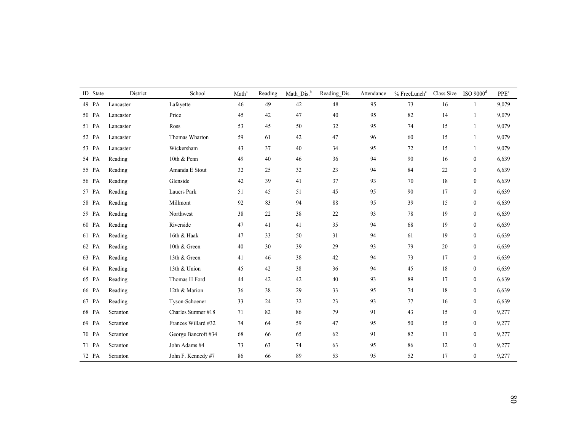| ID State | District  | School              | Math <sup>a</sup> | Reading | Math Dis. <sup>b</sup> | Reading_Dis. | Attendance | % FreeLunch <sup>c</sup> | Class Size | ISO $9000d$      | PPE <sup>e</sup> |
|----------|-----------|---------------------|-------------------|---------|------------------------|--------------|------------|--------------------------|------------|------------------|------------------|
| 49 PA    | Lancaster | Lafayette           | 46                | 49      | 42                     | $48\,$       | 95         | 73                       | 16         | 1                | 9,079            |
| 50 PA    | Lancaster | Price               | 45                | 42      | 47                     | 40           | 95         | 82                       | 14         |                  | 9,079            |
| 51 PA    | Lancaster | Ross                | 53                | 45      | 50                     | 32           | 95         | 74                       | 15         | $\overline{1}$   | 9,079            |
| 52 PA    | Lancaster | Thomas Wharton      | 59                | 61      | 42                     | 47           | 96         | 60                       | 15         | 1                | 9,079            |
| 53 PA    | Lancaster | Wickersham          | 43                | 37      | 40                     | 34           | 95         | 72                       | 15         | 1                | 9,079            |
| 54 PA    | Reading   | 10th & Penn         | 49                | $40\,$  | 46                     | 36           | 94         | 90                       | 16         | $\boldsymbol{0}$ | 6,639            |
| 55 PA    | Reading   | Amanda E Stout      | 32                | 25      | 32                     | 23           | 94         | 84                       | 22         | $\mathbf{0}$     | 6,639            |
| 56 PA    | Reading   | Glenside            | 42                | 39      | 41                     | 37           | 93         | 70                       | 18         | $\boldsymbol{0}$ | 6,639            |
| 57 PA    | Reading   | Lauers Park         | 51                | 45      | 51                     | 45           | 95         | 90                       | 17         | $\mathbf{0}$     | 6,639            |
| 58 PA    | Reading   | Millmont            | 92                | 83      | 94                     | 88           | 95         | 39                       | 15         | $\boldsymbol{0}$ | 6,639            |
| 59 PA    | Reading   | Northwest           | 38                | 22      | 38                     | $22\,$       | 93         | 78                       | 19         | $\boldsymbol{0}$ | 6,639            |
| 60 PA    | Reading   | Riverside           | 47                | 41      | 41                     | 35           | 94         | 68                       | 19         | $\mathbf{0}$     | 6,639            |
| 61 PA    | Reading   | 16th & Haak         | 47                | 33      | 50                     | 31           | 94         | 61                       | 19         | $\mathbf{0}$     | 6,639            |
| 62 PA    | Reading   | 10th & Green        | 40                | 30      | 39                     | 29           | 93         | 79                       | 20         | $\mathbf{0}$     | 6,639            |
| 63 PA    | Reading   | 13th & Green        | 41                | 46      | 38                     | 42           | 94         | 73                       | 17         | $\mathbf{0}$     | 6,639            |
| 64 PA    | Reading   | 13th & Union        | 45                | 42      | 38                     | 36           | 94         | 45                       | 18         | $\mathbf{0}$     | 6,639            |
| 65 PA    | Reading   | Thomas H Ford       | 44                | 42      | 42                     | $40\,$       | 93         | 89                       | 17         | $\mathbf{0}$     | 6,639            |
| 66 PA    | Reading   | 12th & Marion       | 36                | 38      | 29                     | 33           | 95         | 74                       | 18         | $\mathbf{0}$     | 6,639            |
| 67 PA    | Reading   | Tyson-Schoener      | 33                | 24      | 32                     | 23           | 93         | 77                       | 16         | $\mathbf{0}$     | 6,639            |
| 68 PA    | Scranton  | Charles Sumner #18  | 71                | 82      | 86                     | 79           | 91         | 43                       | 15         | $\mathbf{0}$     | 9,277            |
| 69 PA    | Scranton  | Frances Willard #32 | 74                | 64      | 59                     | 47           | 95         | 50                       | 15         | $\mathbf{0}$     | 9,277            |
| 70 PA    | Scranton  | George Bancroft #34 | 68                | 66      | 65                     | 62           | 91         | 82                       | 11         | $\mathbf{0}$     | 9,277            |
| 71 PA    | Scranton  | John Adams #4       | 73                | 63      | 74                     | 63           | 95         | 86                       | 12         | $\mathbf{0}$     | 9,277            |
| 72 PA    | Scranton  | John F. Kennedy #7  | 86                | 66      | 89                     | 53           | 95         | 52                       | 17         | $\boldsymbol{0}$ | 9,277            |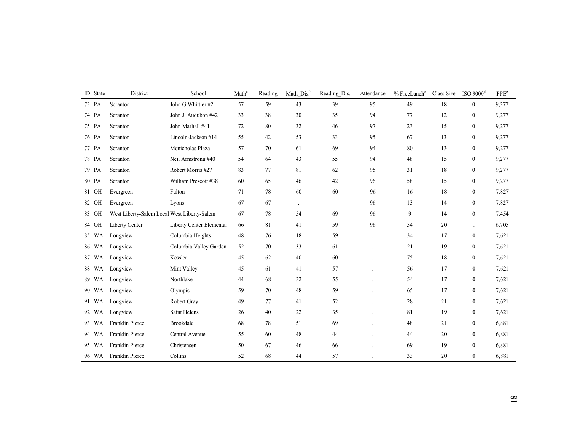| ID State | District                                    | School                   | Math <sup>a</sup> | Reading | Math Dis. <sup>b</sup> | Reading_Dis. | Attendance     | % FreeLunch <sup>c</sup> | Class Size | $ISO$ 9000 $^{d}$ | PPE <sup>e</sup> |
|----------|---------------------------------------------|--------------------------|-------------------|---------|------------------------|--------------|----------------|--------------------------|------------|-------------------|------------------|
| 73 PA    | Scranton                                    | John G Whittier #2       | 57                | 59      | 43                     | 39           | 95             | 49                       | 18         | $\overline{0}$    | 9,277            |
| 74 PA    | Scranton                                    | John J. Audubon #42      | 33                | 38      | 30                     | 35           | 94             | 77                       | 12         | $\boldsymbol{0}$  | 9,277            |
| 75 PA    | Scranton                                    | John Marhall #41         | 72                | 80      | 32                     | 46           | 97             | 23                       | 15         | $\boldsymbol{0}$  | 9,277            |
| 76 PA    | Scranton                                    | Lincoln-Jackson #14      | 55                | 42      | 53                     | 33           | 95             | 67                       | 13         | $\boldsymbol{0}$  | 9,277            |
| 77 PA    | Scranton                                    | Menicholas Plaza         | 57                | 70      | 61                     | 69           | 94             | 80                       | 13         | $\mathbf{0}$      | 9,277            |
| 78 PA    | Scranton                                    | Neil Armstrong #40       | 54                | 64      | 43                     | 55           | 94             | 48                       | 15         | $\mathbf{0}$      | 9,277            |
| 79 PA    | Scranton                                    | Robert Morris #27        | 83                | 77      | 81                     | 62           | 95             | 31                       | 18         | $\mathbf{0}$      | 9,277            |
| 80 PA    | Scranton                                    | William Prescott #38     | 60                | 65      | 46                     | 42           | 96             | 58                       | 15         | $\mathbf{0}$      | 9,277            |
| 81 OH    | Evergreen                                   | Fulton                   | 71                | 78      | 60                     | 60           | 96             | 16                       | 18         | $\overline{0}$    | 7,827            |
| 82 OH    | Evergreen                                   | Lyons                    | 67                | 67      | $\ddot{\phantom{a}}$   | $\cdot$      | 96             | 13                       | 14         | $\overline{0}$    | 7,827            |
| 83 OH    | West Liberty-Salem Local West Liberty-Salem |                          | 67                | 78      | 54                     | 69           | 96             | 9                        | 14         | $\boldsymbol{0}$  | 7,454            |
| 84 OH    | Liberty Center                              | Liberty Center Elementar | 66                | 81      | 41                     | 59           | 96             | 54                       | 20         | $\mathbf{1}$      | 6,705            |
| 85 WA    | Longview                                    | Columbia Heights         | 48                | 76      | 18                     | 59           | $\overline{a}$ | 34                       | 17         | $\bf{0}$          | 7,621            |
| 86 WA    | Longview                                    | Columbia Valley Garden   | 52                | 70      | 33                     | 61           |                | 21                       | 19         | $\overline{0}$    | 7,621            |
| 87 WA    | Longview                                    | Kessler                  | 45                | 62      | 40                     | 60           |                | 75                       | 18         | $\boldsymbol{0}$  | 7,621            |
| 88 WA    | Longview                                    | Mint Valley              | 45                | 61      | 41                     | 57           |                | 56                       | 17         | $\bf{0}$          | 7,621            |
| 89 WA    | Longview                                    | Northlake                | 44                | 68      | 32                     | 55           |                | 54                       | 17         | $\bf{0}$          | 7,621            |
| 90 WA    | Longview                                    | Olympic                  | 59                | 70      | 48                     | 59           |                | 65                       | 17         | $\bf{0}$          | 7,621            |
| 91 WA    | Longview                                    | Robert Gray              | 49                | 77      | 41                     | 52           |                | 28                       | 21         | $\mathbf{0}$      | 7,621            |
| 92 WA    | Longview                                    | Saint Helens             | 26                | 40      | 22                     | 35           |                | 81                       | 19         | $\mathbf{0}$      | 7,621            |
| 93 WA    | Franklin Pierce                             | Brookdale                | 68                | 78      | 51                     | 69           |                | 48                       | 21         | $\mathbf{0}$      | 6,881            |
| 94 WA    | Franklin Pierce                             | Central Avenue           | 55                | 60      | 48                     | 44           |                | 44                       | 20         | $\mathbf{0}$      | 6,881            |
| 95 WA    | Franklin Pierce                             | Christensen              | 50                | 67      | 46                     | 66           |                | 69                       | 19         | $\boldsymbol{0}$  | 6,881            |
|          | 96 WA Franklin Pierce                       | Collins                  | 52                | 68      | 44                     | 57           |                | 33                       | 20         | $\bf{0}$          | 6,881            |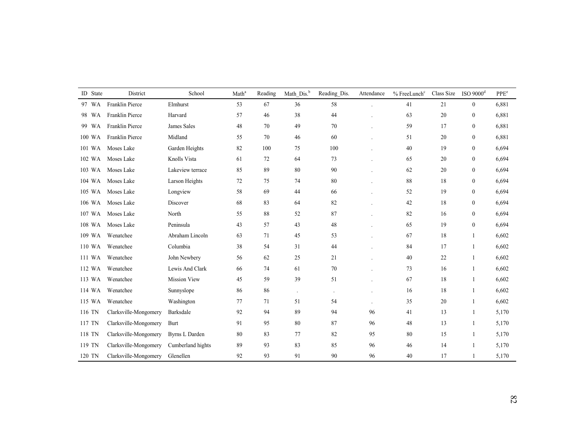| ID State | District              | School              | Math <sup>a</sup> | Reading | Math_Dis. <sup>b</sup> | Reading_Dis.         | Attendance     | % FreeLunch <sup>c</sup> | Class Size | $ISO$ 9000 $d$   | PPE <sup>e</sup> |
|----------|-----------------------|---------------------|-------------------|---------|------------------------|----------------------|----------------|--------------------------|------------|------------------|------------------|
| 97 WA    | Franklin Pierce       | Elmhurst            | 53                | 67      | 36                     | 58                   |                | 41                       | 21         | $\boldsymbol{0}$ | 6,881            |
| 98 WA    | Franklin Pierce       | Harvard             | 57                | 46      | 38                     | 44                   |                | 63                       | 20         | $\boldsymbol{0}$ | 6,881            |
| 99 WA    | Franklin Pierce       | James Sales         | 48                | 70      | 49                     | 70                   |                | 59                       | 17         | $\boldsymbol{0}$ | 6,881            |
| 100 WA   | Franklin Pierce       | Midland             | 55                | 70      | 46                     | 60                   |                | 51                       | 20         | $\mathbf{0}$     | 6,881            |
| 101 WA   | Moses Lake            | Garden Heights      | 82                | 100     | 75                     | 100                  |                | 40                       | 19         | $\boldsymbol{0}$ | 6,694            |
| 102 WA   | Moses Lake            | Knolls Vista        | 61                | 72      | 64                     | 73                   |                | 65                       | 20         | $\mathbf{0}$     | 6,694            |
| 103 WA   | Moses Lake            | Lakeview terrace    | 85                | 89      | 80                     | 90                   |                | 62                       | 20         | $\mathbf{0}$     | 6,694            |
| 104 WA   | Moses Lake            | Larson Heights      | 72                | 75      | 74                     | 80                   |                | 88                       | 18         | $\mathbf{0}$     | 6,694            |
| 105 WA   | Moses Lake            | Longview            | 58                | 69      | 44                     | 66                   |                | 52                       | 19         | $\mathbf{0}$     | 6,694            |
| 106 WA   | Moses Lake            | Discover            | 68                | 83      | 64                     | 82                   |                | 42                       | 18         | $\mathbf{0}$     | 6,694            |
| 107 WA   | Moses Lake            | North               | 55                | 88      | 52                     | 87                   |                | 82                       | 16         | $\boldsymbol{0}$ | 6,694            |
| 108 WA   | Moses Lake            | Peninsula           | 43                | 57      | 43                     | 48                   |                | 65                       | 19         | $\mathbf{0}$     | 6,694            |
| 109 WA   | Wenatchee             | Abraham Lincoln     | 63                | 71      | 45                     | 53                   |                | 67                       | 18         | $\overline{1}$   | 6,602            |
| 110 WA   | Wenatchee             | Columbia            | 38                | 54      | 31                     | 44                   |                | 84                       | 17         | $\overline{1}$   | 6,602            |
| 111 WA   | Wenatchee             | John Newbery        | 56                | 62      | 25                     | 21                   |                | 40                       | 22         | $\overline{1}$   | 6,602            |
| 112 WA   | Wenatchee             | Lewis And Clark     | 66                | 74      | 61                     | $70\,$               |                | 73                       | 16         | $\mathbf{1}$     | 6,602            |
| 113 WA   | Wenatchee             | <b>Mission View</b> | 45                | 59      | 39                     | 51                   |                | 67                       | 18         | $\mathbf{1}$     | 6,602            |
| 114 WA   | Wenatchee             | Sunnyslope          | 86                | 86      | $\ddot{\phantom{0}}$   | $\ddot{\phantom{a}}$ |                | 16                       | 18         | $\mathbf{1}$     | 6,602            |
| 115 WA   | Wenatchee             | Washington          | 77                | 71      | 51                     | 54                   | $\overline{a}$ | 35                       | 20         | $\overline{1}$   | 6,602            |
| 116 TN   | Clarksville-Mongomery | Barksdale           | 92                | 94      | 89                     | 94                   | 96             | 41                       | 13         | $\mathbf{1}$     | 5,170            |
| 117 TN   | Clarksville-Mongomery | Burt                | 91                | 95      | 80                     | 87                   | 96             | 48                       | 13         | $\mathbf{1}$     | 5,170            |
| 118 TN   | Clarksville-Mongomery | Byrns L Darden      | 80                | 83      | 77                     | 82                   | 95             | 80                       | 15         | 1                | 5,170            |
| 119 TN   | Clarksville-Mongomery | Cumberland hights   | 89                | 93      | 83                     | 85                   | 96             | 46                       | 14         | $\mathbf{1}$     | 5,170            |
| 120 TN   | Clarksville-Mongomery | Glenellen           | 92                | 93      | 91                     | 90                   | 96             | 40                       | 17         | 1                | 5,170            |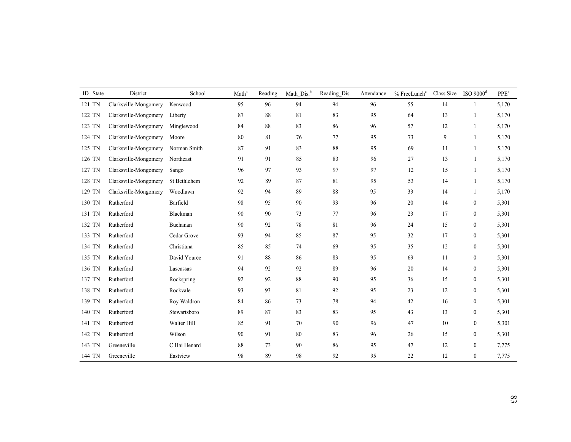| ID State | District              | School       | Math <sup>a</sup> | Reading | Math Dis. <sup>b</sup> | Reading_Dis. | Attendance | $%$ FreeLunch $c$ | Class Size | $ISO$ 9000 $d$   | PPE <sup>e</sup> |
|----------|-----------------------|--------------|-------------------|---------|------------------------|--------------|------------|-------------------|------------|------------------|------------------|
| 121 TN   | Clarksville-Mongomery | Kenwood      | 95                | 96      | 94                     | 94           | 96         | 55                | 14         |                  | 5,170            |
| 122 TN   | Clarksville-Mongomery | Liberty      | 87                | 88      | 81                     | 83           | 95         | 64                | 13         | $\mathbf{1}$     | 5,170            |
| 123 TN   | Clarksville-Mongomery | Minglewood   | 84                | 88      | 83                     | 86           | 96         | 57                | 12         |                  | 5,170            |
| 124 TN   | Clarksville-Mongomery | Moore        | 80                | 81      | 76                     | 77           | 95         | 73                | 9          | $\mathbf{1}$     | 5,170            |
| 125 TN   | Clarksville-Mongomery | Norman Smith | 87                | 91      | 83                     | $88\,$       | 95         | 69                | 11         | $\mathbf{1}$     | 5,170            |
| 126 TN   | Clarksville-Mongomery | Northeast    | 91                | 91      | 85                     | 83           | 96         | 27                | 13         | $\mathbf{1}$     | 5,170            |
| 127 TN   | Clarksville-Mongomery | Sango        | 96                | 97      | 93                     | 97           | 97         | 12                | 15         | $\mathbf{1}$     | 5,170            |
| 128 TN   | Clarksville-Mongomery | St Bethlehem | 92                | 89      | 87                     | 81           | 95         | 53                | 14         | $\overline{1}$   | 5,170            |
| 129 TN   | Clarksville-Mongomery | Woodlawn     | 92                | 94      | 89                     | $\bf 88$     | 95         | 33                | 14         | 1                | 5,170            |
| 130 TN   | Rutherford            | Barfield     | 98                | 95      | 90                     | 93           | 96         | 20                | 14         | $\boldsymbol{0}$ | 5,301            |
| 131 TN   | Rutherford            | Blackman     | 90                | 90      | 73                     | 77           | 96         | 23                | 17         | $\boldsymbol{0}$ | 5,301            |
| 132 TN   | Rutherford            | Buchanan     | 90                | 92      | 78                     | 81           | 96         | 24                | 15         | $\boldsymbol{0}$ | 5,301            |
| 133 TN   | Rutherford            | Cedar Grove  | 93                | 94      | 85                     | 87           | 95         | 32                | 17         | $\boldsymbol{0}$ | 5,301            |
| 134 TN   | Rutherford            | Christiana   | 85                | 85      | 74                     | 69           | 95         | 35                | 12         | $\boldsymbol{0}$ | 5,301            |
| 135 TN   | Rutherford            | David Youree | 91                | 88      | 86                     | 83           | 95         | 69                | 11         | $\boldsymbol{0}$ | 5,301            |
| 136 TN   | Rutherford            | Lascassas    | 94                | 92      | 92                     | 89           | 96         | 20                | 14         | $\boldsymbol{0}$ | 5,301            |
| 137 TN   | Rutherford            | Rockspring   | 92                | 92      | 88                     | 90           | 95         | 36                | 15         | $\boldsymbol{0}$ | 5,301            |
| 138 TN   | Rutherford            | Rockvale     | 93                | 93      | 81                     | 92           | 95         | 23                | 12         | $\boldsymbol{0}$ | 5,301            |
| 139 TN   | Rutherford            | Roy Waldron  | 84                | 86      | 73                     | 78           | 94         | 42                | 16         | $\boldsymbol{0}$ | 5,301            |
| 140 TN   | Rutherford            | Stewartsboro | 89                | 87      | 83                     | 83           | 95         | 43                | 13         | $\boldsymbol{0}$ | 5,301            |
| 141 TN   | Rutherford            | Walter Hill  | 85                | 91      | 70                     | $90\,$       | 96         | 47                | 10         | $\boldsymbol{0}$ | 5,301            |
| 142 TN   | Rutherford            | Wilson       | 90                | 91      | 80                     | 83           | 96         | 26                | 15         | $\boldsymbol{0}$ | 5,301            |
| 143 TN   | Greeneville           | C Hai Henard | 88                | 73      | 90                     | 86           | 95         | 47                | 12         | $\boldsymbol{0}$ | 7,775            |
| 144 TN   | Greeneville           | Eastview     | 98                | 89      | 98                     | 92           | 95         | 22                | 12         | $\boldsymbol{0}$ | 7,775            |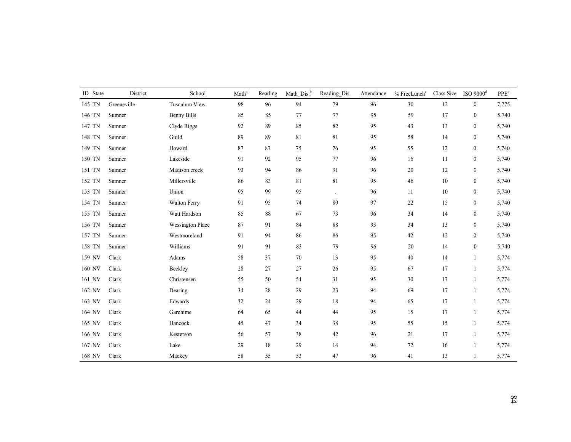| ID State | District    | School                  | Math <sup>a</sup> | Reading | Math_Dis. <sup>b</sup> | Reading_Dis. | Attendance | $%$ FreeLunch $c$ | Class Size ISO 9000 <sup>d</sup> |                  | $\ensuremath{\mathsf{PPE}}\xspace^\ensuremath{\mathsf{e}}$ |
|----------|-------------|-------------------------|-------------------|---------|------------------------|--------------|------------|-------------------|----------------------------------|------------------|------------------------------------------------------------|
| 145 TN   | Greeneville | Tusculum View           | 98                | 96      | 94                     | 79           | 96         | $30\,$            | 12                               | $\mathbf{0}$     | 7,775                                                      |
| 146 TN   | Sumner      | Benny Bills             | 85                | 85      | 77                     | 77           | 95         | 59                | 17                               | $\boldsymbol{0}$ | 5,740                                                      |
| 147 TN   | Sumner      | Clyde Riggs             | 92                | 89      | 85                     | 82           | 95         | 43                | 13                               | $\boldsymbol{0}$ | 5,740                                                      |
| 148 TN   | Sumner      | Guild                   | 89                | 89      | 81                     | 81           | 95         | 58                | 14                               | $\boldsymbol{0}$ | 5,740                                                      |
| 149 TN   | Sumner      | Howard                  | 87                | 87      | 75                     | 76           | 95         | 55                | 12                               | $\boldsymbol{0}$ | 5,740                                                      |
| 150 TN   | Sumner      | Lakeside                | 91                | 92      | 95                     | 77           | 96         | 16                | 11                               | $\boldsymbol{0}$ | 5,740                                                      |
| 151 TN   | Sumner      | Madison creek           | 93                | 94      | 86                     | 91           | 96         | $20\,$            | 12                               | $\boldsymbol{0}$ | 5,740                                                      |
| 152 TN   | Sumner      | Millersville            | 86                | 83      | 81                     | $8\sqrt{1}$  | 95         | 46                | 10                               | $\boldsymbol{0}$ | 5,740                                                      |
| 153 TN   | Sumner      | Union                   | 95                | 99      | 95                     |              | 96         | 11                | 10                               | $\boldsymbol{0}$ | 5,740                                                      |
| 154 TN   | Sumner      | Walton Ferry            | 91                | 95      | 74                     | 89           | 97         | $22\,$            | 15                               | $\boldsymbol{0}$ | 5,740                                                      |
| 155 TN   | Sumner      | Watt Hardson            | 85                | 88      | 67                     | 73           | 96         | 34                | 14                               | $\boldsymbol{0}$ | 5,740                                                      |
| 156 TN   | Sumner      | <b>Wessington Place</b> | 87                | 91      | 84                     | 88           | 95         | 34                | 13                               | $\boldsymbol{0}$ | 5,740                                                      |
| 157 TN   | Sumner      | Westmoreland            | 91                | 94      | 86                     | 86           | 95         | 42                | 12                               | $\boldsymbol{0}$ | 5,740                                                      |
| 158 TN   | Sumner      | Williams                | 91                | 91      | 83                     | 79           | 96         | 20                | 14                               | $\boldsymbol{0}$ | 5,740                                                      |
| 159 NV   | Clark       | Adams                   | 58                | 37      | 70                     | 13           | 95         | $40\,$            | 14                               | 1                | 5,774                                                      |
| 160 NV   | Clark       | Beckley                 | $28\,$            | $27\,$  | 27                     | $26\,$       | 95         | 67                | 17                               | 1                | 5,774                                                      |
| 161 NV   | Clark       | Christensen             | 55                | 50      | 54                     | 31           | 95         | 30                | 17                               | 1                | 5,774                                                      |
| 162 NV   | Clark       | Dearing                 | 34                | $28\,$  | 29                     | 23           | 94         | 69                | 17                               | $\mathbf{1}$     | 5,774                                                      |
| 163 NV   | Clark       | Edwards                 | 32                | 24      | 29                     | 18           | 94         | 65                | 17                               | $\mathbf{1}$     | 5,774                                                      |
| 164 NV   | Clark       | Garehime                | 64                | 65      | 44                     | 44           | 95         | 15                | 17                               | $\mathbf{1}$     | 5,774                                                      |
| 165 NV   | Clark       | Hancock                 | 45                | 47      | 34                     | 38           | 95         | 55                | 15                               | 1                | 5,774                                                      |
| 166 NV   | Clark       | Kesterson               | 56                | 57      | 38                     | 42           | 96         | 21                | 17                               | $\mathbf{1}$     | 5,774                                                      |
| 167 NV   | Clark       | Lake                    | 29                | 18      | 29                     | 14           | 94         | 72                | 16                               | 1                | 5,774                                                      |
| 168 NV   | Clark       | Mackey                  | 58                | 55      | 53                     | 47           | 96         | 41                | 13                               | 1                | 5,774                                                      |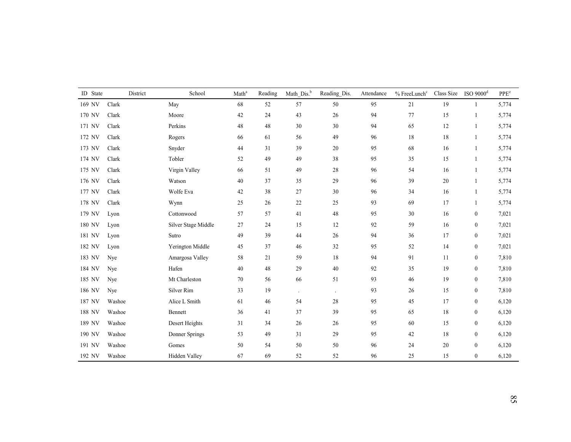| ID State | District | School              | Math <sup>a</sup> | Reading | Math Dis. <sup>b</sup> | Reading_Dis. | Attendance | % FreeLunch <sup>c</sup> | Class Size | $ISO$ 9000 $^{d}$ | PPE <sup>e</sup> |
|----------|----------|---------------------|-------------------|---------|------------------------|--------------|------------|--------------------------|------------|-------------------|------------------|
| 169 NV   | Clark    | May                 | 68                | 52      | 57                     | $50\,$       | 95         | 21                       | 19         | $\mathbf{1}$      | 5,774            |
| 170 NV   | Clark    | Moore               | 42                | 24      | 43                     | $26\,$       | 94         | 77                       | 15         | 1                 | 5,774            |
| 171 NV   | Clark    | Perkins             | 48                | 48      | 30                     | 30           | 94         | 65                       | 12         | $\mathbf{1}$      | 5,774            |
| 172 NV   | Clark    | Rogers              | 66                | 61      | 56                     | 49           | 96         | 18                       | 18         | 1                 | 5,774            |
| 173 NV   | Clark    | Snyder              | 44                | 31      | 39                     | $20\,$       | 95         | 68                       | 16         | $\mathbf{1}$      | 5,774            |
| 174 NV   | Clark    | Tobler              | 52                | 49      | 49                     | $38\,$       | 95         | 35                       | 15         | 1                 | 5,774            |
| 175 NV   | Clark    | Virgin Valley       | 66                | 51      | 49                     | 28           | 96         | 54                       | 16         | $\mathbf{1}$      | 5,774            |
| 176 NV   | Clark    | Watson              | 40                | 37      | 35                     | 29           | 96         | 39                       | $20\,$     | 1                 | 5,774            |
| 177 NV   | Clark    | Wolfe Eva           | 42                | $38\,$  | 27                     | $30\,$       | 96         | 34                       | 16         | $\mathbf{1}$      | 5,774            |
| 178 NV   | Clark    | Wynn                | 25                | 26      | 22                     | 25           | 93         | 69                       | 17         | 1                 | 5,774            |
| 179 NV   | Lyon     | Cottonwood          | 57                | 57      | 41                     | $48\,$       | 95         | 30                       | 16         | $\bf{0}$          | 7,021            |
| 180 NV   | Lyon     | Silver Stage Middle | 27                | 24      | 15                     | 12           | 92         | 59                       | 16         | $\boldsymbol{0}$  | 7,021            |
| 181 NV   | Lyon     | Sutro               | 49                | 39      | 44                     | $26\,$       | 94         | 36                       | 17         | $\boldsymbol{0}$  | 7,021            |
| 182 NV   | Lyon     | Yerington Middle    | 45                | 37      | 46                     | $32\,$       | 95         | 52                       | 14         | $\boldsymbol{0}$  | 7,021            |
| 183 NV   | Nye      | Amargosa Valley     | 58                | 21      | 59                     | $18\,$       | 94         | 91                       | 11         | $\boldsymbol{0}$  | 7,810            |
| 184 NV   | Nye      | Hafen               | 40                | $48\,$  | 29                     | $40\,$       | 92         | 35                       | 19         | $\boldsymbol{0}$  | 7,810            |
| 185 NV   | Nye      | Mt Charleston       | 70                | 56      | 66                     | 51           | 93         | 46                       | 19         | $\boldsymbol{0}$  | 7,810            |
| 186 NV   | Nye      | Silver Rim          | 33                | 19      | $\ddot{\phantom{a}}$   | $\cdot$      | 93         | 26                       | 15         | $\boldsymbol{0}$  | 7,810            |
| 187 NV   | Washoe   | Alice L Smith       | 61                | 46      | 54                     | 28           | 95         | 45                       | 17         | $\boldsymbol{0}$  | 6,120            |
| 188 NV   | Washoe   | Bennett             | 36                | 41      | 37                     | 39           | 95         | 65                       | 18         | $\boldsymbol{0}$  | 6,120            |
| 189 NV   | Washoe   | Desert Heights      | 31                | 34      | $26\,$                 | $26\,$       | 95         | 60                       | 15         | $\boldsymbol{0}$  | 6,120            |
| 190 NV   | Washoe   | Donner Springs      | 53                | 49      | 31                     | 29           | 95         | 42                       | 18         | $\boldsymbol{0}$  | 6,120            |
| 191 NV   | Washoe   | Gomes               | 50                | 54      | $50\,$                 | $50\,$       | 96         | 24                       | $20\,$     | $\boldsymbol{0}$  | 6,120            |
| 192 NV   | Washoe   | Hidden Valley       | 67                | 69      | 52                     | 52           | 96         | 25                       | 15         | $\boldsymbol{0}$  | 6,120            |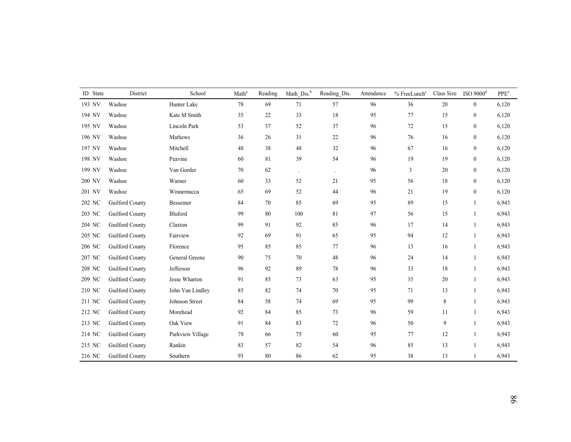| <b>ID</b> State | District               | School           | Math <sup>a</sup> | Reading | Math_Dis. <sup>b</sup> | Reading_Dis.         | Attendance | % FreeLunch <sup>c</sup> | Class Size | ISO $9000d$      | PPE <sup>e</sup> |
|-----------------|------------------------|------------------|-------------------|---------|------------------------|----------------------|------------|--------------------------|------------|------------------|------------------|
| 193 NV          | Washoe                 | Hunter Lake      | $78\,$            | 69      | 71                     | 57                   | 96         | 36                       | $20\,$     | $\mathbf{0}$     | 6,120            |
| 194 NV          | Washoe                 | Kate M Smith     | 35                | 22      | 33                     | 18                   | 95         | 77                       | 15         | $\boldsymbol{0}$ | 6,120            |
| 195 NV          | Washoe                 | Lincoln Park     | 53                | 37      | 52                     | 37                   | 96         | 72                       | 15         | $\boldsymbol{0}$ | 6,120            |
| 196 NV          | Washoe                 | Mathews          | 36                | 26      | 31                     | $22\,$               | 96         | 76                       | 16         | $\boldsymbol{0}$ | 6,120            |
| 197 NV          | Washoe                 | Mitchell         | 48                | 38      | 48                     | 32                   | 96         | 67                       | 16         | $\boldsymbol{0}$ | 6,120            |
| 198 NV          | Washoe                 | Peavine          | 60                | $81\,$  | 39                     | 54                   | 96         | 19                       | 19         | $\boldsymbol{0}$ | 6,120            |
| 199 NV          | Washoe                 | Van Gorder       | 70                | 62      | $\Box$                 | $\ddot{\phantom{a}}$ | 96         | 3                        | 20         | $\boldsymbol{0}$ | 6,120            |
| 200 NV          | Washoe                 | Warner           | 60                | 33      | 52                     | 21                   | 95         | 56                       | 18         | $\boldsymbol{0}$ | 6,120            |
| 201 NV          | Washoe                 | Winnemucca       | 65                | 69      | 52                     | 44                   | 96         | 21                       | 19         | $\boldsymbol{0}$ | 6,120            |
| 202 NC          | Guilford County        | Bessemer         | 84                | 70      | 85                     | 69                   | 95         | 89                       | 15         | $\overline{1}$   | 6,943            |
| 203 NC          | Guilford County        | Bluford          | 99                | 80      | 100                    | 81                   | 97         | 56                       | 15         | $\mathbf{1}$     | 6,943            |
| 204 NC          | Guilford County        | Claxton          | 99                | 91      | 92                     | 85                   | 96         | 17                       | 14         | $\overline{1}$   | 6,943            |
| 205 NC          | Guilford County        | Fairview         | 92                | 69      | 91                     | 65                   | 95         | 94                       | 12         | $\overline{1}$   | 6,943            |
| 206 NC          | Guilford County        | Florence         | 95                | 85      | 85                     | 77                   | 96         | 13                       | 16         |                  | 6,943            |
| 207 NC          | Guilford County        | General Greene   | 90                | 75      | 70                     | 48                   | 96         | 24                       | 14         | $\overline{1}$   | 6,943            |
| 208 NC          | Guilford County        | Jefferson        | 96                | 92      | 89                     | 78                   | 96         | 33                       | 18         |                  | 6,943            |
| 209 NC          | Guilford County        | Jesse Wharton    | 91                | 85      | 73                     | 63                   | 95         | 35                       | 20         |                  | 6,943            |
| 210 NC          | Guilford County        | John Van Lindley | 85                | 82      | 74                     | $70\,$               | 95         | 71                       | 13         |                  | 6,943            |
| 211 NC          | Guilford County        | Johnson Street   | 84                | 58      | 74                     | 69                   | 95         | 99                       | $\,8\,$    |                  | 6,943            |
| 212 NC          | Guilford County        | Morehead         | 92                | 84      | 85                     | 73                   | 96         | 59                       | 11         | $\overline{1}$   | 6,943            |
| 213 NC          | Guilford County        | Oak View         | 91                | 84      | 83                     | 72                   | 96         | 50                       | 9          | $\overline{1}$   | 6,943            |
| 214 NC          | Guilford County        | Parkview Village | 78                | 66      | 75                     | 60                   | 95         | 77                       | 12         | $\overline{1}$   | 6,943            |
| 215 NC          | Guilford County        | Rankin           | 83                | 57      | 82                     | 54                   | 96         | 85                       | 13         | $\overline{1}$   | 6,943            |
| 216 NC          | <b>Guilford County</b> | Southern         | 93                | 80      | 86                     | 62                   | 95         | 38                       | 13         |                  | 6,943            |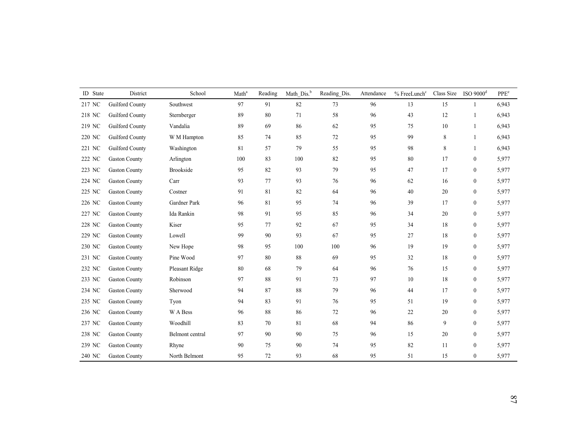| ID State | District             | School           | Math <sup>a</sup> | Reading | Math Dis. <sup>b</sup> | Reading_Dis. | Attendance | % FreeLunch <sup>c</sup> | Class Size | ISO $9000d$      | PPE <sup>e</sup> |
|----------|----------------------|------------------|-------------------|---------|------------------------|--------------|------------|--------------------------|------------|------------------|------------------|
| 217 NC   | Guilford County      | Southwest        | 97                | 91      | 82                     | 73           | 96         | 13                       | 15         |                  | 6,943            |
| 218 NC   | Guilford County      | Sternberger      | 89                | 80      | 71                     | 58           | 96         | 43                       | 12         | $\overline{1}$   | 6,943            |
| 219 NC   | Guilford County      | Vandalia         | 89                | 69      | 86                     | 62           | 95         | 75                       | 10         |                  | 6,943            |
| 220 NC   | Guilford County      | W M Hampton      | 85                | 74      | 85                     | $72\,$       | 95         | 99                       | $\,8\,$    |                  | 6,943            |
| 221 NC   | Guilford County      | Washington       | 81                | 57      | 79                     | 55           | 95         | 98                       | $\,8\,$    | $\mathbf{1}$     | 6,943            |
| 222 NC   | <b>Gaston County</b> | Arlington        | 100               | 83      | 100                    | $82\,$       | 95         | 80                       | 17         | $\boldsymbol{0}$ | 5,977            |
| 223 NC   | <b>Gaston County</b> | <b>Brookside</b> | 95                | $82\,$  | 93                     | 79           | 95         | 47                       | 17         | $\boldsymbol{0}$ | 5,977            |
| 224 NC   | <b>Gaston County</b> | Carr             | 93                | 77      | 93                     | 76           | 96         | 62                       | 16         | $\boldsymbol{0}$ | 5,977            |
| 225 NC   | <b>Gaston County</b> | Costner          | 91                | 81      | 82                     | 64           | 96         | 40                       | 20         | $\boldsymbol{0}$ | 5,977            |
| 226 NC   | <b>Gaston County</b> | Gardner Park     | 96                | 81      | 95                     | 74           | 96         | 39                       | 17         | $\boldsymbol{0}$ | 5,977            |
| 227 NC   | <b>Gaston County</b> | Ida Rankin       | 98                | 91      | 95                     | 85           | 96         | 34                       | 20         | $\mathbf{0}$     | 5,977            |
| 228 NC   | <b>Gaston County</b> | Kiser            | 95                | 77      | 92                     | 67           | 95         | 34                       | 18         | $\boldsymbol{0}$ | 5,977            |
| 229 NC   | <b>Gaston County</b> | Lowell           | 99                | 90      | 93                     | 67           | 95         | 27                       | 18         | $\boldsymbol{0}$ | 5,977            |
| 230 NC   | <b>Gaston County</b> | New Hope         | 98                | 95      | 100                    | 100          | 96         | 19                       | 19         | $\boldsymbol{0}$ | 5,977            |
| 231 NC   | <b>Gaston County</b> | Pine Wood        | 97                | 80      | 88                     | 69           | 95         | 32                       | 18         | $\boldsymbol{0}$ | 5,977            |
| 232 NC   | <b>Gaston County</b> | Pleasant Ridge   | 80                | 68      | 79                     | 64           | 96         | 76                       | 15         | $\boldsymbol{0}$ | 5,977            |
| 233 NC   | <b>Gaston County</b> | Robinson         | 97                | 88      | 91                     | 73           | 97         | 10                       | 18         | $\boldsymbol{0}$ | 5,977            |
| 234 NC   | <b>Gaston County</b> | Sherwood         | 94                | 87      | 88                     | 79           | 96         | 44                       | 17         | $\boldsymbol{0}$ | 5,977            |
| 235 NC   | <b>Gaston County</b> | Tyon             | 94                | 83      | 91                     | $76\,$       | 95         | 51                       | 19         | $\boldsymbol{0}$ | 5,977            |
| 236 NC   | <b>Gaston County</b> | W A Bess         | 96                | $88\,$  | 86                     | 72           | 96         | 22                       | 20         | $\boldsymbol{0}$ | 5,977            |
| 237 NC   | <b>Gaston County</b> | Woodhill         | 83                | 70      | 81                     | 68           | 94         | 86                       | 9          | $\boldsymbol{0}$ | 5,977            |
| 238 NC   | <b>Gaston County</b> | Belmont central  | 97                | 90      | 90                     | 75           | 96         | 15                       | 20         | $\boldsymbol{0}$ | 5,977            |
| 239 NC   | <b>Gaston County</b> | Rhyne            | 90                | 75      | 90                     | 74           | 95         | 82                       | 11         | $\mathbf{0}$     | 5,977            |
| 240 NC   | <b>Gaston County</b> | North Belmont    | 95                | 72      | 93                     | 68           | 95         | 51                       | 15         | $\boldsymbol{0}$ | 5,977            |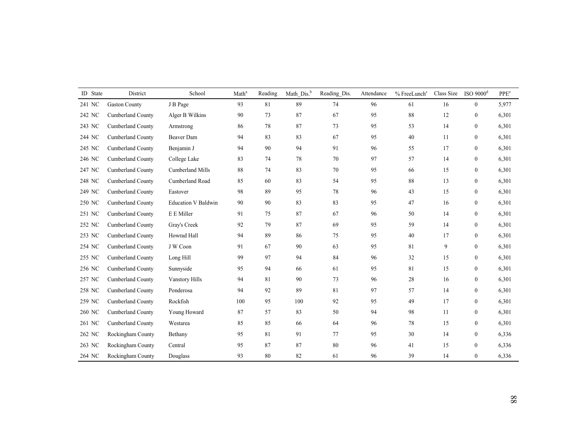| ID State | District                 | School                     | Math <sup>a</sup> | Reading     | Math_Dis. <sup>b</sup> | Reading_Dis. | Attendance | $\%$ FreeLunch $^{\rm c}$ | Class Size | $ISO$ 9000 $^{d}$ | PPE <sup>e</sup> |
|----------|--------------------------|----------------------------|-------------------|-------------|------------------------|--------------|------------|---------------------------|------------|-------------------|------------------|
| 241 NC   | <b>Gaston County</b>     | J B Page                   | 93                | $8\sqrt{1}$ | 89                     | $74\,$       | 96         | 61                        | 16         | $\mathbf{0}$      | 5,977            |
| 242 NC   | Cumberland County        | Alger B Wilkins            | 90                | 73          | 87                     | 67           | 95         | $88\,$                    | 12         | $\boldsymbol{0}$  | 6,301            |
| 243 NC   | <b>Cumberland County</b> | Armstrong                  | 86                | 78          | 87                     | 73           | 95         | 53                        | 14         | $\boldsymbol{0}$  | 6,301            |
| 244 NC   | <b>Cumberland County</b> | Beaver Dam                 | 94                | 83          | 83                     | 67           | 95         | 40                        | 11         | $\mathbf{0}$      | 6,301            |
| 245 NC   | <b>Cumberland County</b> | Benjamin J                 | 94                | 90          | 94                     | 91           | 96         | 55                        | 17         | $\mathbf{0}$      | 6,301            |
| 246 NC   | Cumberland County        | College Lake               | 83                | 74          | 78                     | $70\,$       | 97         | 57                        | 14         | $\mathbf{0}$      | 6,301            |
| 247 NC   | Cumberland County        | Cumberland Mills           | 88                | 74          | 83                     | $70\,$       | 95         | 66                        | 15         | $\mathbf{0}$      | 6,301            |
| 248 NC   | Cumberland County        | Cumberland Road            | 85                | 60          | 83                     | 54           | 95         | $\bf 88$                  | 13         | $\mathbf{0}$      | 6,301            |
| 249 NC   | Cumberland County        | Eastover                   | 98                | 89          | 95                     | 78           | 96         | 43                        | 15         | $\boldsymbol{0}$  | 6,301            |
| 250 NC   | Cumberland County        | <b>Education V Baldwin</b> | 90                | 90          | 83                     | 83           | 95         | 47                        | 16         | $\boldsymbol{0}$  | 6,301            |
| 251 NC   | <b>Cumberland County</b> | E E Miller                 | 91                | 75          | 87                     | 67           | 96         | 50                        | 14         | $\boldsymbol{0}$  | 6,301            |
| 252 NC   | <b>Cumberland County</b> | Gray's Creek               | 92                | 79          | 87                     | 69           | 95         | 59                        | 14         | $\mathbf{0}$      | 6,301            |
| 253 NC   | <b>Cumberland County</b> | Howrad Hall                | 94                | 89          | 86                     | 75           | 95         | 40                        | 17         | $\mathbf{0}$      | 6,301            |
| 254 NC   | Cumberland County        | J W Coon                   | 91                | 67          | 90                     | 63           | 95         | 81                        | 9          | $\mathbf{0}$      | 6,301            |
| 255 NC   | Cumberland County        | Long Hill                  | 99                | 97          | 94                     | 84           | 96         | 32                        | 15         | $\boldsymbol{0}$  | 6,301            |
| 256 NC   | Cumberland County        | Sunnyside                  | 95                | 94          | 66                     | 61           | 95         | 81                        | 15         | $\boldsymbol{0}$  | 6,301            |
| 257 NC   | Cumberland County        | Vanstory Hills             | 94                | 81          | 90                     | 73           | 96         | 28                        | 16         | $\boldsymbol{0}$  | 6,301            |
| 258 NC   | Cumberland County        | Ponderosa                  | 94                | 92          | 89                     | 81           | 97         | 57                        | 14         | $\boldsymbol{0}$  | 6,301            |
| 259 NC   | Cumberland County        | Rockfish                   | 100               | 95          | 100                    | 92           | 95         | 49                        | 17         | $\mathbf{0}$      | 6,301            |
| 260 NC   | <b>Cumberland County</b> | Young Howard               | 87                | 57          | 83                     | 50           | 94         | 98                        | 11         | $\mathbf{0}$      | 6,301            |
| 261 NC   | <b>Cumberland County</b> | Westarea                   | 85                | 85          | 66                     | 64           | 96         | 78                        | 15         | $\mathbf{0}$      | 6,301            |
| 262 NC   | Rockingham County        | Bethany                    | 95                | 81          | 91                     | 77           | 95         | 30                        | 14         | $\mathbf{0}$      | 6,336            |
| 263 NC   | Rockingham County        | Central                    | 95                | 87          | 87                     | $80\,$       | 96         | 41                        | 15         | $\bf{0}$          | 6,336            |
| 264 NC   | Rockingham County        | Douglass                   | 93                | 80          | 82                     | 61           | 96         | 39                        | 14         | $\boldsymbol{0}$  | 6,336            |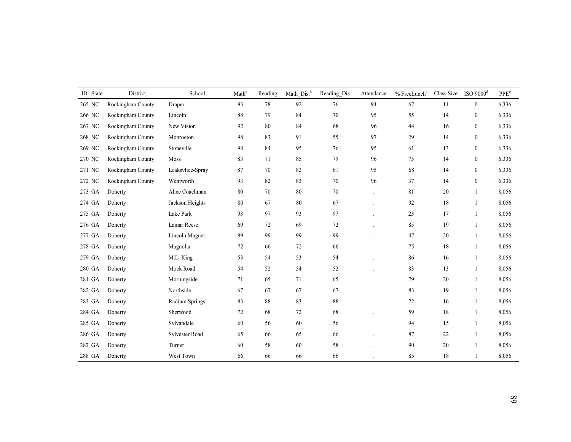| ID State | District          | School                | Math <sup>a</sup> | Reading | Math Dis. <sup>b</sup> | Reading_Dis. | Attendance | % FreeLunch <sup>c</sup> | Class Size | $ISO$ 9000 $^{d}$ | PPE <sup>e</sup> |
|----------|-------------------|-----------------------|-------------------|---------|------------------------|--------------|------------|--------------------------|------------|-------------------|------------------|
| 265 NC   | Rockingham County | Draper                | 93                | 78      | 92                     | $76\,$       | 94         | 67                       | 11         | $\mathbf{0}$      | 6,336            |
| 266 NC   | Rockingham County | Lincoln               | 88                | 79      | 84                     | $70\,$       | 95         | 55                       | 14         | $\boldsymbol{0}$  | 6,336            |
| 267 NC   | Rockingham County | New Vision            | 92                | 80      | 84                     | 68           | 96         | 44                       | 16         | $\bf{0}$          | 6,336            |
| 268 NC   | Rockingham County | Monroeton             | 98                | 83      | 91                     | 55           | 97         | 29                       | 14         | $\bf{0}$          | 6,336            |
| 269 NC   | Rockingham County | Stoneville            | 98                | 84      | 95                     | 76           | 95         | 61                       | 13         | $\boldsymbol{0}$  | 6,336            |
| 270 NC   | Rockingham County | Moss                  | 83                | 71      | 85                     | 79           | 96         | 75                       | 14         | $\mathbf{0}$      | 6,336            |
| 271 NC   | Rockingham County | Leaksvliee-Spray      | 87                | 70      | 82                     | 61           | 95         | 68                       | 14         | $\boldsymbol{0}$  | 6,336            |
| 272 NC   | Rockingham County | Wentworth             | 93                | 82      | 83                     | 70           | 96         | 37                       | 14         | $\boldsymbol{0}$  | 6,336            |
| 273 GA   | Doherty           | Alice Coachman        | $80\,$            | 70      | 80                     | 70           |            | 81                       | $20\,$     | 1                 | 8,056            |
| 274 GA   | Doherty           | Jackson Heights       | 80                | 67      | 80                     | 67           |            | 92                       | 18         | $\mathbf{1}$      | 8,056            |
| 275 GA   | Doherty           | Lake Park             | 93                | 97      | 93                     | 97           |            | 23                       | 17         | $\overline{1}$    | 8,056            |
| 276 GA   | Doherty           | Lamar Reese           | 69                | 72      | 69                     | 72           |            | 85                       | 19         |                   | 8,056            |
| 277 GA   | Doherty           | Lincoln Magnet        | 99                | 99      | 99                     | 99           |            | 47                       | 20         | $\overline{1}$    | 8,056            |
| 278 GA   | Doherty           | Magnolia              | 72                | 66      | 72                     | 66           |            | 75                       | 18         | $\mathbf{1}$      | 8,056            |
| 279 GA   | Doherty           | M.L. King             | 53                | 54      | 53                     | 54           |            | 86                       | 16         | 1                 | 8,056            |
| 280 GA   | Doherty           | Mock Road             | 54                | 52      | 54                     | 52           |            | 83                       | 13         |                   | 8,056            |
| 281 GA   | Doherty           | Morningside           | 71                | 65      | 71                     | 65           |            | 79                       | $20\,$     |                   | 8,056            |
| 282 GA   | Doherty           | Northside             | 67                | 67      | 67                     | 67           |            | 83                       | 19         | $\overline{1}$    | 8,056            |
| 283 GA   | Doherty           | Radium Springs        | 83                | 88      | 83                     | 88           |            | 72                       | 16         | 1                 | 8,056            |
| 284 GA   | Doherty           | Sherwood              | 72                | 68      | 72                     | 68           |            | 59                       | 18         | 1                 | 8,056            |
| 285 GA   | Doherty           | Sylvandale            | 60                | 56      | 60                     | 56           |            | 94                       | 15         | 1                 | 8,056            |
| 286 GA   | Doherty           | <b>Sylvester Road</b> | 65                | 66      | 65                     | 66           |            | 87                       | 22         |                   | 8,056            |
| 287 GA   | Doherty           | Turner                | 60                | $58\,$  | $60\,$                 | $58\,$       |            | 90                       | 20         |                   | 8,056            |
| 288 GA   | Doherty           | West Town             | 66                | 66      | 66                     | 66           |            | 85                       | 18         |                   | 8,056            |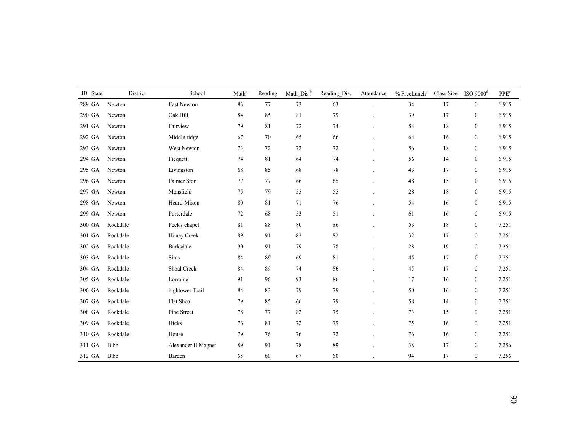| ID State | District | School              | Math <sup>a</sup> | Reading     | Math_Dis. <sup>b</sup> | Reading_Dis. | Attendance | % FreeLunch <sup>c</sup> | Class Size | $ISO$ 9000 $^{d}$ | PPE <sup>e</sup> |
|----------|----------|---------------------|-------------------|-------------|------------------------|--------------|------------|--------------------------|------------|-------------------|------------------|
| 289 GA   | Newton   | East Newton         | 83                | $77 \,$     | 73                     | 63           |            | 34                       | 17         | $\mathbf{0}$      | 6,915            |
| 290 GA   | Newton   | Oak Hill            | 84                | 85          | 81                     | 79           |            | 39                       | 17         | $\boldsymbol{0}$  | 6,915            |
| 291 GA   | Newton   | Fairview            | 79                | 81          | 72                     | 74           |            | 54                       | 18         | $\boldsymbol{0}$  | 6,915            |
| 292 GA   | Newton   | Middle ridge        | 67                | 70          | 65                     | 66           |            | 64                       | 16         | $\boldsymbol{0}$  | 6,915            |
| 293 GA   | Newton   | West Newton         | 73                | 72          | 72                     | $72\,$       |            | 56                       | 18         | $\boldsymbol{0}$  | 6,915            |
| 294 GA   | Newton   | Ficquett            | 74                | $8\sqrt{1}$ | 64                     | 74           |            | 56                       | 14         | $\boldsymbol{0}$  | 6,915            |
| 295 GA   | Newton   | Livingston          | 68                | 85          | 68                     | 78           |            | 43                       | 17         | $\boldsymbol{0}$  | 6,915            |
| 296 GA   | Newton   | Palmer Ston         | 77                | 77          | 66                     | 65           |            | 48                       | 15         | $\boldsymbol{0}$  | 6,915            |
| 297 GA   | Newton   | Mansfield           | 75                | 79          | 55                     | 55           |            | 28                       | 18         | $\boldsymbol{0}$  | 6,915            |
| 298 GA   | Newton   | Heard-Mixon         | 80                | 81          | 71                     | 76           |            | 54                       | 16         | $\boldsymbol{0}$  | 6.915            |
| 299 GA   | Newton   | Porterdale          | 72                | 68          | 53                     | 51           |            | 61                       | 16         | $\bf{0}$          | 6,915            |
| 300 GA   | Rockdale | Peek's chapel       | 81                | 88          | 80                     | 86           |            | 53                       | 18         | $\boldsymbol{0}$  | 7,251            |
| 301 GA   | Rockdale | Honey Creek         | 89                | 91          | 82                     | 82           |            | 32                       | 17         | $\boldsymbol{0}$  | 7,251            |
| 302 GA   | Rockdale | Barksdale           | 90                | 91          | 79                     | 78           |            | 28                       | 19         | $\boldsymbol{0}$  | 7,251            |
| 303 GA   | Rockdale | Sims                | 84                | 89          | 69                     | 81           |            | 45                       | 17         | $\boldsymbol{0}$  | 7,251            |
| 304 GA   | Rockdale | Shoal Creek         | 84                | 89          | 74                     | 86           |            | 45                       | 17         | $\boldsymbol{0}$  | 7,251            |
| 305 GA   | Rockdale | Lorraine            | 91                | 96          | 93                     | 86           |            | 17                       | 16         | $\boldsymbol{0}$  | 7,251            |
| 306 GA   | Rockdale | hightower Trail     | 84                | 83          | 79                     | 79           |            | 50                       | 16         | $\mathbf{0}$      | 7,251            |
| 307 GA   | Rockdale | Flat Shoal          | 79                | 85          | 66                     | 79           |            | 58                       | 14         | $\boldsymbol{0}$  | 7,251            |
| 308 GA   | Rockdale | Pine Street         | 78                | 77          | 82                     | 75           |            | 73                       | 15         | $\mathbf{0}$      | 7,251            |
| 309 GA   | Rockdale | Hicks               | 76                | 81          | 72                     | 79           |            | 75                       | 16         | $\boldsymbol{0}$  | 7,251            |
| 310 GA   | Rockdale | House               | 79                | 76          | 76                     | $72\,$       |            | 76                       | 16         | $\boldsymbol{0}$  | 7,251            |
| 311 GA   | Bibb     | Alexander II Magnet | 89                | 91          | $78\,$                 | 89           |            | 38                       | 17         | $\boldsymbol{0}$  | 7,256            |
| 312 GA   | Bibb     | Barden              | 65                | 60          | 67                     | 60           |            | 94                       | 17         | $\boldsymbol{0}$  | 7,256            |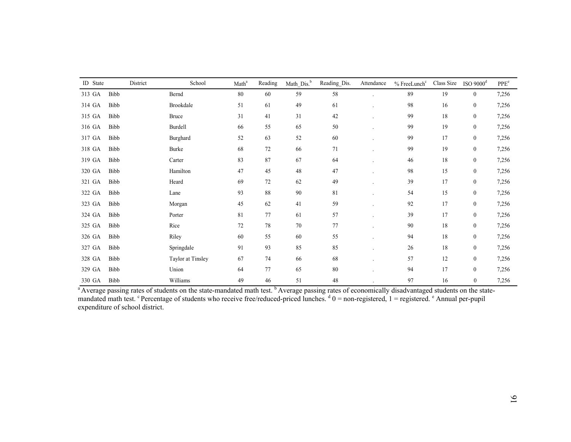| ID State | District | School            | Math <sup>a</sup> | Reading | Math Dis. <sup>b</sup> | Reading_Dis. | Attendance | $%$ FreeLunch $c$ | Class Size | ISO $9000d$      | PPE <sup>e</sup> |
|----------|----------|-------------------|-------------------|---------|------------------------|--------------|------------|-------------------|------------|------------------|------------------|
| 313 GA   | Bibb     | Bernd             | 80                | 60      | 59                     | 58           |            | 89                | 19         | $\mathbf{0}$     | 7,256            |
| 314 GA   | Bibb     | Brookdale         | 51                | 61      | 49                     | 61           |            | 98                | 16         | $\boldsymbol{0}$ | 7,256            |
| 315 GA   | Bibb     | <b>Bruce</b>      | 31                | 41      | 31                     | 42           |            | 99                | 18         | $\boldsymbol{0}$ | 7,256            |
| 316 GA   | Bibb     | Burdell           | 66                | 55      | 65                     | 50           |            | 99                | 19         | $\boldsymbol{0}$ | 7,256            |
| 317 GA   | Bibb     | Burghard          | 52                | 63      | 52                     | 60           |            | 99                | 17         | $\boldsymbol{0}$ | 7,256            |
| 318 GA   | Bibb     | Burke             | 68                | 72      | 66                     | 71           |            | 99                | 19         | $\mathbf{0}$     | 7,256            |
| 319 GA   | Bibb     | Carter            | 83                | 87      | 67                     | 64           |            | 46                | 18         | $\boldsymbol{0}$ | 7,256            |
| 320 GA   | Bibb     | Hamilton          | 47                | 45      | 48                     | 47           |            | 98                | 15         | $\boldsymbol{0}$ | 7,256            |
| 321 GA   | Bibb     | Heard             | 69                | 72      | 62                     | 49           |            | 39                | 17         | $\boldsymbol{0}$ | 7,256            |
| 322 GA   | Bibb     | Lane              | 93                | 88      | 90                     | 81           |            | 54                | 15         | $\boldsymbol{0}$ | 7,256            |
| 323 GA   | Bibb     | Morgan            | 45                | 62      | 41                     | 59           |            | 92                | 17         | $\boldsymbol{0}$ | 7,256            |
| 324 GA   | Bibb     | Porter            | 81                | 77      | 61                     | 57           |            | 39                | 17         | $\boldsymbol{0}$ | 7,256            |
| 325 GA   | Bibb     | Rice              | $72\,$            | 78      | 70                     | $77 \,$      |            | 90                | 18         | $\boldsymbol{0}$ | 7,256            |
| 326 GA   | Bibb     | Riley             | 60                | 55      | 60                     | 55           |            | 94                | 18         | $\boldsymbol{0}$ | 7,256            |
| 327 GA   | Bibb     | Springdale        | 91                | 93      | 85                     | 85           |            | 26                | 18         | $\boldsymbol{0}$ | 7,256            |
| 328 GA   | Bibb     | Taylor at Tinsley | 67                | 74      | 66                     | 68           |            | 57                | 12         | $\boldsymbol{0}$ | 7,256            |
| 329 GA   | Bibb     | Union             | 64                | 77      | 65                     | 80           |            | 94                | 17         | $\boldsymbol{0}$ | 7,256            |
| 330 GA   | Bibb     | Williams          | 49                | 46      | 51                     | 48           |            | 97                | 16         | $\boldsymbol{0}$ | 7,256            |

<sup>a</sup> Average passing rates of students on the state-mandated math test. <sup>b</sup> Average passing rates of economically disadvantaged students on the statemandated math test. <sup>c</sup> Percentage of students who receive free/reduced-priced lunches.  $d_0 =$  non-registered,  $1 =$  registered.  $e_0$  Annual per-pupil expenditure of school district.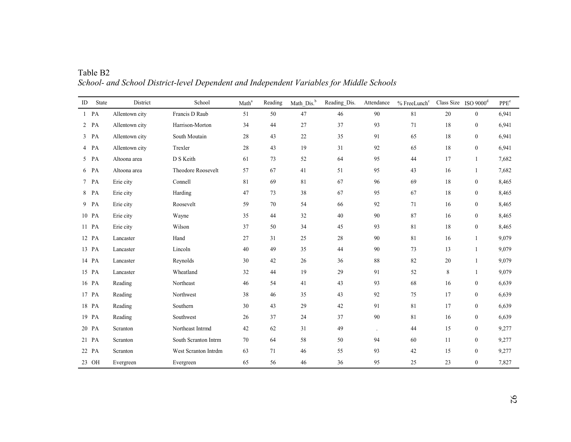| ID | State  | District       | School               | Math <sup>a</sup> | Reading | Math Dis. <sup>b</sup> | Reading_Dis. | Attendance | % FreeLunch <sup>c</sup> | Class Size ISO $9000d$ |                  | PPE <sup>e</sup> |
|----|--------|----------------|----------------------|-------------------|---------|------------------------|--------------|------------|--------------------------|------------------------|------------------|------------------|
|    | $1$ PA | Allentown city | Francis D Raub       | 51                | 50      | 47                     | 46           | 90         | 81                       | 20                     | $\boldsymbol{0}$ | 6,941            |
|    | $2$ PA | Allentown city | Harrison-Morton      | 34                | 44      | 27                     | 37           | 93         | 71                       | 18                     | $\boldsymbol{0}$ | 6,941            |
|    | $3$ PA | Allentown city | South Moutain        | 28                | 43      | 22                     | 35           | 91         | 65                       | 18                     | $\boldsymbol{0}$ | 6,941            |
|    | 4 PA   | Allentown city | Trexler              | $28\,$            | 43      | 19                     | 31           | 92         | 65                       | 18                     | $\boldsymbol{0}$ | 6,941            |
|    | 5 PA   | Altoona area   | D S Keith            | 61                | 73      | 52                     | 64           | 95         | 44                       | 17                     | $\mathbf{1}$     | 7,682            |
|    | 6 PA   | Altoona area   | Theodore Roosevelt   | 57                | 67      | 41                     | 51           | 95         | 43                       | 16                     | $\mathbf{1}$     | 7,682            |
|    | 7 PA   | Erie city      | Connell              | 81                | 69      | 81                     | 67           | 96         | 69                       | 18                     | $\boldsymbol{0}$ | 8,465            |
|    | 8 PA   | Erie city      | Harding              | 47                | 73      | 38                     | 67           | 95         | 67                       | 18                     | $\boldsymbol{0}$ | 8,465            |
|    | 9 PA   | Erie city      | Roosevelt            | 59                | 70      | 54                     | 66           | 92         | 71                       | 16                     | $\boldsymbol{0}$ | 8,465            |
|    | 10 PA  | Erie city      | Wayne                | 35                | 44      | 32                     | 40           | 90         | 87                       | 16                     | $\mathbf{0}$     | 8,465            |
|    | 11 PA  | Erie city      | Wilson               | 37                | 50      | 34                     | 45           | 93         | 81                       | 18                     | $\boldsymbol{0}$ | 8,465            |
|    | 12 PA  | Lancaster      | Hand                 | 27                | 31      | 25                     | 28           | 90         | 81                       | 16                     | $\mathbf{1}$     | 9,079            |
|    | 13 PA  | Lancaster      | Lincoln              | 40                | 49      | 35                     | 44           | 90         | 73                       | 13                     | $\mathbf{1}$     | 9,079            |
|    | 14 PA  | Lancaster      | Reynolds             | 30                | 42      | $26\,$                 | 36           | 88         | 82                       | 20                     | $\mathbf{1}$     | 9,079            |
|    | 15 PA  | Lancaster      | Wheatland            | 32                | 44      | 19                     | 29           | 91         | 52                       | 8                      | 1                | 9,079            |
|    | 16 PA  | Reading        | Northeast            | 46                | 54      | 41                     | 43           | 93         | 68                       | 16                     | $\boldsymbol{0}$ | 6,639            |
|    | 17 PA  | Reading        | Northwest            | 38                | 46      | 35                     | 43           | 92         | 75                       | 17                     | $\boldsymbol{0}$ | 6,639            |
|    | 18 PA  | Reading        | Southern             | 30                | 43      | 29                     | 42           | 91         | 81                       | 17                     | $\boldsymbol{0}$ | 6,639            |
|    | 19 PA  | Reading        | Southwest            | 26                | 37      | 24                     | 37           | 90         | 81                       | 16                     | $\mathbf{0}$     | 6,639            |
|    | 20 PA  | Scranton       | Northeast Intrmd     | 42                | 62      | 31                     | 49           |            | 44                       | 15                     | $\boldsymbol{0}$ | 9,277            |
|    | 21 PA  | Scranton       | South Scranton Intrm | 70                | 64      | 58                     | 50           | 94         | 60                       | 11                     | $\boldsymbol{0}$ | 9,277            |
|    | 22 PA  | Scranton       | West Scranton Intrdm | 63                | 71      | 46                     | 55           | 93         | 42                       | 15                     | $\boldsymbol{0}$ | 9,277            |
|    | 23 OH  | Evergreen      | Evergreen            | 65                | 56      | 46                     | 36           | 95         | 25                       | 23                     | $\boldsymbol{0}$ | 7,827            |

Table B2 *School- and School District-level Dependent and Independent Variables for Middle Schools*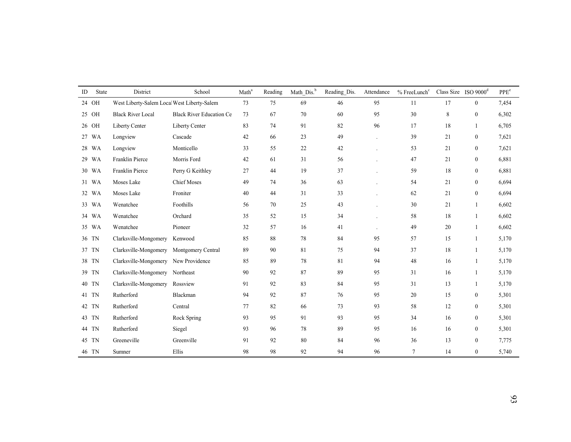| ID | <b>State</b> | District                                    | School                          | Math <sup>a</sup> | Reading | Math Dis. <sup>b</sup> | Reading Dis. | Attendance | $%$ FreeLunch $c$ |    | Class Size ISO $9000d$ | PPE <sup>e</sup> |
|----|--------------|---------------------------------------------|---------------------------------|-------------------|---------|------------------------|--------------|------------|-------------------|----|------------------------|------------------|
|    | 24 OH        | West Liberty-Salem Local West Liberty-Salem |                                 | 73                | 75      | 69                     | 46           | 95         | 11                | 17 | $\boldsymbol{0}$       | 7,454            |
|    | 25 OH        | <b>Black River Local</b>                    | <b>Black River Education Ce</b> | 73                | 67      | 70                     | 60           | 95         | 30                | 8  | $\mathbf{0}$           | 6,302            |
|    | 26 OH        | Liberty Center                              | Liberty Center                  | 83                | 74      | 91                     | 82           | 96         | 17                | 18 | $\mathbf{1}$           | 6,705            |
|    | 27 WA        | Longview                                    | Cascade                         | 42                | 66      | 23                     | 49           |            | 39                | 21 | $\boldsymbol{0}$       | 7,621            |
|    | 28 WA        | Longview                                    | Monticello                      | 33                | 55      | 22                     | 42           |            | 53                | 21 | $\boldsymbol{0}$       | 7,621            |
|    | 29 WA        | Franklin Pierce                             | Morris Ford                     | 42                | 61      | 31                     | 56           |            | 47                | 21 | $\boldsymbol{0}$       | 6,881            |
|    | 30 WA        | Franklin Pierce                             | Perry G Keithley                | 27                | 44      | 19                     | 37           |            | 59                | 18 | $\mathbf{0}$           | 6,881            |
|    | 31 WA        | Moses Lake                                  | <b>Chief Moses</b>              | 49                | 74      | 36                     | 63           |            | 54                | 21 | $\boldsymbol{0}$       | 6,694            |
|    | 32 WA        | Moses Lake                                  | Froniter                        | 40                | 44      | 31                     | 33           |            | 62                | 21 | $\boldsymbol{0}$       | 6,694            |
|    | 33 WA        | Wenatchee                                   | Foothills                       | 56                | 70      | 25                     | 43           |            | 30                | 21 | $\overline{1}$         | 6,602            |
|    | 34 WA        | Wenatchee                                   | Orchard                         | 35                | 52      | 15                     | 34           |            | 58                | 18 | $\mathbf{1}$           | 6,602            |
|    | 35 WA        | Wenatchee                                   | Pioneer                         | 32                | 57      | 16                     | 41           |            | 49                | 20 | $\mathbf{1}$           | 6,602            |
|    | 36 TN        | Clarksville-Mongomery                       | Kenwood                         | 85                | 88      | 78                     | 84           | 95         | 57                | 15 | 1                      | 5,170            |
|    | 37 TN        | Clarksville-Mongomery                       | Montgomery Central              | 89                | 90      | $81\,$                 | 75           | 94         | 37                | 18 | $\mathbf{1}$           | 5,170            |
|    | 38 TN        | Clarksville-Mongomery New Providence        |                                 | 85                | 89      | 78                     | 81           | 94         | 48                | 16 | $\mathbf{1}$           | 5,170            |
|    | 39 TN        | Clarksville-Mongomery Northeast             |                                 | 90                | 92      | 87                     | 89           | 95         | 31                | 16 | 1                      | 5,170            |
|    | 40 TN        | Clarksville-Mongomery                       | Rossview                        | 91                | 92      | 83                     | 84           | 95         | 31                | 13 | $\mathbf{1}$           | 5,170            |
|    | 41 TN        | Rutherford                                  | Blackman                        | 94                | 92      | 87                     | 76           | 95         | 20                | 15 | $\boldsymbol{0}$       | 5,301            |
|    | 42 TN        | Rutherford                                  | Central                         | 77                | 82      | 66                     | 73           | 93         | 58                | 12 | $\boldsymbol{0}$       | 5,301            |
|    | 43 TN        | Rutherford                                  | Rock Spring                     | 93                | 95      | 91                     | 93           | 95         | 34                | 16 | $\mathbf{0}$           | 5,301            |
|    | 44 TN        | Rutherford                                  | Siegel                          | 93                | 96      | 78                     | 89           | 95         | 16                | 16 | $\mathbf{0}$           | 5,301            |
|    | 45 TN        | Greeneville                                 | Greenville                      | 91                | 92      | 80                     | 84           | 96         | 36                | 13 | $\mathbf{0}$           | 7,775            |
|    | 46 TN        | Sumner                                      | Ellis                           | 98                | 98      | 92                     | 94           | 96         | $\tau$            | 14 | $\mathbf{0}$           | 5,740            |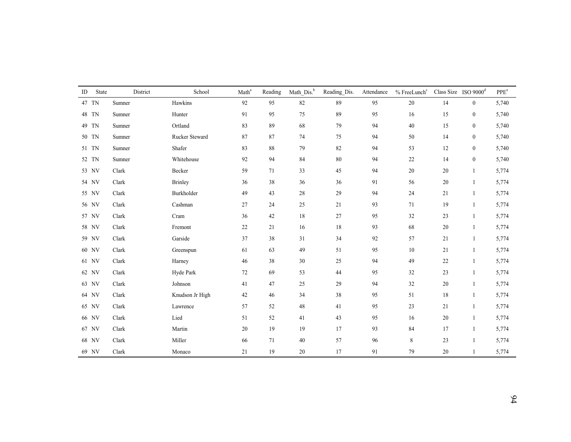| ID | State | District | School          | Math <sup>a</sup> | Reading | Math_Dis. <sup>b</sup> | Reading_Dis. | Attendance | $%$ FreeLunch $c$ | Class Size ISO $9000d$ |                  | PPE <sup>e</sup> |
|----|-------|----------|-----------------|-------------------|---------|------------------------|--------------|------------|-------------------|------------------------|------------------|------------------|
|    | 47 TN | Sumner   | Hawkins         | 92                | 95      | 82                     | 89           | 95         | 20                | 14                     | $\boldsymbol{0}$ | 5,740            |
|    | 48 TN | Sumner   | Hunter          | 91                | 95      | 75                     | 89           | 95         | 16                | 15                     | $\boldsymbol{0}$ | 5,740            |
|    | 49 TN | Sumner   | Ortland         | 83                | 89      | 68                     | 79           | 94         | 40                | 15                     | $\boldsymbol{0}$ | 5,740            |
|    | 50 TN | Sumner   | Rucker Steward  | 87                | 87      | 74                     | 75           | 94         | 50                | 14                     | $\boldsymbol{0}$ | 5,740            |
|    | 51 TN | Sumner   | Shafer          | 83                | 88      | 79                     | 82           | 94         | 53                | 12                     | $\boldsymbol{0}$ | 5,740            |
|    | 52 TN | Sumner   | Whitehouse      | 92                | 94      | 84                     | 80           | 94         | $22\,$            | 14                     | $\boldsymbol{0}$ | 5,740            |
|    | 53 NV | Clark    | Becker          | 59                | 71      | 33                     | 45           | 94         | 20                | 20                     | $\mathbf{1}$     | 5,774            |
|    | 54 NV | Clark    | <b>Brinley</b>  | 36                | 38      | 36                     | 36           | 91         | 56                | 20                     | $\mathbf{1}$     | 5,774            |
|    | 55 NV | Clark    | Burkholder      | 49                | 43      | $28\,$                 | 29           | 94         | 24                | 21                     | -1               | 5,774            |
|    | 56 NV | Clark    | Cashman         | 27                | 24      | 25                     | 21           | 93         | 71                | 19                     | $\mathbf{1}$     | 5,774            |
|    | 57 NV | Clark    | Cram            | 36                | 42      | 18                     | 27           | 95         | 32                | 23                     | $\mathbf{1}$     | 5,774            |
|    | 58 NV | Clark    | Fremont         | $22\,$            | 21      | 16                     | 18           | 93         | 68                | 20                     | 1                | 5,774            |
|    | 59 NV | Clark    | Garside         | 37                | 38      | 31                     | 34           | 92         | 57                | 21                     | 1                | 5,774            |
|    | 60 NV | Clark    | Greenspun       | 61                | 63      | 49                     | 51           | 95         | $10\,$            | 21                     | $\mathbf{1}$     | 5,774            |
|    | 61 NV | Clark    | Harney          | 46                | 38      | 30                     | 25           | 94         | 49                | $22\,$                 | $\mathbf{1}$     | 5,774            |
|    | 62 NV | Clark    | Hyde Park       | $72\,$            | 69      | 53                     | 44           | 95         | 32                | 23                     | $\mathbf{1}$     | 5,774            |
|    | 63 NV | Clark    | Johnson         | 41                | 47      | 25                     | 29           | 94         | 32                | 20                     | $\mathbf{1}$     | 5,774            |
|    | 64 NV | Clark    | Knudson Jr High | 42                | 46      | 34                     | 38           | 95         | 51                | 18                     | $\mathbf{1}$     | 5,774            |
|    | 65 NV | Clark    | Lawrence        | 57                | 52      | 48                     | 41           | 95         | 23                | 21                     | $\mathbf{1}$     | 5,774            |
|    | 66 NV | Clark    | Lied            | 51                | 52      | 41                     | 43           | 95         | 16                | 20                     | 1                | 5,774            |
|    | 67 NV | Clark    | Martin          | 20                | 19      | 19                     | 17           | 93         | 84                | 17                     | 1                | 5,774            |
|    | 68 NV | Clark    | Miller          | 66                | 71      | $40\,$                 | 57           | 96         | 8                 | 23                     | $\mathbf{1}$     | 5,774            |
|    | 69 NV | Clark    | Monaco          | 21                | 19      | $20\,$                 | 17           | 91         | 79                | 20                     | $\mathbf{1}$     | 5,774            |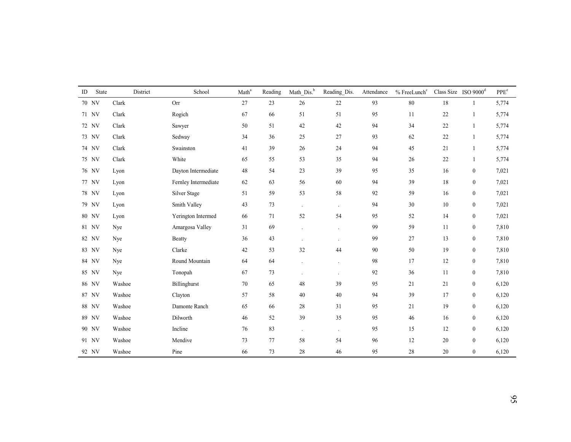| ID | State | District | School               | Math <sup>a</sup> | Reading | Math_Dis. <sup>b</sup> | Reading_Dis.         | Attendance | % FreeLunch <sup>c</sup> |        | Class Size ISO $9000d$ | PPE <sup>e</sup> |
|----|-------|----------|----------------------|-------------------|---------|------------------------|----------------------|------------|--------------------------|--------|------------------------|------------------|
|    | 70 NV | Clark    | Orr                  | 27                | 23      | 26                     | $22\,$               | 93         | $80\,$                   | 18     | 1                      | 5,774            |
|    | 71 NV | Clark    | Rogich               | 67                | 66      | 51                     | 51                   | 95         | 11                       | $22\,$ |                        | 5,774            |
|    | 72 NV | Clark    | Sawyer               | 50                | 51      | 42                     | 42                   | 94         | 34                       | $22\,$ | $\mathbf{1}$           | 5,774            |
|    | 73 NV | Clark    | Sedway               | 34                | 36      | 25                     | 27                   | 93         | 62                       | $22\,$ | $\overline{1}$         | 5,774            |
|    | 74 NV | Clark    | Swainston            | 41                | 39      | 26                     | 24                   | 94         | 45                       | 21     | 1                      | 5,774            |
|    | 75 NV | Clark    | White                | 65                | 55      | 53                     | 35                   | 94         | 26                       | $22\,$ | $\mathbf{1}$           | 5,774            |
|    | 76 NV | Lyon     | Dayton Intermediate  | 48                | 54      | 23                     | 39                   | 95         | 35                       | 16     | $\boldsymbol{0}$       | 7,021            |
|    | 77 NV | Lyon     | Fernley Intermediate | 62                | 63      | 56                     | 60                   | 94         | 39                       | 18     | $\boldsymbol{0}$       | 7,021            |
|    | 78 NV | Lyon     | Silver Stage         | 51                | 59      | 53                     | 58                   | 92         | 59                       | 16     | $\boldsymbol{0}$       | 7,021            |
|    | 79 NV | Lyon     | Smith Valley         | 43                | 73      | $\ddot{\phantom{a}}$   | $\ddot{\phantom{a}}$ | 94         | 30                       | 10     | $\boldsymbol{0}$       | 7,021            |
|    | 80 NV | Lyon     | Yerington Intermed   | 66                | 71      | 52                     | 54                   | 95         | 52                       | 14     | $\boldsymbol{0}$       | 7,021            |
|    | 81 NV | Nye      | Amargosa Valley      | 31                | 69      |                        | $\cdot$              | 99         | 59                       | 11     | $\boldsymbol{0}$       | 7,810            |
|    | 82 NV | Nye      | <b>Beatty</b>        | 36                | 43      | $\ddot{\phantom{a}}$   | $\cdot$              | 99         | 27                       | 13     | $\boldsymbol{0}$       | 7,810            |
|    | 83 NV | Nye      | Clarke               | 42                | 53      | 32                     | 44                   | 90         | 50                       | 19     | $\boldsymbol{0}$       | 7,810            |
|    | 84 NV | Nye      | Round Mountain       | 64                | 64      |                        |                      | 98         | 17                       | 12     | $\boldsymbol{0}$       | 7,810            |
|    | 85 NV | Nye      | Tonopah              | 67                | 73      |                        | $\ddot{\phantom{a}}$ | 92         | 36                       | 11     | $\boldsymbol{0}$       | 7,810            |
|    | 86 NV | Washoe   | Billinghurst         | 70                | 65      | 48                     | 39                   | 95         | 21                       | 21     | $\boldsymbol{0}$       | 6,120            |
|    | 87 NV | Washoe   | Clayton              | 57                | 58      | 40                     | 40                   | 94         | 39                       | 17     | $\boldsymbol{0}$       | 6,120            |
|    | 88 NV | Washoe   | Damonte Ranch        | 65                | 66      | 28                     | 31                   | 95         | 21                       | 19     | $\boldsymbol{0}$       | 6,120            |
|    | 89 NV | Washoe   | Dilworth             | 46                | 52      | 39                     | 35                   | 95         | 46                       | 16     | $\boldsymbol{0}$       | 6,120            |
|    | 90 NV | Washoe   | Incline              | 76                | 83      | $\cdot$                | $\cdot$              | 95         | 15                       | 12     | $\boldsymbol{0}$       | 6,120            |
|    | 91 NV | Washoe   | Mendive              | 73                | 77      | 58                     | 54                   | 96         | 12                       | 20     | $\boldsymbol{0}$       | 6,120            |
|    | 92 NV | Washoe   | Pine                 | 66                | 73      | 28                     | 46                   | 95         | 28                       | 20     | $\mathbf{0}$           | 6,120            |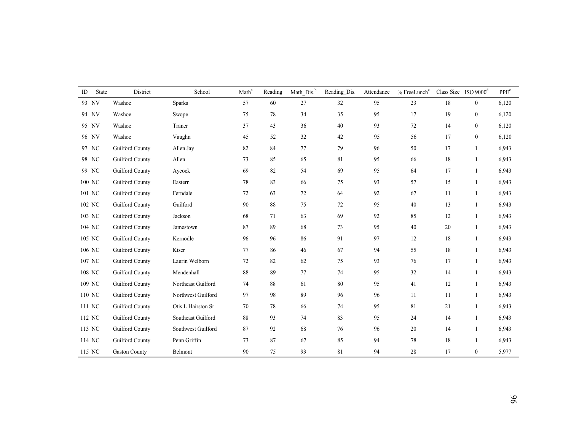| ID     | State | District             | School             | Math <sup>a</sup> | Reading | Math_Dis. <sup>b</sup> | Reading Dis. | Attendance | % FreeLunch <sup>c</sup> |    | Class Size ISO $9000d$ | PPE <sup>e</sup> |
|--------|-------|----------------------|--------------------|-------------------|---------|------------------------|--------------|------------|--------------------------|----|------------------------|------------------|
|        | 93 NV | Washoe               | <b>Sparks</b>      | 57                | 60      | $27\,$                 | 32           | 95         | 23                       | 18 | $\bf{0}$               | 6,120            |
| 94 NV  |       | Washoe               | Swope              | 75                | 78      | 34                     | 35           | 95         | 17                       | 19 | $\boldsymbol{0}$       | 6,120            |
| 95 NV  |       | Washoe               | Traner             | 37                | 43      | 36                     | 40           | 93         | 72                       | 14 | $\boldsymbol{0}$       | 6,120            |
| 96 NV  |       | Washoe               | Vaughn             | 45                | 52      | 32                     | 42           | 95         | 56                       | 17 | $\boldsymbol{0}$       | 6,120            |
| 97 NC  |       | Guilford County      | Allen Jay          | 82                | 84      | $77\,$                 | 79           | 96         | 50                       | 17 | $\mathbf{1}$           | 6,943            |
| 98 NC  |       | Guilford County      | Allen              | 73                | 85      | 65                     | 81           | 95         | 66                       | 18 | $\mathbf{1}$           | 6,943            |
|        | 99 NC | Guilford County      | Aycock             | 69                | 82      | 54                     | 69           | 95         | 64                       | 17 | $\mathbf{1}$           | 6,943            |
| 100 NC |       | Guilford County      | Eastern            | 78                | 83      | 66                     | 75           | 93         | 57                       | 15 | 1                      | 6,943            |
| 101 NC |       | Guilford County      | Ferndale           | 72                | 63      | 72                     | 64           | 92         | 67                       | 11 | 1                      | 6,943            |
| 102 NC |       | Guilford County      | Guilford           | 90                | 88      | 75                     | 72           | 95         | 40                       | 13 | 1                      | 6,943            |
| 103 NC |       | Guilford County      | Jackson            | 68                | 71      | 63                     | 69           | 92         | 85                       | 12 | 1                      | 6,943            |
| 104 NC |       | Guilford County      | Jamestown          | 87                | 89      | 68                     | 73           | 95         | 40                       | 20 | 1                      | 6,943            |
| 105 NC |       | Guilford County      | Kernodle           | 96                | 96      | 86                     | 91           | 97         | 12                       | 18 | $\mathbf{1}$           | 6,943            |
| 106 NC |       | Guilford County      | Kiser              | 77                | 86      | $46\,$                 | 67           | 94         | 55                       | 18 | 1                      | 6,943            |
| 107 NC |       | Guilford County      | Laurin Welborn     | 72                | 82      | 62                     | 75           | 93         | 76                       | 17 | $\mathbf{1}$           | 6,943            |
| 108 NC |       | Guilford County      | Mendenhall         | 88                | 89      | $77\,$                 | 74           | 95         | 32                       | 14 | $\mathbf{1}$           | 6,943            |
| 109 NC |       | Guilford County      | Northeast Guilford | 74                | 88      | 61                     | 80           | 95         | 41                       | 12 | 1                      | 6,943            |
| 110 NC |       | Guilford County      | Northwest Guilford | 97                | 98      | 89                     | 96           | 96         | 11                       | 11 | 1                      | 6,943            |
| 111 NC |       | Guilford County      | Otis L Hairston Sr | 70                | 78      | 66                     | 74           | 95         | 81                       | 21 | 1                      | 6,943            |
| 112 NC |       | Guilford County      | Southeast Guilford | 88                | 93      | 74                     | 83           | 95         | 24                       | 14 | $\mathbf{1}$           | 6,943            |
| 113 NC |       | Guilford County      | Southwest Guilford | 87                | 92      | 68                     | 76           | 96         | 20                       | 14 | -1                     | 6,943            |
| 114 NC |       | Guilford County      | Penn Griffin       | 73                | 87      | 67                     | 85           | 94         | 78                       | 18 | 1                      | 6,943            |
| 115 NC |       | <b>Gaston County</b> | Belmont            | 90                | 75      | 93                     | 81           | 94         | 28                       | 17 | $\mathbf{0}$           | 5,977            |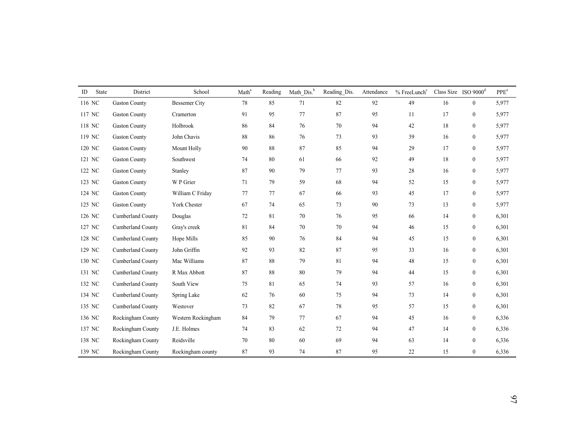| State<br>ID | District             | School               | Math <sup>a</sup> | Reading | Math Dis. <sup>b</sup> | Reading Dis. | Attendance | % FreeLunch <sup>c</sup> |    | Class Size ISO $9000d$ | $\ensuremath{\mathsf{PPE}}\xspace^\ensuremath{\mathsf{e}}$ |
|-------------|----------------------|----------------------|-------------------|---------|------------------------|--------------|------------|--------------------------|----|------------------------|------------------------------------------------------------|
| 116 NC      | <b>Gaston County</b> | <b>Bessemer City</b> | 78                | 85      | 71                     | 82           | 92         | 49                       | 16 | $\boldsymbol{0}$       | 5,977                                                      |
| 117 NC      | <b>Gaston County</b> | Cramerton            | 91                | 95      | 77                     | 87           | 95         | 11                       | 17 | $\bf{0}$               | 5,977                                                      |
| 118 NC      | <b>Gaston County</b> | Holbrook             | 86                | 84      | 76                     | 70           | 94         | 42                       | 18 | $\mathbf{0}$           | 5,977                                                      |
| 119 NC      | <b>Gaston County</b> | John Chavis          | 88                | 86      | 76                     | 73           | 93         | 39                       | 16 | $\mathbf{0}$           | 5,977                                                      |
| 120 NC      | <b>Gaston County</b> | Mount Holly          | 90                | 88      | 87                     | 85           | 94         | 29                       | 17 | $\boldsymbol{0}$       | 5,977                                                      |
| 121 NC      | <b>Gaston County</b> | Southwest            | 74                | 80      | 61                     | 66           | 92         | 49                       | 18 | $\boldsymbol{0}$       | 5,977                                                      |
| 122 NC      | <b>Gaston County</b> | Stanley              | 87                | 90      | 79                     | 77           | 93         | 28                       | 16 | $\mathbf{0}$           | 5,977                                                      |
| 123 NC      | <b>Gaston County</b> | W P Grier            | 71                | 79      | 59                     | 68           | 94         | 52                       | 15 | $\boldsymbol{0}$       | 5,977                                                      |
| 124 NC      | <b>Gaston County</b> | William C Friday     | 77                | 77      | 67                     | 66           | 93         | 45                       | 17 | $\boldsymbol{0}$       | 5,977                                                      |
| 125 NC      | <b>Gaston County</b> | York Chester         | 67                | 74      | 65                     | 73           | 90         | 73                       | 13 | $\boldsymbol{0}$       | 5,977                                                      |
| 126 NC      | Cumberland County    | Douglas              | 72                | 81      | 70                     | 76           | 95         | 66                       | 14 | $\mathbf{0}$           | 6,301                                                      |
| 127 NC      | Cumberland County    | Gray's creek         | 81                | 84      | 70                     | 70           | 94         | 46                       | 15 | $\mathbf{0}$           | 6,301                                                      |
| 128 NC      | Cumberland County    | Hope Mills           | 85                | 90      | 76                     | 84           | 94         | 45                       | 15 | $\overline{0}$         | 6,301                                                      |
| 129 NC      | Cumberland County    | John Griffin         | 92                | 93      | $82\,$                 | 87           | 95         | 33                       | 16 | $\boldsymbol{0}$       | 6,301                                                      |
| 130 NC      | Cumberland County    | Mac Williams         | 87                | 88      | 79                     | 81           | 94         | 48                       | 15 | $\boldsymbol{0}$       | 6,301                                                      |
| 131 NC      | Cumberland County    | R Max Abbott         | 87                | 88      | $80\,$                 | 79           | 94         | 44                       | 15 | $\mathbf{0}$           | 6,301                                                      |
| 132 NC      | Cumberland County    | South View           | 75                | 81      | 65                     | 74           | 93         | 57                       | 16 | $\boldsymbol{0}$       | 6,301                                                      |
| 134 NC      | Cumberland County    | Spring Lake          | 62                | 76      | 60                     | 75           | 94         | 73                       | 14 | $\boldsymbol{0}$       | 6,301                                                      |
| 135 NC      | Cumberland County    | Westover             | 73                | 82      | 67                     | 78           | 95         | 57                       | 15 | $\boldsymbol{0}$       | 6,301                                                      |
| 136 NC      | Rockingham County    | Western Rockingham   | 84                | 79      | 77                     | 67           | 94         | 45                       | 16 | $\boldsymbol{0}$       | 6,336                                                      |
| 137 NC      | Rockingham County    | J.E. Holmes          | 74                | 83      | 62                     | 72           | 94         | 47                       | 14 | $\boldsymbol{0}$       | 6,336                                                      |
| 138 NC      | Rockingham County    | Reidsville           | 70                | 80      | 60                     | 69           | 94         | 63                       | 14 | $\mathbf{0}$           | 6,336                                                      |
| 139 NC      | Rockingham County    | Rockingham county    | 87                | 93      | 74                     | 87           | 95         | 22                       | 15 | $\mathbf{0}$           | 6,336                                                      |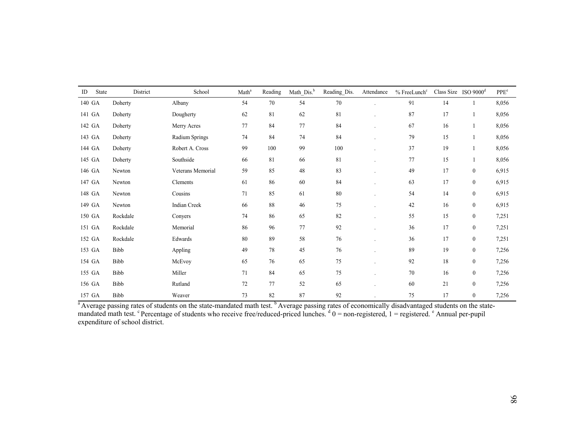| ID     | <b>State</b> | District | School            | Math <sup>a</sup> | Reading     | Math Dis. <sup>b</sup> | Reading_Dis. | Attendance | $%$ FreeLunch $c$ |        | Class Size ISO $9000d$ | PPE <sup>e</sup> |
|--------|--------------|----------|-------------------|-------------------|-------------|------------------------|--------------|------------|-------------------|--------|------------------------|------------------|
|        | 140 GA       | Doherty  | Albany            | 54                | $70\,$      | 54                     | 70           |            | 91                | 14     |                        | 8,056            |
| 141 GA |              | Doherty  | Dougherty         | 62                | $8\sqrt{1}$ | 62                     | 81           |            | 87                | 17     |                        | 8,056            |
|        | 142 GA       | Doherty  | Merry Acres       | 77                | 84          | 77                     | 84           |            | 67                | 16     |                        | 8,056            |
|        | 143 GA       | Doherty  | Radium Springs    | 74                | 84          | 74                     | 84           |            | 79                | 15     |                        | 8,056            |
|        | 144 GA       | Doherty  | Robert A. Cross   | 99                | 100         | 99                     | 100          |            | 37                | 19     | $\mathbf{1}$           | 8,056            |
|        | 145 GA       | Doherty  | Southside         | 66                | 81          | 66                     | 81           |            | 77                | 15     |                        | 8,056            |
|        | 146 GA       | Newton   | Veterans Memorial | 59                | 85          | $48\,$                 | 83           |            | 49                | 17     | $\boldsymbol{0}$       | 6,915            |
|        | 147 GA       | Newton   | Clements          | 61                | 86          | 60                     | 84           |            | 63                | 17     | $\boldsymbol{0}$       | 6,915            |
|        | 148 GA       | Newton   | Cousins           | 71                | 85          | 61                     | 80           |            | 54                | 14     | $\boldsymbol{0}$       | 6,915            |
|        | 149 GA       | Newton   | Indian Creek      | 66                | $88\,$      | 46                     | 75           |            | 42                | 16     | $\boldsymbol{0}$       | 6,915            |
|        | 150 GA       | Rockdale | Convers           | 74                | 86          | 65                     | 82           |            | 55                | 15     | $\boldsymbol{0}$       | 7,251            |
| 151 GA |              | Rockdale | Memorial          | 86                | 96          | 77                     | 92           |            | 36                | 17     | $\boldsymbol{0}$       | 7,251            |
| 152 GA |              | Rockdale | Edwards           | 80                | 89          | $58\,$                 | 76           |            | 36                | 17     | $\boldsymbol{0}$       | 7,251            |
|        | 153 GA       | Bibb     | Appling           | 49                | 78          | 45                     | 76           |            | 89                | 19     | $\boldsymbol{0}$       | 7,256            |
| 154 GA |              | Bibb     | McEvoy            | 65                | 76          | 65                     | $75\,$       |            | 92                | $1\,8$ | $\boldsymbol{0}$       | 7,256            |
|        | 155 GA       | Bibb     | Miller            | 71                | 84          | 65                     | $75\,$       |            | 70                | 16     | $\boldsymbol{0}$       | 7,256            |
|        | 156 GA       | Bibb     | Rutland           | 72                | 77          | 52                     | 65           |            | 60                | 21     | $\boldsymbol{0}$       | 7,256            |
|        | 157 GA       | Bibb     | Weaver            | 73                | 82          | 87                     | 92           |            | 75                | 17     | $\boldsymbol{0}$       | 7,256            |

<sup>a</sup> Average passing rates of students on the state-mandated math test. <sup>b</sup> Average passing rates of economically disadvantaged students on the statemandated math test. <sup>c</sup> Percentage of students who receive free/reduced-priced lunches.  $d\theta$  = non-registered, 1 = registered. <sup>e</sup> Annual per-pupil expenditure of school district.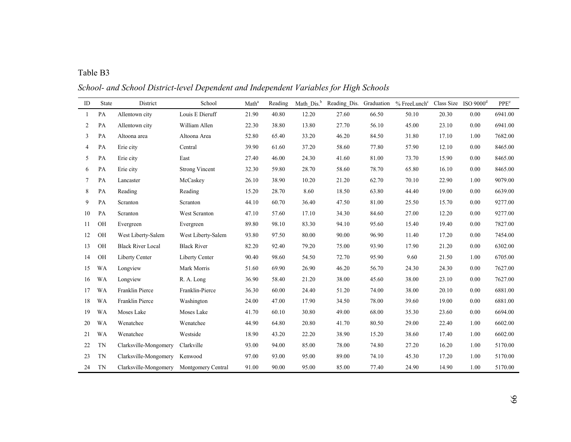| able |  |
|------|--|
|      |  |
|      |  |
|      |  |
|      |  |

*School- and School District-level Dependent and Independent Variables for High Schools*

| ID | State     | District                 | School                | Math <sup>a</sup> | Reading | Math $Dis.^{b}$ | Reading Dis. Graduation |       | $%$ FreeLunch <sup>c</sup> Class Size ISO $9000d$ |       |      | PPE <sup>e</sup> |
|----|-----------|--------------------------|-----------------------|-------------------|---------|-----------------|-------------------------|-------|---------------------------------------------------|-------|------|------------------|
| 1  | PA        | Allentown city           | Louis E Dieruff       | 21.90             | 40.80   | 12.20           | 27.60                   | 66.50 | 50.10                                             | 20.30 | 0.00 | 6941.00          |
| 2  | PA        | Allentown city           | William Allen         | 22.30             | 38.80   | 13.80           | 27.70                   | 56.10 | 45.00                                             | 23.10 | 0.00 | 6941.00          |
| 3  | PA        | Altoona area             | Altoona Area          | 52.80             | 65.40   | 33.20           | 46.20                   | 84.50 | 31.80                                             | 17.10 | 1.00 | 7682.00          |
| 4  | PA        | Erie city                | Central               | 39.90             | 61.60   | 37.20           | 58.60                   | 77.80 | 57.90                                             | 12.10 | 0.00 | 8465.00          |
| 5  | PA        | Erie city                | East                  | 27.40             | 46.00   | 24.30           | 41.60                   | 81.00 | 73.70                                             | 15.90 | 0.00 | 8465.00          |
| 6  | PA        | Erie city                | <b>Strong Vincent</b> | 32.30             | 59.80   | 28.70           | 58.60                   | 78.70 | 65.80                                             | 16.10 | 0.00 | 8465.00          |
| 7  | PA        | Lancaster                | McCaskey              | 26.10             | 38.90   | 10.20           | 21.20                   | 62.70 | 70.10                                             | 22.90 | 1.00 | 9079.00          |
| 8  | PA        | Reading                  | Reading               | 15.20             | 28.70   | 8.60            | 18.50                   | 63.80 | 44.40                                             | 19.00 | 0.00 | 6639.00          |
| 9  | PA        | Scranton                 | Scranton              | 44.10             | 60.70   | 36.40           | 47.50                   | 81.00 | 25.50                                             | 15.70 | 0.00 | 9277.00          |
| 10 | PA        | Scranton                 | West Scranton         | 47.10             | 57.60   | 17.10           | 34.30                   | 84.60 | 27.00                                             | 12.20 | 0.00 | 9277.00          |
| 11 | OH        | Evergreen                | Evergreen             | 89.80             | 98.10   | 83.30           | 94.10                   | 95.60 | 15.40                                             | 19.40 | 0.00 | 7827.00          |
| 12 | OH        | West Liberty-Salem       | West Liberty-Salem    | 93.80             | 97.50   | 80.00           | 90.00                   | 96.90 | 11.40                                             | 17.20 | 0.00 | 7454.00          |
| 13 | OH        | <b>Black River Local</b> | <b>Black River</b>    | 82.20             | 92.40   | 79.20           | 75.00                   | 93.90 | 17.90                                             | 21.20 | 0.00 | 6302.00          |
| 14 | OH        | Liberty Center           | Liberty Center        | 90.40             | 98.60   | 54.50           | 72.70                   | 95.90 | 9.60                                              | 21.50 | 1.00 | 6705.00          |
| 15 | WA        | Longview                 | Mark Morris           | 51.60             | 69.90   | 26.90           | 46.20                   | 56.70 | 24.30                                             | 24.30 | 0.00 | 7627.00          |
| 16 | WA        | Longview                 | R. A. Long            | 36.90             | 58.40   | 21.20           | 38.00                   | 45.60 | 38.00                                             | 23.10 | 0.00 | 7627.00          |
| 17 | WA        | Franklin Pierce          | Franklin-Pierce       | 36.30             | 60.00   | 24.40           | 51.20                   | 74.00 | 38.00                                             | 20.10 | 0.00 | 6881.00          |
| 18 | WA        | Franklin Pierce          | Washington            | 24.00             | 47.00   | 17.90           | 34.50                   | 78.00 | 39.60                                             | 19.00 | 0.00 | 6881.00          |
| 19 | WA        | Moses Lake               | Moses Lake            | 41.70             | 60.10   | 30.80           | 49.00                   | 68.00 | 35.30                                             | 23.60 | 0.00 | 6694.00          |
| 20 | WA        | Wenatchee                | Wenatchee             | 44.90             | 64.80   | 20.80           | 41.70                   | 80.50 | 29.00                                             | 22.40 | 1.00 | 6602.00          |
| 21 | <b>WA</b> | Wenatchee                | Westside              | 18.90             | 43.20   | 22.20           | 38.90                   | 15.20 | 38.60                                             | 17.40 | 1.00 | 6602.00          |
| 22 | TN        | Clarksville-Mongomery    | Clarkville            | 93.00             | 94.00   | 85.00           | 78.00                   | 74.80 | 27.20                                             | 16.20 | 1.00 | 5170.00          |
| 23 | <b>TN</b> | Clarksville-Mongomery    | Kenwood               | 97.00             | 93.00   | 95.00           | 89.00                   | 74.10 | 45.30                                             | 17.20 | 1.00 | 5170.00          |
| 24 | <b>TN</b> | Clarksville-Mongomery    | Montgomery Central    | 91.00             | 90.00   | 95.00           | 85.00                   | 77.40 | 24.90                                             | 14.90 | 1.00 | 5170.00          |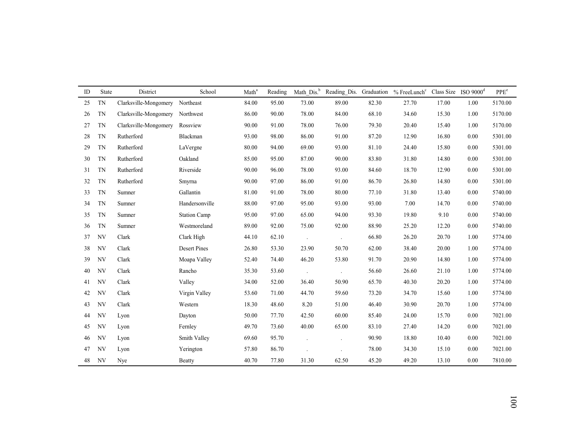| ID | <b>State</b> | District              | School              | Math <sup>a</sup> | Reading | Math Dis. <sup>b</sup> |                      |       | Reading_Dis. Graduation % FreeLunch <sup>c</sup> Class Size ISO 9000 <sup>d</sup> |       |      | PPE <sup>e</sup> |
|----|--------------|-----------------------|---------------------|-------------------|---------|------------------------|----------------------|-------|-----------------------------------------------------------------------------------|-------|------|------------------|
| 25 | <b>TN</b>    | Clarksville-Mongomery | Northeast           | 84.00             | 95.00   | 73.00                  | 89.00                | 82.30 | 27.70                                                                             | 17.00 | 1.00 | 5170.00          |
| 26 | <b>TN</b>    | Clarksville-Mongomery | Northwest           | 86.00             | 90.00   | 78.00                  | 84.00                | 68.10 | 34.60                                                                             | 15.30 | 1.00 | 5170.00          |
| 27 | <b>TN</b>    | Clarksville-Mongomery | Rossview            | 90.00             | 91.00   | 78.00                  | 76.00                | 79.30 | 20.40                                                                             | 15.40 | 1.00 | 5170.00          |
| 28 | <b>TN</b>    | Rutherford            | Blackman            | 93.00             | 98.00   | 86.00                  | 91.00                | 87.20 | 12.90                                                                             | 16.80 | 0.00 | 5301.00          |
| 29 | <b>TN</b>    | Rutherford            | LaVergne            | 80.00             | 94.00   | 69.00                  | 93.00                | 81.10 | 24.40                                                                             | 15.80 | 0.00 | 5301.00          |
| 30 | <b>TN</b>    | Rutherford            | Oakland             | 85.00             | 95.00   | 87.00                  | 90.00                | 83.80 | 31.80                                                                             | 14.80 | 0.00 | 5301.00          |
| 31 | <b>TN</b>    | Rutherford            | Riverside           | 90.00             | 96.00   | 78.00                  | 93.00                | 84.60 | 18.70                                                                             | 12.90 | 0.00 | 5301.00          |
| 32 | <b>TN</b>    | Rutherford            | Smyrna              | 90.00             | 97.00   | 86.00                  | 91.00                | 86.70 | 26.80                                                                             | 14.80 | 0.00 | 5301.00          |
| 33 | <b>TN</b>    | Sumner                | Gallantin           | 81.00             | 91.00   | 78.00                  | 80.00                | 77.10 | 31.80                                                                             | 13.40 | 0.00 | 5740.00          |
| 34 | <b>TN</b>    | Sumner                | Handersonville      | 88.00             | 97.00   | 95.00                  | 93.00                | 93.00 | 7.00                                                                              | 14.70 | 0.00 | 5740.00          |
| 35 | <b>TN</b>    | Sumner                | <b>Station Camp</b> | 95.00             | 97.00   | 65.00                  | 94.00                | 93.30 | 19.80                                                                             | 9.10  | 0.00 | 5740.00          |
| 36 | <b>TN</b>    | Sumner                | Westmoreland        | 89.00             | 92.00   | 75.00                  | 92.00                | 88.90 | 25.20                                                                             | 12.20 | 0.00 | 5740.00          |
| 37 | NV           | Clark                 | Clark High          | 44.10             | 62.10   | $\sim$                 |                      | 66.80 | 26.20                                                                             | 20.70 | 1.00 | 5774.00          |
| 38 | NV           | Clark                 | <b>Desert Pines</b> | 26.80             | 53.30   | 23.90                  | 50.70                | 62.00 | 38.40                                                                             | 20.00 | 1.00 | 5774.00          |
| 39 | NV           | Clark                 | Moapa Valley        | 52.40             | 74.40   | 46.20                  | 53.80                | 91.70 | 20.90                                                                             | 14.80 | 1.00 | 5774.00          |
| 40 | NV           | Clark                 | Rancho              | 35.30             | 53.60   | $\Box$                 | $\ddot{\phantom{a}}$ | 56.60 | 26.60                                                                             | 21.10 | 1.00 | 5774.00          |
| 41 | NV           | Clark                 | Valley              | 34.00             | 52.00   | 36.40                  | 50.90                | 65.70 | 40.30                                                                             | 20.20 | 1.00 | 5774.00          |
| 42 | NV           | Clark                 | Virgin Valley       | 53.60             | 71.00   | 44.70                  | 59.60                | 73.20 | 34.70                                                                             | 15.60 | 1.00 | 5774.00          |
| 43 | NV           | Clark                 | Western             | 18.30             | 48.60   | 8.20                   | 51.00                | 46.40 | 30.90                                                                             | 20.70 | 1.00 | 5774.00          |
| 44 | NV           | Lyon                  | Dayton              | 50.00             | 77.70   | 42.50                  | 60.00                | 85.40 | 24.00                                                                             | 15.70 | 0.00 | 7021.00          |
| 45 | NV           | Lyon                  | Fernley             | 49.70             | 73.60   | 40.00                  | 65.00                | 83.10 | 27.40                                                                             | 14.20 | 0.00 | 7021.00          |
| 46 | NV           | Lyon                  | Smith Valley        | 69.60             | 95.70   |                        |                      | 90.90 | 18.80                                                                             | 10.40 | 0.00 | 7021.00          |
| 47 | NV           | Lyon                  | Yerington           | 57.80             | 86.70   |                        |                      | 78.00 | 34.30                                                                             | 15.10 | 0.00 | 7021.00          |
| 48 | NV           | Nye                   | <b>Beatty</b>       | 40.70             | 77.80   | 31.30                  | 62.50                | 45.20 | 49.20                                                                             | 13.10 | 0.00 | 7810.00          |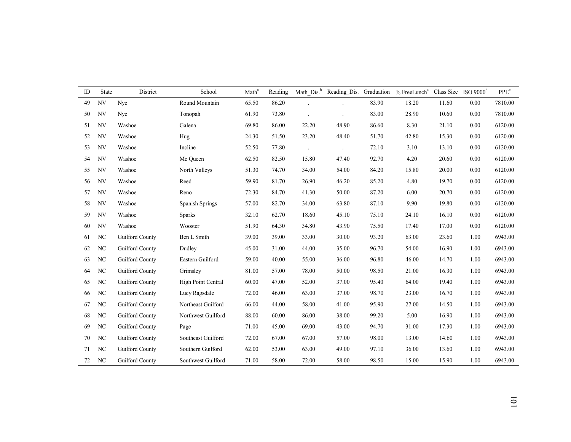| ID | <b>State</b> | District               | School             | Math <sup>a</sup> | Reading | Math Dis. <sup>b</sup> |       |       | Reading Dis. Graduation % FreeLunch <sup>c</sup> Class Size ISO 9000 <sup>d</sup> |       |      | PPE <sup>e</sup> |
|----|--------------|------------------------|--------------------|-------------------|---------|------------------------|-------|-------|-----------------------------------------------------------------------------------|-------|------|------------------|
| 49 | NV           | Nye                    | Round Mountain     | 65.50             | 86.20   |                        |       | 83.90 | 18.20                                                                             | 11.60 | 0.00 | 7810.00          |
| 50 | NV           | Nye                    | Tonopah            | 61.90             | 73.80   |                        |       | 83.00 | 28.90                                                                             | 10.60 | 0.00 | 7810.00          |
| 51 | NV           | Washoe                 | Galena             | 69.80             | 86.00   | 22.20                  | 48.90 | 86.60 | 8.30                                                                              | 21.10 | 0.00 | 6120.00          |
| 52 | NV           | Washoe                 | Hug                | 24.30             | 51.50   | 23.20                  | 48.40 | 51.70 | 42.80                                                                             | 15.30 | 0.00 | 6120.00          |
| 53 | NV           | Washoe                 | Incline            | 52.50             | 77.80   | $\overline{a}$         |       | 72.10 | 3.10                                                                              | 13.10 | 0.00 | 6120.00          |
| 54 | NV           | Washoe                 | Mc Queen           | 62.50             | 82.50   | 15.80                  | 47.40 | 92.70 | 4.20                                                                              | 20.60 | 0.00 | 6120.00          |
| 55 | NV           | Washoe                 | North Valleys      | 51.30             | 74.70   | 34.00                  | 54.00 | 84.20 | 15.80                                                                             | 20.00 | 0.00 | 6120.00          |
| 56 | NV           | Washoe                 | Reed               | 59.90             | 81.70   | 26.90                  | 46.20 | 85.20 | 4.80                                                                              | 19.70 | 0.00 | 6120.00          |
| 57 | NV           | Washoe                 | Reno               | 72.30             | 84.70   | 41.30                  | 50.00 | 87.20 | 6.00                                                                              | 20.70 | 0.00 | 6120.00          |
| 58 | NV           | Washoe                 | Spanish Springs    | 57.00             | 82.70   | 34.00                  | 63.80 | 87.10 | 9.90                                                                              | 19.80 | 0.00 | 6120.00          |
| 59 | NV           | Washoe                 | <b>Sparks</b>      | 32.10             | 62.70   | 18.60                  | 45.10 | 75.10 | 24.10                                                                             | 16.10 | 0.00 | 6120.00          |
| 60 | NV           | Washoe                 | Wooster            | 51.90             | 64.30   | 34.80                  | 43.90 | 75.50 | 17.40                                                                             | 17.00 | 0.00 | 6120.00          |
| 61 | NC           | Guilford County        | Ben L Smith        | 39.00             | 39.00   | 33.00                  | 30.00 | 93.20 | 63.00                                                                             | 23.60 | 1.00 | 6943.00          |
| 62 | NC           | Guilford County        | Dudley             | 45.00             | 31.00   | 44.00                  | 35.00 | 96.70 | 54.00                                                                             | 16.90 | 1.00 | 6943.00          |
| 63 | NC           | Guilford County        | Eastern Guilford   | 59.00             | 40.00   | 55.00                  | 36.00 | 96.80 | 46.00                                                                             | 14.70 | 1.00 | 6943.00          |
| 64 | NC           | Guilford County        | Grimsley           | 81.00             | 57.00   | 78.00                  | 50.00 | 98.50 | 21.00                                                                             | 16.30 | 1.00 | 6943.00          |
| 65 | NC           | Guilford County        | High Point Central | 60.00             | 47.00   | 52.00                  | 37.00 | 95.40 | 64.00                                                                             | 19.40 | 1.00 | 6943.00          |
| 66 | NC           | Guilford County        | Lucy Ragsdale      | 72.00             | 46.00   | 63.00                  | 37.00 | 98.70 | 23.00                                                                             | 16.70 | 1.00 | 6943.00          |
| 67 | NC           | Guilford County        | Northeast Guilford | 66.00             | 44.00   | 58.00                  | 41.00 | 95.90 | 27.00                                                                             | 14.50 | 1.00 | 6943.00          |
| 68 | NC           | Guilford County        | Northwest Guilford | 88.00             | 60.00   | 86.00                  | 38.00 | 99.20 | 5.00                                                                              | 16.90 | 1.00 | 6943.00          |
| 69 | NC           | Guilford County        | Page               | 71.00             | 45.00   | 69.00                  | 43.00 | 94.70 | 31.00                                                                             | 17.30 | 1.00 | 6943.00          |
| 70 | NC           | Guilford County        | Southeast Guilford | 72.00             | 67.00   | 67.00                  | 57.00 | 98.00 | 13.00                                                                             | 14.60 | 1.00 | 6943.00          |
| 71 | NC           | Guilford County        | Southern Guilford  | 62.00             | 53.00   | 63.00                  | 49.00 | 97.10 | 36.00                                                                             | 13.60 | 1.00 | 6943.00          |
| 72 | NC           | <b>Guilford County</b> | Southwest Guilford | 71.00             | 58.00   | 72.00                  | 58.00 | 98.50 | 15.00                                                                             | 15.90 | 1.00 | 6943.00          |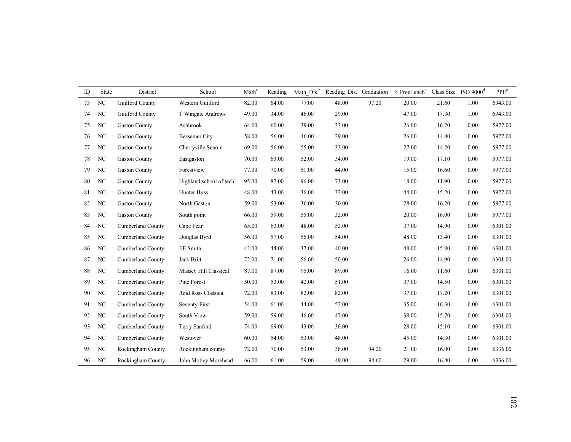| ID | State          | District                 | School                  | Math <sup>a</sup> | Reading | Math Dis. <sup>b</sup> | Reading_Dis. Graduation |       | $%$ FreeLunch $c$ | Class Size ISO $9000d$ |      | PPE <sup>e</sup> |
|----|----------------|--------------------------|-------------------------|-------------------|---------|------------------------|-------------------------|-------|-------------------|------------------------|------|------------------|
| 73 | NC             | Guilford County          | Western Guilford        | 82.00             | 64.00   | 77.00                  | 48.00                   | 97.20 | 20.00             | 21.60                  | 1.00 | 6943.00          |
| 74 | NC             | Guilford County          | T Wingate Andrews       | 49.00             | 34.00   | 46.00                  | 29.00                   |       | 47.00             | 17.30                  | 1.00 | 6943.00          |
| 75 | NC             | <b>Gaston County</b>     | Ashbrook                | 64.00             | 60.00   | 39.00                  | 33.00                   |       | 26.00             | 16.20                  | 0.00 | 5977.00          |
| 76 | NC             | <b>Gaston County</b>     | <b>Bessemer City</b>    | 58.00             | 56.00   | 46.00                  | 29.00                   |       | 26.00             | 14.80                  | 0.00 | 5977.00          |
| 77 | NC             | <b>Gaston County</b>     | Cherryville Senoir      | 69.00             | 56.00   | 55.00                  | 33.00                   |       | 27.00             | 14.20                  | 0.00 | 5977.00          |
| 78 | NC             | <b>Gaston County</b>     | Eastgaston              | 70.00             | 63.00   | 52.00                  | 34.00                   |       | 19.00             | 17.10                  | 0.00 | 5977.00          |
| 79 | NC             | <b>Gaston County</b>     | Forestview              | 77.00             | 70.00   | 51.00                  | 44.00                   |       | 15.00             | 16.60                  | 0.00 | 5977.00          |
| 80 | NC             | <b>Gaston County</b>     | Highland school of tech | 95.00             | 87.00   | 96.00                  | 73.00                   |       | 18.00             | 11.90                  | 0.00 | 5977.00          |
| 81 | NC             | <b>Gaston County</b>     | Hunter Huss             | 48.00             | 43.00   | 36.00                  | 32.00                   |       | 44.00             | 15.20                  | 0.00 | 5977.00          |
| 82 | NC             | <b>Gaston County</b>     | North Gaston            | 59.00             | 53.00   | 36.00                  | 30.00                   |       | 28.00             | 16.20                  | 0.00 | 5977.00          |
| 83 | NC             | <b>Gaston County</b>     | South point             | 66.00             | 59.00   | 55.00                  | 32.00                   |       | 20.00             | 16.00                  | 0.00 | 5977.00          |
| 84 | NC             | <b>Cumberland County</b> | Cape Fear               | 65.00             | 63.00   | 48.00                  | 52.00                   |       | 37.00             | 14.90                  | 0.00 | 6301.00          |
| 85 | NC             | <b>Cumberland County</b> | Douglas Byrd            | 56.00             | 57.00   | 56.00                  | 54.00                   |       | 48.00             | 13.40                  | 0.00 | 6301.00          |
| 86 | NC             | Cumberland County        | <b>EE</b> Smith         | 42.00             | 44.00   | 37.00                  | 40.00                   |       | 48.00             | 15.80                  | 0.00 | 6301.00          |
| 87 | NC             | <b>Cumberland County</b> | Jack Briit              | 72.00             | 71.00   | 56.00                  | 50.00                   |       | 26.00             | 14.90                  | 0.00 | 6301.00          |
| 88 | NC             | Cumberland County        | Massey Hill Classical   | 87.00             | 87.00   | 95.00                  | 89.00                   |       | 16.00             | 11.60                  | 0.00 | 6301.00          |
| 89 | NC             | <b>Cumberland County</b> | Pine Forest             | 50.00             | 53.00   | 42.00                  | 51.00                   |       | 37.00             | 14.50                  | 0.00 | 6301.00          |
| 90 | NC             | Cumberland County        | Reid Ross Classical     | 72.00             | 83.00   | 82.00                  | 82.00                   |       | 37.00             | 17.20                  | 0.00 | 6301.00          |
| 91 | NC             | Cumberland County        | Seventy-First           | 54.00             | 61.00   | 44.00                  | 52.00                   |       | 35.00             | 16.30                  | 0.00 | 6301.00          |
| 92 | NC             | Cumberland County        | South View              | 59.00             | 59.00   | 46.00                  | 47.00                   |       | 38.00             | 15.70                  | 0.00 | 6301.00          |
| 93 | NC             | Cumberland County        | Terry Sanford           | 74.00             | 69.00   | 43.00                  | 36.00                   |       | 28.00             | 15.10                  | 0.00 | 6301.00          |
| 94 | NC             | Cumberland County        | Westover                | 60.00             | 54.00   | 53.00                  | 48.00                   |       | 45.00             | 14.30                  | 0.00 | 6301.00          |
| 95 | N <sub>C</sub> | Rockingham County        | Rockingham county       | 72.00             | 70.00   | 53.00                  | 36.00                   | 94.20 | 21.00             | 16.00                  | 0.00 | 6336.00          |
| 96 | NC             | Rockingham County        | John Motley Morehead    | 66.00             | 61.00   | 59.00                  | 49.00                   | 94.60 | 29.00             | 16.40                  | 0.00 | 6336.00          |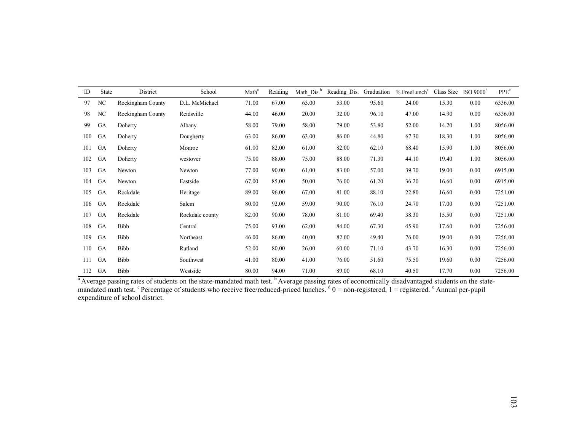| ID  | State | District          | School          | Math <sup>a</sup> | Reading | Math Dis. <sup>b</sup> | Reading Dis. | Graduation | $%$ FreeLunch <sup>c</sup> | Class Size | $ISO$ 9000 $^{d}$ | $\ensuremath{\mathsf{PPE}}\xspace^\text{e}$ |
|-----|-------|-------------------|-----------------|-------------------|---------|------------------------|--------------|------------|----------------------------|------------|-------------------|---------------------------------------------|
| 97  | NC    | Rockingham County | D.L. McMichael  | 71.00             | 67.00   | 63.00                  | 53.00        | 95.60      | 24.00                      | 15.30      | 0.00              | 6336.00                                     |
| 98  | NC    | Rockingham County | Reidsville      | 44.00             | 46.00   | 20.00                  | 32.00        | 96.10      | 47.00                      | 14.90      | 0.00              | 6336.00                                     |
| 99  | GA    | Doherty           | Albany          | 58.00             | 79.00   | 58.00                  | 79.00        | 53.80      | 52.00                      | 14.20      | 1.00              | 8056.00                                     |
| 100 | GA    | Doherty           | Dougherty       | 63.00             | 86.00   | 63.00                  | 86.00        | 44.80      | 67.30                      | 18.30      | 1.00              | 8056.00                                     |
| 101 | GA    | Doherty           | Monroe          | 61.00             | 82.00   | 61.00                  | 82.00        | 62.10      | 68.40                      | 15.90      | 1.00              | 8056.00                                     |
| 102 | GA    | Doherty           | westover        | 75.00             | 88.00   | 75.00                  | 88.00        | 71.30      | 44.10                      | 19.40      | 1.00              | 8056.00                                     |
| 103 | GA    | Newton            | Newton          | 77.00             | 90.00   | 61.00                  | 83.00        | 57.00      | 39.70                      | 19.00      | 0.00              | 6915.00                                     |
| 104 | GA    | Newton            | Eastside        | 67.00             | 85.00   | 50.00                  | 76.00        | 61.20      | 36.20                      | 16.60      | 0.00              | 6915.00                                     |
| 105 | GA    | Rockdale          | Heritage        | 89.00             | 96.00   | 67.00                  | 81.00        | 88.10      | 22.80                      | 16.60      | 0.00              | 7251.00                                     |
| 106 | GA    | Rockdale          | Salem           | 80.00             | 92.00   | 59.00                  | 90.00        | 76.10      | 24.70                      | 17.00      | 0.00              | 7251.00                                     |
| 107 | GA    | Rockdale          | Rockdale county | 82.00             | 90.00   | 78.00                  | 81.00        | 69.40      | 38.30                      | 15.50      | 0.00              | 7251.00                                     |
| 108 | GA    | Bibb              | Central         | 75.00             | 93.00   | 62.00                  | 84.00        | 67.30      | 45.90                      | 17.60      | 0.00              | 7256.00                                     |
| 109 | GA    | Bibb              | Northeast       | 46.00             | 86.00   | 40.00                  | 82.00        | 49.40      | 76.00                      | 19.00      | 0.00              | 7256.00                                     |
| 110 | GA    | Bibb              | Rutland         | 52.00             | 80.00   | 26.00                  | 60.00        | 71.10      | 43.70                      | 16.30      | 0.00              | 7256.00                                     |
| 111 | GA    | Bibb              | Southwest       | 41.00             | 80.00   | 41.00                  | 76.00        | 51.60      | 75.50                      | 19.60      | 0.00              | 7256.00                                     |
| 112 | GA    | Bibb              | Westside        | 80.00             | 94.00   | 71.00                  | 89.00        | 68.10      | 40.50                      | 17.70      | 0.00              | 7256.00                                     |

<sup>a</sup> Average passing rates of students on the state-mandated math test. <sup>b</sup> Average passing rates of economically disadvantaged students on the statemandated math test. <sup>c</sup> Percentage of students who receive free/reduced-priced lunches.  $d\theta$  = non-registered, 1 = registered. <sup>e</sup> Annual per-pupil expenditure of school district.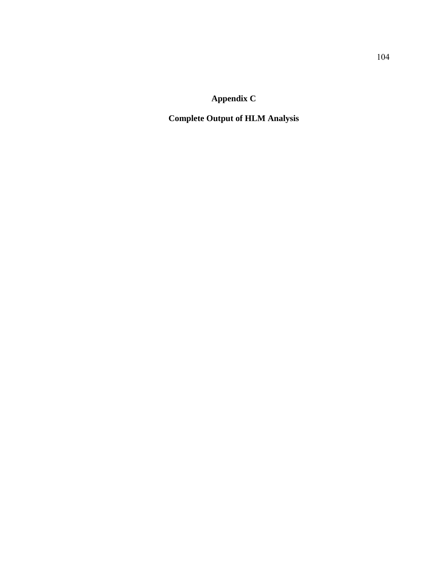**Appendix C** 

**Complete Output of HLM Analysis**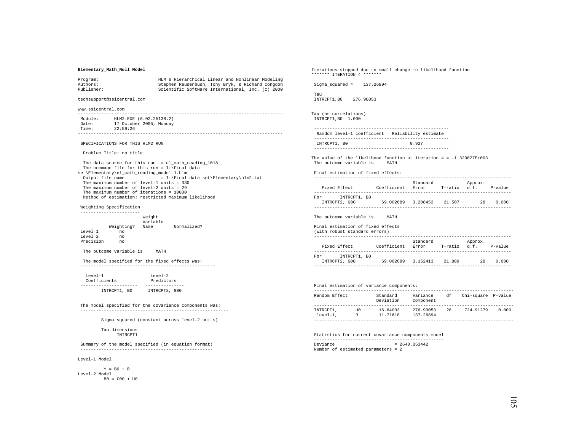## **Elementary\_Math\_Null Model**

| Program:   | HLM 6 Hierarchical Linear and Nonlinear Modeling |
|------------|--------------------------------------------------|
| Authors:   | Stephen Raudenbush, Tony Bryk, & Richard Congdon |
| Publisher: | Scientific Software International, Inc. (c) 2000 |

techsupport@ssicentral.com

www.ssicentral.com

| Module: | HLM2.EXE (6.02.25138.2) |
|---------|-------------------------|
| Date:   | 17 October 2005, Monday |
| Time:   | 22:59:26                |
|         |                         |

SPECIFICATIONS FOR THIS HLM2 RUN

Problem Title: no title

 The data source for this run = el\_math\_reading\_1018 The command file for this run =  $I:\F$ inal data set\Elementary\el\_math\_reading\_model 1.hlm Output file name  $I: \mathcal{I}$  and data set\Elementary\hlm2.txt The maximum number of level-1 units = 330 The maximum number of level-2 units = 29 The maximum number of iterations = 10000 Method of estimation: restricted maximum likelihood

Weighting Specification

|           |            | Weight<br>Variable |             |  |  |  |  |  |  |
|-----------|------------|--------------------|-------------|--|--|--|--|--|--|
|           | Weighting? | Name               | Normalized? |  |  |  |  |  |  |
| Level 1   | no         |                    |             |  |  |  |  |  |  |
| Level 2   | no         |                    |             |  |  |  |  |  |  |
| Precision | no         |                    |             |  |  |  |  |  |  |

The outcome variable is MATH

The model specified for the fixed effects was:

| $T$ eve $1 - 1$ | $T$ eve $1 - 2$ |
|-----------------|-----------------|
| Coefficients    | Predictors      |
|                 |                 |
| INTRCPT1, BO    | INTRCPT2, G00   |

 The model specified for the covariance components was: ---------------------------------------------------------

Sigma squared (constant across level-2 units)

 Tau dimensions INTRCPT1

 Summary of the model specified (in equation format) ---------------------------------------------------

Level-1 Model

 $V = R0 + R$ Level-2 Model  $B0 = G00 + U0$ 

Iterations stopped due to small change in likelihood function \*\*\*\*\*\*\* ITERATION 4 \*\*\*\*\*\*\* Sigma\_squared = 137.26894 Tau INTRCPT1,B0 276.90053 Tau (as correlations) INTRCPT1,B0 1.000 ---------------------------------------------------- Random level-1 coefficient Reliability estimate ---------------------------------------------------- INTRCPT1, B0 0.927 ---------------------------------------------------- The value of the likelihood function at iteration 4 = -1.320027E+003 The outcome variable is MATH Final estimation of fixed effects: ---------------------------------------------------------------------------- Standard Approx.<br>Fixed Rffect (Coefficient Error T-ratio d.f Coefficient Error T-ratio d.f. P-value ---------------------------------------------------------------------------- For INTRCPT1, B0 INTRCPT2, G00 69.002689 3.208452 21.507 28 0.000 ---------------------------------------------------------------------------- The outcome variable is MATH Final estimation of fixed effects (with robust standard errors) ---------------------------------------------------------------------------- Standard Approx. Fixed Effect Coefficient Error T-ratio d.f. P-value ---------------------------------------------------------------------------- For INTRCPT1, B0 INTRCPT2, G00 69.002689 3.152413 21.889 28 0.000

# Final estimation of variance components:

| Random Effect |      | Standard<br>Deviation | Variance<br>Component | df | Chi-square P-value |       |  |  |
|---------------|------|-----------------------|-----------------------|----|--------------------|-------|--|--|
|               |      |                       |                       |    |                    |       |  |  |
| INTRCPT1,     | TTO. | 16.64033              | 276.90053             | 28 | 724.91279          | 0.000 |  |  |
| $level-1.$    | R    | 11.71618              | 137.26894             |    |                    |       |  |  |

 Statistics for current covariance components model --------------------------------------------------  $Deviance = 2640.053442$ Number of estimated parameters = 2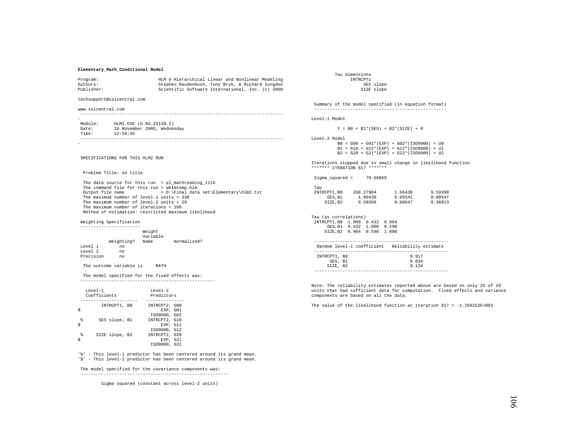## **Elementary\_Math\_Conditional Model**

| Program:<br>Authors:<br>Publisher:                                                                                                                                                                                                                                                               | HLM 6 Hierarchical Linear and Nonlinear Modeling<br>Stephen Raudenbush, Tony Bryk, & Richard Congdon<br>Scientific Software International, Inc. (c) 2000 | INTRCPT1<br>SES slope<br>SIZE slope                                                           |
|--------------------------------------------------------------------------------------------------------------------------------------------------------------------------------------------------------------------------------------------------------------------------------------------------|----------------------------------------------------------------------------------------------------------------------------------------------------------|-----------------------------------------------------------------------------------------------|
| techsupport@ssicentral.com                                                                                                                                                                                                                                                                       |                                                                                                                                                          | Summary of the model specifie                                                                 |
| www.ssicentral.com                                                                                                                                                                                                                                                                               |                                                                                                                                                          | -----------------------------                                                                 |
|                                                                                                                                                                                                                                                                                                  |                                                                                                                                                          | Level-1 Model                                                                                 |
| Module: HLM2.EXE (6.02.25138.2)<br>Date: 16 November 2005, Wednesday<br>Time: 22:58:45                                                                                                                                                                                                           |                                                                                                                                                          | $Y = B0 + B1*(SES) +$                                                                         |
|                                                                                                                                                                                                                                                                                                  |                                                                                                                                                          | Level-2 Model<br>$B0 = G00 + G01*(EXP)$<br>$B1 = G10 + G11*(EXP)$<br>$B2 = G20 + G21*(EXP)$   |
| SPECIFICATIONS FOR THIS HLM2 RUN                                                                                                                                                                                                                                                                 |                                                                                                                                                          | Iterations stopped due to smal<br>******* ITERATION 817 *******                               |
| Problem Title: no title                                                                                                                                                                                                                                                                          |                                                                                                                                                          | $Sigma_square = 79.60869$                                                                     |
| The data source for this run = el mathreading 1116<br>The command file for this run = whlmtemp.hlm<br>The maximum number of level-1 units = $330$<br>The maximum number of level-2 units = $29$<br>The maximum number of iterations = 100<br>Method of estimation: restricted maximum likelihood | Output file name $= D:\F{inal data set}\E{lemma}r{\hbox{h}m2.txt}$                                                                                       | Tau<br>INTRCPT1, B0 268.27984<br>SES, B1 1.66430<br>SIZE, B2 9.59398                          |
| Weighting Specification<br>-----------------------                                                                                                                                                                                                                                               |                                                                                                                                                          | Tau (as correlations)<br>INTRCPT1, B0 1.000 0.432 0.                                          |
|                                                                                                                                                                                                                                                                                                  | Weight<br>Variable                                                                                                                                       | SES, B1 0.432 1.000 0.<br>SIZE, B2 0.964 0.598 1.                                             |
| Level 1<br>no<br>Level 2<br>no                                                                                                                                                                                                                                                                   | Weighting? Name Normalized?                                                                                                                              | ------------------------------<br>Random level-1 coefficient<br>----------------------------- |
| Precision no<br>The outcome variable is MATH                                                                                                                                                                                                                                                     |                                                                                                                                                          | INTRCPT1, BO<br>SES, B1<br>SIZE, B2                                                           |
| The model specified for the fixed effects was:                                                                                                                                                                                                                                                   |                                                                                                                                                          | ------------------------------                                                                |
| $-1 - 1 - 1$                                                                                                                                                                                                                                                                                     | $-1$ $-1$ $-1$                                                                                                                                           | Note: The reliability estimate<br>state of a model model of the model of the common and the   |

|   | $Level-1$<br>Coefficients | $T.P. \rightarrow T P$<br>Predictors |
|---|---------------------------|--------------------------------------|
|   | INTRCPT1, BO              | INTRCPT2, G00                        |
|   |                           | EXP. GO1<br>IS09000, G02             |
| g | SES slope, B1             | INTRCPT2, G10<br>EXP. G11            |
|   | SIZE slope, B2            | IS09000, G12<br>INTRCPT2, G20        |
|   |                           | EXP. G21<br>IS09000, G22             |

'%' - This level-1 predictor has been centered around its grand mean. '\$' - This level-2 predictor has been centered around its grand mean.

 The model specified for the covariance components was: ---------------------------------------------------------

Sigma squared (constant across level-2 units)

 Tau dimensions INTROPT1 SES slope SIZE slope

 $mary$  of the model specified (in equation format) ---------------------------------------------------

 $Y = B0 + B1*(SES) + B2*(SIZE) + R$ 

el-2 Model B0 = G00 + G01\*(EXP) + G02\*(ISO9000) + U0 B1 = G10 + G11\*(EXP) + G12\*(ISO9000) + U1  $B2 = G20 + G21*(EXP) + G22*(ISO9000) + U2$ 

rations stopped due to small change in likelihood function

| Sigma squared =                                 |  | 79.60869 |         |         |  |
|-------------------------------------------------|--|----------|---------|---------|--|
| Tau                                             |  |          |         |         |  |
| INTRCPT1, B0 268.27984                          |  |          | 1.66430 | 9.59398 |  |
| SES.B1                                          |  | 1.66430  | 0.05541 | 0.08547 |  |
| SIZE.B2                                         |  | 9.59398  | 0.08547 | 0.36913 |  |
|                                                 |  |          |         |         |  |
| Tau (as correlations)                           |  |          |         |         |  |
| INTRCPT1, B0 1.000 0.432 0.964                  |  |          |         |         |  |
| SES, B1 0.432 1.000 0.598                       |  |          |         |         |  |
| SIZE, B2 0.964 0.598 1.000                      |  |          |         |         |  |
|                                                 |  |          |         |         |  |
| Random level-1 coefficient Reliability estimate |  |          |         |         |  |
|                                                 |  |          |         |         |  |
| 0.917<br>INTRCPT1, BO                           |  |          |         |         |  |
| SES, B1                                         |  |          | 0.634   |         |  |
| SIZE, B2                                        |  |          | 0.134   |         |  |
|                                                 |  |          |         |         |  |

e: The reliability estimates reported above are based on only 25 of 29 units that had sufficient data for computation. Fixed effects and variance components are based on all the data.

The value of the likelihood function at iteration  $817 = -1.269253E+003$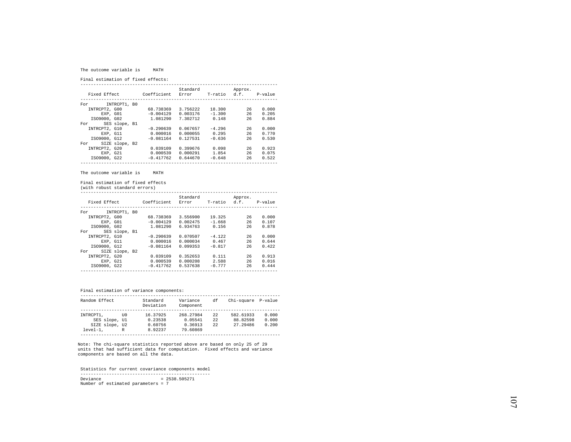#### The outcome variable is MATH

Final estimation of fixed effects:

|                       |             | Standard |              | Approx. |         |
|-----------------------|-------------|----------|--------------|---------|---------|
| Fixed Effect          | Coefficient | Error    | T-ratio d.f. |         | P-value |
|                       |             |          |              |         |         |
| INTRCPT1, B0<br>For   |             |          |              |         |         |
| INTRCPT2, G00         | 68.738369   | 3.756222 | 18.300       | 26      | 0.000   |
| EXP. GO1              | $-0.004129$ | 0.003176 | $-1.300$     | 26      | 0.205   |
| IS09000, G02          | 1.081290    | 7.302712 | 0.148        | 26      | 0.884   |
| SES slope, B1<br>For  |             |          |              |         |         |
| INTRCPT2, G10         | $-0.290639$ | 0.067657 | $-4.296$     | 26      | 0.000   |
| EXP. G11              | 0.000016    | 0.000055 | 0.295        | 26      | 0.770   |
| IS09000, G12          | $-0.081164$ | 0.127531 | $-0.636$     | 26      | 0.530   |
| SIZE slope, B2<br>For |             |          |              |         |         |
| INTRCPT2, G20         | 0.039109    | 0.399676 | 0.098        | 26      | 0.923   |
| EXP, G21              | 0.000539    | 0.000291 | 1.854        | 26      | 0.075   |
| IS09000, G22          | $-0.417762$ | 0.644670 | $-0.648$     | 26      | 0.522   |
|                       |             |          |              |         |         |

The outcome variable is MATH

Final estimation of fixed effects

(with robust standard errors)

| Fixed Effect  |                | Coefficient | Standard<br>Error | T-ratio d.f. | Approx. | P-value |
|---------------|----------------|-------------|-------------------|--------------|---------|---------|
| For           | INTRCPT1, BO   |             |                   |              |         |         |
| INTRCPT2, G00 |                | 68.738369   | 3.556900          | 19.325       | 26      | 0.000   |
|               | EXP. GO1       | $-0.004129$ | 0.002475          | $-1.668$     | 26      | 0.107   |
| IS09000, G02  |                | 1.081290    | 6.934763          | 0.156        | 26      | 0.878   |
| For           | SES slope, B1  |             |                   |              |         |         |
| INTRCPT2, G10 |                | $-0.290639$ | 0.070507          | $-4.122$     | 26      | 0.000   |
| EXP. G11      |                | 0.000016    | 0.000034          | 0.467        | 26      | 0.644   |
| IS09000, G12  |                | $-0.081164$ | 0.099353          | $-0.817$     | 26      | 0.422   |
| For           | SIZE slope, B2 |             |                   |              |         |         |
| INTRCPT2, G20 |                | 0.039109    | 0.352653          | 0.111        | 26      | 0.913   |
| EXP. G21      |                | 0.000539    | 0.000208          | 2.588        | 26      | 0.016   |
| IS09000, G22  |                | $-0.417762$ | 0.537638          | $-0.777$     | 26      | 0.444   |
|               |                |             |                   |              |         |         |

Final estimation of variance components:

| Random Effect  |      | Standard<br>Deviation | Variance<br>Component | df   | Chi-square P-value |       |
|----------------|------|-----------------------|-----------------------|------|--------------------|-------|
|                |      |                       |                       |      |                    |       |
| INTRCPT1.      | TTO. | 16.37925              | 268.27984             | 22   | 582.61933          | 0.000 |
| SES slope, Ul  |      | 0.23538               | 0.05541               | 2.2. | 88.82598           | 0.000 |
| SIZE slope, U2 |      | 0.60756               | 0.36913               | 22   | 27.29486           | 0.200 |
| $level-1.$     | R    | 8.92237               | 79.60869              |      |                    |       |

Note: The chi-square statistics reported above are based on only 25 of 29 units that had sufficient data for computation. Fixed effects and variance components are based on all the data.

 Statistics for current covariance components model -------------------------------------------------- Deviance = 2538.505271 Number of estimated parameters = 7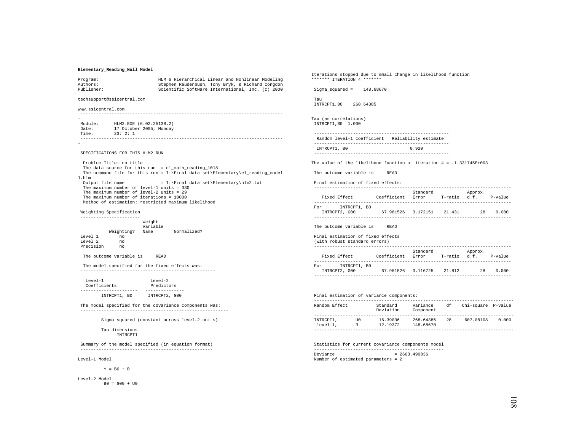# **Elementary\_Reading\_Null Model**

| Program:<br>Authors:                                          |                                                                                        | HLM 6 Hierarchical Linear and Nonlinear Modeling<br>Stephen Raudenbush, Tony Bryk, & Richard Congdon | ******* ITERATION 4 *                                     |
|---------------------------------------------------------------|----------------------------------------------------------------------------------------|------------------------------------------------------------------------------------------------------|-----------------------------------------------------------|
| Publisher:                                                    |                                                                                        | Scientific Software International, Inc. (c) 2000                                                     | Sigma_squared =<br>$\mathbf{1}$                           |
| techsupport@ssicentral.com                                    |                                                                                        |                                                                                                      | Tau<br>INTRCPT1, BO<br>268.6                              |
| www.ssicentral.com                                            |                                                                                        |                                                                                                      |                                                           |
|                                                               |                                                                                        |                                                                                                      | Tau (as correlations)                                     |
| Module: HLM2.EXE (6.02.25138.2)<br>Date:<br>Time:<br>23: 2: 1 | 17 October 2005, Monday                                                                |                                                                                                      | INTRCPT1, B0 1.000<br>--------------------                |
|                                                               |                                                                                        |                                                                                                      | Random level-1 coef                                       |
|                                                               |                                                                                        |                                                                                                      | --------------------<br>INTRCPT1, BO                      |
| SPECIFICATIONS FOR THIS HLM2 RUN                              |                                                                                        |                                                                                                      | --------------------                                      |
| Problem Title: no title                                       |                                                                                        | The data source for this run = $el\_math\_reading_1018$                                              | The value of the like                                     |
| 1.hlm                                                         |                                                                                        | The command file for this run = $I:\Pi$ data set Elementary el_reading_model                         | The outcome variable                                      |
| Output file name                                              | The maximum number of level-1 units = $330$                                            | $= I:\Final data set\Elementary\hlm2.txt$                                                            | Final estimation of<br>_____________________              |
|                                                               | The maximum number of level-2 units = $29$<br>The maximum number of iterations = 10000 | Method of estimation: restricted maximum likelihood                                                  | Fixed Effect<br>--------------------                      |
| Weighting Specification<br>----------------------             |                                                                                        |                                                                                                      | For<br>INTRCPT1,<br>INTRCPT2, G00<br>-------------------- |
|                                                               | Weight                                                                                 |                                                                                                      |                                                           |
|                                                               | Variable<br>Weighting? Name Normalized?                                                |                                                                                                      | The outcome variable                                      |
| Level 1<br>no.<br>Level 2<br>no                               |                                                                                        |                                                                                                      | Final estimation of<br>(with robust standar               |
| Precision<br>no.                                              |                                                                                        |                                                                                                      | --------------------                                      |
|                                                               | The outcome variable is READ                                                           |                                                                                                      | Fixed Effect<br>--------------------                      |
|                                                               | The model specified for the fixed effects was:                                         |                                                                                                      | INTRCPT1,<br>For<br>INTRCPT2, G00                         |
| Level-1                                                       | Level-2                                                                                |                                                                                                      | --------------------                                      |
| Coefficients<br>----------------------                        | Predictors<br>---------------                                                          |                                                                                                      |                                                           |
|                                                               | INTRCPT1, B0 INTRCPT2, G00                                                             |                                                                                                      | Final estimation of<br>--------------------               |
|                                                               |                                                                                        | The model specified for the covariance components was:                                               | Random Effect                                             |
|                                                               |                                                                                        |                                                                                                      | --------------------                                      |
|                                                               |                                                                                        | Sigma squared (constant across level-2 units)                                                        | INTRCPT1, UO<br>level-1, R                                |
| Tau dimensions                                                | INTRCPT1                                                                               |                                                                                                      | --------------------                                      |
|                                                               |                                                                                        | Summary of the model specified (in equation format)                                                  | Statistics for curre:                                     |
|                                                               |                                                                                        |                                                                                                      | --------------------                                      |

Level-1 Model

 $Y = B0 + R$ 

Level-2 Model  $B0 = G00 + U0$  Iterations stopped due to small change in likelihood function \*\*\*\*\*\*\* ITERATION 4 \*\*\*\*\*\*\*

l48.68670

ita 385

```
 ---------------------------------------------------- ficient Reliability estimate
---------------------------------------------------- 0.920 ----------------------------------------------------
```
The value of the likelihood function at iteration 4 = -1.331745E+003

The outcome variable is READ

fixed effects:

|                                        |             | Standard |         | Approx. |         |
|----------------------------------------|-------------|----------|---------|---------|---------|
| Fixed Effect                           | Coefficient | Error    | T-ratio | d.f.    | P-value |
|                                        |             |          |         |         |         |
| INTRCPT1, B0<br>For                    |             |          |         |         |         |
| INTRCPT2, G00                          | 67.981526   | 3.172151 | 21.431  | 28      | 0.000   |
|                                        |             |          |         |         |         |
|                                        |             |          |         |         |         |
| The outcome variable is<br><b>READ</b> |             |          |         |         |         |

#### Final estimation of fixed effects

|     | (with robust standard errors) |             |                   |              |         |           |
|-----|-------------------------------|-------------|-------------------|--------------|---------|-----------|
|     | Fixed Effect                  | Coefficient | Standard<br>Error | T-ratio d.f. | Approx. | $P-value$ |
| For | INTRCPT1, BO<br>INTRCPT2, G00 | 67.981526   | 3.116725          | 21.812       | 28      | 0.000     |

----------------------------------------------------------------------------

| Final estimation of variance components: |          |                       |                        |    |                    |       |
|------------------------------------------|----------|-----------------------|------------------------|----|--------------------|-------|
| Random Effect                            |          | Standard<br>Deviation | Variance<br>Component  | df | Chi-square P-value |       |
| INTRCPT1.<br>$level-1.$                  | ττO<br>R | 16.39036<br>12.19372  | 268.64385<br>148.68670 | 28 | 607.08108          | 0.000 |

ent covariance components model -------------------------------------------------- Deviance = 2663.490836 Number of estimated parameters = 2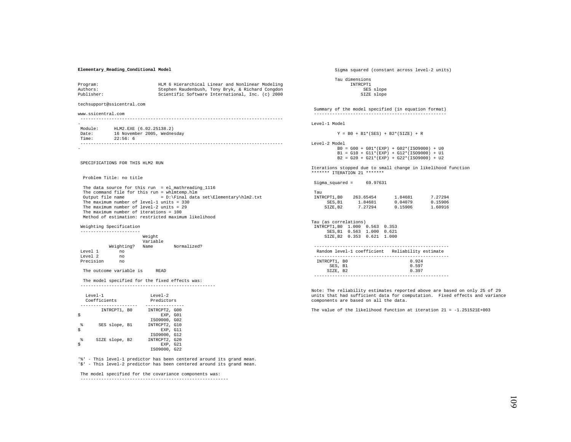## **Elementary\_Reading\_Conditional Model**

| Program:<br>Authors:<br>Publisher: |                                                                                                                                       | HLM 6 Hierarchical Linear and Nonlinear Modeling<br>Stephen Raudenbush, Tony Bryk, & Richard Congdon<br>Scientific Software International, Inc. (c) 2000                                                                 |                                |
|------------------------------------|---------------------------------------------------------------------------------------------------------------------------------------|--------------------------------------------------------------------------------------------------------------------------------------------------------------------------------------------------------------------------|--------------------------------|
|                                    | techsupport@ssicentral.com                                                                                                            |                                                                                                                                                                                                                          |                                |
| www.ssicentral.com                 |                                                                                                                                       |                                                                                                                                                                                                                          | Sι<br>$\overline{\phantom{a}}$ |
| Time:                              | Module: HLM2.EXE (6.02.25138.2)<br>Date: 16 November 2005, Wednesday<br>22:56:6                                                       |                                                                                                                                                                                                                          | Ley                            |
|                                    |                                                                                                                                       |                                                                                                                                                                                                                          | Lev                            |
|                                    | SPECIFICATIONS FOR THIS HLM2 RUN                                                                                                      |                                                                                                                                                                                                                          | $T + \epsilon$<br>$* * :$      |
|                                    | Problem Title: no title                                                                                                               |                                                                                                                                                                                                                          | S:                             |
|                                    | The maximum number of level-1 units = $330$<br>The maximum number of level-2 units = $29$<br>The maximum number of iterations = $100$ | The data source for this run = $el\_mathreading_1116$<br>The command file for this run = whlmtemp.hlm<br>Output file name = D:\Final data set\Elementary\hlm2.txt<br>Method of estimation: restricted maximum likelihood | Τa<br>m                        |
| Weighting Specification            |                                                                                                                                       |                                                                                                                                                                                                                          | Taı<br>II                      |
| Level 1<br>Level 2<br>Precision no | Weight<br>Variable<br>Weighting?<br>no<br>no                                                                                          | Name Normalized?                                                                                                                                                                                                         |                                |
|                                    | The outcome variable is                                                                                                               | READ                                                                                                                                                                                                                     |                                |

 The model specified for the fixed effects was: ----------------------------------------------------

| $T$ eve $1 - 1$ | $T$ eve $1 - 2$                                           |  |  |
|-----------------|-----------------------------------------------------------|--|--|
| Coefficients    | Predictors                                                |  |  |
| INTRCPT1, BO    | INTRCPT2, G00<br>EXP. GO1<br>IS09000, G02                 |  |  |
| 喿               | INTRCPT2, G10                                             |  |  |
| SES slope, B1   | EXP. G11                                                  |  |  |
| SIZE slope, B2  | IS09000, G12<br>INTRCPT2, G20<br>EXP. G21<br>IS09000, G22 |  |  |

'%' - This level-1 predictor has been centered around its grand mean. '\$' - This level-2 predictor has been centered around its grand mean.

The model specified for the covariance components was:

---------------------------------------------------------

Sigma squared (constant across level-2 units)

 Tau dimensions INTRCPT1 SES slope SIZE slope

ummary of the model specified (in equation format) ---------------------------------------------------

Level-1 Model

 $Y = B0 + B1*(SES) + B2*(SIZE) + R$ 

Level-2 Model  $B0 = GO0 + GO1*(EXP) + GO2*(ISO9000) + U0$  $B1 = G10 + G11*(EXP) + G12*(ISO9000) + U1$ 

 $B2 = G20 + G21*(EXP) + G22*(ISO9000) + U2$ 

erations stopped due to small change in likelihood function \*\*\*\*\*\*\* ITERATION 21 \*\*\*\*\*\*\*

 $igma_square = 69.97631$ 

| Tau         |           |         |         |
|-------------|-----------|---------|---------|
| INTRCPT1.B0 | 263.65454 | 1.84681 | 7.27294 |
| SES.B1      | 1.84681   | 0.04079 | 0.15906 |
| SIZE.B2     | 7.27294   | 0.15906 | 1.60916 |

| Tau (as correlations)         |  |                                                 |       |  |
|-------------------------------|--|-------------------------------------------------|-------|--|
| INTRCPT1.B0 1.000 0.563 0.353 |  |                                                 |       |  |
| SES.B1 0.563 1.000 0.621      |  |                                                 |       |  |
| SIZE.B2 0.353 0.621 1.000     |  |                                                 |       |  |
|                               |  |                                                 |       |  |
|                               |  |                                                 |       |  |
|                               |  | Random level-1 coefficient Reliability estimate |       |  |
|                               |  |                                                 |       |  |
| INTRCPT1, BO                  |  |                                                 | 0.924 |  |

| SES, B1  |  | 0.597 |  |  |  |
|----------|--|-------|--|--|--|
|          |  |       |  |  |  |
| SIZE, B2 |  | 0.397 |  |  |  |
|          |  |       |  |  |  |

Note: The reliability estimates reported above are based on only 25 of 29 units that had sufficient data for computation. Fixed effects and variance components are based on all the data.

The value of the likelihood function at iteration 21 = -1.251521E+003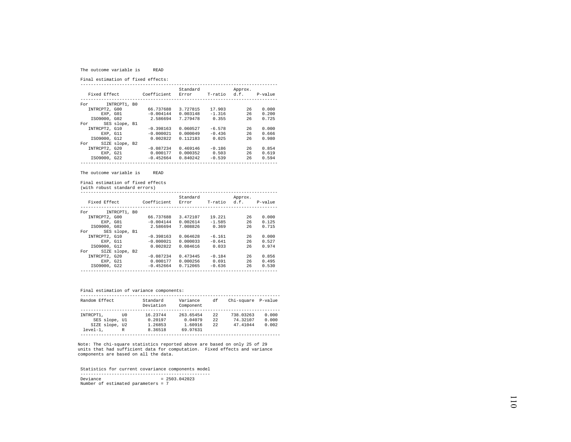#### The outcome variable is READ

Final estimation of fixed effects:

|                       |             | Standard |              | Approx. |         |
|-----------------------|-------------|----------|--------------|---------|---------|
| Fixed Effect          | Coefficient | Error    | T-ratio d.f. |         | P-value |
|                       |             |          |              |         |         |
| INTRCPT1, B0<br>For   |             |          |              |         |         |
| INTRCPT2, G00         | 66.737688   | 3.727815 | 17.903       | 26      | 0.000   |
| EXP. GO1              | $-0.004144$ | 0.003148 | $-1.316$     | 26      | 0.200   |
| IS09000, G02          | 2.586694    | 7.279478 | 0.355        | 26      | 0.725   |
| SES slope, B1<br>For  |             |          |              |         |         |
| INTRCPT2, G10         | $-0.398163$ | 0.060527 | $-6.578$     | 26      | 0.000   |
| EXP. G11              | $-0.000021$ | 0.000049 | $-0.436$     | 26      | 0.666   |
| IS09000, G12          | 0.002822    | 0.112183 | 0.025        | 26      | 0.980   |
| SIZE slope, B2<br>For |             |          |              |         |         |
| INTRCPT2, G20         | $-0.087234$ | 0.469146 | $-0.186$     | 26      | 0.854   |
| EXP. G21              | 0.000177    | 0.000352 | 0.503        | 26      | 0.619   |
| IS09000, G22          | $-0.452664$ | 0.840242 | $-0.539$     | 26      | 0.594   |
|                       |             |          |              |         |         |

The outcome variable is READ

Final estimation of fixed effects

(with robust standard errors)

| Fixed Effect  |                | Coefficient | Standard<br>Error | T-ratio  | Approx.<br>d.f. | P-value |
|---------------|----------------|-------------|-------------------|----------|-----------------|---------|
| For           | INTRCPT1, B0   |             |                   |          |                 |         |
| INTRCPT2, G00 |                | 66.737688   | 3.472107          | 19.221   | 26              | 0.000   |
| EXP. GO1      |                | $-0.004144$ | 0.002614          | $-1.585$ | 26              | 0.125   |
| IS09000, G02  |                | 2.586694    | 7.008826          | 0.369    | 26              | 0.715   |
| For           | SES slope, B1  |             |                   |          |                 |         |
| INTRCPT2, G10 |                | $-0.398163$ | 0.064628          | $-6.161$ | 26              | 0.000   |
| EXP. G11      |                | $-0.000021$ | 0.000033          | $-0.641$ | 26              | 0.527   |
| IS09000, G12  |                | 0.002822    | 0.084616          | 0.033    | 26              | 0.974   |
| For           | SIZE slope, B2 |             |                   |          |                 |         |
| INTRCPT2, G20 |                | $-0.087234$ | 0.473445          | $-0.184$ | 26              | 0.856   |
| EXP. G21      |                | 0.000177    | 0.000256          | 0.691    | 26              | 0.495   |
| IS09000, G22  |                | $-0.452664$ | 0.712065          | $-0.636$ | 26              | 0.530   |
|               |                |             |                   |          |                 |         |

Final estimation of variance components:

| Random Effect  |      | Standard<br>Deviation | Variance<br>Component | df   | Chi-square P-value |       |
|----------------|------|-----------------------|-----------------------|------|--------------------|-------|
|                |      |                       |                       |      |                    |       |
| INTRCPT1.      | TTO. | 16.23744              | 263.65454             | 22   | 738.03263          | 0.000 |
| SES slope, Ul  |      | 0.20197               | 0.04079               | 2.2. | 74.32107           | 0.000 |
| SIZE slope, U2 |      | 1.26853               | 1.60916               | 22   | 47.41044           | 0.002 |
| $level-1.$     | R    | 8.36518               | 69.97631              |      |                    |       |

Note: The chi-square statistics reported above are based on only 25 of 29 units that had sufficient data for computation. Fixed effects and variance components are based on all the data.

 Statistics for current covariance components model -------------------------------------------------- Deviance = 2503.042023 Number of estimated parameters = 7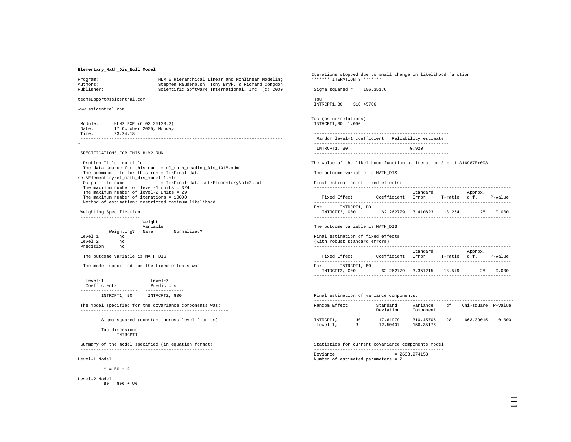# **Elementary\_Math\_Dis\_Null Model**

| Program:<br>Authors:<br>Publisher: |                                                                                                                                                                                                                                                  |                    | HLM 6 Hierarchical Linear and Nonlinear Modeling<br>Stephen Raudenbush, Tony Bryk, & Richard Congdon<br>Scientific Software International, Inc. (c) 2000                                                                           |
|------------------------------------|--------------------------------------------------------------------------------------------------------------------------------------------------------------------------------------------------------------------------------------------------|--------------------|------------------------------------------------------------------------------------------------------------------------------------------------------------------------------------------------------------------------------------|
|                                    | techsupport@ssicentral.com                                                                                                                                                                                                                       |                    |                                                                                                                                                                                                                                    |
| www.ssicentral.com                 |                                                                                                                                                                                                                                                  |                    |                                                                                                                                                                                                                                    |
|                                    |                                                                                                                                                                                                                                                  |                    |                                                                                                                                                                                                                                    |
| Time: 23:24:18                     | Module: HLM2.EXE (6.02.25138.2)<br>Date: 17 October 2005, Monday                                                                                                                                                                                 |                    |                                                                                                                                                                                                                                    |
|                                    |                                                                                                                                                                                                                                                  |                    |                                                                                                                                                                                                                                    |
|                                    | SPECIFICATIONS FOR THIS HLM2 RUN<br>Problem Title: no title<br>set\Elementary\el math dis model 1.hlm<br>The maximum number of level-1 units = $324$<br>The maximum number of level-2 units = $29$<br>The maximum number of iterations = $10000$ |                    | The data source for this run = el math reading Dis 1018.mdm<br>The command file for this run = $I:\F$ inal data<br>Output file name = I:\Final data set\Elementary\hlm2.txt<br>Method of estimation: restricted maximum likelihood |
|                                    | Weighting Specification                                                                                                                                                                                                                          |                    |                                                                                                                                                                                                                                    |
|                                    | ---------------------                                                                                                                                                                                                                            | Weight<br>Variable |                                                                                                                                                                                                                                    |
|                                    |                                                                                                                                                                                                                                                  |                    | Weighting? Name Normalized?                                                                                                                                                                                                        |
| Level 1<br>Level 2 no              | no                                                                                                                                                                                                                                               |                    |                                                                                                                                                                                                                                    |
| Precision no                       |                                                                                                                                                                                                                                                  |                    |                                                                                                                                                                                                                                    |

The outcome variable is MATH\_DIS

 The model specified for the fixed effects was: ----------------------------------------------------

| $T$ eve $1 - 1$ | $T$ eve $1 - 2$ |
|-----------------|-----------------|
| Coefficients    | Predictors      |
|                 |                 |
| INTRCPT1, BO    | INTRCPT2, G00   |

 The model specified for the covariance components was: ---------------------------------------------------------

Sigma squared (constant across level-2 units)

 Tau dimensions INTRCPT1

 Summary of the model specified (in equation format) ---------------------------------------------------

Level-1 Model

 $Y = B0 + R$ 

Level-2 Model  $B0 = G00 + U0$  Iterations stopped due to small change in likelihood function \*\*\*\*\*\*\* ITERATION 3 \*\*\*\*\*\*\*

Sigma\_squared = 156.35176

 Tau INTRCPT1,B0 310.45706

Tau (as correlations) INTRCPT1,B0 1.000

```
 ----------------------------------------------------  Random level-1 coefficient Reliability estimate 
---------------------------------------------------- INTRCPT1, B0 0.920
----------------------------------------------------
```
The value of the likelihood function at iteration 3 = -1.316987E+003

The outcome variable is MATH\_DIS

Final estimation of fixed effects:

|                     |             | Standard |         | Approx. |           |
|---------------------|-------------|----------|---------|---------|-----------|
| Fixed Effect        | Coefficient | Error    | T-ratio | d.f.    | $P-value$ |
|                     |             |          |         |         |           |
| INTRCPT1, BO<br>For |             |          |         |         |           |
| INTRCPT2, G00       | 62.262779   | 3.410823 | 18.254  | 28      | 0.000     |
|                     |             |          |         |         |           |

The outcome variable is MATH\_DIS

Final estimation of fixed effects

### (with robust standard errors)

| Fixed Effect        | Coefficient | Standard<br>Error | T-ratio | Approx.<br>d.f. | P-value |
|---------------------|-------------|-------------------|---------|-----------------|---------|
|                     |             |                   |         |                 |         |
|                     |             |                   |         |                 |         |
| INTRCPT1, BO<br>For |             |                   |         |                 |         |
| INTRCPT2, G00       | 62.262779   | 3.351215          | 18.579  | 28              | 0.000   |
|                     |             |                   |         |                 |         |

|                         |           | Final estimation of variance components: |                        |    |                    |       |
|-------------------------|-----------|------------------------------------------|------------------------|----|--------------------|-------|
| Random Effect           |           | Standard<br>Deviation                    | Variance<br>Component  | df | Chi-square P-value |       |
| INTRCPT1.<br>$level-1.$ | TTO.<br>R | 17.61979<br>12.50407                     | 310.45706<br>156.35176 | 28 | 663.39015          | 0.000 |
|                         |           |                                          |                        |    |                    |       |

 Statistics for current covariance components model --------------------------------------------------  $Devi$ ance  $= 2633.974158$ Number of estimated parameters = 2

111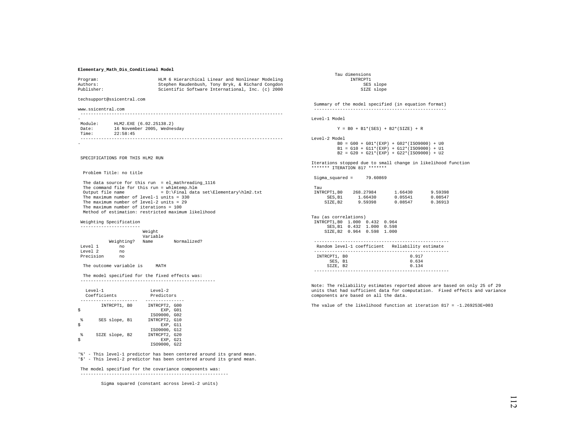## **Elementary\_Math\_Dis\_Conditional Model**

| Program:<br>Authors:<br>Publisher:    |                              | HLM 6 Hierarchical Linear and Nonlinear Modeling<br>Stephen Raudenbush, Tony Bryk, & Richard Congdon<br>Scientific Software International, Inc. (c) 2000                                                                                                                                                                                       |
|---------------------------------------|------------------------------|------------------------------------------------------------------------------------------------------------------------------------------------------------------------------------------------------------------------------------------------------------------------------------------------------------------------------------------------|
| techsupport@ssicentral.com            |                              |                                                                                                                                                                                                                                                                                                                                                |
| www.ssicentral.com                    |                              |                                                                                                                                                                                                                                                                                                                                                |
|                                       |                              |                                                                                                                                                                                                                                                                                                                                                |
|                                       |                              | Module: HLM2.EXE (6.02.25138.2)<br>Date: 16 November 2005, Wednesday<br>Time: 22:58:45                                                                                                                                                                                                                                                         |
|                                       |                              |                                                                                                                                                                                                                                                                                                                                                |
| SPECIFICATIONS FOR THIS HLM2 RUN      |                              |                                                                                                                                                                                                                                                                                                                                                |
|                                       | Problem Title: no title      |                                                                                                                                                                                                                                                                                                                                                |
| Output file name                      |                              | The data source for this run = $el\_mathreading_1116$<br>The command file for this run = whlmtemp.hlm<br>= D:\Final data set\Elementary\hlm2.txt<br>The maximum number of level-1 units = $330$<br>The maximum number of level-2 units = $29$<br>The maximum number of iterations = 100<br>Method of estimation: restricted maximum likelihood |
| Weighting Specification               |                              |                                                                                                                                                                                                                                                                                                                                                |
| -----------------------               |                              | Weight<br>Variable<br>Weighting? Name Normalized?                                                                                                                                                                                                                                                                                              |
| Level 1 no<br>Level 2<br>Precision no | no                           |                                                                                                                                                                                                                                                                                                                                                |
|                                       | The outcome variable is MATH |                                                                                                                                                                                                                                                                                                                                                |
|                                       |                              | The model specified for the fixed effects was:                                                                                                                                                                                                                                                                                                 |

|   | $T$ eve $1 - 1$<br>Coefficients | $T$ eve $1 - 2$<br>Predictors |
|---|---------------------------------|-------------------------------|
|   | INTRCPT1, BO                    | INTRCPT2, G00                 |
|   |                                 | EXP. GO1                      |
|   |                                 | IS09000, G02                  |
| g | SES slope, B1                   | INTRCPT2, G10                 |
| Ś |                                 | EXP. G11                      |
|   |                                 | IS09000, G12                  |
|   | SIZE slope, B2                  | INTRCPT2, G20                 |
|   |                                 | EXP. G21                      |
|   |                                 | IS09000, G22                  |

'%' - This level-1 predictor has been centered around its grand mean. '\$' - This level-2 predictor has been centered around its grand mean.

 The model specified for the covariance components was: ---------------------------------------------------------

Sigma squared (constant across level-2 units)

 Tau dimensions INTROPT1 SES slope SIZE slope

 Summary of the model specified (in equation format) ---------------------------------------------------

Level-1 Model

 $Y = B0 + B1*(SES) + B2*(SIZE) + R$ 

Level-2 Model B0 = G00 + G01\*(EXP) + G02\*(ISO9000) + U0 B1 = G10 + G11\*(EXP) + G12\*(ISO9000) + U1  $B2 = G20 + G21*(EXP) + G22*(ISO9000) + U2$ 

Iterations stopped due to small change in likelihood function \*\*\*\*\*\*\* ITERATION 817 \*\*\*\*\*\*\*

| Sigma squared =                | 79.60869 |                                                 |         |
|--------------------------------|----------|-------------------------------------------------|---------|
| Tau                            |          |                                                 |         |
| INTRCPT1, B0 268.27984         |          | 1.66430                                         | 9.59398 |
| SES.B1                         | 1.66430  | 0.05541                                         | 0.08547 |
| SIZE.B2                        | 9.59398  | 0.08547                                         | 0.36913 |
|                                |          |                                                 |         |
| Tau (as correlations)          |          |                                                 |         |
| INTRCPT1, B0 1.000 0.432 0.964 |          |                                                 |         |
| SES, B1 0.432 1.000            |          | 0.598                                           |         |
| SIZE, B2 0.964 0.598           |          | 1,000                                           |         |
|                                |          |                                                 |         |
|                                |          | Random level-1 coefficient Reliability estimate |         |
| INTRCPT1, BO                   |          | 0.917                                           |         |
| SES, B1                        |          | 0.634                                           |         |
| SIZE, B2                       |          | 0.134                                           |         |
|                                |          |                                                 |         |

Note: The reliability estimates reported above are based on only 25 of 29 units that had sufficient data for computation. Fixed effects and variance components are based on all the data.

The value of the likelihood function at iteration  $817 = -1.269253E+003$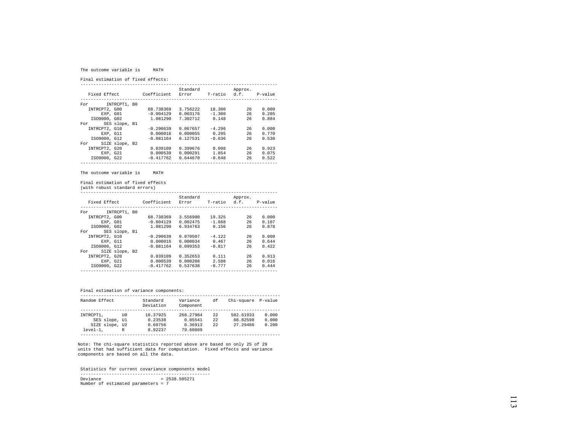#### The outcome variable is MATH

Final estimation of fixed effects:

|                       |             | Standard |              | Approx. |         |
|-----------------------|-------------|----------|--------------|---------|---------|
| Fixed Effect          | Coefficient | Error    | T-ratio d.f. |         | P-value |
|                       |             |          |              |         |         |
| INTRCPT1, B0<br>For   |             |          |              |         |         |
| INTRCPT2, G00         | 68.738369   | 3.756222 | 18.300       | 26      | 0.000   |
| EXP. GO1              | $-0.004129$ | 0.003176 | $-1.300$     | 26      | 0.205   |
| IS09000, G02          | 1.081290    | 7.302712 | 0.148        | 26      | 0.884   |
| SES slope, B1<br>For  |             |          |              |         |         |
| INTRCPT2, G10         | $-0.290639$ | 0.067657 | $-4.296$     | 26      | 0.000   |
| EXP. G11              | 0.000016    | 0.000055 | 0.295        | 26      | 0.770   |
| IS09000, G12          | $-0.081164$ | 0.127531 | $-0.636$     | 26      | 0.530   |
| SIZE slope, B2<br>For |             |          |              |         |         |
| INTRCPT2, G20         | 0.039109    | 0.399676 | 0.098        | 26      | 0.923   |
| EXP, G21              | 0.000539    | 0.000291 | 1.854        | 26      | 0.075   |
| IS09000, G22          | $-0.417762$ | 0.644670 | $-0.648$     | 26      | 0.522   |
|                       |             |          |              |         |         |

The outcome variable is MATH

Final estimation of fixed effects

(with robust standard errors)

|               |                |             | Standard |          | Approx.              |       |
|---------------|----------------|-------------|----------|----------|----------------------|-------|
| Fixed Effect  |                | Coefficient | Error    |          | T-ratio d.f. P-value |       |
|               |                |             |          |          |                      |       |
| For           | INTRCPT1, BO   |             |          |          |                      |       |
| INTRCPT2, G00 |                | 68.738369   | 3.556900 | 19.325   | 26                   | 0.000 |
| EXP. GO1      |                | $-0.004129$ | 0.002475 | $-1.668$ | 26                   | 0.107 |
| IS09000, G02  |                | 1.081290    | 6.934763 | 0.156    | 26                   | 0.878 |
| For           | SES slope, B1  |             |          |          |                      |       |
| INTRCPT2, G10 |                | $-0.290639$ | 0.070507 | $-4.122$ | 26                   | 0.000 |
| EXP. G11      |                | 0.000016    | 0.000034 | 0.467    | 26                   | 0.644 |
| IS09000, G12  |                | $-0.081164$ | 0.099353 | $-0.817$ | 26                   | 0.422 |
| For           | SIZE slope, B2 |             |          |          |                      |       |
| INTRCPT2, G20 |                | 0.039109    | 0.352653 | 0.111    | 26                   | 0.913 |
| EXP. G21      |                | 0.000539    | 0.000208 | 2.588    | 26                   | 0.016 |
| IS09000, G22  |                | $-0.417762$ | 0.537638 | $-0.777$ | 26                   | 0.444 |
|               |                |             |          |          |                      |       |

Final estimation of variance components:

| Random Effect  |      | Standard<br>Deviation | Variance<br>Component | df   | Chi-square P-value |       |
|----------------|------|-----------------------|-----------------------|------|--------------------|-------|
|                |      |                       |                       |      |                    |       |
| INTRCPT1.      | TTO. | 16.37925              | 268.27984             | 22   | 582.61933          | 0.000 |
| SES slope, Ul  |      | 0.23538               | 0.05541               | 2.2. | 88.82598           | 0.000 |
| SIZE slope, U2 |      | 0.60756               | 0.36913               | 22   | 27.29486           | 0.200 |
| $level-1.$     | R    | 8.92237               | 79.60869              |      |                    |       |

Note: The chi-square statistics reported above are based on only 25 of 29 units that had sufficient data for computation. Fixed effects and variance components are based on all the data.

 Statistics for current covariance components model -------------------------------------------------- Deviance = 2538.505271 Number of estimated parameters = 7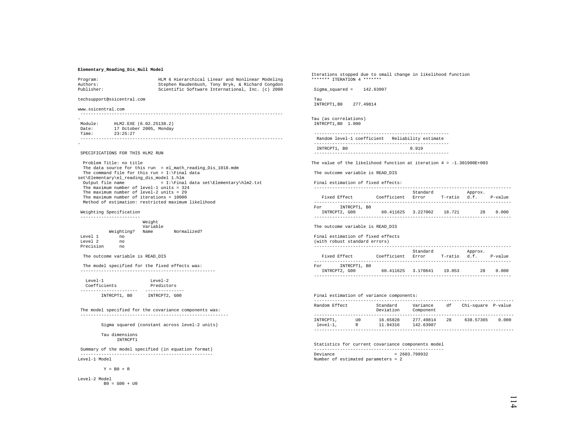# **Elementary\_Reading\_Dis\_Null Model**

| Program:<br>Authors:                                |                                                                                           | HLM 6 Hierarchical Linear and Nonlinear Modeling<br>Stephen Raudenbush, Tony Bryk, & Richard Congdon |  |  |  |  |
|-----------------------------------------------------|-------------------------------------------------------------------------------------------|------------------------------------------------------------------------------------------------------|--|--|--|--|
| Publisher:                                          |                                                                                           | Scientific Software International, Inc. (c) 2000                                                     |  |  |  |  |
| techsupport@ssicentral.com                          |                                                                                           |                                                                                                      |  |  |  |  |
| www.ssicentral.com                                  |                                                                                           |                                                                                                      |  |  |  |  |
|                                                     |                                                                                           |                                                                                                      |  |  |  |  |
|                                                     | Module: HLM2.EXE (6.02.25138.2)                                                           |                                                                                                      |  |  |  |  |
|                                                     | Date: 17 October 2005, Monday                                                             |                                                                                                      |  |  |  |  |
| Time: 23:25:27                                      |                                                                                           |                                                                                                      |  |  |  |  |
|                                                     |                                                                                           |                                                                                                      |  |  |  |  |
|                                                     |                                                                                           |                                                                                                      |  |  |  |  |
|                                                     | SPECIFICATIONS FOR THIS HLM2 RUN                                                          |                                                                                                      |  |  |  |  |
|                                                     | Problem Title: no title                                                                   |                                                                                                      |  |  |  |  |
|                                                     |                                                                                           | The data source for this run = el math reading Dis 1018.mdm                                          |  |  |  |  |
|                                                     |                                                                                           | The command file for this run = $I:\Gamma$ data                                                      |  |  |  |  |
|                                                     | set\Elementary\el_reading_dis_model 1.hlm                                                 |                                                                                                      |  |  |  |  |
|                                                     |                                                                                           | Output file name $= I:\F^{\text{inal data set}\Elementary\hlm2.txt}$                                 |  |  |  |  |
|                                                     | The maximum number of level-1 units = $324$<br>The maximum number of level-2 units = $29$ |                                                                                                      |  |  |  |  |
|                                                     | The maximum number of iterations = $10000$                                                |                                                                                                      |  |  |  |  |
| Method of estimation: restricted maximum likelihood |                                                                                           |                                                                                                      |  |  |  |  |
|                                                     |                                                                                           |                                                                                                      |  |  |  |  |
| Weighting Specification                             |                                                                                           |                                                                                                      |  |  |  |  |
|                                                     | --------------------<br>Weight                                                            |                                                                                                      |  |  |  |  |
|                                                     | Variable                                                                                  |                                                                                                      |  |  |  |  |
|                                                     |                                                                                           | Weighting? Name Normalized?                                                                          |  |  |  |  |
| Level 1                                             | no                                                                                        |                                                                                                      |  |  |  |  |
| Level 2 no                                          |                                                                                           |                                                                                                      |  |  |  |  |

Precision

The outcome variable is READ\_DIS

 The model specified for the fixed effects was: ----------------------------------------------------

| $T$ eve $1 - 1$ | $T$ eve $1-2$ |
|-----------------|---------------|
| Coefficients    | Predictors    |
|                 |               |
| INTRCPT1, BO    | INTRCPT2, G00 |

 The model specified for the covariance components was: ---------------------------------------------------------

Sigma squared (constant across level-2 units)

### Tau dimensions INTRCPT1

 Summary of the model specified (in equation format) --------------------------------------------------- Level-1 Model

 $Y = B0 + R$ 

Level-2 Model  $B0 = G00 + U0$  Iterations stopped due to small change in likelihood function \*\*\*\*\*\*\* ITERATION 4 \*\*\*\*\*\*\*

Sigma\_squared = 142.63907

 Tau INTRCPT1,B0 277.49814

Tau (as correlations) INTRCPT1,B0 1.000

```
 ----------------------------------------------------  Random level-1 coefficient Reliability estimate 
---------------------------------------------------- INTRCPT1, B0 0.919
----------------------------------------------------
```
The value of the likelihood function at iteration 4 = -1.301900E+003

The outcome variable is READ\_DIS

Final estimation of fixed effects:

| Fixed Effect                         | Coefficient | Standard<br>Error | T-ratio | Approx.<br>d.f. | $P-value$ |
|--------------------------------------|-------------|-------------------|---------|-----------------|-----------|
| INTRCPT1, BO<br>For<br>INTRCPT2, G00 | 60 411625   | 3.227002          | 18.721  | 28              | 0.000     |

The outcome variable is READ\_DIS

### Final estimation of fixed effects

(with robust standard errors)

|     |               |             | Standard |         | Approx. |           |
|-----|---------------|-------------|----------|---------|---------|-----------|
|     | Fixed Effect  | Coefficient | Error    | T-ratio | d.f.    | $P-value$ |
|     |               |             |          |         |         |           |
| For | INTRCPT1, BO  |             |          |         |         |           |
|     | INTRCPT2, G00 | 60.411625   | 3.170641 | 19.053  | 28      | 0.000     |
|     |               |             |          |         |         |           |

|  |  |  |  |  | Final estimation of variance components: |
|--|--|--|--|--|------------------------------------------|
|--|--|--|--|--|------------------------------------------|

| Random Effect |     | Standard<br>Deviation | Variance<br>Component | df | Chi-square P-value |       |
|---------------|-----|-----------------------|-----------------------|----|--------------------|-------|
|               |     |                       |                       |    |                    |       |
| INTRCPT1,     | ττO | 16.65828              | 277.49814             | 28 | 638.57365          | 0.000 |
| $level-1.$    | R   | 11.94316              | 142.63907             |    |                    |       |
|               |     |                       |                       |    |                    |       |

 Statistics for current covariance components model -------------------------------------------------- Deviance = 2603.799932 Number of estimated parameters = 2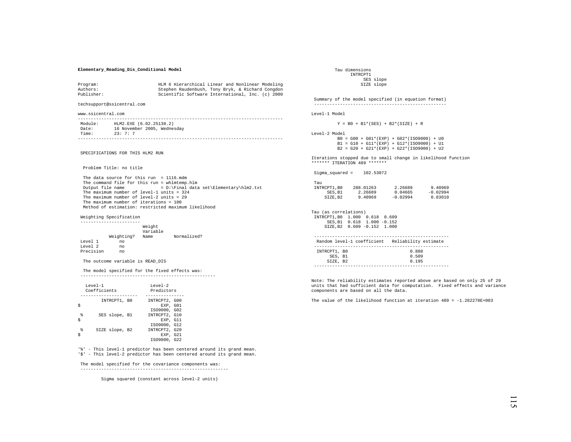## **Elementary\_Reading\_Dis\_Conditional Model**

| Program:                   | HLM 6 Hierarchical Linear and Nonlinear Modeling |
|----------------------------|--------------------------------------------------|
| Authors:                   | Stephen Raudenbush, Tony Bryk, & Richard Congdon |
| Publisher:                 | Scientific Software International, Inc. (c) 2000 |
| techsupport@ssicentral.com |                                                  |

www.ssicentral.com

| Module: | HLM2.EXE (6.02.25138.2)     |
|---------|-----------------------------|
| Date:   | 16 November 2005, Wednesday |
| Time:   | 23: 7: 7                    |
|         |                             |

SPECIFICATIONS FOR THIS HLM2 RUN

Problem Title: no title

 The data source for this run = 1116.mdm The command file for this run = whlmtemp.hlm Output file name  $= D:\Final data set\Elementary\hlm2.txt$  The maximum number of level-1 units = 324 The maximum number of level-2 units = 29 The maximum number of iterations = 100 Method of estimation: restricted maximum likelihood

Weighting Specification

|           |            | Weight<br>Variable |             |
|-----------|------------|--------------------|-------------|
|           | Weighting? | Name               | Normalized? |
| Level 1   | no         |                    |             |
| Level 2   | no         |                    |             |
| Precision | nο         |                    |             |

The outcome variable is READ DIS

 The model specified for the fixed effects was: ----------------------------------------------------

|        | $T$ eve $1 - 1$<br>Coefficients | $T$ eve $1 - 2$<br>Predictors |  |
|--------|---------------------------------|-------------------------------|--|
|        | INTRCPT1, BO                    | INTRCPT2, G00                 |  |
|        |                                 | EXP. GO1<br>IS09000, G02      |  |
| g<br>Ś | SES slope, B1                   | INTRCPT2, G10<br>EXP. G11     |  |
|        |                                 | IS09000, G12                  |  |
| g      | SIZE slope, B2                  | INTRCPT2, G20<br>EXP. G21     |  |
|        |                                 | IS09000, G22                  |  |

'%' - This level-1 predictor has been centered around its grand mean. '\$' - This level-2 predictor has been centered around its grand mean.

 The model specified for the covariance components was: ---------------------------------------------------------

Sigma squared (constant across level-2 units)

 Tau dimensions INTRCPT1 SES slope SIZE slope

 Summary of the model specified (in equation format) ---------------------------------------------------

Level-1 Model

 $Y = B0 + B1*(SES) + B2*(SIZE) + R$ 

Level-2 Model

 B0 = G00 + G01\*(EXP) + G02\*(ISO9000) + U0 B1 = G10 + G11\*(EXP) + G12\*(ISO9000) + U1 B2 = G20 + G21\*(EXP) + G22\*(ISO9000) + U2

Iterations stopped due to small change in likelihood function \*\*\*\*\*\*\* ITERATION 489 \*\*\*\*\*\*\*

Sigma\_squared = 102.53072

| Tau         |           |            |            |
|-------------|-----------|------------|------------|
| INTRCPT1.B0 | 288.01263 | 2.26689    | 9.40969    |
| SES.B1      | 2.26689   | 0.04665    | $-0.02994$ |
| SIZE.B2     | 9.40969   | $-0.02994$ | 0.83010    |

Tau (as correlations) INTRCPT1,B0 1.000 0.618 0.609 SES,B1 0.618 1.000 -0.152 SIZE,B2 0.609 -0.152 1.000

|              | Random level-1 coefficient | Reliability estimate |  |
|--------------|----------------------------|----------------------|--|
|              |                            |                      |  |
| INTRCPT1, BO |                            | 0.888                |  |
| SES, B1      |                            | 0.509                |  |
| SIZE, B2     |                            | 0 195                |  |

----------------------------------------------------

Note: The reliability estimates reported above are based on only 25 of 29 units that had sufficient data for computation. Fixed effects and variance components are based on all the data.

The value of the likelihood function at iteration  $489 = -1.282278E + 003$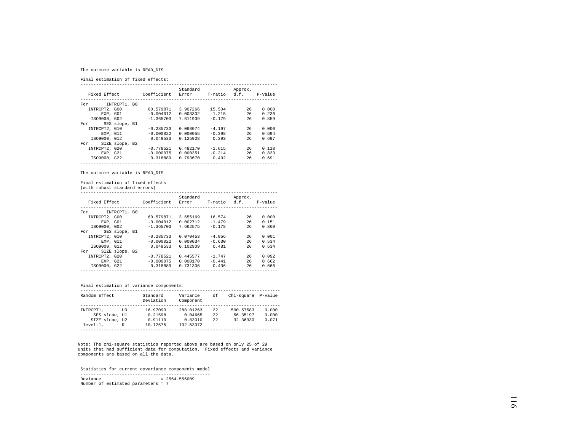# The outcome variable is READ\_DIS

Final estimation of fixed effects:

|                       |             | Standard |              | Approx. |         |
|-----------------------|-------------|----------|--------------|---------|---------|
| Fixed Effect          | Coefficient | Error    | T-ratio d.f. |         | P-value |
|                       |             |          |              |         |         |
| INTRCPT1, B0<br>For   |             |          |              |         |         |
| INTRCPT2, G00         | 60.579871   | 3.907266 | 15.504       | 26      | 0.000   |
| EXP. GO1              | $-0.004012$ | 0.003302 | $-1.215$     | 26      | 0.236   |
| IS09000, G02          | $-1.365703$ | 7.611909 | $-0.179$     | 26      | 0.859   |
| SES slope, B1<br>For  |             |          |              |         |         |
| INTRCPT2, G10         | $-0.285733$ | 0.068074 | $-4.197$     | 26      | 0.000   |
| EXP, G11              | $-0.000022$ | 0.000055 | $-0.398$     | 26      | 0.694   |
| IS09000, G12          | 0.049533    | 0.125928 | 0.393        | 26      | 0.697   |
| SIZE slope, B2<br>For |             |          |              |         |         |
| INTRCPT2, G20         | $-0.778521$ | 0.482170 | $-1.615$     | 26      | 0.118   |
| EXP, G21              | $-0.000075$ | 0.000351 | $-0.214$     | 26      | 0.833   |
| IS09000, G22          | 0.318889    | 0.793670 | 0.402        | 26      | 0.691   |
|                       |             |          |              |         |         |

The outcome variable is READ\_DIS

Final estimation of fixed effects

(with robust standard errors)

| Fixed Effect  |                | Coefficient | Standard<br>Error | T-ratio  | Approx. | d.f. P-value |
|---------------|----------------|-------------|-------------------|----------|---------|--------------|
| For           | INTRCPT1, BO   |             |                   |          |         |              |
| INTRCPT2, G00 |                | 60.579871   | 3.655169          | 16.574   | 26      | 0.000        |
|               | EXP. GO1       | $-0.004012$ | 0.002712          | $-1.479$ | 26      | 0.151        |
| IS09000, G02  |                | $-1.365703$ | 7.662575          | $-0.178$ | 26      | 0.860        |
| For           | SES slope, B1  |             |                   |          |         |              |
| INTRCPT2, G10 |                | $-0.285733$ | 0.070453          | $-4.056$ | 26      | 0.001        |
|               | EXP. G11       | $-0.000022$ | 0.000034          | $-0.630$ | 26      | 0.534        |
| IS09000, G12  |                | 0.049533    | 0.102909          | 0.481    | 26      | 0.634        |
| For           | SIZE slope, B2 |             |                   |          |         |              |
| INTRCPT2, G20 |                | $-0.778521$ | 0.445577          | $-1.747$ | 26      | 0.092        |
|               | EXP. G21       | $-0.000075$ | 0.000170          | $-0.441$ | 26      | 0.662        |
| IS09000, G22  |                | 0.318889    | 0.731306          | 0.436    | 26      | 0.666        |
|               |                |             |                   |          |         |              |

## Final estimation of variance components:

| Random Effect  |      | Standard  | Variance  | df | Chi-square P-value |       |
|----------------|------|-----------|-----------|----|--------------------|-------|
|                |      | Deviation | Component |    |                    |       |
|                |      |           |           |    |                    |       |
| INTRCPT1.      | TTO. | 16.97093  | 288.01263 | 22 | 500.57583          | 0.000 |
| SES slope, Ul  |      | 0.21598   | 0.04665   | 22 | 56.35197           | 0.000 |
| SIZE slope, U2 |      | 0.91110   | 0.83010   | 22 | 32.36330           | 0.071 |
| $level-1.$     | R    | 10.12575  | 102.53072 |    |                    |       |
|                |      |           |           |    |                    |       |

Note: The chi-square statistics reported above are based on only 25 of 29 units that had sufficient data for computation. Fixed effects and variance components are based on all the data.

 Statistics for current covariance components model --------------------------------------------------  $Deviance = 2564.556009$ Number of estimated parameters = 7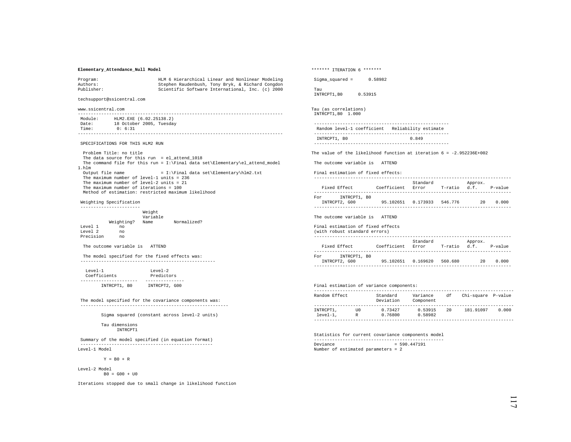### **Elementary\_Attendance\_Null Model**

| Program:   | HLM 6 Hierarchical Linear and Nonlinear Modeling |
|------------|--------------------------------------------------|
| Authors:   | Stephen Raudenbush, Tony Bryk, & Richard Congdon |
| Publisher: | Scientific Software International, Inc. (c) 2000 |

techsupport@ssicentral.com

www.ssicentral.com

| Module: | HLM2.EXE (6.02.25138.2)  |
|---------|--------------------------|
| Date:   | 18 October 2005, Tuesday |
| Time:   | 0:6:31                   |
|         |                          |

### SPECIFICATIONS FOR THIS HLM2 RUN

 Problem Title: no title The data source for this run = el attend 1018 The command file for this run = I:\Final data set\Elementary\el\_attend\_model 1.hlm Output file name = I:\Final data set\Elementary\hlm2.txt The maximum number of level-1 units = 236 The maximum number of level-2 units = 21 The maximum number of iterations = 100 Method of estimation: restricted maximum likelihood

### Weighting Specification

 ----------------------- Weight Variable Weighting? Name Normalized? Level 1  $no$  Level 2 no Precision

#### The outcome variable is ATTEND

 The model specified for the fixed effects was: ----------------------------------------------------

 $Level-1$   $Level-2$ Predictors Coefficients ---------------------- --------------- INTRCPT1, B0 INTRCPT2, G00

 The model specified for the covariance components was: ---------------------------------------------------------

Sigma squared (constant across level-2 units)

#### Tau dimensions INTRCPT1

 Summary of the model specified (in equation format) --------------------------------------------------- Level-1 Model

 $Y = B0 + R$ 

Level-2 Model  $B0 = G00 + U0$ 

Iterations stopped due to small change in likelihood function

\*\*\*\*\*\*\* ITERATION 6 \*\*\*\*\*\*\* Sigma squared =  $0.58982$  Tau INTRCPT1,B0 0.53915 Tau (as correlations) INTRCPT1,B0 1.000 ---------------------------------------------------- Random level-1 coefficient Reliability estimate ---------------------------------------------------- INTRCPT1, B0 0.849 ---------------------------------------------------- The value of the likelihood function at iteration  $6 = -2.952236E+002$  The outcome variable is ATTEND Final estimation of fixed effects: ---------------------------------------------------------------------------- Standard Approx.<br>Fixed Effect (Coefficient Error T-ratio d.f. Coefficient Error T-ratio d.f. P-value ---------------------------------------------------------------------------- For INTRCPT1, B0 INTRCPT2, G00 95.102651 0.173933 546.776 20 0.000 ---------------------------------------------------------------------------- The outcome variable is ATTEND Final estimation of fixed effects (with robust standard errors) ---------------------------------------------------------------------------- Standard Approx. Fixed Effect Coefficient Error T-ratio d.f. P-value ---------------------------------------------------------------------------- For INTRCPT1, B0 INTRCPT2, G00 95.102651 0.169620 560.680 20 0.000 ----------------------------------------------------------------------------

# Final estimation of variance components:

| Random Effect           |           | Standard<br>Deviation | Variance<br>Component | df  | Chi-square P-value |       |
|-------------------------|-----------|-----------------------|-----------------------|-----|--------------------|-------|
|                         |           |                       |                       |     |                    |       |
| INTRCPT1,<br>$level-1.$ | TTO.<br>R | 0.73427<br>0.76800    | 0.53915<br>0.58982    | 2.0 | 181.91097          | 0.000 |
|                         |           |                       |                       |     |                    |       |

 Statistics for current covariance components model --------------------------------------------------  $Deviance = 590.447191$ Number of estimated parameters = 2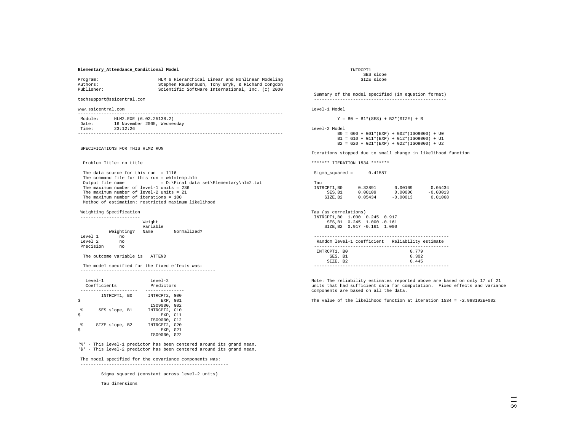### **Elementary\_Attendance\_Conditional Model**

| Program:   | HLM 6 Hierarchical Linear and Nonlinear Modeling |
|------------|--------------------------------------------------|
| Authors:   | Stephen Raudenbush, Tony Bryk, & Richard Congdon |
| Publisher: | Scientific Software International, Inc. (c) 2000 |

techsupport@ssicentral.com

www.ssicentral.com

| Module: | HLM2.EXE (6.02.25138.2)     |
|---------|-----------------------------|
| Date:   | 16 November 2005, Wednesday |
| Time:   | 23:12:26                    |
|         |                             |

SPECIFICATIONS FOR THIS HLM2 RUN

Problem Title: no title

 The data source for this run = 1116 The command file for this run = whlmtemp.hlm<br>Output file name =  $D:\F$ inal data = D:\Final data set\Elementary\hlm2.txt The maximum number of level-1 units = 236 The maximum number of level-2 units = 21 The maximum number of iterations = 100 Method of estimation: restricted maximum likelihood

### Weighting Specification

|           |            | Weight<br>Variable |             |
|-----------|------------|--------------------|-------------|
|           | Weighting? | Name               | Normalized? |
| Level 1   | no         |                    |             |
| Level 2   | no         |                    |             |
| Precision | no         |                    |             |

The outcome variable is ATTEND

 The model specified for the fixed effects was: ----------------------------------------------------

|        | $T$ eve $1 - 1$<br>Coefficients | $T$ eve $1 - 2$<br>Predictors             |
|--------|---------------------------------|-------------------------------------------|
|        | INTRCPT1, BO                    | INTRCPT2, G00<br>EXP. GO1<br>IS09000, G02 |
| g<br>Ś | SES slope, B1                   | INTRCPT2, G10<br>EXP. G11<br>IS09000, G12 |
| g      | SIZE slope, B2                  | INTRCPT2, G20<br>EXP. G21<br>IS09000, G22 |

'%' - This level-1 predictor has been centered around its grand mean. '\$' - This level-2 predictor has been centered around its grand mean.

### The model specified for the covariance components was:

---------------------------------------------------------

Sigma squared (constant across level-2 units)

Tau dimensions

 INTRCPT1 SES slope SIZE slope

 Summary of the model specified (in equation format) ---------------------------------------------------

Level-1 Model

 $Y = B0 + B1*(SES) + B2*(SIZE) + R$ 

Level-2 Model

Tau

 B0 = G00 + G01\*(EXP) + G02\*(ISO9000) + U0  $B1 = G10 + G11*(EXP) + G12*(ISO9000) + U1$  $B2 = G20 + G21*(EXP) + G22*(ISO9000) + U2$ 

Iterations stopped due to small change in likelihood function

\*\*\*\*\*\*\* ITERATION 1534 \*\*\*\*\*\*\*

| Sigma_squared = | 0.41587 |
|-----------------|---------|
|                 |         |

| rau         |         |            |            |
|-------------|---------|------------|------------|
| INTRCPT1.B0 | 0.32891 | 0.00109    | 0.05434    |
| SES.B1      | 0.00109 | 0.00006    | $-0.00013$ |
| SIZE.B2     | 0.05434 | $-0.00013$ | 0.01068    |

|  | Tau (as correlations) |                               |  |
|--|-----------------------|-------------------------------|--|
|  |                       | INTRCPT1.B0 1.000 0.245 0.917 |  |
|  |                       | SES.B1 0.245 1.000 -0.161     |  |
|  |                       | SIZE.B2 0.917 -0.161 1.000    |  |

|              | Random level-1 coefficient Reliability estimate |       |  |
|--------------|-------------------------------------------------|-------|--|
|              |                                                 |       |  |
| INTRCPT1, BO |                                                 | 0.779 |  |
| SES, B1      |                                                 | 0.302 |  |
| SIZE, B2     |                                                 | 0 445 |  |

----------------------------------------------------

Note: The reliability estimates reported above are based on only 17 of 21 units that had sufficient data for computation. Fixed effects and variance components are based on all the data.

The value of the likelihood function at iteration  $1534 = -2.998192E + 002$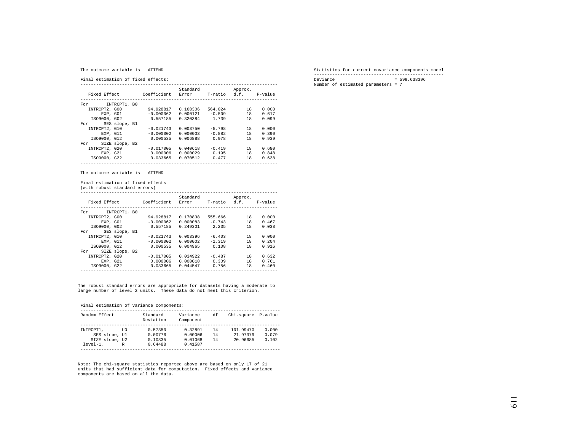#### The outcome variable is ATTEND

Final estimation of fixed effects:

|                       |             | Standard |          | Approx.      |         |
|-----------------------|-------------|----------|----------|--------------|---------|
| Fixed Effect          | Coefficient | Error    |          | T-ratio d.f. | P-value |
| INTRCPT1, B0<br>For   |             |          |          |              |         |
| INTRCPT2, G00         | 94.928817   | 0.168306 | 564.024  | 18           | 0.000   |
| EXP. GO1              | $-0.000062$ | 0.000121 | $-0.509$ | 18           | 0.617   |
| IS09000, G02          | 0.557185    | 0.320384 | 1.739    | 18           | 0.099   |
| SES slope, B1<br>For  |             |          |          |              |         |
| INTRCPT2, G10         | $-0.021743$ | 0.003750 | $-5.798$ | 18           | 0.000   |
| EXP. G11              | $-0.000002$ | 0.000003 | $-0.882$ | 18           | 0.390   |
| IS09000, G12          | 0.000535    | 0.006888 | 0.078    | 18           | 0.939   |
| SIZE slope, B2<br>For |             |          |          |              |         |
| INTRCPT2, G20         | $-0.017005$ | 0.040618 | $-0.419$ | 18           | 0.680   |
| EXP. G21              | 0.000006    | 0.000029 | 0.195    | 18           | 0.848   |
| IS09000, G22          | 0.033665    | 0.070512 | 0.477    | 18           | 0.638   |
|                       |             |          |          |              |         |

The outcome variable is ATTEND

Final estimation of fixed effects

(with robust standard errors)

| Fixed Effect  |                | Coefficient | Standard<br>Error | T-ratio  | Approx.<br>d.f. | P-value |
|---------------|----------------|-------------|-------------------|----------|-----------------|---------|
| For           | INTRCPT1, B0   |             |                   |          |                 |         |
| INTRCPT2, G00 |                | 94.928817   | 0.170838          | 555.666  | 18              | 0.000   |
|               | EXP. GO1       | $-0.000062$ | 0.000083          | $-0.743$ | 18              | 0.467   |
| IS09000, G02  |                | 0.557185    | 0.249301          | 2.235    | 18              | 0.038   |
| For           | SES slope, B1  |             |                   |          |                 |         |
| INTRCPT2, G10 |                | $-0.021743$ | 0.003396          | $-6.403$ | 18              | 0.000   |
|               | EXP. G11       | $-0.000002$ | 0.000002          | $-1.319$ | 18              | 0.204   |
| IS09000, G12  |                | 0.000535    | 0.004965          | 0.108    | 18              | 0.916   |
| For           | SIZE slope, B2 |             |                   |          |                 |         |
| INTRCPT2, G20 |                | $-0.017005$ | 0.034922          | $-0.487$ | 18              | 0.632   |
| EXP. G21      |                | 0.000006    | 0.000018          | 0.309    | 18              | 0.761   |
| IS09000, G22  |                | 0.033665    | 0.044547          | 0.756    | 18              | 0.460   |
|               |                |             |                   |          |                 |         |

The robust standard errors are appropriate for datasets having a moderate to large number of level 2 units. These data do not meet this criterion.

# Final estimation of variance components:

| Random Effect  |      | Standard<br>Deviation | Variance<br>Component | df | Chi-square | P-value |
|----------------|------|-----------------------|-----------------------|----|------------|---------|
|                |      |                       |                       |    |            |         |
| INTRCPT1.      | TTO. | 0.57350               | 0.32891               | 14 | 101.99470  | 0.000   |
| SES slope, Ul  |      | 0.00776               | 0.00006               | 14 | 21.97379   | 0.079   |
| SIZE slope, U2 |      | 0.10335               | 0.01068               | 14 | 20.96685   | 0.102   |
| $level-1.$     | R    | 0.64488               | 0.41587               |    |            |         |
|                |      |                       |                       |    |            |         |

Note: The chi-square statistics reported above are based on only 17 of 21 where the chiral square seatisfies reported above are sased on only 17 or 21 units that had sufficient data for computation. Fixed effects and variance components are based on all the data.

 Statistics for current covariance components model --------------------------------------------------  $Deviance = 599.638396$ Number of estimated parameters = 7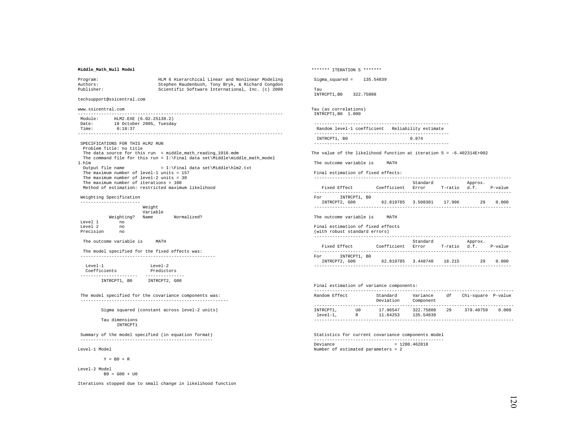## **Middle\_Math\_Null Model**

| Program:   | HLM 6 Hierarchical Linear and Nonlinear Modeling |
|------------|--------------------------------------------------|
| Authors:   | Stephen Raudenbush, Tony Bryk, & Richard Congdon |
| Publisher: | Scientific Software International, Inc. (c) 2000 |

techsupport@ssicentral.com

www.ssicentral.com

 ------------------------------------------------------------------------------- Module: HLM2.EXE (6.02.25138.2)<br>Date: 18 October 2005. Tuesday 18 October 2005, Tuesday<br>Time: 018:37  $0:18:37$ -------------------------------------------------------------------------------

 SPECIFICATIONS FOR THIS HLM2 RUN Problem Title: no title The data source for this run = middle\_math\_reading\_1018.mdm The command file for this run = I:\Final data set\Middle\middle\_math\_model 1.hlm Output file name  $= I:\Final data set\Midale\h\mskip-1.5mu.$ The maximum number of level-1 units = 157 The maximum number of level-2 units = 30 The maximum number of iterations = 100 Method of estimation: restricted maximum likelihood

 Weighting Specification -----------------------

|           |            | Weight<br>Variable |             |
|-----------|------------|--------------------|-------------|
|           | Weighting? | Name               | Normalized? |
| Level 1   | no         |                    |             |
| Level 2   | no         |                    |             |
| Precision | no         |                    |             |

The outcome variable is MATH

 The model specified for the fixed effects was: ----------------------------------------------------

| $T$ eve $1 - 1$ | $T$ eve $1 - 2$ |
|-----------------|-----------------|
| Coefficients    | Predictors      |
|                 |                 |
| INTRCPT1, BO    | INTRCPT2, G00   |

 The model specified for the covariance components was: ---------------------------------------------------------

Sigma squared (constant across level-2 units)

 Tau dimensions INTRCPT1

 Summary of the model specified (in equation format) ---------------------------------------------------

Level-1 Model

 $Y = B0 + R$ 

Level-2 Model  $B0 = G00 + U0$ 

Iterations stopped due to small change in likelihood function

\*\*\*\*\*\*\* ITERATION 5 \*\*\*\*\*\*\* Sigma squared =  $135.54839$  Tau INTRCPT1,B0 322.75808 Tau (as correlations) INTRCPT1,B0 1.000 Random level-1 coefficient Reliability estimate ---------------------------------------------------- INTRCPT1, B0 0.874 ---------------------------------------------------- The value of the likelihood function at iteration  $5 = -6.402314E+002$  The outcome variable is MATH Final estimation of fixed effects: ---------------------------------------------------------------------------- Standard Approx.<br>Fixed Effect (Coefficient Error T-ratio d.f. Coefficient Error T-ratio d.f. P-value For INTRCPT1, B0 INTRCPT2, G00 62.819785 3.508301 17.906 29 0.000 ---------------------------------------------------------------------------- The outcome variable is MATH Final estimation of fixed effects (with robust standard errors) ---------------------------------------------------------------------------- Standard Approx. Fixed Effect Coefficient Error T-ratio d.f. P-value ---------------------------------------------------------------------------- For INTRCPT1, B0 INTRCPT2, G00 62.819785 3.448740 18.215 29 0.000 ---------------------------------------------------------------------------- Final estimation of variance components:

| Random Effect           |           | Standard<br>Deviation | Variance<br>Component  | df | Chi-square P-value |       |
|-------------------------|-----------|-----------------------|------------------------|----|--------------------|-------|
| INTRCPT1,<br>$level-1.$ | TTO.<br>R | 17.96547<br>11.64253  | 322.75808<br>135.54839 | 29 | 379.40759          | 0.000 |

 Statistics for current covariance components model -------------------------------------------------- Deviance = 1280.462818 Number of estimated parameters = 2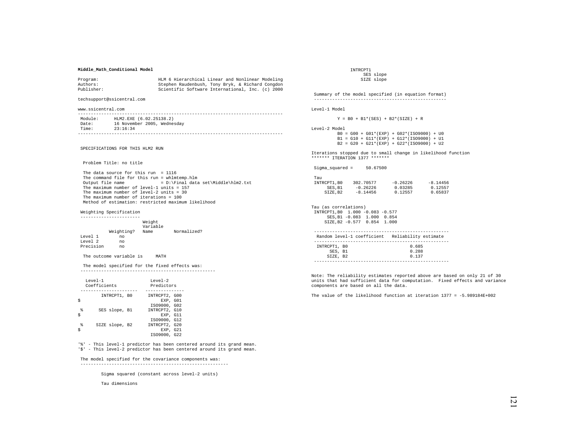## **Middle\_Math\_Conditional Model**

| Program:   | HLM 6 Hierarchical Linear and Nonlinear Modeling |
|------------|--------------------------------------------------|
| Authors:   | Stephen Raudenbush, Tony Bryk, & Richard Congdon |
| Publisher: | Scientific Software International, Inc. (c) 2000 |

techsupport@ssicentral.com

www.ssicentral.com

| Module: | HLM2.EXE (6.02.25138.2)     |
|---------|-----------------------------|
| Date:   | 16 November 2005, Wednesday |
| Time:   | 23:16:34                    |
|         |                             |

SPECIFICATIONS FOR THIS HLM2 RUN

Problem Title: no title

 The data source for this run = 1116 The command file for this run = whlmtemp.hlm<br>Output file name =  $D:\F$ inal data  $= D:\Pi a$ l data set\Middle\hlm2.txt The maximum number of level-1 units = 157 The maximum number of level-2 units = 30 The maximum number of iterations = 100 Method of estimation: restricted maximum likelihood

Weighting Specification

 ----------------------- Weight Variable Weighting? Name Normalized? Level 1 no Level 2 Precision no

The outcome variable is MATH

 The model specified for the fixed effects was: ----------------------------------------------------

| $T$ eve $1 - 1$ | Coefficients   | $T$ eve $1 - 2$<br>Predictors                             |
|-----------------|----------------|-----------------------------------------------------------|
|                 | INTRCPT1, BO   | INTRCPT2, G00<br>EXP. GO1                                 |
| g<br>Ś          | SES slope, B1  | IS09000, G02<br>INTRCPT2, G10<br>EXP. G11                 |
| g               | SIZE slope, B2 | IS09000, G12<br>INTRCPT2, G20<br>EXP. G21<br>IS09000, G22 |

'%' - This level-1 predictor has been centered around its grand mean. '\$' - This level-2 predictor has been centered around its grand mean.

### The model specified for the covariance components was:

---------------------------------------------------------

Sigma squared (constant across level-2 units)

Tau dimensions

 INTRCPT1 SES slope SIZE slope

 Summary of the model specified (in equation format) --------------------------------------------------- Level-1 Model

 $Y = B0 + B1*(SES) + B2*(SIZE) + R$ 

Level-2 Model

 B0 = G00 + G01\*(EXP) + G02\*(ISO9000) + U0  $B1 = G10 + G11*(EXP) + G12*(ISO9000) + U1$  $B2 = G20 + G21*(EXP) + G22*(ISO9000) + U2$ 

Iterations stopped due to small change in likelihood function \*\*\*\*\*\*\* ITERATION 1377 \*\*\*\*\*\*\*

Sigma\_squared = 50.67500

| Tau         |            |            |            |
|-------------|------------|------------|------------|
| INTRCPT1.B0 | 302.70577  | $-0.26226$ | $-8.14456$ |
| SES.B1      | $-0.26226$ | 0.03285    | 0.12557    |
| SIZE.B2     | $-8.14456$ | 0.12557    | 0.65837    |

Tau (as correlations) INTRCPT1,B0 1.000 -0.083 -0.577 SES,B1 -0.083 1.000 0.854 SIZE,B2 -0.577 0.854 1.000

|              | Random level-1 coefficient Reliability estimate |
|--------------|-------------------------------------------------|
|              |                                                 |
| INTRCPT1, BO | 0.685                                           |
| SES. B1      | 0.288                                           |
| SIZE. B2     | 0.137                                           |
|              |                                                 |

Note: The reliability estimates reported above are based on only 21 of 30 units that had sufficient data for computation. Fixed effects and variance components are based on all the data.

The value of the likelihood function at iteration  $1377 = -5.989184E+002$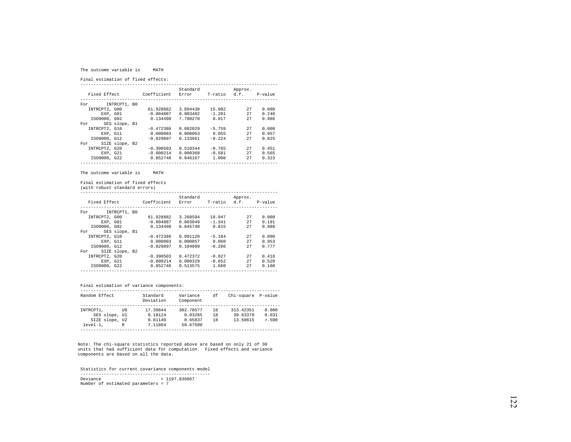#### The outcome variable is MATH

Final estimation of fixed effects:

|                       |             | Standard |              | Approx. |         |
|-----------------------|-------------|----------|--------------|---------|---------|
| Fixed Effect          | Coefficient | Error    | T-ratio d.f. |         | P-value |
|                       |             |          |              |         |         |
| INTRCPT1, B0<br>For   |             |          |              |         |         |
| INTRCPT2, G00         | 61.928882   | 3.894438 | 15.902       | 27      | 0.000   |
| EXP. GO1              | $-0.004087$ | 0.003402 | $-1.201$     | 27      | 0.240   |
| IS09000, G02          | 0.134498    | 7.780270 | 0.017        | 27      | 0.986   |
| SES slope, B1<br>For  |             |          |              |         |         |
| INTRCPT2, G10         | $-0.472386$ | 0.082029 | $-5.759$     | 27      | 0.000   |
| EXP. G11              | 0.000003    | 0.000063 | 0.055        | 27      | 0.957   |
| IS09000, G12          | $-0.029897$ | 0.133661 | $-0.224$     | 27      | 0.825   |
| SIZE slope, B2<br>For |             |          |              |         |         |
| INTRCPT2, G20         | $-0.390503$ | 0.510344 | $-0.765$     | 27      | 0.451   |
| EXP. G21              | $-0.000214$ | 0.000368 | $-0.581$     | 27      | 0.565   |
| IS09000, G22          | 0.852746    | 0.846167 | 1.008        | 27      | 0.323   |
|                       |             |          |              |         |         |

The outcome variable is MATH

Final estimation of fixed effects

(with robust standard errors)

| Fixed Effect  |                | Coefficient | Standard<br>Error | T-ratio  | Approx.<br>d.f. | P-value |
|---------------|----------------|-------------|-------------------|----------|-----------------|---------|
| For           | INTRCPT1, BO   |             |                   |          |                 |         |
| INTRCPT2, G00 |                | 61.928882   | 3.268594          | 18.947   | 27              | 0.000   |
|               | EXP. GO1       | $-0.004087$ | 0.003049          | $-1.341$ | 27              | 0.191   |
| IS09000, G02  |                | 0.134498    | 8.845740          | 0.015    | 27              | 0.988   |
| For           | SES slope, B1  |             |                   |          |                 |         |
| INTRCPT2, G10 |                | $-0.472386$ | 0.091120          | $-5.184$ | 27              | 0.000   |
|               | EXP. G11       | 0.000003    | 0.000057          | 0.060    | 27              | 0.953   |
| IS09000, G12  |                | $-0.029897$ | 0.104609          | $-0.286$ | 27              | 0.777   |
| For           | SIZE slope, B2 |             |                   |          |                 |         |
| INTRCPT2, G20 |                | $-0.390503$ | 0.472372          | $-0.827$ | 27              | 0.416   |
|               | EXP. G21       | $-0.000214$ | 0.000329          | $-0.652$ | 27              | 0.520   |
| IS09000, G22  |                | 0.852746    | 0.513575          | 1.660    | 27              | 0.108   |
|               |                |             |                   |          |                 |         |

## Final estimation of variance components:

| Random Effect  |      | Standard<br>Deviation | Variance<br>Component | df  | Chi-square | P-value |
|----------------|------|-----------------------|-----------------------|-----|------------|---------|
|                |      |                       |                       |     |            |         |
| INTRCPT1.      | TTO. | 17.39844              | 302.70577             | 18  | 313.42351  | 0.000   |
| SES slope, Ul  |      | 0.18124               | 0.03285               | 18  | 30.63370   | 0.031   |
| SIZE slope, U2 |      | 0.81140               | 0.65837               | 1 R | 13.50615   | > 0.500 |
| $level-1.$     | R    | 7.11864               | 50.67500              |     |            |         |
|                |      |                       |                       |     |            |         |

Note: The chi-square statistics reported above are based on only 21 of 30 units that had sufficient data for computation. Fixed effects and variance components are based on all the data.

 Statistics for current covariance components model -------------------------------------------------- Deviance = 1197.836867 Number of estimated parameters = 7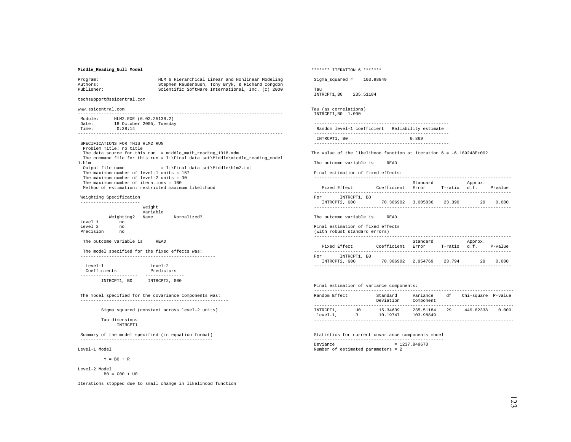## **Middle\_Reading\_Null Model**

| Program:   | HLM 6 Hierarchical Linear and Nonlinear Modeling |
|------------|--------------------------------------------------|
| Authors:   | Stephen Raudenbush, Tony Bryk, & Richard Congdon |
| Publisher: | Scientific Software International, Inc. (c) 2000 |

techsupport@ssicentral.com

www.ssicentral.com

 ------------------------------------------------------------------------------- Module: HLM2.EXE (6.02.25138.2)<br>Date: 18 October 2005. Tuesday 18 October 2005, Tuesday<br>Time: 0.18:14<br>0.28:14  $0:28:14$ -------------------------------------------------------------------------------

 SPECIFICATIONS FOR THIS HLM2 RUN Problem Title: no title The data source for this run = middle\_math\_reading\_1018.mdm The command file for this run =  $I:\Final data set\Midale\middle\end{aligned}$ 1.hlm Output file name  $= I:\Final data set\Midale\h\mskip-1.5mu.$ The maximum number of level-1 units = 157 The maximum number of level-2 units = 30 The maximum number of iterations = 100 Method of estimation: restricted maximum likelihood

 Weighting Specification -----------------------

|           |            | Weight<br>Variable |             |
|-----------|------------|--------------------|-------------|
|           | Weighting? | Name               | Normalized? |
| Level 1   | no         |                    |             |
| Level 2   | no         |                    |             |
| Precision | no         |                    |             |

The outcome variable is READ

 The model specified for the fixed effects was: ----------------------------------------------------

| $T$ eve $1 - 1$ | $T$ eve $1 - 2$ |
|-----------------|-----------------|
| Coefficients    | Predictors      |
|                 |                 |
| INTRCPT1, BO    | INTRCPT2, G00   |

 The model specified for the covariance components was: ---------------------------------------------------------

Sigma squared (constant across level-2 units)

 Tau dimensions INTRCPT1

 Summary of the model specified (in equation format) ---------------------------------------------------

Level-1 Model

 $Y = B0 + R$ 

Level-2 Model  $B0 = G00 + U0$ 

Iterations stopped due to small change in likelihood function

\*\*\*\*\*\*\* ITERATION 6 \*\*\*\*\*\*\* Sigma squared =  $103.98849$  Tau INTRCPT1,B0 235.51184 Tau (as correlations) INTRCPT1,B0 1.000 Random level-1 coefficient Reliability estimate ---------------------------------------------------- INTRCPT1, B0 0.869 ---------------------------------------------------- The value of the likelihood function at iteration  $6 = -6.189248E+002$  The outcome variable is READ Final estimation of fixed effects: ---------------------------------------------------------------------------- Standard Approx.<br>Fixed Effect (Coefficient Error T-ratio d.f. Coefficient Error T-ratio d.f. P-value ---------------------------------------------------------------------------- For INTRCPT1, B0 INTRCPT2, G00 70.306902 3.005836 23.390 29 0.000 ---------------------------------------------------------------------------- The outcome variable is READ Final estimation of fixed effects (with robust standard errors) ---------------------------------------------------------------------------- Standard Approx. Fixed Effect Coefficient Error T-ratio d.f. P-value ---------------------------------------------------------------------------- For INTRCPT1, B0 INTRCPT2, G00 70.306902 2.954769 23.794 29 0.000 ---------------------------------------------------------------------------- Final estimation of variance components:

| Random Effect |      | Standard<br>Deviation | Variance<br>Component | df | Chi-square P-value |       |
|---------------|------|-----------------------|-----------------------|----|--------------------|-------|
|               |      |                       |                       |    |                    |       |
| INTRCPT1,     | TTO. | 15.34639              | 235.51184             | 29 | 449.82338          | 0.000 |
| $level-1.$    | R    | 10.19747              | 103.98849             |    |                    |       |
|               |      |                       |                       |    |                    |       |

 Statistics for current covariance components model --------------------------------------------------  $Deviance = 1237.849670$ Number of estimated parameters = 2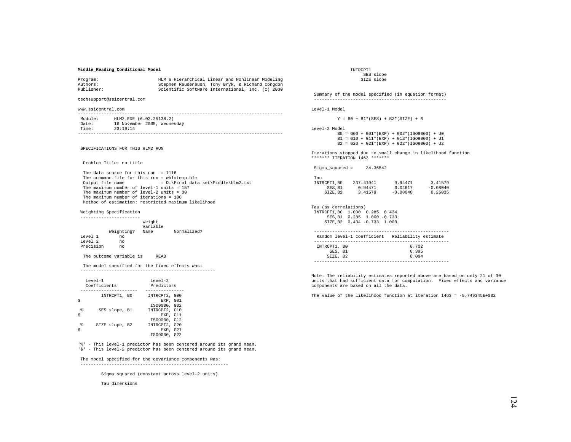## **Middle\_Reading\_Conditional Model**

| Program:   | HLM 6 Hierarchical Linear and Nonlinear Modeling |
|------------|--------------------------------------------------|
| Authors:   | Stephen Raudenbush, Tony Bryk, & Richard Congdon |
| Publisher: | Scientific Software International, Inc. (c) 2000 |

techsupport@ssicentral.com

www.ssicentral.com

| Module: | HLM2.EXE (6.02.25138.2)     |
|---------|-----------------------------|
| Date:   | 16 November 2005, Wednesday |
| Time:   | 23:19:14                    |
|         |                             |

SPECIFICATIONS FOR THIS HLM2 RUN

Problem Title: no title

 The data source for this run = 1116 The command file for this run = whlmtemp.hlm<br>Output file name =  $D:\F$ inal data  $= D:\Pi a$ l data set\Middle\hlm2.txt The maximum number of level-1 units = 157 The maximum number of level-2 units = 30 The maximum number of iterations = 100 Method of estimation: restricted maximum likelihood

Weighting Specification

 ----------------------- Weight Variable Weighting? Name Normalized? Level 1 no Level 2 Precision no

The outcome variable is READ

 The model specified for the fixed effects was: ----------------------------------------------------

| $T$ eve $1 - 1$ | Coefficients   | $T$ eve $1 - 2$<br>Predictors                             |
|-----------------|----------------|-----------------------------------------------------------|
|                 | INTRCPT1, BO   | INTRCPT2, G00<br>EXP. GO1                                 |
| g<br>Ś          | SES slope, B1  | IS09000, G02<br>INTRCPT2, G10<br>EXP. G11                 |
| g               | SIZE slope, B2 | IS09000, G12<br>INTRCPT2, G20<br>EXP. G21<br>IS09000, G22 |

'%' - This level-1 predictor has been centered around its grand mean. '\$' - This level-2 predictor has been centered around its grand mean.

### The model specified for the covariance components was:

---------------------------------------------------------

Sigma squared (constant across level-2 units)

Tau dimensions

 INTRCPT1 SES slope SIZE slope

 Summary of the model specified (in equation format) --------------------------------------------------- Level-1 Model

 $Y = B0 + B1*(SES) + B2*(SIZE) + R$ 

Level-2 Model

 B0 = G00 + G01\*(EXP) + G02\*(ISO9000) + U0  $B1 = G10 + G11*(EXP) + G12*(ISO9000) + U1$ B2 = G20 + G21\*(EXP) + G22\*(ISO9000) + U2

Iterations stopped due to small change in likelihood function \*\*\*\*\*\*\* ITERATION 1463 \*\*\*\*\*\*\*

Sigma\_squared = 34.36542

| Tau         |           |            |            |
|-------------|-----------|------------|------------|
| INTRCPT1.B0 | 237.41041 | 0.94471    | 3.41579    |
| SES.B1      | 0.94471   | 0.04617    | $-0.08040$ |
| SIZE.B2     | 3.41579   | $-0.08040$ | 0.26035    |

Tau (as correlations) INTRCPT1,B0 1.000 0.285 0.434 SES,B1 0.285 1.000 -0.733 SIZE,B2 0.434 -0.733 1.000

| Random level-1 coefficient Reliability estimate |       |  |
|-------------------------------------------------|-------|--|
|                                                 |       |  |
| INTRCPT1, BO                                    | 0.702 |  |
| SES, B1                                         | 0.395 |  |
| SIZE, B2                                        | 0.094 |  |
|                                                 |       |  |

Note: The reliability estimates reported above are based on only 21 of 30 units that had sufficient data for computation. Fixed effects and variance components are based on all the data.

The value of the likelihood function at iteration  $1463 = -5.749345E + 002$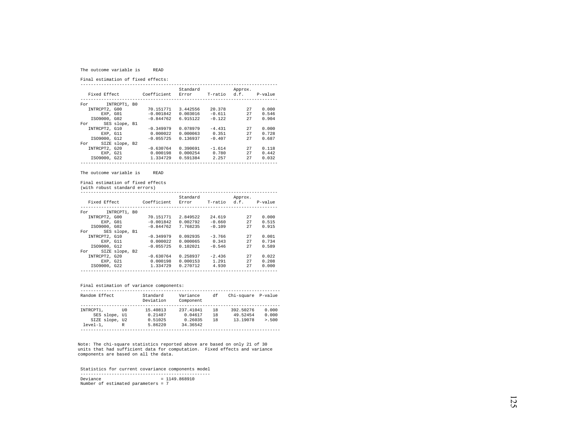#### The outcome variable is READ

Final estimation of fixed effects:

|                       |             | Standard |              | Approx. |         |
|-----------------------|-------------|----------|--------------|---------|---------|
| Fixed Effect          | Coefficient | Error    | T-ratio d.f. |         | P-value |
|                       |             |          |              |         |         |
| INTRCPT1, B0<br>For   |             |          |              |         |         |
| INTRCPT2, G00         | 70.151771   | 3.442556 | 20.378       | 27      | 0.000   |
| EXP. GO1              | $-0.001842$ | 0.003016 | $-0.611$     | 27      | 0.546   |
| IS09000, G02          | $-0.844762$ | 6.915122 | $-0.122$     | 27      | 0.904   |
| SES slope, B1<br>For  |             |          |              |         |         |
| INTRCPT2, G10         | $-0.349979$ | 0.078979 | $-4.431$     | 27      | 0.000   |
| EXP. G11              | 0.000022    | 0.000063 | 0.351        | 27      | 0.728   |
| IS09000, G12          | $-0.055725$ | 0.136937 | $-0.407$     | 27      | 0.687   |
| SIZE slope, B2<br>For |             |          |              |         |         |
| INTRCPT2, G20         | $-0.630764$ | 0.390691 | $-1.614$     | 27      | 0.118   |
| EXP. G21              | 0.000198    | 0.000254 | 0.780        | 27      | 0.442   |
| IS09000, G22          | 1.334729    | 0.591384 | 2.257        | 27      | 0.032   |
|                       |             |          |              |         |         |

The outcome variable is READ

Final estimation of fixed effects

(with robust standard errors)

| Fixed Effect  |                | Coefficient | Standard<br>Error | T-ratio  | Approx.<br>d.f. | P-value |
|---------------|----------------|-------------|-------------------|----------|-----------------|---------|
| For           | INTRCPT1, B0   |             |                   |          |                 |         |
| INTRCPT2, G00 |                | 70.151771   | 2.849522          | 24.619   | 27              | 0.000   |
|               | EXP. GO1       | $-0.001842$ | 0.002792          | $-0.660$ | 27              | 0.515   |
| IS09000, G02  |                | $-0.844762$ | 7.768235          | $-0.109$ | 27              | 0.915   |
| For           | SES slope, B1  |             |                   |          |                 |         |
| INTRCPT2, G10 |                | $-0.349979$ | 0.092935          | $-3.766$ | 27              | 0.001   |
|               | EXP. G11       | 0.000022    | 0.000065          | 0.343    | 27              | 0.734   |
| IS09000, G12  |                | $-0.055725$ | 0.102021          | $-0.546$ | 27              | 0.589   |
| For           | SIZE slope, B2 |             |                   |          |                 |         |
| INTRCPT2, G20 |                | $-0.630764$ | 0.258937          | $-2.436$ | 27              | 0.022   |
| EXP. G21      |                | 0.000198    | 0.000153          | 1.291    | 27              | 0.208   |
| IS09000, G22  |                | 1.334729    | 0.270712          | 4.930    | 27              | 0.000   |
|               |                |             |                   |          |                 |         |

## Final estimation of variance components:

| Random Effect  |      | Standard<br>Deviation | Variance<br>Component | df  | Chi-square P-value |         |
|----------------|------|-----------------------|-----------------------|-----|--------------------|---------|
|                |      |                       |                       |     |                    |         |
| INTRCPT1.      | TTO. | 15.40813              | 237.41041             | 18  | 392.50276          | 0.000   |
| SES slope, Ul  |      | 0.21487               | 0.04617               | 18  | 49.52454           | 0.000   |
| SIZE slope, U2 |      | 0.51025               | 0.26035               | 1 R | 13.19078           | > 0.500 |
| $level-1.$     | R    | 5.86220               | 34.36542              |     |                    |         |
|                |      |                       |                       |     |                    |         |

Note: The chi-square statistics reported above are based on only 21 of 30 units that had sufficient data for computation. Fixed effects and variance components are based on all the data.

 Statistics for current covariance components model --------------------------------------------------  $Deviance = 1149.868910$ Number of estimated parameters = 7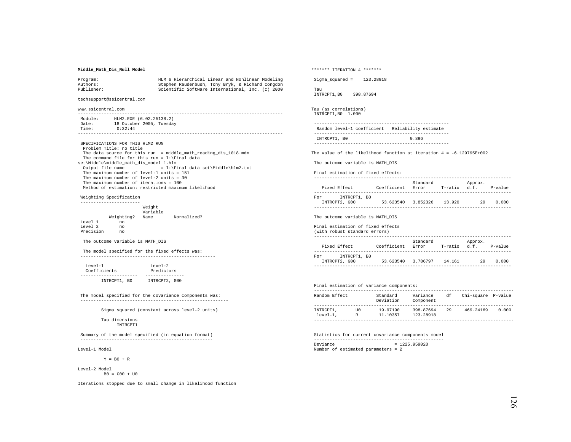## **Middle\_Math\_Dis\_Null Model**

| Program:   | HLM 6 Hierarchical Linear and Nonlinear Modeling |
|------------|--------------------------------------------------|
| Authors:   | Stephen Raudenbush, Tony Bryk, & Richard Congdon |
| Publisher: | Scientific Software International, Inc. (c) 2000 |

techsupport@ssicentral.com

www.ssicentral.com

| Module: | HLM2.EXE (6.02.25138.2)  |
|---------|--------------------------|
| Date:   | 18 October 2005, Tuesday |
| Time:   | 0:32:44                  |
|         |                          |

 SPECIFICATIONS FOR THIS HLM2 RUN Problem Title: no title The data source for this run = middle\_math\_reading\_dis\_1018.mdm The command file for this run =  $I:\F$ inal data set\Middle\middle\_math\_dis\_model 1.hlm Output file name  $= I:\Final data set\Midale\h\m2.txt$  The maximum number of level-1 units = 151 The maximum number of level-2 units = 30 The maximum number of iterations = 100 Method of estimation: restricted maximum likelihood

 Weighting Specification -----------------------

|           |            | Weight<br>Variable |             |
|-----------|------------|--------------------|-------------|
|           | Weighting? | Name               | Normalized? |
| Level 1   | no         |                    |             |
| Level 2   | no         |                    |             |
| Precision | no         |                    |             |

The outcome variable is MATH\_DIS

 The model specified for the fixed effects was: ----------------------------------------------------

| $T$ eve $1 - 1$ | $T$ eve $1 - 2$ |  |  |
|-----------------|-----------------|--|--|
| Coefficients    | Predictors      |  |  |
|                 |                 |  |  |
| INTRCPT1, BO    | INTRCPT2, G00   |  |  |

 The model specified for the covariance components was: ---------------------------------------------------------

Sigma squared (constant across level-2 units)

 Tau dimensions INTRCPT1

 Summary of the model specified (in equation format) ---------------------------------------------------

Level-1 Model

 $Y = B0 + R$ 

Level-2 Model  $B0 = G00 + U0$ 

Iterations stopped due to small change in likelihood function

\*\*\*\*\*\*\* ITERATION 4 \*\*\*\*\*\*\*

Sigma\_squared = 123.28918

 Tau INTRCPT1,B0 398.87694

Tau (as correlations) INTRCPT1,B0 1.000

 ---------------------------------------------------- Random level-1 coefficient Reliability estimate ---------------------------------------------------- INTRCPT1, B0 0.896

----------------------------------------------------

The value of the likelihood function at iteration  $4 = -6.129795E + 002$ 

The outcome variable is MATH\_DIS

Final estimation of fixed effects:

| Fixed Effect                         | Coefficient | Standard<br>Error | T-ratio | Approx.<br>d.f. | $P-value$ |
|--------------------------------------|-------------|-------------------|---------|-----------------|-----------|
| INTRCPT1, BO<br>For<br>INTRCPT2, G00 | 53.623540   | 3.852326          | 13.920  | 29              | 0.000     |

The outcome variable is MATH\_DIS

Final estimation of fixed effects

| (with robust standard errors)        |             |                   |              |         |         |
|--------------------------------------|-------------|-------------------|--------------|---------|---------|
| Fixed Effect                         | Coefficient | Standard<br>Error | T-ratio d.f. | Approx. | P-value |
| INTRCPT1, BO<br>For<br>INTRCPT2, G00 | 53.623540   | 3.786797          | 14.161       | 29      | 0.000   |
|                                      |             |                   |              |         |         |

# Final estimation of variance components:

| Random Effect           |           | Standard<br>Deviation | Variance<br>Component  | df | Chi-square P-value |       |
|-------------------------|-----------|-----------------------|------------------------|----|--------------------|-------|
|                         |           |                       |                        |    |                    |       |
| INTRCPT1,<br>$level-1.$ | TTO.<br>R | 19.97190<br>11.10357  | 398.87694<br>123.28918 | 29 | 469.24169          | 0.000 |
|                         |           |                       |                        |    |                    |       |

 Statistics for current covariance components model --------------------------------------------------  $Deviance = 1225.959020$ Number of estimated parameters = 2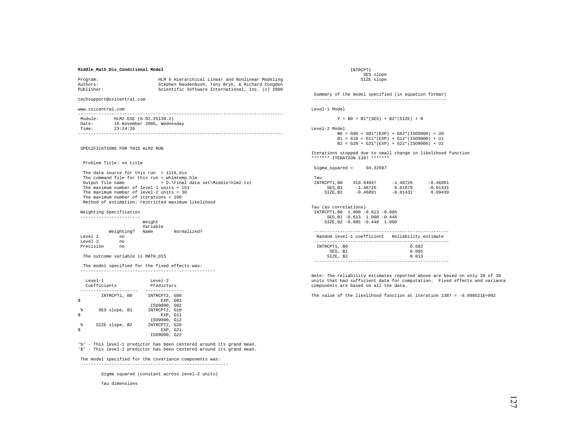## **Middle\_Math\_Dis\_Conditional Model**

| Program:   | HLM 6 Hierarchical Linear and Nonlinear Modeling |
|------------|--------------------------------------------------|
| Authors:   | Stephen Raudenbush, Tony Bryk, & Richard Congdon |
| Publisher: | Scientific Software International, Inc. (c) 2000 |

techsupport@ssicentral.com

www.ssicentral.com

| Module: | HLM2.EXE (6.02.25138.2)     |
|---------|-----------------------------|
| Date:   | 16 November 2005, Wednesday |
| Time:   | 23:24:26                    |
|         |                             |

SPECIFICATIONS FOR THIS HLM2 RUN

Problem Title: no title

 The data source for this run = 1116\_dis The command file for this run = whlmtemp.hlm<br>Output file name =  $D:\F$ inal data  $= D:\Pi a$ l data set\Middle\hlm2.txt The maximum number of level-1 units = 151 The maximum number of level-2 units = 30 The maximum number of iterations = 100 Method of estimation: restricted maximum likelihood

Weighting Specification

Level 2

 ----------------------- Weight Variable Weighting? Name Normalized? Level 1 no Precision no

The outcome variable is MATH\_DIS

 The model specified for the fixed effects was: ----------------------------------------------------

| $T$ eve $1 - 1$ | Coefficients   | $T$ eve $1 - 2$<br>Predictors                             |
|-----------------|----------------|-----------------------------------------------------------|
|                 | INTRCPT1, BO   | INTRCPT2, G00<br>EXP. GO1                                 |
| g<br>Ś          | SES slope, B1  | IS09000, G02<br>INTRCPT2, G10<br>EXP. G11                 |
| g               | SIZE slope, B2 | IS09000, G12<br>INTRCPT2, G20<br>EXP. G21<br>IS09000, G22 |

'%' - This level-1 predictor has been centered around its grand mean. '\$' - This level-2 predictor has been centered around its grand mean.

### The model specified for the covariance components was:

---------------------------------------------------------

Sigma squared (constant across level-2 units)

Tau dimensions

 INTRCPT1 SES slope SIZE slope

 Summary of the model specified (in equation format) --------------------------------------------------- Level-1 Model

 $Y = B0 + B1*(SES) + B2*(SIZE) + R$ 

Level-2 Model

 B0 = G00 + G01\*(EXP) + G02\*(ISO9000) + U0  $B1 = G10 + G11*(EXP) + G12*(ISO9000) + U1$ B2 = G20 + G21\*(EXP) + G22\*(ISO9000) + U2

Iterations stopped due to small change in likelihood function \*\*\*\*\*\*\* ITERATION 1387 \*\*\*\*\*\*\*

Sigma\_squared = 94.32687

| Tau         |            |            |            |
|-------------|------------|------------|------------|
| INTRCPT1.B0 | 310.04047  | $-1.48726$ | $-0.46091$ |
| SES.B1      | $-1.48726$ | 0.01079    | $-0.01431$ |
| SIZE.B2     | $-0.46091$ | $-0.01431$ | 0.09439    |

Tau (as correlations) INTRCPT1,B0 1.000 -0.813 -0.085 SES,B1 -0.813 1.000 -0.448 SIZE,B2 -0.085 -0.448 1.000

|              | Random level-1 coefficient Reliability estimate |
|--------------|-------------------------------------------------|
|              |                                                 |
| INTRCPT1, BO | 0.582                                           |
| SES. B1      | 0.095                                           |
| SIZE. B2     | 0.013                                           |
|              |                                                 |

Note: The reliability estimates reported above are based on only 20 of 30 units that had sufficient data for computation. Fixed effects and variance components are based on all the data.

The value of the likelihood function at iteration 1387 = -6.098521E+002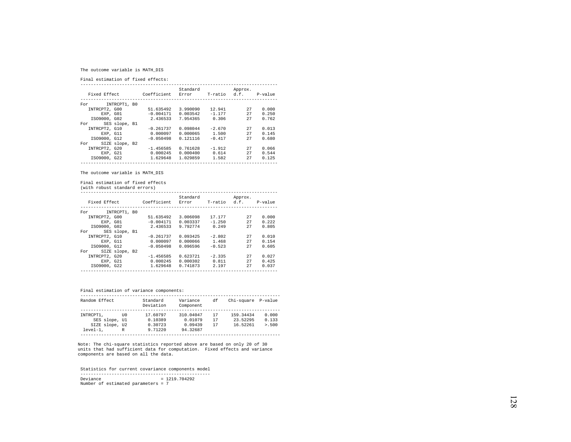# The outcome variable is MATH\_DIS

Final estimation of fixed effects:

|                       |             | Standard |          | Approx. |         |  |
|-----------------------|-------------|----------|----------|---------|---------|--|
| Fixed Effect          | Coefficient | Error    | T-ratio  | d.f.    | P-value |  |
|                       |             |          |          |         |         |  |
| INTRCPT1, B0<br>For   |             |          |          |         |         |  |
| INTRCPT2, G00         | 51.635492   | 3.990090 | 12.941   | 27      | 0.000   |  |
| EXP. GO1              | $-0.004171$ | 0.003542 | $-1.177$ | 27      | 0.250   |  |
| IS09000, G02          | 2.436533    | 7.954365 | 0.306    | 27      | 0.762   |  |
| SES slope, B1<br>For  |             |          |          |         |         |  |
| INTRCPT2, G10         | $-0.261737$ | 0.098044 | $-2.670$ | 27      | 0.013   |  |
| EXP. G11              | 0.000097    | 0.000065 | 1.500    | 27      | 0.145   |  |
| IS09000, G12          | $-0.050498$ | 0.121116 | $-0.417$ | 27      | 0.680   |  |
| SIZE slope, B2<br>For |             |          |          |         |         |  |
| INTRCPT2, G20         | $-1.456585$ | 0.761628 | $-1.912$ | 27      | 0.066   |  |
| EXP, G21              | 0.000245    | 0.000400 | 0.614    | 27      | 0.544   |  |
| IS09000, G22          | 1.629648    | 1.029859 | 1.582    | 27      | 0.125   |  |
|                       |             |          |          |         |         |  |

The outcome variable is MATH\_DIS

Final estimation of fixed effects

(with robust standard errors)

|               |                |             | Standard |          | Approx.              |       |
|---------------|----------------|-------------|----------|----------|----------------------|-------|
| Fixed Effect  |                | Coefficient | Error    |          | T-ratio d.f. P-value |       |
|               |                |             |          |          |                      |       |
| For           | INTRCPT1, BO   |             |          |          |                      |       |
| INTRCPT2, G00 |                | 51.635492   | 3.006098 | 17.177   | 27                   | 0.000 |
| EXP. GO1      |                | $-0.004171$ | 0.003337 | $-1.250$ | 27                   | 0.222 |
| IS09000, G02  |                | 2.436533    | 9.792774 | 0.249    | 27                   | 0.805 |
| For           | SES slope, B1  |             |          |          |                      |       |
| INTRCPT2, G10 |                | $-0.261737$ | 0.093425 | $-2.802$ | 27                   | 0.010 |
| EXP, G11      |                | 0.000097    | 0.000066 | 1.468    | 27                   | 0.154 |
| IS09000, G12  |                | $-0.050498$ | 0.096596 | $-0.523$ | 27                   | 0.605 |
| For           | SIZE slope, B2 |             |          |          |                      |       |
| INTRCPT2, G20 |                | $-1.456585$ | 0.623721 | $-2.335$ | 27                   | 0.027 |
| EXP. G21      |                | 0.000245    | 0.000302 | 0.811    | 27                   | 0.425 |
| IS09000, G22  |                | 1.629648    | 0.741873 | 2.197    | 27                   | 0.037 |
|               |                |             |          |          |                      |       |

Final estimation of variance components:

| Random Effect                                              |           | Standard<br>Deviation                     | Variance<br>Component                       | đf             | Chi-square P-value                |                         |
|------------------------------------------------------------|-----------|-------------------------------------------|---------------------------------------------|----------------|-----------------------------------|-------------------------|
| INTRCPT1,<br>SES slope, Ul<br>SIZE slope, U2<br>$level-1.$ | TTO.<br>R | 17.60797<br>0.10389<br>0.30723<br>9.71220 | 310.04047<br>0.01079<br>0.09439<br>94.32687 | 17<br>17<br>17 | 159.34434<br>23.52295<br>16.52261 | 0.000<br>0.133<br>> 500 |

Note: The chi-square statistics reported above are based on only 20 of 30 units that had sufficient data for computation. Fixed effects and variance components are based on all the data.

 Statistics for current covariance components model -------------------------------------------------- Deviance = 1219.704292 Number of estimated parameters = 7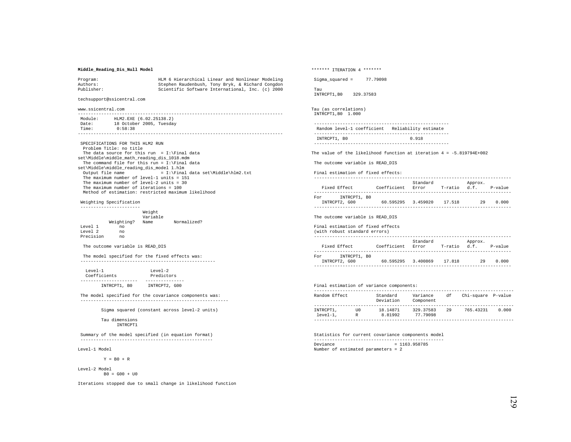# **Middle\_Reading\_Dis\_Null Model**

| Program:   | HLM 6 Hierarchical Linear and Nonlinear Modeling |
|------------|--------------------------------------------------|
| Authors:   | Stephen Raudenbush, Tony Bryk, & Richard Congdon |
| Publisher: | Scientific Software International, Inc. (c) 2000 |

techsupport@ssicentral.com

www.ssicentral.com

| Module: | HLM2.EXE (6.02.25138.2)  |
|---------|--------------------------|
| Date:   | 18 October 2005, Tuesday |
| Time:   | 0:58:38                  |
|         |                          |

 SPECIFICATIONS FOR THIS HLM2 RUN Problem Title: no title The data source for this run = I:\Final data set\Middle\middle\_math\_reading\_dis\_1018.mdm The command file for this run =  $I:\F$ inal data set\Middle\middle\_reading\_dis\_model 1.hlm Output file name  $= I:\F$ inal data set\Middle\hlm2.txt The maximum number of level-1 units = 151 The maximum number of level-2 units = 30 The maximum number of iterations = 100 Method of estimation: restricted maximum likelihood

### Weighting Specification

|           |            | Weight<br>Variable |             |  |
|-----------|------------|--------------------|-------------|--|
|           | Weighting? | Name               | Normalized? |  |
| Level 1   | no         |                    |             |  |
| Level 2   | no         |                    |             |  |
| Precision | no         |                    |             |  |

### The outcome variable is READ\_DIS

 The model specified for the fixed effects was: ----------------------------------------------------

| $T$ eve $1 - 1$ | $T$ eve $1 - 2$ |  |
|-----------------|-----------------|--|
| Coefficients    | Predictors      |  |
|                 |                 |  |
| INTRCPT1, BO    | INTRCPT2, G00   |  |

 The model specified for the covariance components was: ---------------------------------------------------------

Sigma squared (constant across level-2 units)

#### Tau dimensions INTRCPT1

 Summary of the model specified (in equation format) ---------------------------------------------------

Level-1 Model

 $Y = B0 + R$ 

Level-2 Model  $B0 = G00 + U0$ 

Iterations stopped due to small change in likelihood function

\*\*\*\*\*\*\* ITERATION 4 \*\*\*\*\*\*\* Sigma\_squared = 77.79098 Tau INTRCPT1,B0 329.37583 Tau (as correlations) INTRCPT1,B0 1.000 ---------------------------------------------------- Random level-1 coefficient Reliability estimate ---------------------------------------------------- INTRCPT1, B0 0.918 ---------------------------------------------------- The value of the likelihood function at iteration  $4 = -5.819794E+002$  The outcome variable is READ\_DIS Final estimation of fixed effects: ---------------------------------------------------------------------------- Standard Approx.<br>Fixed Rffect (Coefficient Error T-ratio d.f Coefficient Error T-ratio d.f. P-value ---------------------------------------------------------------------------- For INTRCPT1, B0 INTRCPT2, G00 60.595295 3.459020 17.518 29 0.000 ---------------------------------------------------------------------------- The outcome variable is READ\_DIS Final estimation of fixed effects (with robust standard errors) ---------------------------------------------------------------------------- Standard Approx.

|     | Fixed Effect  | Coefficient        | Error | T-ratio d.f. |    | P-value |
|-----|---------------|--------------------|-------|--------------|----|---------|
|     |               |                    |       |              |    |         |
| For | INTRCPT1, BO  |                    |       |              |    |         |
|     | INTRCPT2, G00 | 60.595295 3.400869 |       | 17.818       | 29 | 0.000   |
|     |               |                    |       |              |    |         |

# Final estimation of variance components:

| Random Effect           |           | Standard<br>Deviation | Variance<br>Component | df | Chi-square P-value |       |
|-------------------------|-----------|-----------------------|-----------------------|----|--------------------|-------|
|                         |           |                       |                       |    |                    |       |
| INTRCPT1.<br>$level-1.$ | TTO.<br>R | 18.14871<br>8.81992   | 329.37583<br>77.79098 | 29 | 765.43231          | 0.000 |
|                         |           |                       |                       |    |                    |       |

 Statistics for current covariance components model -------------------------------------------------- Deviance = 1163.958785 Number of estimated parameters = 2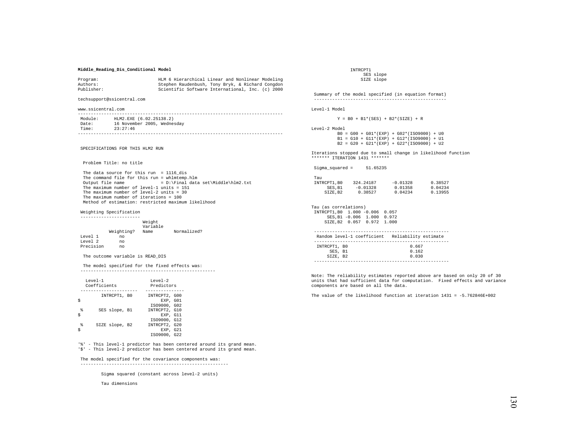## **Middle\_Reading\_Dis\_Conditional Model**

| Program:   | HLM 6 Hierarchical Linear and Nonlinear Modeling |
|------------|--------------------------------------------------|
| Authors:   | Stephen Raudenbush, Tony Bryk, & Richard Congdon |
| Publisher: | Scientific Software International, Inc. (c) 2000 |

techsupport@ssicentral.com

www.ssicentral.com

| Module: | HLM2.EXE (6.02.25138.2)     |
|---------|-----------------------------|
| Date:   | 16 November 2005, Wednesday |
| Time:   | 23:27:46                    |
|         |                             |

SPECIFICATIONS FOR THIS HLM2 RUN

Problem Title: no title

 The data source for this run = 1116\_dis The command file for this run = whlmtemp.hlm<br>Output file name =  $D:\F$ inal data  $= D:\Pi a$ l data set\Middle\hlm2.txt The maximum number of level-1 units = 151 The maximum number of level-2 units = 30 The maximum number of iterations = 100 Method of estimation: restricted maximum likelihood

Weighting Specification

|              |            | Weight<br>Variable |             |
|--------------|------------|--------------------|-------------|
|              | Weighting? | Name               | Normalized? |
| Level 1      | no         |                    |             |
| $T$ evel $2$ | no         |                    |             |
| Precision    | no         |                    |             |

The outcome variable is READ\_DIS

 The model specified for the fixed effects was: ----------------------------------------------------

|        | $T$ eve $1 - 1$<br>Coefficients | $T$ eve $1 - 2$<br>Predictors                             |
|--------|---------------------------------|-----------------------------------------------------------|
|        | INTRCPT1, BO                    | INTRCPT2, G00<br>EXP. GO1<br>IS09000, G02                 |
| g<br>Ś | SES slope, B1                   | INTRCPT2, G10<br>EXP. G11                                 |
| g      | SIZE slope, B2                  | IS09000, G12<br>INTRCPT2, G20<br>EXP. G21<br>IS09000, G22 |

'%' - This level-1 predictor has been centered around its grand mean. '\$' - This level-2 predictor has been centered around its grand mean.

### The model specified for the covariance components was:

---------------------------------------------------------

Sigma squared (constant across level-2 units)

Tau dimensions

 INTRCPT1 SES slope SIZE slope

 Summary of the model specified (in equation format) --------------------------------------------------- Level-1 Model

 $Y = B0 + B1*(SES) + B2*(SIZE) + R$ 

Level-2 Model

 B0 = G00 + G01\*(EXP) + G02\*(ISO9000) + U0  $B1 = G10 + G11*(EXP) + G12*(ISO9000) + U1$  $B2 = G20 + G21*(EXP) + G22*(ISO9000) + U2$ 

Iterations stopped due to small change in likelihood function \*\*\*\*\*\*\* ITERATION 1431 \*\*\*\*\*\*\*

Sigma\_squared = 51.65235

| Tau         |            |            |         |
|-------------|------------|------------|---------|
| INTRCPT1.B0 | 324.24187  | $-0.01328$ | 0.38527 |
| SES.B1      | $-0.01328$ | 0.01358    | 0.04234 |
| SIZE.B2     | 0.38527    | 0.04234    | 0.13955 |

Tau (as correlations) INTRCPT1,B0 1.000 -0.006 0.057 SES,B1 -0.006 1.000 0.972 SIZE,B2 0.057 0.972 1.000

|              | Random level-1 coefficient Reliability estimate |
|--------------|-------------------------------------------------|
|              |                                                 |
| INTRCPT1, BO | 0.667                                           |
| SES, B1      | 0.162                                           |
| SIZE, B2     | 0.030                                           |
|              |                                                 |

Note: The reliability estimates reported above are based on only 20 of 30 units that had sufficient data for computation. Fixed effects and variance components are based on all the data.

The value of the likelihood function at iteration 1431 = -5.762846E+002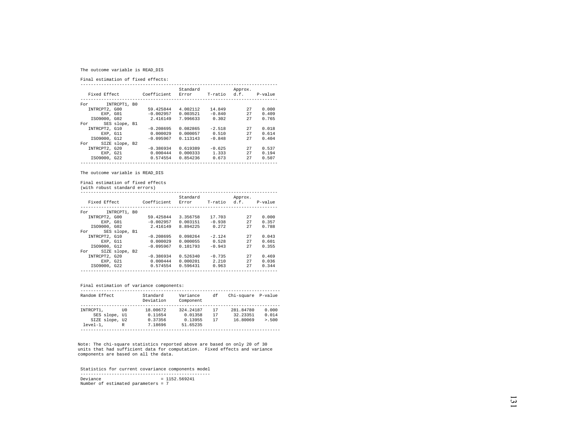# The outcome variable is READ\_DIS

Final estimation of fixed effects:

|               |                |             | Standard |              | Approx. |         |
|---------------|----------------|-------------|----------|--------------|---------|---------|
| Fixed Effect  |                | Coefficient | Error    | T-ratio d.f. |         | P-value |
|               |                |             |          |              |         |         |
| For           | INTRCPT1, B0   |             |          |              |         |         |
| INTRCPT2, G00 |                | 59.425844   | 4.002112 | 14.849       | 27      | 0.000   |
| EXP. GO1      |                | $-0.002957$ | 0.003521 | $-0.840$     | 27      | 0.409   |
| IS09000, G02  |                | 2.416149    | 7.996633 | 0.302        | 27      | 0.765   |
| For           | SES slope, B1  |             |          |              |         |         |
| INTRCPT2, G10 |                | $-0.208695$ | 0.082865 | $-2.518$     | 27      | 0.018   |
| EXP. G11      |                | 0.000029    | 0.000057 | 0.510        | 27      | 0.614   |
| IS09000, G12  |                | $-0.095967$ | 0.113143 | $-0.848$     | 27      | 0.404   |
| For           | SIZE slope, B2 |             |          |              |         |         |
| INTRCPT2, G20 |                | $-0.386934$ | 0.619389 | $-0.625$     | 27      | 0.537   |
| EXP. G21      |                | 0.000444    | 0.000333 | 1.333        | 27      | 0.194   |
| IS09000, G22  |                | 0.574554    | 0.854236 | 0.673        | 27      | 0.507   |
|               |                |             |          |              |         |         |

The outcome variable is READ\_DIS

Final estimation of fixed effects

(with robust standard errors)

|                      |                |                   | Standard |          | Approx.              |       |
|----------------------|----------------|-------------------|----------|----------|----------------------|-------|
| Fixed Effect         |                | Coefficient Error |          |          | T-ratio d.f. P-value |       |
|                      |                |                   |          |          |                      |       |
| For                  | INTRCPT1, BO   |                   |          |          |                      |       |
| INTRCPT2, G00        |                | 59.425844         | 3.356758 | 17.703   | 27                   | 0.000 |
|                      | EXP. GO1       | $-0.002957$       | 0.003151 | $-0.938$ | 27                   | 0.357 |
| IS09000, G02         |                | 2.416149          | 8.894225 | 0.272    | 27                   | 0.788 |
| SES slope, B1<br>For |                |                   |          |          |                      |       |
| INTRCPT2, G10        |                | $-0.208695$       | 0.098264 | $-2.124$ | 27                   | 0.043 |
| EXP, G11             |                | 0.000029          | 0.000055 | 0.528    | 27                   | 0.601 |
| IS09000, G12         |                | $-0.095967$       | 0.101793 | $-0.943$ | 27                   | 0.355 |
| For                  | SIZE slope, B2 |                   |          |          |                      |       |
| INTRCPT2, G20        |                | $-0.386934$       | 0.526340 | $-0.735$ | 27                   | 0.469 |
| EXP. G21             |                | 0.000444          | 0.000201 | 2.210    | 27                   | 0.036 |
| IS09000, G22         |                | 0.574554          | 0.596431 | 0.963    | 27                   | 0.344 |
|                      |                |                   |          |          |                      |       |

## Final estimation of variance components:

| Random Effect  |      | Standard<br>Deviation | Variance<br>Component | đf | Chi-square P-value |         |
|----------------|------|-----------------------|-----------------------|----|--------------------|---------|
|                |      |                       |                       |    |                    |         |
| INTRCPT1.      | TTO. | 18.00672              | 324.24187             | 17 | 281.84780          | 0.000   |
| SES slope, Ul  |      | 0.11654               | 0.01358               | 17 | 32.23351           | 0.014   |
| SIZE slope, U2 |      | 0.37356               | 0.13955               | 17 | 16.80069           | > 0.500 |
| $level-1.$     | R    | 7.18696               | 51.65235              |    |                    |         |
|                |      |                       |                       |    |                    |         |

Note: The chi-square statistics reported above are based on only 20 of 30 units that had sufficient data for computation. Fixed effects and variance components are based on all the data.

 Statistics for current covariance components model -------------------------------------------------- Deviance = 1152.569241 Number of estimated parameters = 7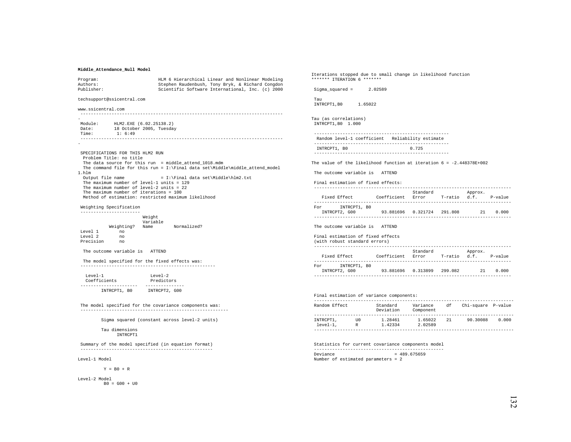## **Middle\_Attendance\_Null Model**

| Program:                                               | HLM 6 Hierarchical Linear and Nonlinear Modeling                                | rccracromo peoppe<br>******* ITERATION |
|--------------------------------------------------------|---------------------------------------------------------------------------------|----------------------------------------|
| Authors:                                               | Stephen Raudenbush, Tony Bryk, & Richard Congdon                                |                                        |
| Publisher:                                             | Scientific Software International, Inc. (c) 2000                                | $Sigma_square =$                       |
| techsupport@ssicentral.com                             |                                                                                 | Tau<br>INTRCPT1, BO                    |
| www.ssicentral.com                                     |                                                                                 |                                        |
|                                                        |                                                                                 |                                        |
|                                                        |                                                                                 | Tau (as correlati                      |
| HLM2.EXE (6.02.25138.2)<br>Module:<br>Date:            |                                                                                 | INTRCPT1, B0 1.0                       |
| 18 October 2005, Tuesday<br>Time:<br>1:6:49            |                                                                                 | ----------------                       |
|                                                        |                                                                                 | Random level-1<br>---------------      |
|                                                        |                                                                                 | INTRCPT1, B0                           |
| SPECIFICATIONS FOR THIS HLM2 RUN                       |                                                                                 | ---------------                        |
| Problem Title: no title                                |                                                                                 |                                        |
|                                                        | The data source for this run = middle_attend_1018.mdm                           | The value of the                       |
|                                                        | The command file for this run = $I:\F$ inal data set\Middle\middle_attend_model |                                        |
| 1.hlm<br>Output file name                              | = I:\Final data set\Middle\hlm2.txt                                             | The outcome vari                       |
| The maximum number of level-1 units = $129$            |                                                                                 | Final estimation                       |
| The maximum number of level-2 units = $22$             |                                                                                 | ---------------                        |
| The maximum number of iterations = 100                 |                                                                                 |                                        |
| Method of estimation: restricted maximum likelihood    |                                                                                 | Fixed Effect                           |
| Weighting Specification                                |                                                                                 | ---------------<br>For INTRCI          |
| -----------------------                                |                                                                                 | INTRCPT2, GOO                          |
| Weight                                                 |                                                                                 | ---------------                        |
|                                                        | Variable                                                                        |                                        |
|                                                        | Weighting? Name Normalized?                                                     | The outcome vari                       |
| Level 1<br>no                                          |                                                                                 |                                        |
| Level 2<br>no<br>Precision no                          |                                                                                 | Final estimation<br>(with robust sta   |
|                                                        |                                                                                 | ---------------                        |
| The outcome variable is ATTEND                         |                                                                                 |                                        |
|                                                        |                                                                                 | Fixed Effect                           |
| The model specified for the fixed effects was:         |                                                                                 | ---------------<br>For INTRCI          |
|                                                        |                                                                                 | INTRCPT2, GOO                          |
| Level-1                                                | Level-2                                                                         | ---------------                        |
| Coefficients                                           | Predictors                                                                      |                                        |
|                                                        |                                                                                 |                                        |
| INTRCPT1, B0 INTRCPT2, G00                             |                                                                                 | Final estimation                       |
|                                                        |                                                                                 | ---------------                        |
| The model specified for the covariance components was: |                                                                                 | Random Effect                          |
|                                                        |                                                                                 |                                        |
|                                                        |                                                                                 | ---------------                        |
|                                                        | Sigma squared (constant across level-2 units)                                   | INTRCPT1,<br>level-1.                  |
| Tau dimensions                                         |                                                                                 | ---------------                        |
| INTRCPT1                                               |                                                                                 |                                        |
|                                                        |                                                                                 |                                        |

 Summary of the model specified (in equation format) ---------------------------------------------------

Level-1 Model

 $Y = B0 + R$ 

Level-2 Model  $B0 = G00 + U0$  Iterations stopped due to small change in likelihood function \*\*\*\*\*\*\* ITERATION 6 \*\*\*\*\*\*\*

Sigma\_squared = 2.02589

1.65022

ions) 000

```
 ---------------------------------------------------- 
                 coefficient Reliability estimate
                  ---------------------------------------------------- 0.725
                  ----------------------------------------------------
```
The value of the likelihood function at iteration 6 = -2.448378E+002

The outcome variable is ATTEND

n of fixed effects:

|                     |             | Standard |         | Approx. |           |
|---------------------|-------------|----------|---------|---------|-----------|
| Fixed Effect        | Coefficient | Error    | T-ratio | d.f.    | $P-value$ |
|                     |             |          |         |         |           |
| INTRCPT1, BO<br>For |             |          |         |         |           |
| INTRCPT2, G00       | 93.881696   | 0.321724 | 291.808 | 2.1     | 0.000     |
|                     |             |          |         |         |           |
|                     |             |          |         |         |           |

iable is ATTEND

#### Final estimation of fixed effects

| (with robust standard errors) |             |          |              |         |         |
|-------------------------------|-------------|----------|--------------|---------|---------|
|                               |             |          |              |         |         |
|                               |             | Standard |              | Approx. |         |
| Fixed Effect                  | Coefficient | Error    | T-ratio d.f. |         | P-value |
|                               |             |          |              |         |         |

| For | INTRCPT1, BO  |                              |  |     |       |
|-----|---------------|------------------------------|--|-----|-------|
|     | INTRCPT2, G00 | 93.881696  0.313899  299.082 |  | 2.1 | 0.000 |
|     |               |                              |  |     |       |

| Final estimation of variance components: |           |                       |                       |    |                    |       |
|------------------------------------------|-----------|-----------------------|-----------------------|----|--------------------|-------|
| Random Effect                            |           | Standard<br>Deviation | Variance<br>Component | đf | Chi-square P-value |       |
| INTRCPT1.<br>$level-1.$                  | TTO.<br>R | 1.28461<br>1.42334    | 1.65022<br>2.02589    | 21 | 90.30088           | 0.000 |

 Statistics for current covariance components model --------------------------------------------------  $Deviance = 489.675659$ Number of estimated parameters = 2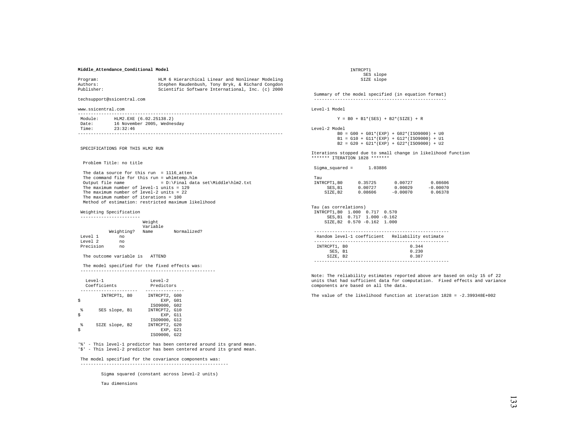## **Middle\_Attendance\_Conditional Model**

| Program:   | HLM 6 Hierarchical Linear and Nonlinear Modeling |
|------------|--------------------------------------------------|
| Authors:   | Stephen Raudenbush, Tony Bryk, & Richard Congdon |
| Publisher: | Scientific Software International, Inc. (c) 2000 |

techsupport@ssicentral.com

www.ssicentral.com

| Module: | HLM2.EXE (6.02.25138.2)     |
|---------|-----------------------------|
| Date:   | 16 November 2005, Wednesday |
| Time:   | 23:32:46                    |
|         |                             |

SPECIFICATIONS FOR THIS HLM2 RUN

Problem Title: no title

 The data source for this run = 1116\_atten The command file for this run = whlmtemp.hlm<br>Output file name =  $D:\F$ inal data  $= D:\Pi a$ l data set\Middle\hlm2.txt The maximum number of level-1 units = 129 The maximum number of level-2 units = 22 The maximum number of iterations = 100 Method of estimation: restricted maximum likelihood

### Weighting Specification

|           |            | Weight<br>Variable |             |
|-----------|------------|--------------------|-------------|
|           | Weighting? | Name               | Normalized? |
| Level 1   | no         |                    |             |
| Level 2   | no         |                    |             |
| Precision | no         |                    |             |

The outcome variable is ATTEND

 The model specified for the fixed effects was: ----------------------------------------------------

| INTRCPT1, BO<br>INTRCPT2, G00<br>EXP. GO1<br>IS09000, G02<br>g<br>INTRCPT2, G10<br>SES slope, B1<br>Ś | $T$ eve $1 - 1$<br>Coefficients | $T$ eve $1 - 2$<br>Predictors |  |  |
|-------------------------------------------------------------------------------------------------------|---------------------------------|-------------------------------|--|--|
|                                                                                                       |                                 |                               |  |  |
|                                                                                                       |                                 | EXP. G11                      |  |  |
| IS09000, G12<br>g<br>INTRCPT2, G20<br>SIZE slope, B2<br>EXP. G21<br>IS09000, G22                      |                                 |                               |  |  |

'%' - This level-1 predictor has been centered around its grand mean. '\$' - This level-2 predictor has been centered around its grand mean.

### The model specified for the covariance components was:

---------------------------------------------------------

Sigma squared (constant across level-2 units)

Tau dimensions

 INTRCPT1 SES slope SIZE slope

 Summary of the model specified (in equation format) ---------------------------------------------------

```
Level-1 Model
```
 $Y = B0 + B1*(SES) + B2*(SIZE) + R$ 

Level-2 Model

 B0 = G00 + G01\*(EXP) + G02\*(ISO9000) + U0  $B1 = G10 + G11*(EXP) + G12*(ISO9000) + U1$  $B2 = G20 + G21*(EXP) + G22*(ISO9000) + U2$ 

Iterations stopped due to small change in likelihood function \*\*\*\*\*\*\* ITERATION 1828 \*\*\*\*\*\*\*

| $Sigma_square =$ | 1.03886 |
|------------------|---------|
|------------------|---------|

| Tau         |         |            |            |
|-------------|---------|------------|------------|
| INTRCPT1.B0 | 0.35725 | 0.00727    | 0.08606    |
| SES.B1      | 0.00727 | 0.00029    | $-0.00070$ |
| SIZE.B2     | 0.08606 | $-0.00070$ | 0.06378    |

Tau (as correlations) INTRCPT1,B0 1.000 0.717 0.570 SES,B1 0.717 1.000 -0.162 SIZE,B2 0.570 -0.162 1.000

|              | Random level-1 coefficient Reliability estimate |
|--------------|-------------------------------------------------|
|              |                                                 |
| INTRCPT1, BO | 0.344                                           |
| SES, B1      | 0.230                                           |
| SIZE. B2     | 0.387                                           |
|              |                                                 |

Note: The reliability estimates reported above are based on only 15 of 22 units that had sufficient data for computation. Fixed effects and variance components are based on all the data.

The value of the likelihood function at iteration  $1828 = -2.399348E+002$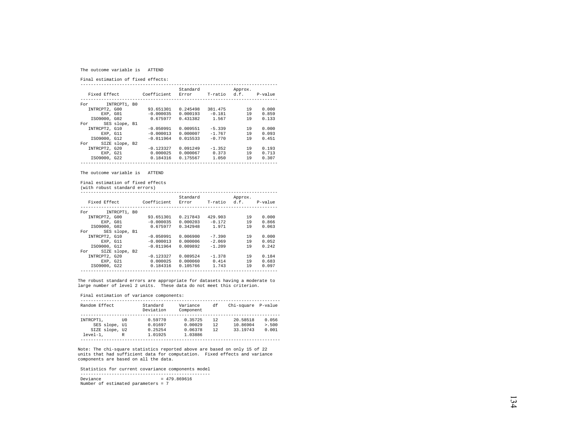#### The outcome variable is ATTEND

Final estimation of fixed effects:

|                       |             | Standard |              | Approx. |         |  |
|-----------------------|-------------|----------|--------------|---------|---------|--|
| Fixed Effect          | Coefficient | Error    | T-ratio d.f. |         | P-value |  |
|                       |             |          |              |         |         |  |
| INTRCPT1, B0<br>For   |             |          |              |         |         |  |
| INTRCPT2, G00         | 93.651301   | 0.245498 | 381.475      | 19      | 0.000   |  |
| EXP. GO1              | $-0.000035$ | 0.000193 | $-0.181$     | 19      | 0.859   |  |
| IS09000, G02          | 0.675977    | 0.431382 | 1.567        | 19      | 0.133   |  |
| SES slope, B1<br>For  |             |          |              |         |         |  |
| INTRCPT2, G10         | $-0.050991$ | 0.009551 | $-5.339$     | 19      | 0.000   |  |
| EXP. G11              | $-0.000013$ | 0.000007 | $-1.767$     | 19      | 0.093   |  |
| IS09000, G12          | $-0.011964$ | 0.015533 | $-0.770$     | 19      | 0.451   |  |
| SIZE slope, B2<br>For |             |          |              |         |         |  |
| INTRCPT2, G20         | $-0.123327$ | 0.091249 | $-1.352$     | 19      | 0.193   |  |
| EXP, G21              | 0.000025    | 0.000067 | 0.373        | 19      | 0.713   |  |
| IS09000, G22          | 0.184316    | 0.175567 | 1,050        | 19      | 0.307   |  |
|                       |             |          |              |         |         |  |

The outcome variable is ATTEND

Final estimation of fixed effects

(with robust standard errors)

| Fixed Effect  |                | Coefficient | Standard<br>Error | T-ratio  | Approx.<br>d.f. | P-value |
|---------------|----------------|-------------|-------------------|----------|-----------------|---------|
| For           | INTRCPT1, B0   |             |                   |          |                 |         |
| INTRCPT2, G00 |                | 93.651301   | 0.217843          | 429.903  | 19              | 0.000   |
|               | EXP. GO1       | $-0.000035$ | 0.000203          | $-0.172$ | 19              | 0.866   |
| IS09000, G02  |                | 0.675977    | 0.342948          | 1.971    | 19              | 0.063   |
| For           | SES slope, B1  |             |                   |          |                 |         |
| INTRCPT2, G10 |                | $-0.050991$ | 0.006900          | $-7.390$ | 19              | 0.000   |
|               | EXP. G11       | $-0.000013$ | 0.000006          | $-2.069$ | 19              | 0.052   |
| IS09000, G12  |                | $-0.011964$ | 0.009892          | $-1.209$ | 19              | 0.242   |
| For           | SIZE slope, B2 |             |                   |          |                 |         |
| INTRCPT2, G20 |                | $-0.123327$ | 0.089524          | $-1.378$ | 19              | 0.184   |
| EXP. G21      |                | 0.000025    | 0.000060          | 0.414    | 19              | 0.683   |
| IS09000, G22  |                | 0.184316    | 0.105766          | 1.743    | 19              | 0.097   |
|               |                |             |                   |          |                 |         |

The robust standard errors are appropriate for datasets having a moderate to large number of level 2 units. These data do not meet this criterion.

Final estimation of variance components:

| Random Effect  |      |         | Variance<br>Component | df | Chi-square P-value |         |
|----------------|------|---------|-----------------------|----|--------------------|---------|
|                |      |         |                       |    |                    |         |
| INTRCPT1.      | TTO. | 0.59770 | 0.35725               | 12 | 20.58518           | 0.056   |
| SES slope, Ul  |      | 0.01697 | 0.00029               | 12 | 10.86904           | > 0.500 |
| SIZE slope, U2 |      | 0.25254 | 0.06378               | 12 | 33.19743           | 0.001   |
| $level-1.$     | R    | 1.01925 | 1.03886               |    |                    |         |
|                |      |         |                       |    |                    |         |

Note: The chi-square statistics reported above are based on only 15 of 22 units that had sufficient data for computation. Fixed effects and variance components are based on all the data.

Statistics for current covariance components model

 --------------------------------------------------  $Deviance = 479.869616$ 

Number of estimated parameters = 7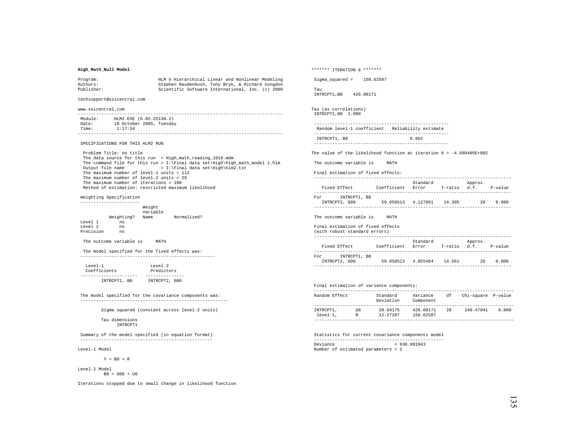## **High\_Math\_Null Model**

| Program:   | HLM 6 Hierarchical Linear and Nonlinear Modeling |
|------------|--------------------------------------------------|
| Authors:   | Stephen Raudenbush, Tony Bryk, & Richard Congdon |
| Publisher: | Scientific Software International, Inc. (c) 2000 |

techsupport@ssicentral.com

www.ssicentral.com

| Module: | HLM2.EXE (6.02.25138.2)  |
|---------|--------------------------|
| Date:   | 18 October 2005, Tuesday |
| Time:   | 1:17:54                  |
|         |                          |

SPECIFICATIONS FOR THIS HLM2 RUN

 Problem Title: no title The data source for this run = High\_math\_reading\_1018.mdm The command file for this run =  $I:\Final data set\High\high\muath_moch 1.hlm$ <br>Output file name =  $I:\Final data set\High\high\lambda.txt$  $= I:\Final data set\High\hlm2.txt$  The maximum number of level-1 units = 112 The maximum number of level-2 units = 29 The maximum number of iterations = 100 Method of estimation: restricted maximum likelihood

#### Weighting Specification -----------------------

|              |            | Weight<br>Variable |             |
|--------------|------------|--------------------|-------------|
|              | Weighting? | Name               | Normalized? |
| Level 1      | no         |                    |             |
| $T$ evel $2$ | no         |                    |             |
| Precision    | no         |                    |             |

The outcome variable is MATH

 The model specified for the fixed effects was: ----------------------------------------------------

| $T$ eve $1 - 1$ | $T$ eve $1 - 2$ |
|-----------------|-----------------|
| Coefficients    | Predictors      |
|                 |                 |
| INTRCPT1, BO    | INTRCPT2, G00   |

 The model specified for the covariance components was: ---------------------------------------------------------

Sigma squared (constant across level-2 units)

 Tau dimensions INTRCPT1

 Summary of the model specified (in equation format) ---------------------------------------------------

Level-1 Model

 $Y = B0 + R$ 

Level-2 Model  $B0 = G00 + U0$ 

Iterations stopped due to small change in likelihood function

\*\*\*\*\*\*\* ITERATION 6 \*\*\*\*\*\*\* Sigma\_squared = 150.62587 Tau INTRCPT1,B0 426.08171 Tau (as correlations) INTRCPT1,B0 1.000 ---------------------------------------------------- Random level-1 coefficient Reliability estimate ---------------------------------------------------- INTRCPT1, B0 0.862 ---------------------------------------------------- The value of the likelihood function at iteration  $6 = -4.680405E + 002$  The outcome variable is MATH Final estimation of fixed effects: ----------------------------------------------------------------------------

| Fixed Effect        | Coefficient | Standard<br>Error | T-ratio | Approx.<br>d.f. | P-value |
|---------------------|-------------|-------------------|---------|-----------------|---------|
| INTRCPT1, BO<br>For |             |                   |         |                 |         |
| INTRCPT2, G00       | 59.050513   | 4.127891          | 14.305  | 28              | 0.000   |

The outcome variable is MATH

#### Final estimation of fixed effects

| (with robust standard errors)        |             |                   |              |         |         |
|--------------------------------------|-------------|-------------------|--------------|---------|---------|
| Fixed Effect                         | Coefficient | Standard<br>Error | T-ratio d.f. | Approx. | P-value |
| INTRCPT1, BO<br>For<br>INTRCPT2, G00 | 59.050513   | 4.055484          | 14 561       | 28      | 0.000   |
|                                      |             |                   |              |         |         |

## Final estimation of variance components:

| Random Effect           |           | Standard<br>Deviation | Variance<br>Component  | df | Chi-square P-value |       |
|-------------------------|-----------|-----------------------|------------------------|----|--------------------|-------|
|                         |           |                       |                        |    |                    |       |
| INTRCPT1,<br>$level-1.$ | TTO.<br>R | 20.64175<br>12.27297  | 426.08171<br>150.62587 | 28 | 240.47041          | 0.000 |
|                         |           |                       |                        |    |                    |       |

 Statistics for current covariance components model -------------------------------------------------- Deviance = 936.081043 Number of estimated parameters = 2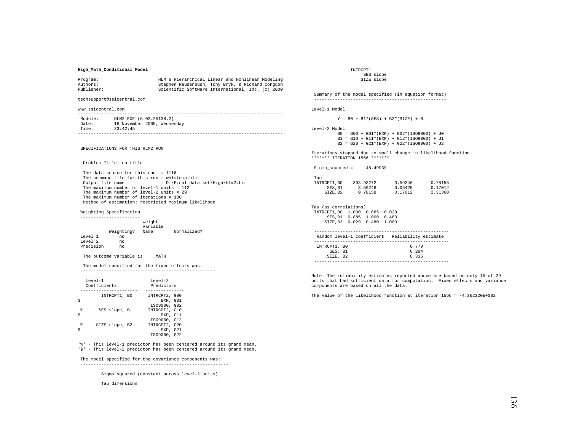#### **High\_Math\_Conditional Model**

| Program:   | HLM 6 Hierarchical Linear and Nonlinear Modeling |
|------------|--------------------------------------------------|
| Authors:   | Stephen Raudenbush, Tony Bryk, & Richard Congdon |
| Publisher: | Scientific Software International, Inc. (c) 2000 |

techsupport@ssicentral.com

www.ssicentral.com

| Module: | HLM2.EXE (6.02.25138.2)     |
|---------|-----------------------------|
| Date:   | 16 November 2005, Wednesday |
| Time:   | 23:42:45                    |
|         |                             |

SPECIFICATIONS FOR THIS HLM2 RUN

Problem Title: no title

 The data source for this run = 1116 The command file for this run = whlmtemp.hlm<br>Output file name =  $D:\F$ inal data  $= D:\Final data set\High\hlm2.txt$ The maximum number of level-1 units = 112 The maximum number of level-2 units = 29 The maximum number of iterations = 100 Method of estimation: restricted maximum likelihood

Weighting Specification

|                  |            | Weight<br>Variable |             |
|------------------|------------|--------------------|-------------|
|                  | Weighting? | Name               | Normalized? |
| Level 1          | no         |                    |             |
| Level 2          | no         |                    |             |
| <b>Drecision</b> | no         |                    |             |

The outcome variable is MATH

 The model specified for the fixed effects was: ----------------------------------------------------

|        | $T$ eve $1 - 1$<br>Coefficients | $T$ eve $1 - 2$<br>Predictors             |
|--------|---------------------------------|-------------------------------------------|
|        | INTRCPT1, BO                    | INTRCPT2, G00<br>EXP. GO1<br>IS09000, G02 |
| 喿<br>Ś | SES slope, B1                   | INTRCPT2, G10<br>EXP. G11<br>IS09000, G12 |
| g      | SIZE slope, B2                  | INTRCPT2, G20<br>EXP. G21<br>IS09000, G22 |

'%' - This level-1 predictor has been centered around its grand mean. '\$' - This level-2 predictor has been centered around its grand mean.

#### The model specified for the covariance components was:

---------------------------------------------------------

Sigma squared (constant across level-2 units)

Tau dimensions

 INTRCPT1 SES slope SIZE slope

 Summary of the model specified (in equation format) ---------------------------------------------------

```
Level-1 Model
```
 $Y = B0 + B1*(SES) + B2*(SIZE) + R$ 

Level-2 Model

 B0 = G00 + G01\*(EXP) + G02\*(ISO9000) + U0  $B1 = G10 + G11*(EXP) + G12*(ISO9000) + U1$  $B2 = G20 + G21*(EXP) + G22*(ISO9000) + U2$ 

Iterations stopped due to small change in likelihood function \*\*\*\*\*\*\* ITERATION 1566 \*\*\*\*\*\*\*

| Tau         |           |         |         |
|-------------|-----------|---------|---------|
| INTRCPT1.B0 | 303.93272 | 3.59246 | 0.78158 |
| SES.B1      | 3.59246   | 0.05425 | 0.17012 |
| SIZE.B2     | 0.78158   | 0.17012 | 2.31360 |

Tau (as correlations) INTRCPT1,B0 1.000 0.885 0.029 SES,B1 0.885 1.000 0.480 SIZE,B2 0.029 0.480 1.000

|              | Random level-1 coefficient Reliability estimate |
|--------------|-------------------------------------------------|
|              |                                                 |
| INTRCPT1, BO | 0.779                                           |
| SES, B1      | 0.284                                           |
| SIZE, B2     | 0.335                                           |
|              |                                                 |

Note: The reliability estimates reported above are based on only 15 of 29 units that had sufficient data for computation. Fixed effects and variance components are based on all the data.

The value of the likelihood function at iteration 1566 = -4.362320E+002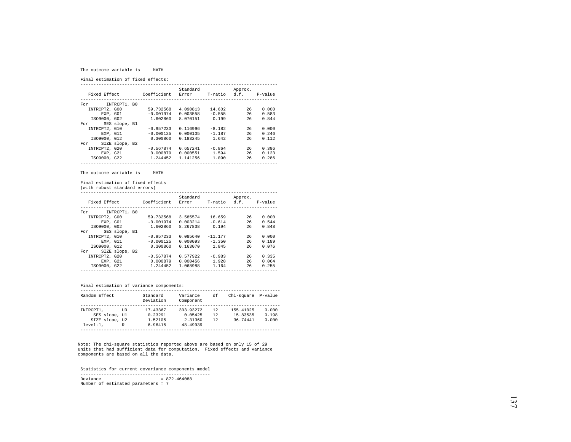#### The outcome variable is MATH

Final estimation of fixed effects:

|                       |             | Standard |              | Approx. |         |
|-----------------------|-------------|----------|--------------|---------|---------|
| Fixed Effect          | Coefficient | Error    | T-ratio d.f. |         | P-value |
|                       |             |          |              |         |         |
| INTRCPT1, B0<br>For   |             |          |              |         |         |
| INTRCPT2, G00         | 59.732568   | 4.090813 | 14.602       | 26      | 0.000   |
| EXP. GO1              | $-0.001974$ | 0.003558 | $-0.555$     | 26      | 0.583   |
| IS09000, G02          | 1.602860    | 8.070151 | 0.199        | 26      | 0.844   |
| SES slope, B1<br>For  |             |          |              |         |         |
| INTRCPT2, G10         | $-0.957233$ | 0.116996 | $-8.182$     | 26      | 0.000   |
| EXP. G11              | $-0.000125$ | 0.000105 | $-1.187$     | 26      | 0.246   |
| IS09000, G12          | 0.300860    | 0.183245 | 1.642        | 26      | 0.112   |
| SIZE slope, B2<br>For |             |          |              |         |         |
| INTRCPT2, G20         | $-0.567874$ | 0.657241 | $-0.864$     | 26      | 0.396   |
| EXP. G21              | 0.000879    | 0.000551 | 1.594        | 26      | 0.123   |
| IS09000, G22          | 1.244452    | 1.141256 | 1,090        | 26      | 0.286   |
|                       |             |          |              |         |         |

The outcome variable is MATH

Final estimation of fixed effects

(with robust standard errors)

| Fixed Effect  |                | Coefficient | Standard<br>Error | T-ratio   | Approx.<br>d.f. | P-value |
|---------------|----------------|-------------|-------------------|-----------|-----------------|---------|
| For           | INTRCPT1, B0   |             |                   |           |                 |         |
| INTRCPT2, G00 |                | 59.732568   | 3.585574          | 16.659    | 26              | 0.000   |
| EXP. GO1      |                | $-0.001974$ | 0.003214          | $-0.614$  | 26              | 0.544   |
| IS09000, G02  |                | 1.602860    | 8.267838          | 0.194     | 26              | 0.848   |
| For           | SES slope, B1  |             |                   |           |                 |         |
| INTRCPT2, G10 |                | $-0.957233$ | 0.085640          | $-11.177$ | 26              | 0.000   |
| EXP. G11      |                | $-0.000125$ | 0.000093          | $-1.350$  | 26              | 0.189   |
| IS09000, G12  |                | 0.300860    | 0.163070          | 1.845     | 26              | 0.076   |
| For           | SIZE slope, B2 |             |                   |           |                 |         |
| INTRCPT2, G20 |                | $-0.567874$ | 0.577922          | $-0.983$  | 26              | 0.335   |
| EXP. G21      |                | 0.000879    | 0.000456          | 1.928     | 26              | 0.064   |
| IS09000, G22  |                | 1.244452    | 1.068988          | 1.164     | 26              | 0.255   |
|               |                |             |                   |           |                 |         |

## Final estimation of variance components:

| Random Effect  |      | Standard<br>Deviation | Variance<br>Component | df | Chi-square P-value |       |
|----------------|------|-----------------------|-----------------------|----|--------------------|-------|
|                |      |                       |                       |    |                    |       |
| INTRCPT1.      | TTO. | 17.43367              | 303.93272             | 12 | 155.41025          | 0.000 |
| SES slope, Ul  |      | 0.23291               | 0.05425               | 12 | 15.83535           | 0.198 |
| SIZE slope, U2 |      | 1.52105               | 2.31360               | 12 | 36.74441           | 0.000 |
| $level-1.$     | R    | 6.96415               | 48.49939              |    |                    |       |
|                |      |                       |                       |    |                    |       |

Note: The chi-square statistics reported above are based on only 15 of 29 units that had sufficient data for computation. Fixed effects and variance components are based on all the data.

 Statistics for current covariance components model --------------------------------------------------  $Deviance = 872.464088$ Number of estimated parameters = 7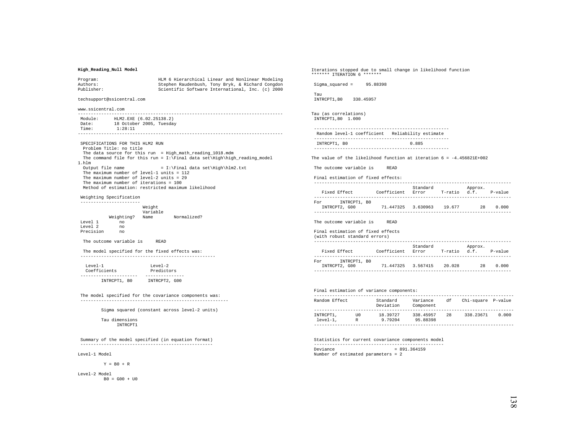### **High\_Reading\_Null Model**

| Program:   | HLM 6 Hierarchical Linear and Nonlinear Modeling |
|------------|--------------------------------------------------|
| Authors:   | Stephen Raudenbush, Tony Bryk, & Richard Congdon |
| Publisher: | Scientific Software International, Inc. (c) 2000 |

### techsupport@ssicentral.com

www.ssicentral.com

 ------------------------------------------------------------------------------- Module: HLM2.EXE (6.02.25138.2) Date: 18 October 2005, Tuesday Time: 1:28:11 -------------------------------------------------------------------------------

 SPECIFICATIONS FOR THIS HLM2 RUN Problem Title: no title The data source for this run = High\_math\_reading\_1018.mdm The command file for this run = I:\Final data set\High\high\_reading\_model 1.hlm Output file name  $= I:\Final data set\High\hlm2.txt$  The maximum number of level-1 units = 112 The maximum number of level-2 units = 29 The maximum number of iterations = 100 Method of estimation: restricted maximum likelihood

 Weighting Specification -----------------------

|           |            | Weight<br>Variable |             |
|-----------|------------|--------------------|-------------|
|           | Weighting? | Name               | Normalized? |
| Level 1   | no         |                    |             |
| Level 2   | no         |                    |             |
| Precision | no         |                    |             |

The outcome variable is READ

 The model specified for the fixed effects was: ----------------------------------------------------

| $T$ eve $1 - 1$ | $T$ eve $1 - 2$ |  |  |
|-----------------|-----------------|--|--|
| Coefficients    | Predictors      |  |  |
|                 |                 |  |  |
| INTRCPT1, BO    | INTRCPT2, G00   |  |  |

 The model specified for the covariance components was: ---------------------------------------------------------

Sigma squared (constant across level-2 units)

 Tau dimensions INTRCPT1

 Summary of the model specified (in equation format) ---------------------------------------------------

Level-1 Model

 $Y = B0 + R$ 

Level-2 Model  $B0 = G00 + U0$  Iterations stopped due to small change in likelihood function \*\*\*\*\*\*\* ITERATION 6 \*\*\*\*\*\*\*

Sigma\_squared = 95.88398

 Tau INTRCPT1,B0 338.45957

Tau (as correlations) INTRCPT1,B0 1.000

 ---------------------------------------------------- Random level-1 coefficient Reliability estimate ---------------------------------------------------- INTRCPT1, B0 0.885

----------------------------------------------------

The value of the likelihood function at iteration  $6 = -4.456821E+002$ 

The outcome variable is READ

| Final estimation of fixed effects:   |             |                   |              |         |           |
|--------------------------------------|-------------|-------------------|--------------|---------|-----------|
| Fixed Effect                         | Coefficient | Standard<br>Error | T-ratio d.f. | Approx. | $P-value$ |
| INTRCPT1, BO<br>For<br>INTRCPT2, G00 | 71.447325   | 3.630963          | 19.677       | 28      | 0.000     |

The outcome variable is READ

#### Final estimation of fixed effects

| (with robust standard errors)        |             |                   |         |                 |           |
|--------------------------------------|-------------|-------------------|---------|-----------------|-----------|
| Fixed Effect                         | Coefficient | Standard<br>Error | T-ratio | Approx.<br>d.f. | $P-value$ |
| INTRCPT1, BO<br>For<br>INTRCPT2, G00 | 71.447325   | 3.567415          | 20.028  | 28              | 0.000     |
|                                      |             |                   |         |                 |           |

#### Final estimation of variance components:

| Random Effect           |          | Standard<br>Deviation | Variance<br>Component | df | Chi-square P-value |       |
|-------------------------|----------|-----------------------|-----------------------|----|--------------------|-------|
| INTRCPT1.<br>$level-1.$ | TTO<br>R | 18.39727<br>9.79204   | 338.45957<br>95.88398 | 28 | 338.23671          | 0.000 |

 Statistics for current covariance components model --------------------------------------------------  $Deviance = 891.364159$ Number of estimated parameters = 2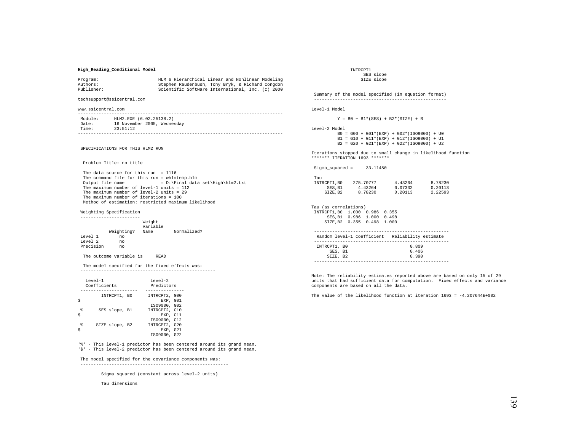### **High\_Reading\_Conditional Model**

| Program:   | HLM 6 Hierarchical Linear and Nonlinear Modeling |
|------------|--------------------------------------------------|
| Authors:   | Stephen Raudenbush, Tony Bryk, & Richard Congdon |
| Publisher: | Scientific Software International, Inc. (c) 2000 |

techsupport@ssicentral.com

www.ssicentral.com

| Module: | HLM2.EXE (6.02.25138.2)     |
|---------|-----------------------------|
| Date:   | 16 November 2005, Wednesday |
| Time:   | 23:51:12                    |
|         |                             |

SPECIFICATIONS FOR THIS HLM2 RUN

Problem Title: no title

 The data source for this run = 1116 The command file for this run = whlmtemp.hlm<br>Output file name =  $D:\F$ inal data  $= D:\Final data set\High\hlm2.txt$ The maximum number of level-1 units = 112 The maximum number of level-2 units = 29 The maximum number of iterations = 100 Method of estimation: restricted maximum likelihood

Weighting Specification

|                  |            | Weight<br>Variable |             |
|------------------|------------|--------------------|-------------|
|                  | Weighting? | Name               | Normalized? |
| Level 1          | no         |                    |             |
| Level 2          | no         |                    |             |
| <b>Drecision</b> | no         |                    |             |

The outcome variable is READ

 The model specified for the fixed effects was: ----------------------------------------------------

|        | $T$ eve $1 - 1$<br>Coefficients | $T$ eve $1 - 2$<br>Predictors                             |  |  |
|--------|---------------------------------|-----------------------------------------------------------|--|--|
|        | INTRCPT1, BO                    | INTRCPT2, G00<br>EXP. GO1<br>IS09000, G02                 |  |  |
| g<br>Ś | SES slope, B1                   | INTRCPT2, G10<br>EXP. G11                                 |  |  |
| g      | SIZE slope, B2                  | IS09000, G12<br>INTRCPT2, G20<br>EXP. G21<br>IS09000, G22 |  |  |

'%' - This level-1 predictor has been centered around its grand mean. '\$' - This level-2 predictor has been centered around its grand mean.

#### The model specified for the covariance components was:

---------------------------------------------------------

Sigma squared (constant across level-2 units)

Tau dimensions

 INTRCPT1 SES slope SIZE slope

 Summary of the model specified (in equation format) ---------------------------------------------------

Level-1 Model

 $Y = B0 + B1*(SES) + B2*(SIZE) + R$ 

Level-2 Model

 B0 = G00 + G01\*(EXP) + G02\*(ISO9000) + U0  $B1 = G10 + G11*(EXP) + G12*(ISO9000) + U1$  $B2 = G20 + G21*(EXP) + G22*(ISO9000) + U2$ 

Iterations stopped due to small change in likelihood function \*\*\*\*\*\*\* ITERATION 1693 \*\*\*\*\*\*\*

Sigma\_squared = 33.11450

| Tau         |           |         |         |
|-------------|-----------|---------|---------|
| INTRCPT1.B0 | 275.70777 | 4.43264 | 8.78230 |
| SES.B1      | 4.43264   | 0.07332 | 0.20113 |
| SIZE.B2     | 8.78230   | 0.20113 | 2.22593 |

Tau (as correlations) INTRCPT1,B0 1.000 0.986 0.355 SES,B1 0.986 1.000 0.498 SIZE,B2 0.355 0.498 1.000

|              | Random level-1 coefficient Reliability estimate |
|--------------|-------------------------------------------------|
|              |                                                 |
| INTRCPT1, BO | 0.809                                           |
| SES, B1      | 0.406                                           |
| SIZE. B2     | 0.390                                           |
|              |                                                 |

Note: The reliability estimates reported above are based on only 15 of 29 units that had sufficient data for computation. Fixed effects and variance components are based on all the data.

The value of the likelihood function at iteration  $1693 = -4.207644E+002$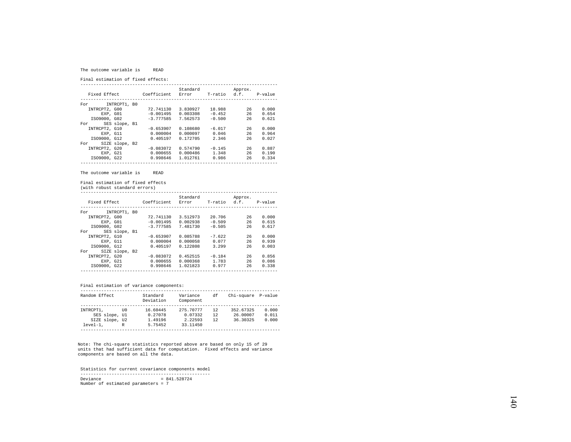#### The outcome variable is READ

Final estimation of fixed effects:

|                       |             | Standard |              | Approx. |         |
|-----------------------|-------------|----------|--------------|---------|---------|
| Fixed Effect          | Coefficient | Error    | T-ratio d.f. |         | P-value |
|                       |             |          |              |         |         |
| INTRCPT1, B0<br>For   |             |          |              |         |         |
| INTRCPT2, G00         | 72.741130   | 3.830927 | 18.988       | 26      | 0.000   |
| EXP. GO1              | $-0.001495$ | 0.003308 | $-0.452$     | 26      | 0.654   |
| IS09000, G02          | $-3.777585$ | 7.562573 | $-0.500$     | 26      | 0.621   |
| SES slope, B1<br>For  |             |          |              |         |         |
| INTRCPT2, G10         | $-0.653907$ | 0.108680 | $-6.017$     | 26      | 0.000   |
| EXP. G11              | 0.000004    | 0.000097 | 0.046        | 26      | 0.964   |
| IS09000, G12          | 0.405197    | 0.172705 | 2.346        | 26      | 0.027   |
| SIZE slope, B2<br>For |             |          |              |         |         |
| INTRCPT2, G20         | $-0.083072$ | 0.574790 | $-0.145$     | 26      | 0.887   |
| EXP. G21              | 0.000655    | 0.000486 | 1.348        | 26      | 0.190   |
| IS09000, G22          | 0.998646    | 1.012761 | 0.986        | 26      | 0.334   |
|                       |             |          |              |         |         |

#### The outcome variable is READ

Final estimation of fixed effects

(with robust standard errors)

|               |                |             | Standard |          | Approx.              |       |
|---------------|----------------|-------------|----------|----------|----------------------|-------|
| Fixed Effect  |                | Coefficient | Error    |          | T-ratio d.f. P-value |       |
|               |                |             |          |          |                      |       |
| For           | INTRCPT1, BO   |             |          |          |                      |       |
| INTRCPT2, G00 |                | 72.741130   | 3.512973 | 20.706   | 26                   | 0.000 |
| EXP. GO1      |                | $-0.001495$ | 0.002938 | $-0.509$ | 26                   | 0.615 |
| IS09000, G02  |                | $-3.777585$ | 7.481730 | $-0.505$ | 26                   | 0.617 |
| For           | SES slope, B1  |             |          |          |                      |       |
| INTRCPT2, G10 |                | $-0.653907$ | 0.085788 | $-7.622$ | 26                   | 0.000 |
| EXP. G11      |                | 0.000004    | 0.000058 | 0.077    | 26                   | 0.939 |
| IS09000, G12  |                | 0.405197    | 0.122808 | 3.299    | 26                   | 0.003 |
| For           | SIZE slope, B2 |             |          |          |                      |       |
| INTRCPT2, G20 |                | $-0.083072$ | 0.452515 | $-0.184$ | 26                   | 0.856 |
| EXP. G21      |                | 0.000655    | 0.000368 | 1.783    | 26                   | 0.086 |
| IS09000, G22  |                | 0.998646    | 1.021823 | 0.977    | 26                   | 0.338 |
|               |                |             |          |          |                      |       |

## Final estimation of variance components:

| Random Effect  |      | Standard<br>Deviation | Variance<br>Component | df | Chi-square P-value |       |  |
|----------------|------|-----------------------|-----------------------|----|--------------------|-------|--|
|                |      |                       |                       |    |                    |       |  |
| INTRCPT1.      | TTO. | 16.60445              | 275.70777             | 12 | 352.67325          | 0.000 |  |
| SES slope, Ul  |      | 0.27078               | 0.07332               | 12 | 26.00007           | 0.011 |  |
| SIZE slope, U2 |      | 1.49196               | 2.22593               | 12 | 36.30325           | 0.000 |  |
| $level-1.$     | R    | 5.75452               | 33.11450              |    |                    |       |  |
|                |      |                       |                       |    |                    |       |  |

Note: The chi-square statistics reported above are based on only 15 of 29 units that had sufficient data for computation. Fixed effects and variance components are based on all the data.

 Statistics for current covariance components model --------------------------------------------------  $Deviance = 841.528724$ Number of estimated parameters = 7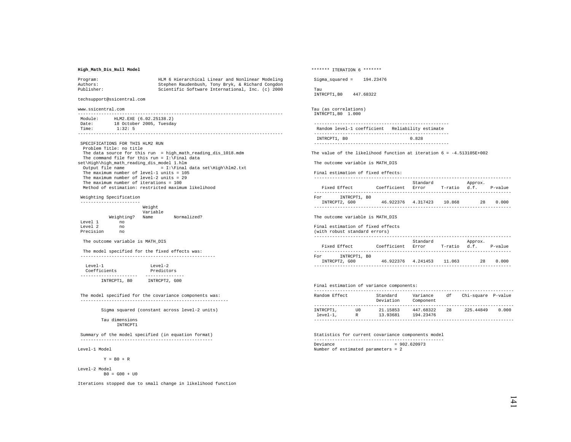## **High\_Math\_Dis\_Null Model**

| Program:   | HLM 6 Hierarchical Linear and Nonlinear Modeling |
|------------|--------------------------------------------------|
| Authors:   | Stephen Raudenbush, Tony Bryk, & Richard Congdon |
| Publisher: | Scientific Software International, Inc. (c) 2000 |

techsupport@ssicentral.com

www.ssicentral.com

 ------------------------------------------------------------------------------- Module: HLM2.EXE (6.02.25138.2) Date: 18 October 2005, Tuesday Time: 1:32: 5 -------------------------------------------------------------------------------

 SPECIFICATIONS FOR THIS HLM2 RUN Problem Title: no title The data source for this run = high\_math\_reading\_dis\_1018.mdm The command file for this run =  $I:\n$  Final data set\High\high\_math\_reading\_dis\_model 1.hlm<br>Output file name =  $I:\F$ inal = I:\Final data set\High\hlm2.txt The maximum number of level-1 units = 105 The maximum number of level-2 units = 29 The maximum number of iterations = 100 Method of estimation: restricted maximum likelihood

 Weighting Specification -----------------------

|           |            | Weight<br>Variable |             |
|-----------|------------|--------------------|-------------|
|           | Weighting? | Name               | Normalized? |
| Level 1   | no         |                    |             |
| Level 2   | no         |                    |             |
| Precision | no         |                    |             |

The outcome variable is MATH\_DIS

 The model specified for the fixed effects was: ----------------------------------------------------

| $T$ eve $1 - 1$ | $T$ eve $1 - 2$ |
|-----------------|-----------------|
| Coefficients    | Predictors      |
|                 |                 |
| INTRCPT1, BO    | INTRCPT2, G00   |

 The model specified for the covariance components was: ---------------------------------------------------------

Sigma squared (constant across level-2 units)

 Tau dimensions INTRCPT1

 Summary of the model specified (in equation format) ---------------------------------------------------

Level-1 Model

 $Y = B0 + R$ 

Level-2 Model  $B0 = G00 + U0$ 

Iterations stopped due to small change in likelihood function

\*\*\*\*\*\*\* ITERATION 6 \*\*\*\*\*\*\* Sigma\_squared = 194.23476 Tau INTRCPT1,B0 447.68322 Tau (as correlations) INTRCPT1,B0 1.000 ---------------------------------------------------- Random level-1 coefficient Reliability estimate ---------------------------------------------------- INTRCPT1, B0 0.828 ---------------------------------------------------- The value of the likelihood function at iteration  $6 = -4.513105E + 002$  The outcome variable is MATH\_DIS Final estimation of fixed effects: ----------------------------------------------------------------------------

| Fixed Effect        | Coefficient | Standard<br>Error | T-ratio | Approx.<br>d.f. | P-value |
|---------------------|-------------|-------------------|---------|-----------------|---------|
| INTRCPT1, BO<br>For |             |                   |         |                 |         |
| INTRCPT2, G00       | 46.922376   | 4.317423          | 10.868  | 28              | 0.000   |
|                     |             |                   |         |                 |         |

The outcome variable is MATH\_DIS

Final estimation of fixed effects

| (with robust standard errors)        |             |                   |              |         |         |
|--------------------------------------|-------------|-------------------|--------------|---------|---------|
| Fixed Effect                         | Coefficient | Standard<br>Error | T-ratio d.f. | Approx. | P-value |
| INTRCPT1, BO<br>For<br>INTRCPT2, G00 | 46.922376   | 4.241453          | 11.063       | 28      | 0.000   |
|                                      |             |                   |              |         |         |

## Final estimation of variance components:

| Random Effect           |          | Standard<br>Deviation | Variance<br>Component  | df | Chi-square P-value |       |
|-------------------------|----------|-----------------------|------------------------|----|--------------------|-------|
|                         |          |                       |                        |    |                    |       |
| INTRCPT1,<br>$level-1.$ | TTO<br>R | 21.15853<br>13.93681  | 447.68322<br>194.23476 | 28 | 225.44849          | 0.000 |
|                         |          |                       |                        |    |                    |       |

 Statistics for current covariance components model -------------------------------------------------- Deviance = 902.620973 Number of estimated parameters = 2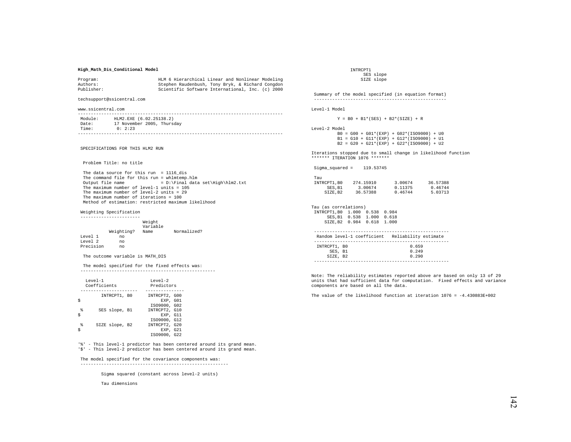## **High\_Math\_Dis\_Conditional Model**

| Program:   | HLM 6 Hierarchical Linear and Nonlinear Modeling |
|------------|--------------------------------------------------|
| Authors:   | Stephen Raudenbush, Tony Bryk, & Richard Congdon |
| Publisher: | Scientific Software International, Inc. (c) 2000 |

techsupport@ssicentral.com

www.ssicentral.com

| Module: | HLM2.EXE (6.02.25138.2)    |
|---------|----------------------------|
| Date:   | 17 November 2005, Thursday |
| Time:   | 0:2:23                     |
|         |                            |

SPECIFICATIONS FOR THIS HLM2 RUN

Problem Title: no title

 The data source for this run = 1116\_dis The command file for this run = whlmtemp.hlm<br>Output file name =  $D:\F$ inal data  $= D:\Final data set\High\hlm2.txt$ The maximum number of level-1 units = 105 The maximum number of level-2 units = 29 The maximum number of iterations = 100 Method of estimation: restricted maximum likelihood

Weighting Specification

Level 2

 ----------------------- Weight Variable Weighting? Name Normalized? Level 1 no Precision no

The outcome variable is MATH\_DIS

 The model specified for the fixed effects was: ----------------------------------------------------

| INTRCPT1, BO<br>INTRCPT2, G00<br>EXP. GO1<br>IS09000, G02<br>g<br>INTRCPT2, G10<br>SES slope, B1<br>Ś | $T$ eve $1 - 1$<br>Coefficients | $T$ eve $1 - 2$<br>Predictors |
|-------------------------------------------------------------------------------------------------------|---------------------------------|-------------------------------|
|                                                                                                       |                                 |                               |
|                                                                                                       |                                 | EXP. G11                      |
| IS09000, G12<br>g<br>INTRCPT2, G20<br>SIZE slope, B2<br>EXP. G21<br>IS09000, G22                      |                                 |                               |

'%' - This level-1 predictor has been centered around its grand mean. '\$' - This level-2 predictor has been centered around its grand mean.

#### The model specified for the covariance components was:

---------------------------------------------------------

Sigma squared (constant across level-2 units)

Tau dimensions

 INTRCPT1 SES slope SIZE slope

 Summary of the model specified (in equation format) --------------------------------------------------- Level-1 Model

 $Y = B0 + B1*(SES) + B2*(SIZE) + R$ 

Level-2 Model

 B0 = G00 + G01\*(EXP) + G02\*(ISO9000) + U0  $B1 = G10 + G11*(EXP) + G12*(ISO9000) + U1$ B2 = G20 + G21\*(EXP) + G22\*(ISO9000) + U2

Iterations stopped due to small change in likelihood function \*\*\*\*\*\*\* ITERATION 1076 \*\*\*\*\*\*\*

Sigma\_squared = 119.53745

| Tau         |           |         |          |
|-------------|-----------|---------|----------|
| INTRCPT1.B0 | 274.15910 | 3.00674 | 36.57388 |
| SES.B1      | 3.00674   | 0.11375 | 0.46744  |
| SIZE.B2     | 36.57388  | 0.46744 | 5.03713  |

Tau (as correlations) INTRCPT1,B0 1.000 0.538 0.984 SES,B1 0.538 1.000 0.618 SIZE,B2 0.984 0.618 1.000

|              | Random level-1 coefficient Reliability estimate |
|--------------|-------------------------------------------------|
|              |                                                 |
| INTRCPT1, BO | 0.659                                           |
| SES, B1      | 0.249                                           |
| SIZE, B2     | 0.290                                           |
|              |                                                 |

Note: The reliability estimates reported above are based on only 13 of 29

units that had sufficient data for computation. Fixed effects and variance components are based on all the data.

The value of the likelihood function at iteration  $1076 = -4.430883E+002$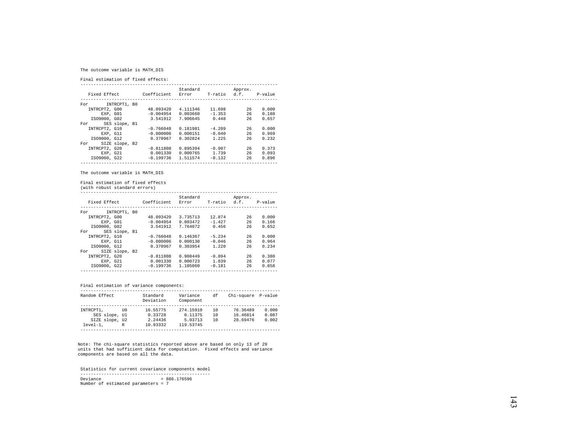## The outcome variable is MATH\_DIS

Final estimation of fixed effects:

|               |                |             | Standard |              | Approx. |         |
|---------------|----------------|-------------|----------|--------------|---------|---------|
| Fixed Effect  |                | Coefficient | Error    | T-ratio d.f. |         | P-value |
|               |                |             |          |              |         |         |
| For           | INTRCPT1, B0   |             |          |              |         |         |
| INTRCPT2, G00 |                | 48.093420   | 4.111346 | 11.698       | 26      | 0.000   |
| EXP. GO1      |                | $-0.004954$ | 0.003660 | $-1.353$     | 26      | 0.188   |
| IS09000, G02  |                | 3.541912    | 7.906645 | 0.448        | 26      | 0.657   |
| For           | SES slope, B1  |             |          |              |         |         |
| INTRCPT2, G10 |                | $-0.766048$ | 0.181981 | $-4.209$     | 26      | 0.000   |
| EXP. G11      |                | $-0.000006$ | 0.000151 | $-0.040$     | 26      | 0.969   |
| IS09000, G12  |                | 0.370967    | 0.302824 | 1.225        | 26      | 0.232   |
| For           | SIZE slope, B2 |             |          |              |         |         |
| INTRCPT2, G20 |                | $-0.811808$ | 0.895394 | $-0.907$     | 26      | 0.373   |
| EXP. G21      |                | 0.001330    | 0.000765 | 1.739        | 26      | 0.093   |
| IS09000, G22  |                | $-0.199736$ | 1.511574 | $-0.132$     | 26      | 0.896   |
|               |                |             |          |              |         |         |

The outcome variable is MATH\_DIS

Final estimation of fixed effects

(with robust standard errors)

| Fixed Effect  |                | Coefficient | Standard<br>Error | T-ratio  | Approx.<br>d.f. P-value |       |
|---------------|----------------|-------------|-------------------|----------|-------------------------|-------|
| For           | INTRCPT1, BO   |             |                   |          |                         |       |
| INTRCPT2, G00 |                | 48.093420   | 3.735713          | 12.874   | 26                      | 0.000 |
|               | EXP. GO1       | $-0.004954$ | 0.003472          | $-1.427$ | 26                      | 0.166 |
| IS09000, G02  |                | 3.541912    | 7.764072          | 0.456    | 26                      | 0.652 |
| For           | SES slope, B1  |             |                   |          |                         |       |
| INTRCPT2, G10 |                | $-0.766048$ | 0.146367          | $-5.234$ | 26                      | 0.000 |
|               | EXP. G11       | $-0.000006$ | 0.000130          | $-0.046$ | 26                      | 0.964 |
| IS09000, G12  |                | 0.370967    | 0.303954          | 1.220    | 26                      | 0.234 |
| For           | SIZE slope, B2 |             |                   |          |                         |       |
| INTRCPT2, G20 |                | $-0.811808$ | 0.908449          | $-0.894$ | 26                      | 0.380 |
|               | EXP. G21       | 0.001330    | 0.000723          | 1.839    | 26                      | 0.077 |
| IS09000, G22  |                | $-0.199736$ | 1.105060          | $-0.181$ | 26                      | 0.858 |
|               |                |             |                   |          |                         |       |

## Final estimation of variance components:

| Random Effect  |      | Standard<br>Deviation | Variance<br>Component | df | Chi-square P-value |       |
|----------------|------|-----------------------|-----------------------|----|--------------------|-------|
|                |      |                       |                       |    |                    |       |
| INTRCPT1.      | TTO. | 16.55775              | 274.15910             | 10 | 76.36489           | 0.000 |
| SES slope, Ul  |      | 0.33728               | 0.11375               | 10 | 16.46814           | 0.087 |
| SIZE slope, U2 |      | 2.24436               | 5.03713               | 10 | 28.69476           | 0.002 |
| $level-1.$     | R    | 10.93332              | 119.53745             |    |                    |       |
|                |      |                       |                       |    |                    |       |

Note: The chi-square statistics reported above are based on only 13 of 29 units that had sufficient data for computation. Fixed effects and variance components are based on all the data.

 Statistics for current covariance components model -------------------------------------------------- Deviance = 886.176596 Number of estimated parameters = 7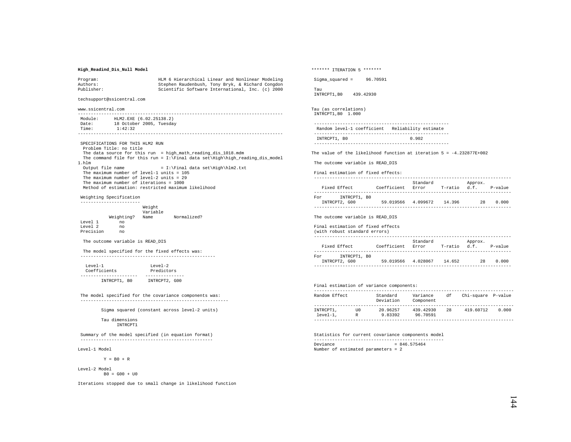## **High\_Readind\_Dis\_Null Model**

| Program:   | HLM 6 Hierarchical Linear and Nonlinear Modeling |
|------------|--------------------------------------------------|
| Authors:   | Stephen Raudenbush, Tony Bryk, & Richard Congdon |
| Publisher: | Scientific Software International, Inc. (c) 2000 |

techsupport@ssicentral.com

www.ssicentral.com

 ------------------------------------------------------------------------------- Module: HLM2.EXE (6.02.25138.2) Date: 18 October 2005, Tuesday Time: 1:42:32 -------------------------------------------------------------------------------

 SPECIFICATIONS FOR THIS HLM2 RUN Problem Title: no title The data source for this run = high\_math\_reading\_dis\_1018.mdm The command file for this run = I:\Final data set\High\high\_reading\_dis\_model 1.hlm Output file name = I:\Final data set\High\hlm2.txt The maximum number of level-1 units = 105 The maximum number of level-2 units = 29 The maximum number of iterations = 1000 Method of estimation: restricted maximum likelihood

 Weighting Specification -----------------------

|           |            | Weight<br>Variable |             |
|-----------|------------|--------------------|-------------|
|           | Weighting? | Name               | Normalized? |
| Level 1   | no         |                    |             |
| Level 2   | no         |                    |             |
| Precision | no         |                    |             |

The outcome variable is READ\_DIS

 The model specified for the fixed effects was: ----------------------------------------------------

| $T$ eve $1 - 1$ | $T$ eve $1 - 2$ |
|-----------------|-----------------|
| Coefficients    | Predictors      |
|                 |                 |
| INTRCPT1, BO    | INTRCPT2, G00   |

 The model specified for the covariance components was: ---------------------------------------------------------

Sigma squared (constant across level-2 units)

 Tau dimensions INTRCPT1

 Summary of the model specified (in equation format) ---------------------------------------------------

Level-1 Model

 $Y = B0 + R$ 

Level-2 Model  $B0 = G00 + U0$ 

Iterations stopped due to small change in likelihood function

\*\*\*\*\*\*\* ITERATION 5 \*\*\*\*\*\*\*

Sigma\_squared = 96.70591

 Tau INTRCPT1,B0 439.42930

Tau (as correlations) INTRCPT1,B0 1.000

 ---------------------------------------------------- Random level-1 coefficient Reliability estimate ---------------------------------------------------- INTRCPT1, B0 0.902

----------------------------------------------------

The value of the likelihood function at iteration  $5 = -4.232877E + 002$ 

The outcome variable is READ\_DIS

Final estimation of fixed effects:

| Fixed Effect                         | Coefficient | Standard<br>Error | T-ratio | Approx.<br>d.f. | $P-value$ |
|--------------------------------------|-------------|-------------------|---------|-----------------|-----------|
| INTRCPT1, BO<br>For<br>INTRCPT2, G00 | 59.019566   | 4.099672          | 14.396  | 28              | 0.000     |

The outcome variable is READ\_DIS

Final estimation of fixed effects

| (with robust standard errors)        |             |                   |              |         |         |
|--------------------------------------|-------------|-------------------|--------------|---------|---------|
| Fixed Effect                         | Coefficient | Standard<br>Error | T-ratio d.f. | Approx. | P-value |
| INTRCPT1, BO<br>For<br>INTRCPT2, G00 | 59.019566   | 4.028067          | 14.652       | 28      | 0.000   |
|                                      |             |                   |              |         |         |

### Final estimation of variance components:

| Random Effect           |          | Standard<br>Deviation | Variance<br>Component | df | Chi-square P-value |       |
|-------------------------|----------|-----------------------|-----------------------|----|--------------------|-------|
|                         |          |                       |                       |    |                    |       |
| INTRCPT1,<br>$level-1.$ | TTO<br>R | 20.96257<br>9.83392   | 439.42930<br>96.70591 | 28 | 419.60712          | 0.000 |
|                         |          |                       |                       |    |                    |       |

 Statistics for current covariance components model --------------------------------------------------  $Deviance = 846.575464$ Number of estimated parameters = 2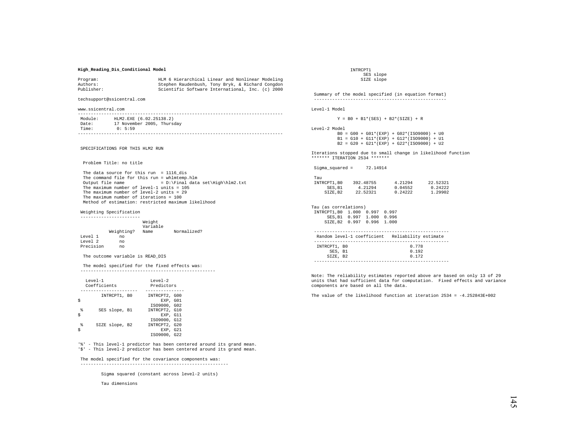## **High\_Reading\_Dis\_Conditional Model**

| Program:   | HLM 6 Hierarchical Linear and Nonlinear Modeling |
|------------|--------------------------------------------------|
| Authors:   | Stephen Raudenbush, Tony Bryk, & Richard Congdon |
| Publisher: | Scientific Software International, Inc. (c) 2000 |

techsupport@ssicentral.com

www.ssicentral.com

| Module: | HLM2.EXE (6.02.25138.2)    |
|---------|----------------------------|
| Date:   | 17 November 2005, Thursday |
| Time:   | 0:5:59                     |
|         |                            |

SPECIFICATIONS FOR THIS HLM2 RUN

Problem Title: no title

 The data source for this run = 1116\_dis The command file for this run = whlmtemp.hlm<br>Output file name =  $D:\F$ inal data  $= D:\Final data set\High\hlm2.txt$ The maximum number of level-1 units = 105 The maximum number of level-2 units = 29 The maximum number of iterations = 100 Method of estimation: restricted maximum likelihood

Weighting Specification

|           | Weighting? | Weight<br>Variable<br>Name | Normalized? |
|-----------|------------|----------------------------|-------------|
| Level 1   | no         |                            |             |
| Level 2   | no         |                            |             |
| Precision | no         |                            |             |

The outcome variable is READ\_DIS

 The model specified for the fixed effects was: ----------------------------------------------------

|        | $T$ eve $1 - 1$<br>Coefficients | $T$ eve $1 - 2$<br>Predictors             |  |  |  |
|--------|---------------------------------|-------------------------------------------|--|--|--|
|        | INTRCPT1, BO                    | INTRCPT2, G00<br>EXP. GO1<br>IS09000, G02 |  |  |  |
| g<br>Ś | SES slope, B1                   | INTRCPT2, G10<br>EXP. G11<br>IS09000, G12 |  |  |  |
| g      | SIZE slope, B2                  | INTRCPT2, G20<br>EXP. G21<br>IS09000, G22 |  |  |  |

'%' - This level-1 predictor has been centered around its grand mean. '\$' - This level-2 predictor has been centered around its grand mean.

#### The model specified for the covariance components was:

---------------------------------------------------------

Sigma squared (constant across level-2 units)

Tau dimensions

 INTRCPT1 SES slope SIZE slope

 Summary of the model specified (in equation format) --------------------------------------------------- Level-1 Model

 $Y = B0 + B1*(SES) + B2*(SIZE) + R$ 

Level-2 Model

 B0 = G00 + G01\*(EXP) + G02\*(ISO9000) + U0  $B1 = G10 + G11*(EXP) + G12*(ISO9000) + U1$  $B2 = G20 + G21*(EXP) + G22*(ISO9000) + U2$ 

Iterations stopped due to small change in likelihood function \*\*\*\*\*\*\* ITERATION 2534 \*\*\*\*\*\*\*

Sigma\_squared = 72.14914

| Tau         |           |         |          |
|-------------|-----------|---------|----------|
| INTRCPT1.B0 | 392.48755 | 4.21294 | 22.52321 |
| SES.B1      | 4.21294   | 0.04552 | 0.24222  |
| SIZE.B2     | 22.52321  | 0.24222 | 1.29902  |

Tau (as correlations) INTRCPT1,B0 1.000 0.997 0.997 SES,B1 0.997 1.000 0.996 SIZE,B2 0.997 0.996 1.000

|              | Random level-1 coefficient Reliability estimate |
|--------------|-------------------------------------------------|
|              |                                                 |
| INTRCPT1, BO | 0.778                                           |
| SES, B1      | 0.192                                           |
| SIZE, B2     | 0.172                                           |
|              |                                                 |

Note: The reliability estimates reported above are based on only 13 of 29 units that had sufficient data for computation. Fixed effects and variance components are based on all the data.

The value of the likelihood function at iteration  $2534 = -4.252843E+002$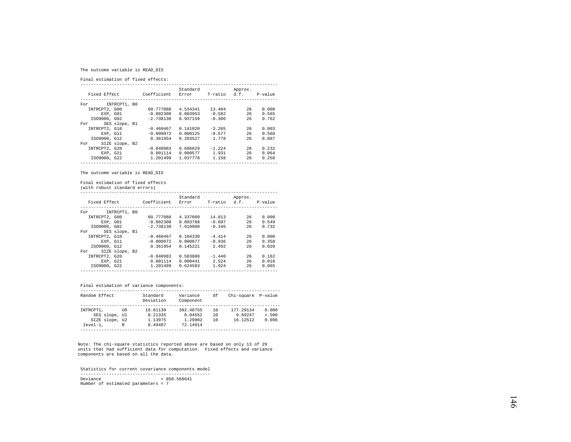## The outcome variable is READ\_DIS

Final estimation of fixed effects:

| Fixed Effect          | Coefficient Error | Standard | T-ratio d.f. | Approx. | P-value |
|-----------------------|-------------------|----------|--------------|---------|---------|
|                       |                   |          |              |         |         |
| INTRCPT1, B0<br>For   |                   |          |              |         |         |
| INTRCPT2, G00         | 60.777088         | 4.534341 | 13.404       | 26      | 0.000   |
| EXP. GO1              | $-0.002300$       | 0.003953 | $-0.582$     | 26      | 0.565   |
| IS09000, G02          | $-2.738130$       | 8.937159 | $-0.306$     | 26      | 0.762   |
| SES slope, B1<br>For  |                   |          |              |         |         |
| INTRCPT2, G10         | $-0.460467$       | 0.141020 | $-3.265$     | 26      | 0.003   |
| EXP. G11              | $-0.000072$       | 0.000125 | $-0.577$     | 26      | 0.568   |
| IS09000, G12          | 0.361954          | 0.203527 | 1.778        | 26      | 0.087   |
| SIZE slope, B2<br>For |                   |          |              |         |         |
| INTRCPT2, G20         | $-0.840983$       | 0.686829 | $-1.224$     | 26      | 0.232   |
| EXP. G21              | 0.001114          | 0.000577 | 1.931        | 26      | 0.064   |
| IS09000, G22          | 1.201499          | 1.037778 | 1.158        | 26      | 0.258   |
|                       |                   |          |              |         |         |

The outcome variable is READ\_DIS

Final estimation of fixed effects

(with robust standard errors)

| Fixed Effect  |                | Coefficient | Standard<br>Error | T-ratio  | Approx.<br>d.f. | P-value |
|---------------|----------------|-------------|-------------------|----------|-----------------|---------|
| For           | INTRCPT1, B0   |             |                   |          |                 |         |
| INTRCPT2, G00 |                | 60.777088   | 4.337060          | 14.013   | 26              | 0.000   |
|               | EXP. GO1       | $-0.002300$ | 0.003788          | $-0.607$ | 26              | 0.549   |
| IS09000, G02  |                | $-2.738130$ | 7.910908          | $-0.346$ | 26              | 0.732   |
| For           | SES slope, B1  |             |                   |          |                 |         |
| INTRCPT2, G10 |                | $-0.460467$ | 0.104330          | $-4.414$ | 26              | 0.000   |
|               | EXP. G11       | $-0.000072$ | 0.000077          | $-0.936$ | 26              | 0.358   |
| IS09000, G12  |                | 0.361954    | 0.145221          | 2.492    | 26              | 0.020   |
| For           | SIZE slope, B2 |             |                   |          |                 |         |
| INTRCPT2, G20 |                | $-0.840983$ | 0.583888          | $-1.440$ | 26              | 0.162   |
| EXP, G21      |                | 0.001114    | 0.000441          | 2.524    | 26              | 0.018   |
| IS09000, G22  |                | 1.201499    | 0.624503          | 1.924    | 26              | 0.065   |
|               |                |             |                   |          |                 |         |

## Final estimation of variance components:

| Random Effect  |      | Standard<br>Deviation | Variance<br>Component | df | Chi-square P-value |         |
|----------------|------|-----------------------|-----------------------|----|--------------------|---------|
|                |      |                       |                       |    |                    |         |
| INTRCPT1.      | TTO. | 19.81130              | 392.48755             | 10 | 177.29134          | 0.000   |
| SES slope, Ul  |      | 0.21335               | 0.04552               | 10 | 9.69247            | > 0.500 |
| SIZE slope, U2 |      | 1.13975               | 1.29902               | 10 | 16.12512           | 0.096   |
| $level-1.$     | R    | 8.49407               | 72.14914              |    |                    |         |
|                |      |                       |                       |    |                    |         |

Note: The chi-square statistics reported above are based on only 13 of 29 units that had sufficient data for computation. Fixed effects and variance components are based on all the data.

 Statistics for current covariance components model --------------------------------------------------  $Deviance = 850.568641$ Number of estimated parameters = 7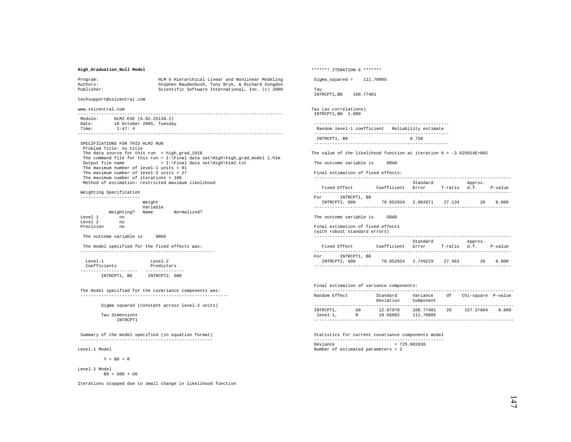### **High\_Graduation\_Null Model**

| Program:   | HLM 6 Hierarchical Linear and Nonlinear Modeling |
|------------|--------------------------------------------------|
| Authors:   | Stephen Raudenbush, Tony Bryk, & Richard Congdon |
| Publisher: | Scientific Software International, Inc. (c) 2000 |

techsupport@ssicentral.com

www.ssicentral.com

 ------------------------------------------------------------------------------- Module: HLM2.EXE (6.02.25138.2) Date: 18 October 2005, Tuesday Time: 1:47: 4 -------------------------------------------------------------------------------

 SPECIFICATIONS FOR THIS HLM2 RUN Problem Title: no title The data source for this run = high\_grad\_1018 The command file for this run =  $I:\Gamma$  data set\High\high\_grad\_model 1.hlm Output file name =  $I:\Final$  data set\High\hlm2.txt  $= I:\Final data set\High\hlm2.txt$  The maximum number of level-1 units = 91 The maximum number of level-2 units = 27 The maximum number of iterations = 100 Method of estimation: restricted maximum likelihood

#### Weighting Specification

|           |            | Weight<br>Variable |             |
|-----------|------------|--------------------|-------------|
|           | Weighting? | Name               | Normalized? |
| Level 1   | no         |                    |             |
| Level 2   | no         |                    |             |
| Precision | no         |                    |             |

The outcome variable is GRAD

 The model specified for the fixed effects was: ----------------------------------------------------

 Level-1 Level-2 Coefficients Predictors ---------------------- --------------- INTRCPT1, B0 INTRCPT2, G00

 The model specified for the covariance components was: ---------------------------------------------------------

Sigma squared (constant across level-2 units)

#### Tau dimensions INTROPT1

 Summary of the model specified (in equation format) ---------------------------------------------------

Level-1 Model

 $Y = B0 + R$ 

Level-2 Model  $B0 = G00 + U0$ 

Iterations stopped due to small change in likelihood function

\*\*\*\*\*\*\* ITERATION 6 \*\*\*\*\*\*\* Sigma\_squared = 111.70005 Tau INTRCPT1,B0 160.77481 Tau (as correlations) INTRCPT1,B0 1.000 ---------------------------------------------------- Random level-1 coefficient Reliability estimate ---------------------------------------------------- INTRCPT1, B0 0.758 ---------------------------------------------------- The value of the likelihood function at iteration  $6 = -3.625014E + 002$  The outcome variable is GRAD Final estimation of fixed effects: ---------------------------------------------------------------------------- Standard Approx.<br>Fixed Rffect (Coefficient Error T-ratio d.f

Coefficient Error T-ratio d.f. P-value ---------------------------------------------------------------------------- For INTRCPT1, B0 INTRCPT2, G00 76.052934 2.802871 27.134 26 0.000 ----------------------------------------------------------------------------

The outcome variable is GRAD

#### Final estimation of fixed effects

| (with robust standard errors)        |             |                   |         |                         |         |
|--------------------------------------|-------------|-------------------|---------|-------------------------|---------|
| Fixed Effect                         | Coefficient | Standard<br>Error | T-ratio | Approx.<br>$\cdot$ d.f. | P-value |
| INTRCPT1, BO<br>For<br>INTRCPT2, G00 | 76.052934   | 2.749229          | 27.663  | 26                      | 0.000   |
|                                      |             |                   |         |                         |         |

## Final estimation of variance components:

| Random Effect           |          | Standard<br>Deviation | Variance<br>Component  | df | Chi-square P-value |       |
|-------------------------|----------|-----------------------|------------------------|----|--------------------|-------|
| INTRCPT1,<br>$level-1.$ | TTO<br>R | 12.67970<br>10.56882  | 160.77481<br>111.70005 | 26 | 157.37864          | 0.000 |

 Statistics for current covariance components model --------------------------------------------------  $Deviance = 725.002836$ Number of estimated parameters = 2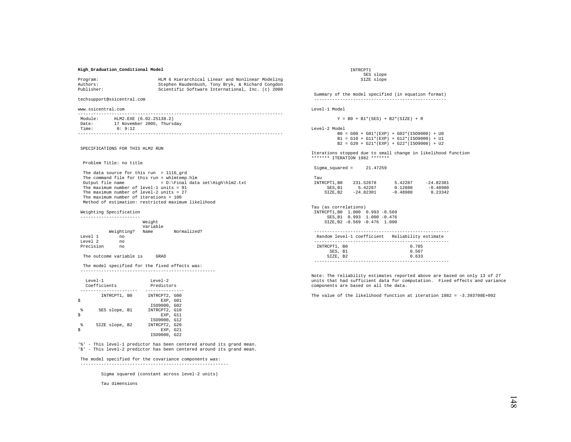### **High\_Graduation\_Conditional Model**

| Program:   | HLM 6 Hierarchical Linear and Nonlinear Modeling |
|------------|--------------------------------------------------|
| Authors:   | Stephen Raudenbush, Tony Bryk, & Richard Congdon |
| Publisher: | Scientific Software International, Inc. (c) 2000 |

techsupport@ssicentral.com

www.ssicentral.com

| Module: | HLM2.EXE (6.02.25138.2)    |
|---------|----------------------------|
| Date:   | 17 November 2005, Thursday |
| Time:   | 0:9:12                     |
|         |                            |

SPECIFICATIONS FOR THIS HLM2 RUN

Problem Title: no title

 The data source for this run = 1116\_grd The command file for this run = whlmtemp.hlm<br>Output file name =  $D:\F$ inal data  $= D:\Final data set\High\hlm2.txt$ The maximum number of level-1 units = 91 The maximum number of level-2 units = 27 The maximum number of iterations = 100 Method of estimation: restricted maximum likelihood

Weighting Specification

 ----------------------- Weight Variable Weighting? Name Normalized? Level 1 no Level 2 Precision no

The outcome variable is GRAD

 The model specified for the fixed effects was: ----------------------------------------------------

| $T$ eve $1 - 1$ | Coefficients   | $T$ eve $1 - 2$<br>Predictors                             |  |  |
|-----------------|----------------|-----------------------------------------------------------|--|--|
|                 | INTRCPT1, BO   | INTRCPT2, G00<br>EXP. GO1                                 |  |  |
| g<br>Ś          | SES slope, B1  | IS09000, G02<br>INTRCPT2, G10<br>EXP. G11                 |  |  |
| g               | SIZE slope, B2 | IS09000, G12<br>INTRCPT2, G20<br>EXP. G21<br>IS09000, G22 |  |  |

'%' - This level-1 predictor has been centered around its grand mean. '\$' - This level-2 predictor has been centered around its grand mean.

#### The model specified for the covariance components was:

---------------------------------------------------------

Sigma squared (constant across level-2 units)

Tau dimensions

 INTRCPT1 SES slope SIZE slope

 Summary of the model specified (in equation format) --------------------------------------------------- Level-1 Model  $Y = B0 + B1*(SES) + B2*(SIZE) + R$ 

Level-2 Model B0 = G00 + G01\*(EXP) + G02\*(ISO9000) + U0

 $B1 = G10 + G11*(EXP) + G12*(ISO9000) + U1$ B2 = G20 + G21\*(EXP) + G22\*(ISO9000) + U2

Iterations stopped due to small change in likelihood function \*\*\*\*\*\*\* ITERATION 1982 \*\*\*\*\*\*\*

Sigma\_squared = 21.47259

| Tau         |             |            |             |
|-------------|-------------|------------|-------------|
| INTRCPT1.B0 | 231.52678   | 5.42287    | $-24.82301$ |
| SES.B1      | 5.42287     | 0.12880    | $-0.48980$  |
| SIZE.B2     | $-24.82301$ | $-0.48980$ | 8.23342     |

Tau (as correlations) INTRCPT1,B0 1.000 0.993 -0.569 SES,B1 0.993 1.000 -0.476 SIZE,B2 -0.569 -0.476 1.000

|              | Random level-1 coefficient Reliability estimate |
|--------------|-------------------------------------------------|
|              |                                                 |
| INTRCPT1, BO | 0.785                                           |
| SES. B1      | 0.567                                           |
| SIZE. B2     | 0.633                                           |
|              |                                                 |

Note: The reliability estimates reported above are based on only 13 of 27 units that had sufficient data for computation. Fixed effects and variance components are based on all the data.

The value of the likelihood function at iteration 1982 = -3.393708E+002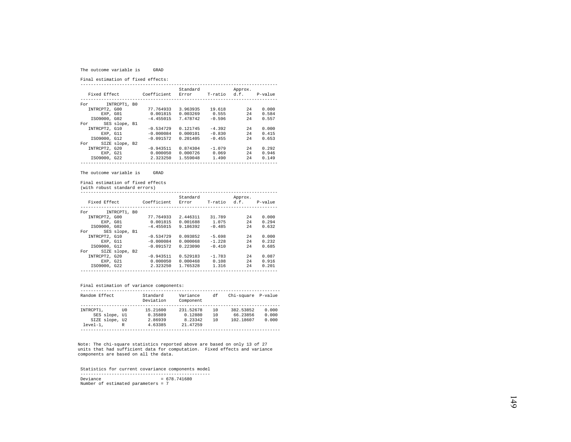#### The outcome variable is GRAD

Final estimation of fixed effects:

|                       |             | Standard |              | Approx. |         |
|-----------------------|-------------|----------|--------------|---------|---------|
| Fixed Effect          | Coefficient | Error    | T-ratio d.f. |         | P-value |
|                       |             |          |              |         |         |
| INTRCPT1, B0<br>For   |             |          |              |         |         |
| INTRCPT2, G00         | 77.764933   | 3.963935 | 19.618       | 2.4     | 0.000   |
| EXP. GO1              | 0.001815    | 0.003269 | 0.555        | 24      | 0.584   |
| IS09000, G02          | $-4.455015$ | 7.478742 | $-0.596$     | 2.4     | 0.557   |
| SES slope, B1<br>For  |             |          |              |         |         |
| INTRCPT2, G10         | $-0.534729$ | 0.121745 | $-4.392$     | 2.4     | 0.000   |
| EXP. G11              | $-0.000084$ | 0.000101 | $-0.830$     | 24      | 0.415   |
| IS09000, G12          | $-0.091572$ | 0.201405 | $-0.455$     | 2.4     | 0.653   |
| SIZE slope, B2<br>For |             |          |              |         |         |
| INTRCPT2, G20         | $-0.943511$ | 0.874304 | $-1.079$     | 2.4     | 0.292   |
| EXP. G21              | 0.000050    | 0.000726 | 0.069        | 2.4     | 0.946   |
| IS09000, G22          | 2.323250    | 1.559048 | 1.490        | 24      | 0.149   |
|                       |             |          |              |         |         |

The outcome variable is GRAD

Final estimation of fixed effects

(with robust standard errors)

|               |                |                   | Standard |          | Approx.              |       |
|---------------|----------------|-------------------|----------|----------|----------------------|-------|
| Fixed Effect  |                | Coefficient Error |          |          | T-ratio d.f. P-value |       |
|               |                |                   |          |          |                      |       |
| For           | INTRCPT1, BO   |                   |          |          |                      |       |
| INTRCPT2, G00 |                | 77.764933         | 2.446311 | 31.789   | 2.4                  | 0.000 |
| EXP. GO1      |                | 0.001815          | 0.001688 | 1.075    | 2.4                  | 0.294 |
| IS09000, G02  |                | $-4.455015$       | 9.186392 | $-0.485$ | 2.4                  | 0.632 |
| For           | SES slope, B1  |                   |          |          |                      |       |
| INTRCPT2, G10 |                | $-0.534729$       | 0.093852 | $-5.698$ | 2.4                  | 0.000 |
| EXP. G11      |                | $-0.000084$       | 0.000068 | $-1.228$ | 2.4                  | 0.232 |
| IS09000, G12  |                | $-0.091572$       | 0.223090 | $-0.410$ | 2.4                  | 0.685 |
| For           | SIZE slope, B2 |                   |          |          |                      |       |
| INTRCPT2, G20 |                | $-0.943511$       | 0.529183 | $-1.783$ | 2.4                  | 0.087 |
| EXP. G21      |                | 0.000050          | 0.000468 | 0.108    | 2.4                  | 0.916 |
| IS09000, G22  |                | 2.323250          | 1.765328 | 1.316    | 24                   | 0.201 |
|               |                |                   |          |          |                      |       |

## Final estimation of variance components:

| Random Effect  |      | Standard<br>Deviation | Variance<br>Component | df | Chi-square P-value |       |
|----------------|------|-----------------------|-----------------------|----|--------------------|-------|
|                |      |                       |                       |    |                    |       |
| INTRCPT1.      | TTO. | 15.21600              | 231.52678             | 10 | 382.53852          | 0.000 |
| SES slope, Ul  |      | 0.35889               | 0.12880               | 10 | 66.23856           | 0.000 |
| SIZE slope, U2 |      | 2.86939               | 8.23342               | 10 | 102.18607          | 0.000 |
| $level-1.$     | R    | 4.63385               | 21.47259              |    |                    |       |
|                |      |                       |                       |    |                    |       |

Note: The chi-square statistics reported above are based on only 13 of 27 units that had sufficient data for computation. Fixed effects and variance components are based on all the data.

 Statistics for current covariance components model --------------------------------------------------  $Deviance = 678.741680$ Number of estimated parameters = 7